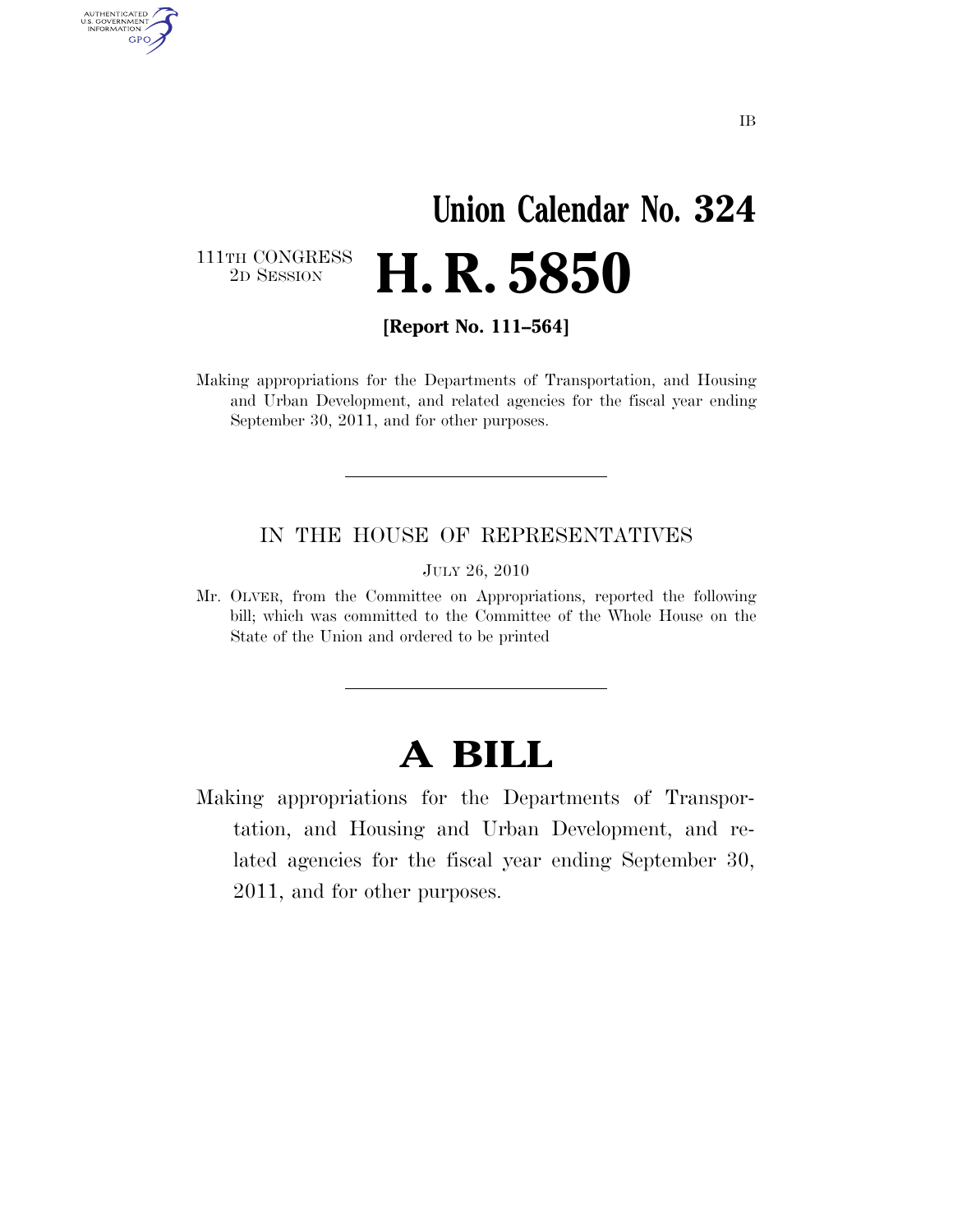# **Union Calendar No. 324**  2D SESSION **H. R. 5850**

111TH CONGRESS<br>2D SESSION

AUTHENTICATED<br>U.S. GOVERNMENT<br>INFORMATION

**GPO** 

**[Report No. 111–564]** 

Making appropriations for the Departments of Transportation, and Housing and Urban Development, and related agencies for the fiscal year ending September 30, 2011, and for other purposes.

#### IN THE HOUSE OF REPRESENTATIVES

JULY 26, 2010

Mr. OLVER, from the Committee on Appropriations, reported the following bill; which was committed to the Committee of the Whole House on the State of the Union and ordered to be printed

## **A BILL**

Making appropriations for the Departments of Transportation, and Housing and Urban Development, and related agencies for the fiscal year ending September 30, 2011, and for other purposes.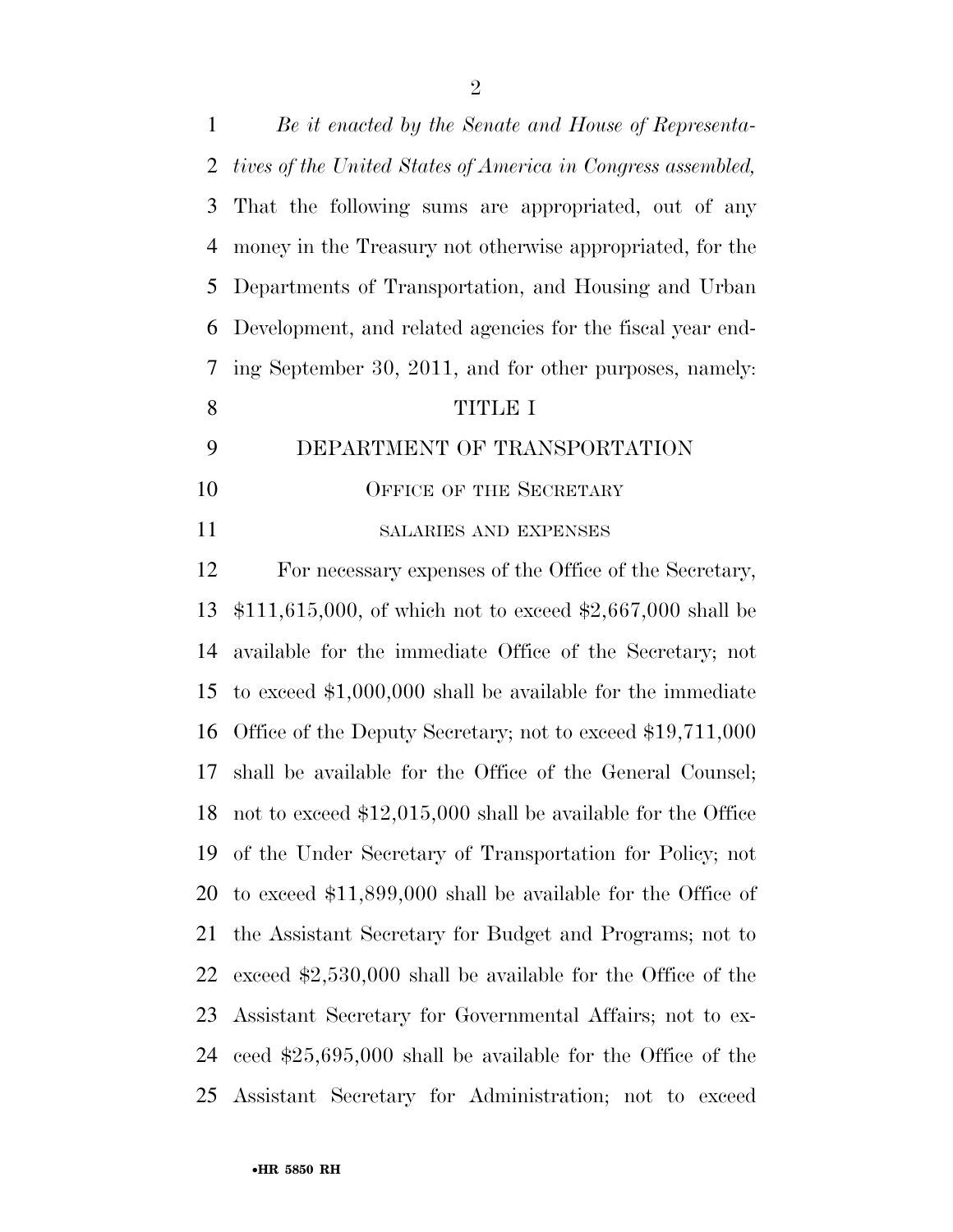| 1  | Be it enacted by the Senate and House of Representa-                |
|----|---------------------------------------------------------------------|
| 2  | tives of the United States of America in Congress assembled,        |
| 3  | That the following sums are appropriated, out of any                |
| 4  | money in the Treasury not otherwise appropriated, for the           |
| 5  | Departments of Transportation, and Housing and Urban                |
| 6  | Development, and related agencies for the fiscal year end-          |
| 7  | ing September 30, 2011, and for other purposes, namely:             |
| 8  | <b>TITLE I</b>                                                      |
| 9  | DEPARTMENT OF TRANSPORTATION                                        |
| 10 | <b>OFFICE OF THE SECRETARY</b>                                      |
| 11 | SALARIES AND EXPENSES                                               |
| 12 | For necessary expenses of the Office of the Secretary,              |
| 13 | $$111,615,000$ , of which not to exceed $$2,667,000$ shall be       |
| 14 | available for the immediate Office of the Secretary; not            |
| 15 | to exceed $$1,000,000$ shall be available for the immediate         |
| 16 | Office of the Deputy Secretary; not to exceed \$19,711,000          |
| 17 | shall be available for the Office of the General Counsel;           |
|    | 18 not to exceed $$12,015,000$ shall be available for the Office    |
| 19 | of the Under Secretary of Transportation for Policy; not            |
| 20 | to exceed $$11,899,000$ shall be available for the Office of        |
| 21 | the Assistant Secretary for Budget and Programs; not to             |
| 22 | exceed $\text{$}2,530,000$ shall be available for the Office of the |
| 23 | Assistant Secretary for Governmental Affairs; not to ex-            |
| 24 | ceed $$25,695,000$ shall be available for the Office of the         |
| 25 | Assistant Secretary for Administration; not to exceed               |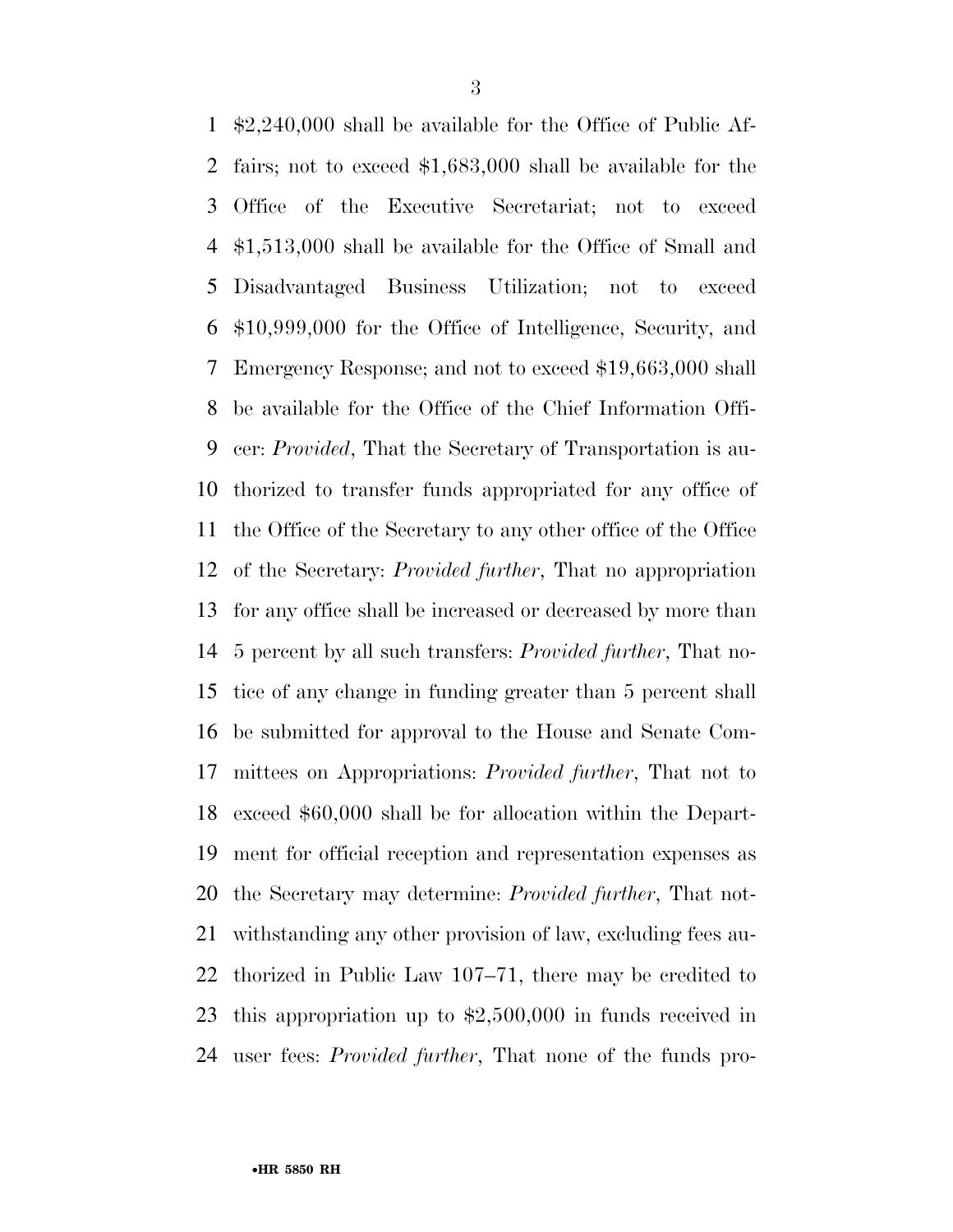\$2,240,000 shall be available for the Office of Public Af- fairs; not to exceed \$1,683,000 shall be available for the Office of the Executive Secretariat; not to exceed \$1,513,000 shall be available for the Office of Small and Disadvantaged Business Utilization; not to exceed \$10,999,000 for the Office of Intelligence, Security, and Emergency Response; and not to exceed \$19,663,000 shall be available for the Office of the Chief Information Offi- cer: *Provided*, That the Secretary of Transportation is au- thorized to transfer funds appropriated for any office of the Office of the Secretary to any other office of the Office of the Secretary: *Provided further*, That no appropriation for any office shall be increased or decreased by more than 5 percent by all such transfers: *Provided further*, That no- tice of any change in funding greater than 5 percent shall be submitted for approval to the House and Senate Com- mittees on Appropriations: *Provided further*, That not to exceed \$60,000 shall be for allocation within the Depart- ment for official reception and representation expenses as the Secretary may determine: *Provided further*, That not- withstanding any other provision of law, excluding fees au- thorized in Public Law 107–71, there may be credited to this appropriation up to \$2,500,000 in funds received in user fees: *Provided further*, That none of the funds pro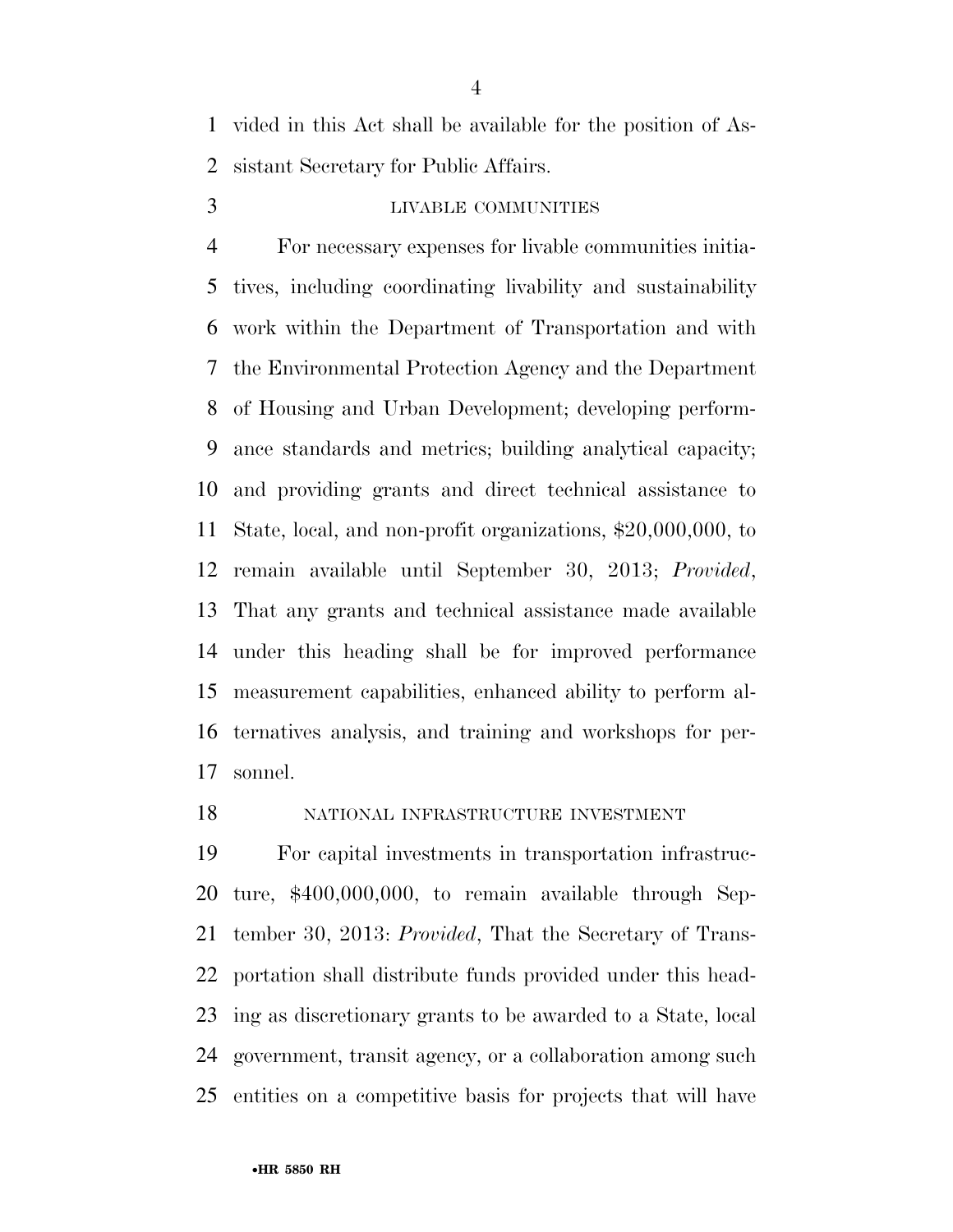vided in this Act shall be available for the position of As-sistant Secretary for Public Affairs.

#### LIVABLE COMMUNITIES

 For necessary expenses for livable communities initia- tives, including coordinating livability and sustainability work within the Department of Transportation and with the Environmental Protection Agency and the Department of Housing and Urban Development; developing perform- ance standards and metrics; building analytical capacity; and providing grants and direct technical assistance to State, local, and non-profit organizations, \$20,000,000, to remain available until September 30, 2013; *Provided*, That any grants and technical assistance made available under this heading shall be for improved performance measurement capabilities, enhanced ability to perform al- ternatives analysis, and training and workshops for per-sonnel.

#### NATIONAL INFRASTRUCTURE INVESTMENT

 For capital investments in transportation infrastruc- ture, \$400,000,000, to remain available through Sep- tember 30, 2013: *Provided*, That the Secretary of Trans- portation shall distribute funds provided under this head- ing as discretionary grants to be awarded to a State, local government, transit agency, or a collaboration among such entities on a competitive basis for projects that will have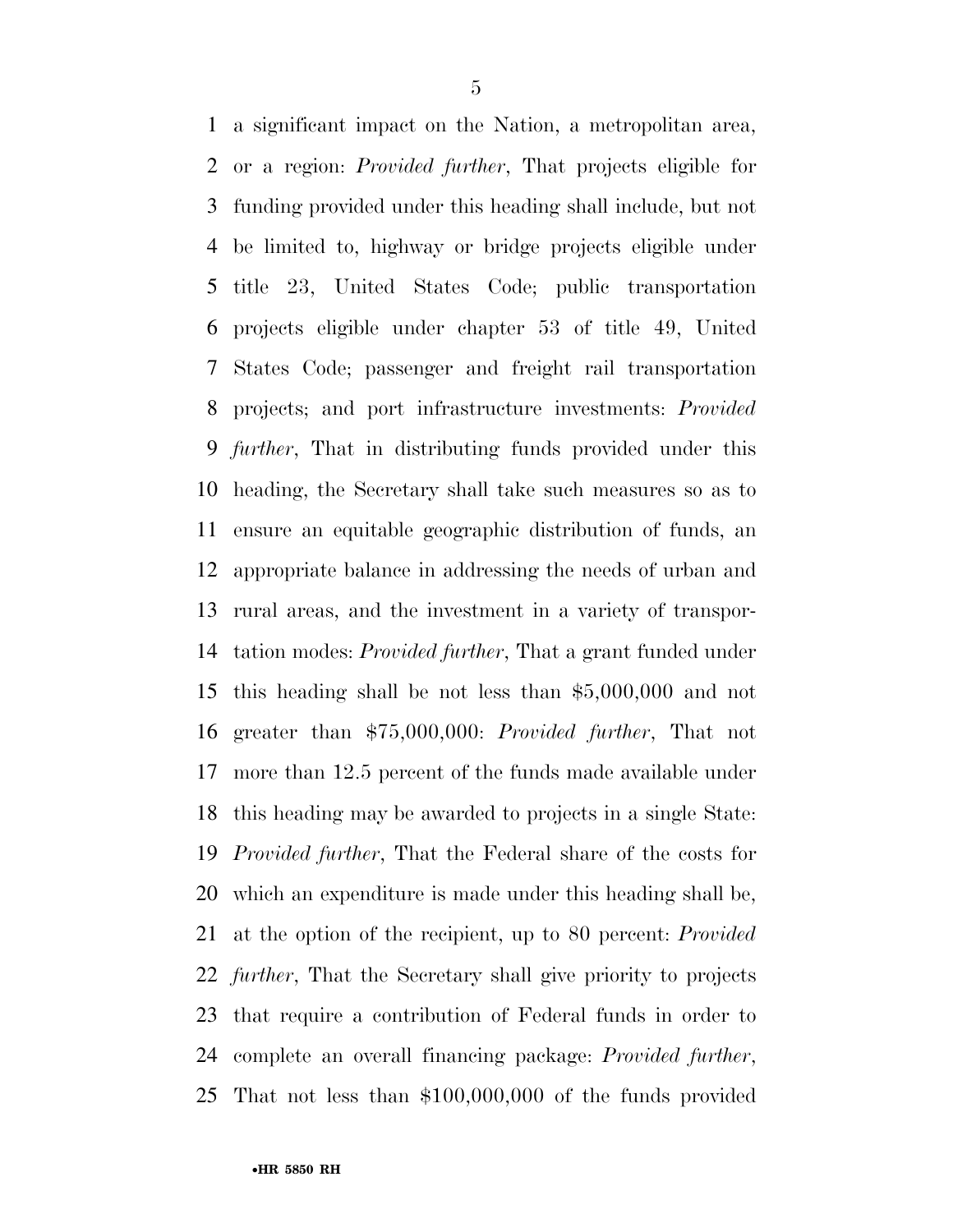a significant impact on the Nation, a metropolitan area, or a region: *Provided further*, That projects eligible for funding provided under this heading shall include, but not be limited to, highway or bridge projects eligible under title 23, United States Code; public transportation projects eligible under chapter 53 of title 49, United States Code; passenger and freight rail transportation projects; and port infrastructure investments: *Provided further*, That in distributing funds provided under this heading, the Secretary shall take such measures so as to ensure an equitable geographic distribution of funds, an appropriate balance in addressing the needs of urban and rural areas, and the investment in a variety of transpor- tation modes: *Provided further*, That a grant funded under this heading shall be not less than \$5,000,000 and not greater than \$75,000,000: *Provided further*, That not more than 12.5 percent of the funds made available under this heading may be awarded to projects in a single State: *Provided further*, That the Federal share of the costs for which an expenditure is made under this heading shall be, at the option of the recipient, up to 80 percent: *Provided further*, That the Secretary shall give priority to projects that require a contribution of Federal funds in order to complete an overall financing package: *Provided further*, That not less than \$100,000,000 of the funds provided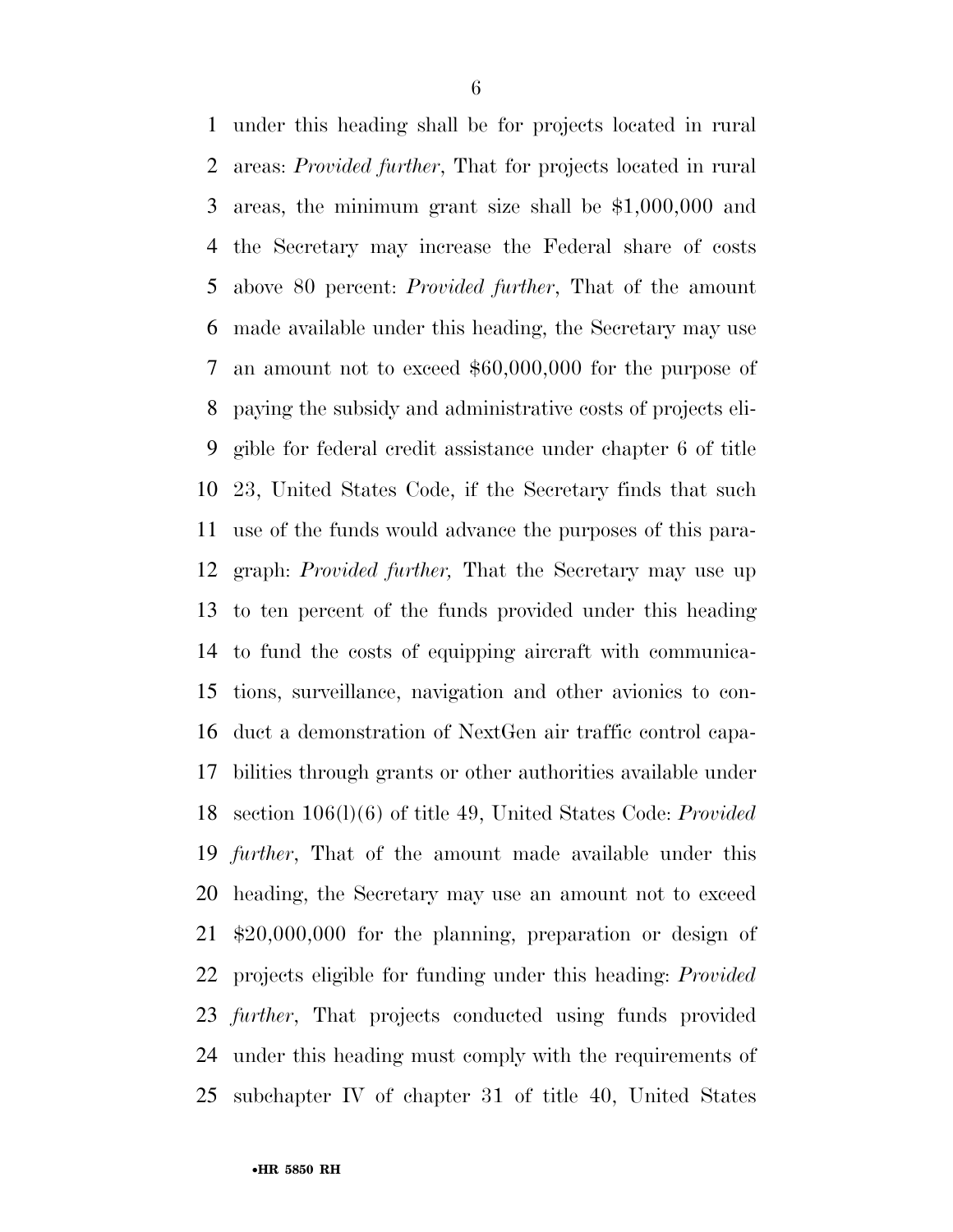under this heading shall be for projects located in rural areas: *Provided further*, That for projects located in rural areas, the minimum grant size shall be \$1,000,000 and the Secretary may increase the Federal share of costs above 80 percent: *Provided further*, That of the amount made available under this heading, the Secretary may use an amount not to exceed \$60,000,000 for the purpose of paying the subsidy and administrative costs of projects eli- gible for federal credit assistance under chapter 6 of title 23, United States Code, if the Secretary finds that such use of the funds would advance the purposes of this para- graph: *Provided further,* That the Secretary may use up to ten percent of the funds provided under this heading to fund the costs of equipping aircraft with communica- tions, surveillance, navigation and other avionics to con- duct a demonstration of NextGen air traffic control capa- bilities through grants or other authorities available under section 106(l)(6) of title 49, United States Code: *Provided further*, That of the amount made available under this heading, the Secretary may use an amount not to exceed \$20,000,000 for the planning, preparation or design of projects eligible for funding under this heading: *Provided further*, That projects conducted using funds provided under this heading must comply with the requirements of subchapter IV of chapter 31 of title 40, United States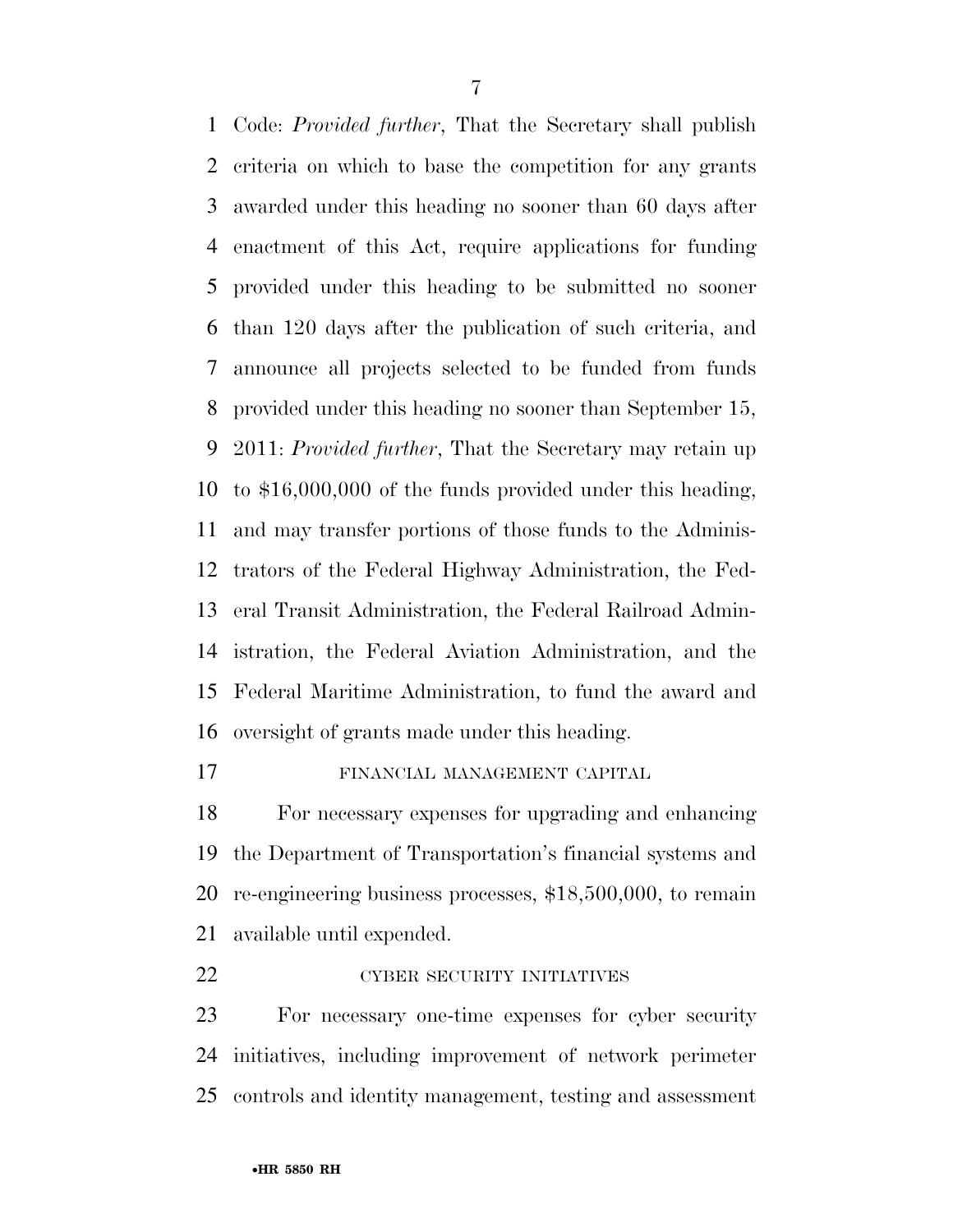Code: *Provided further*, That the Secretary shall publish criteria on which to base the competition for any grants awarded under this heading no sooner than 60 days after enactment of this Act, require applications for funding provided under this heading to be submitted no sooner than 120 days after the publication of such criteria, and announce all projects selected to be funded from funds provided under this heading no sooner than September 15, 2011: *Provided further*, That the Secretary may retain up to \$16,000,000 of the funds provided under this heading, and may transfer portions of those funds to the Adminis- trators of the Federal Highway Administration, the Fed- eral Transit Administration, the Federal Railroad Admin- istration, the Federal Aviation Administration, and the Federal Maritime Administration, to fund the award and oversight of grants made under this heading.

#### FINANCIAL MANAGEMENT CAPITAL

 For necessary expenses for upgrading and enhancing the Department of Transportation's financial systems and re-engineering business processes, \$18,500,000, to remain available until expended.

22 CYBER SECURITY INITIATIVES

 For necessary one-time expenses for cyber security initiatives, including improvement of network perimeter controls and identity management, testing and assessment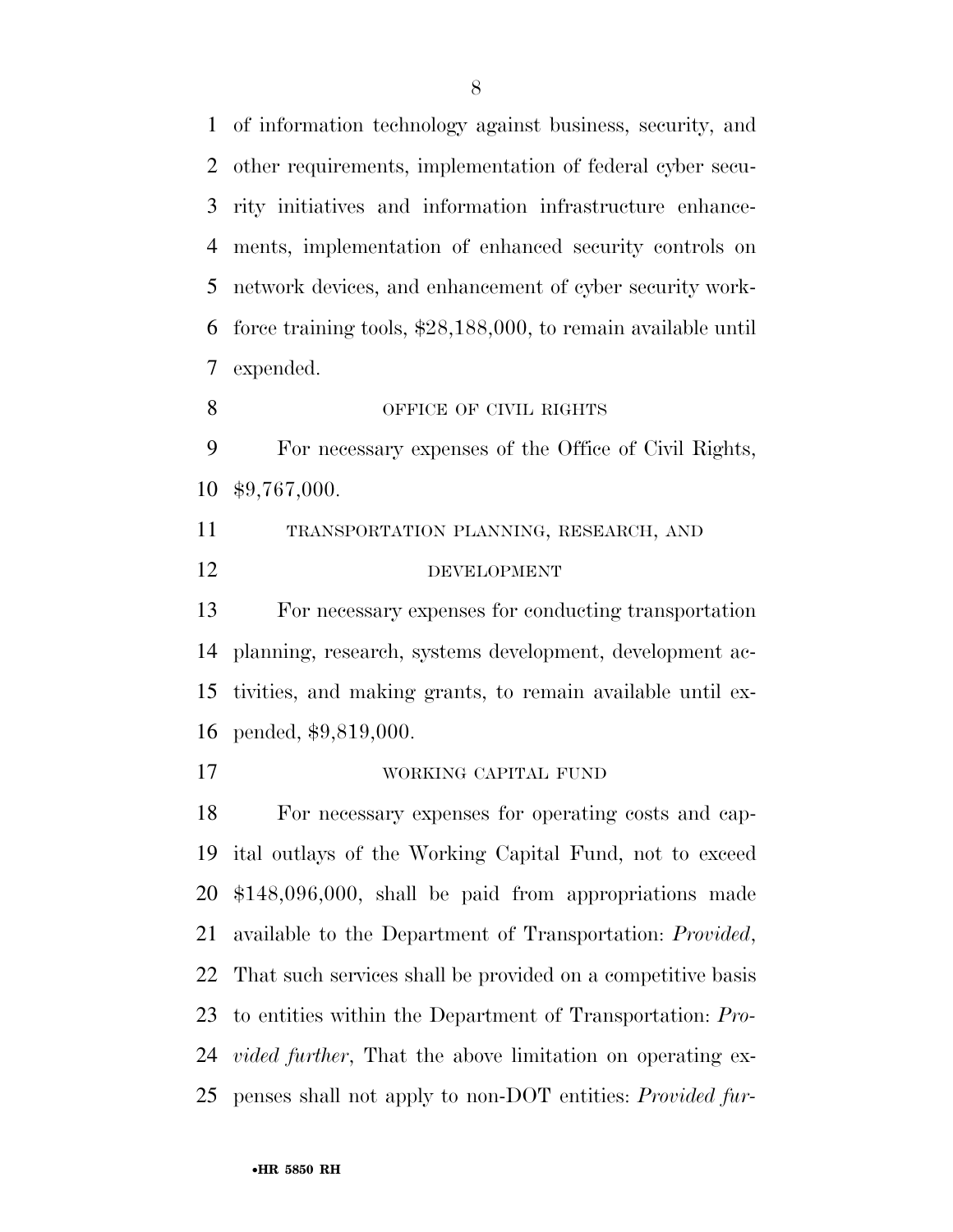of information technology against business, security, and other requirements, implementation of federal cyber secu- rity initiatives and information infrastructure enhance- ments, implementation of enhanced security controls on network devices, and enhancement of cyber security work- force training tools, \$28,188,000, to remain available until expended.

8 OFFICE OF CIVIL RIGHTS

 For necessary expenses of the Office of Civil Rights, \$9,767,000.

 TRANSPORTATION PLANNING, RESEARCH, AND DEVELOPMENT

 For necessary expenses for conducting transportation planning, research, systems development, development ac- tivities, and making grants, to remain available until ex-pended, \$9,819,000.

WORKING CAPITAL FUND

 For necessary expenses for operating costs and cap- ital outlays of the Working Capital Fund, not to exceed \$148,096,000, shall be paid from appropriations made available to the Department of Transportation: *Provided*, That such services shall be provided on a competitive basis to entities within the Department of Transportation: *Pro- vided further*, That the above limitation on operating ex-penses shall not apply to non-DOT entities: *Provided fur-*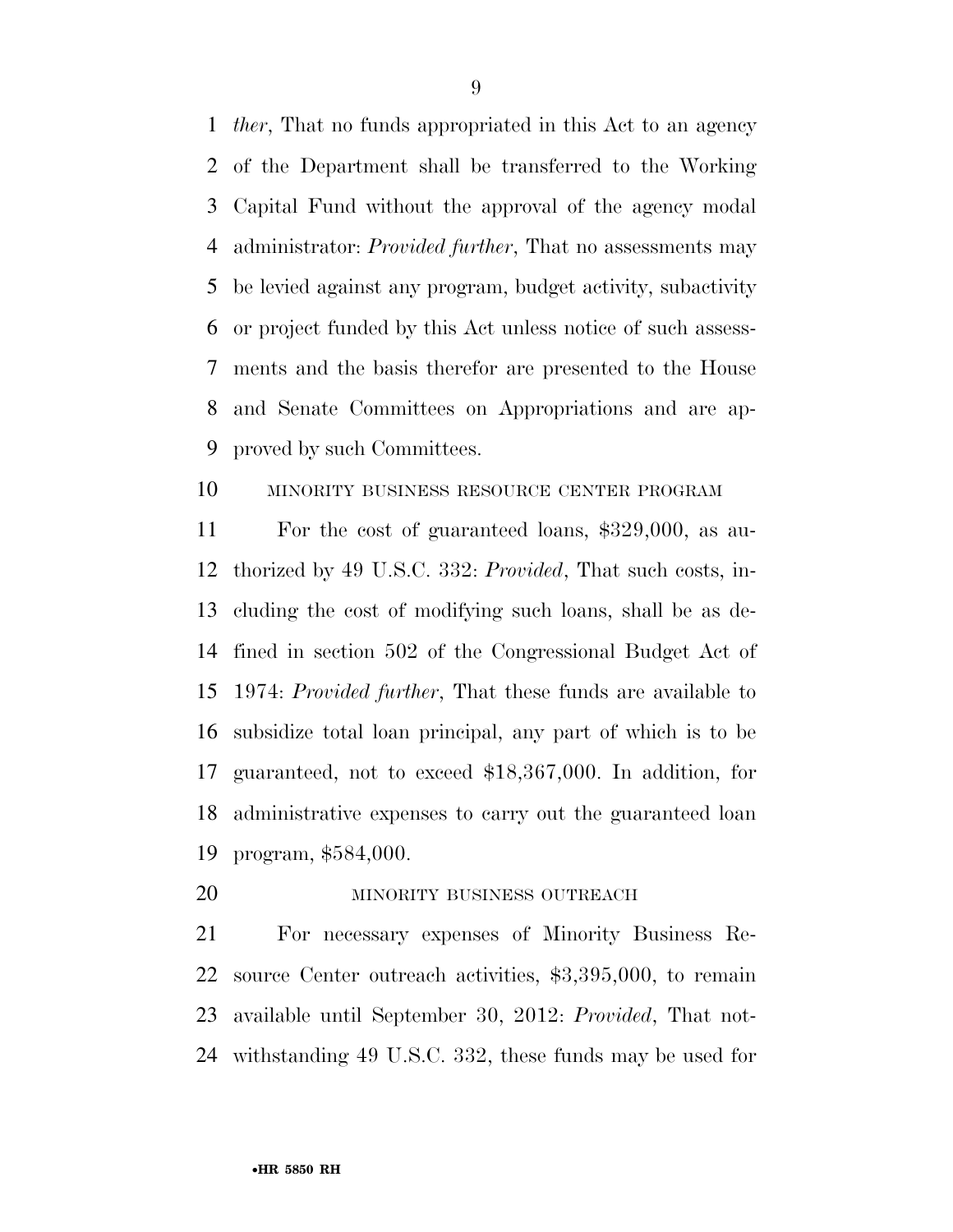*ther*, That no funds appropriated in this Act to an agency of the Department shall be transferred to the Working Capital Fund without the approval of the agency modal administrator: *Provided further*, That no assessments may be levied against any program, budget activity, subactivity or project funded by this Act unless notice of such assess- ments and the basis therefor are presented to the House and Senate Committees on Appropriations and are ap-proved by such Committees.

#### MINORITY BUSINESS RESOURCE CENTER PROGRAM

 For the cost of guaranteed loans, \$329,000, as au- thorized by 49 U.S.C. 332: *Provided*, That such costs, in- cluding the cost of modifying such loans, shall be as de- fined in section 502 of the Congressional Budget Act of 1974: *Provided further*, That these funds are available to subsidize total loan principal, any part of which is to be guaranteed, not to exceed \$18,367,000. In addition, for administrative expenses to carry out the guaranteed loan program, \$584,000.

20 MINORITY BUSINESS OUTREACH

 For necessary expenses of Minority Business Re- source Center outreach activities, \$3,395,000, to remain available until September 30, 2012: *Provided*, That not-withstanding 49 U.S.C. 332, these funds may be used for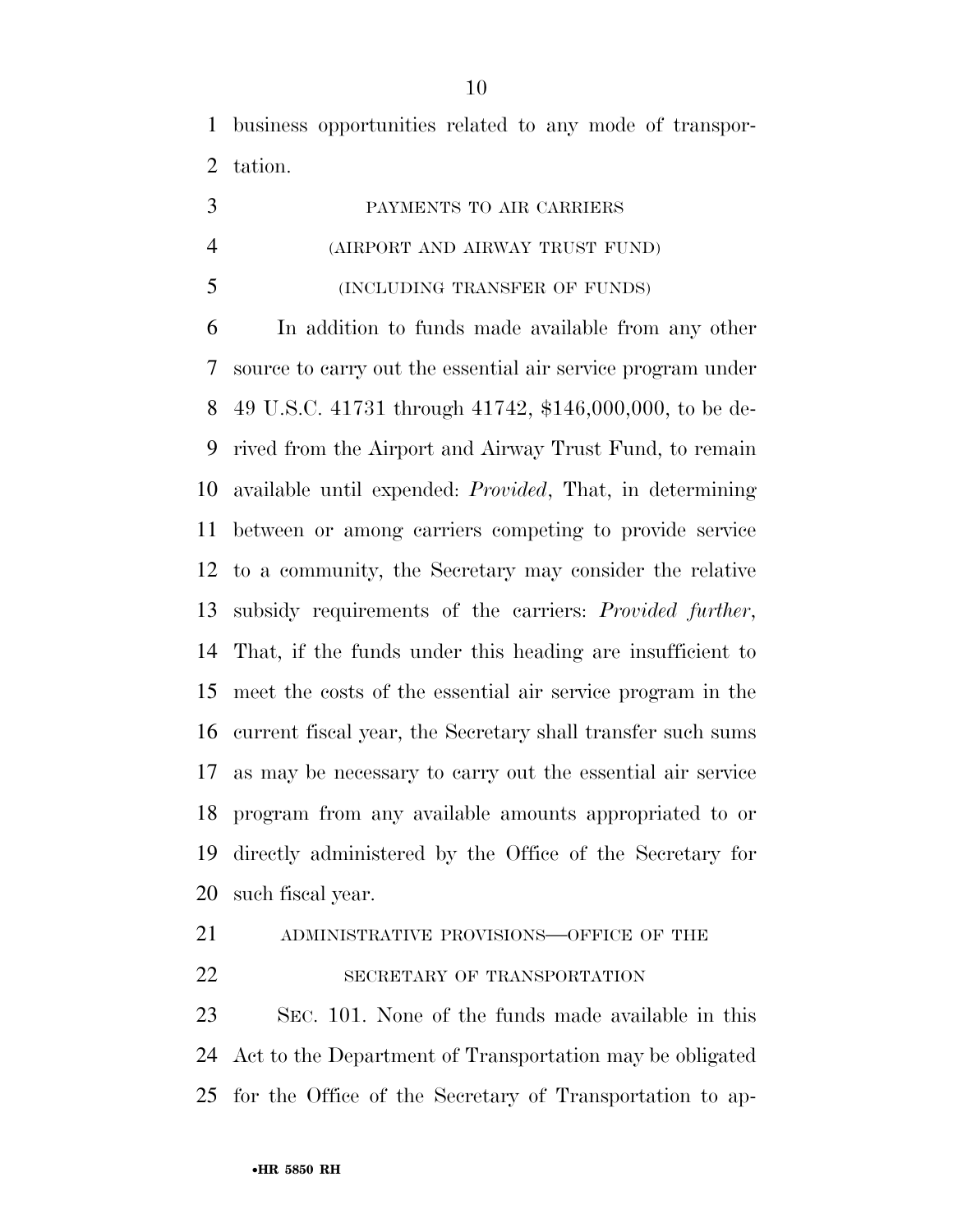business opportunities related to any mode of transpor-tation.

|   | PAYMENTS TO AIR CARRIERS        |
|---|---------------------------------|
| 4 | (AIRPORT AND AIRWAY TRUST FUND) |
| 5 | (INCLUDING TRANSFER OF FUNDS)   |

 In addition to funds made available from any other source to carry out the essential air service program under 49 U.S.C. 41731 through 41742, \$146,000,000, to be de- rived from the Airport and Airway Trust Fund, to remain available until expended: *Provided*, That, in determining between or among carriers competing to provide service to a community, the Secretary may consider the relative subsidy requirements of the carriers: *Provided further*, That, if the funds under this heading are insufficient to meet the costs of the essential air service program in the current fiscal year, the Secretary shall transfer such sums as may be necessary to carry out the essential air service program from any available amounts appropriated to or directly administered by the Office of the Secretary for such fiscal year.

ADMINISTRATIVE PROVISIONS—OFFICE OF THE

22 SECRETARY OF TRANSPORTATION

 SEC. 101. None of the funds made available in this Act to the Department of Transportation may be obligated for the Office of the Secretary of Transportation to ap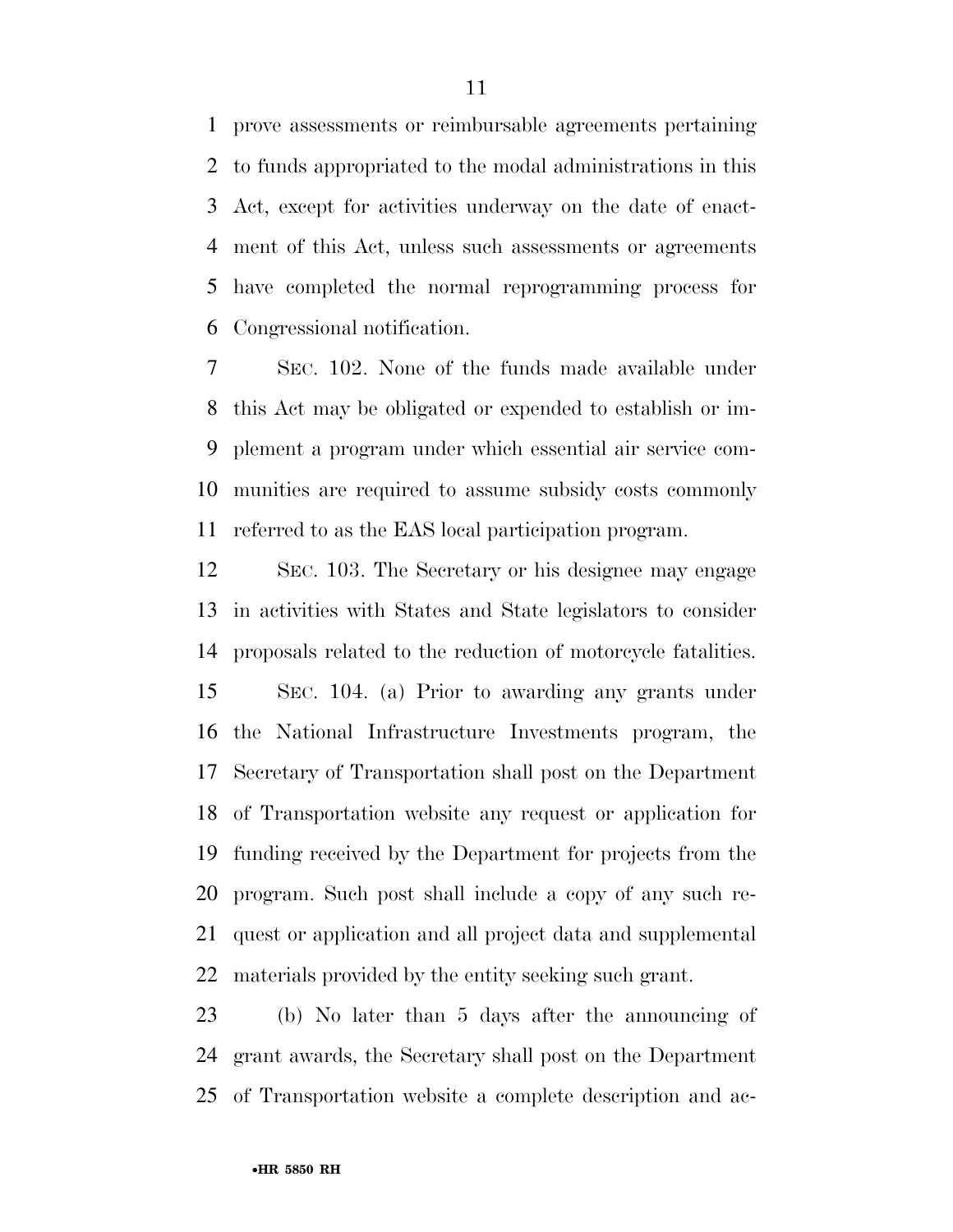prove assessments or reimbursable agreements pertaining to funds appropriated to the modal administrations in this Act, except for activities underway on the date of enact- ment of this Act, unless such assessments or agreements have completed the normal reprogramming process for Congressional notification.

 SEC. 102. None of the funds made available under this Act may be obligated or expended to establish or im- plement a program under which essential air service com- munities are required to assume subsidy costs commonly referred to as the EAS local participation program.

 SEC. 103. The Secretary or his designee may engage in activities with States and State legislators to consider proposals related to the reduction of motorcycle fatalities. SEC. 104. (a) Prior to awarding any grants under the National Infrastructure Investments program, the Secretary of Transportation shall post on the Department of Transportation website any request or application for funding received by the Department for projects from the program. Such post shall include a copy of any such re- quest or application and all project data and supplemental materials provided by the entity seeking such grant.

 (b) No later than 5 days after the announcing of grant awards, the Secretary shall post on the Department of Transportation website a complete description and ac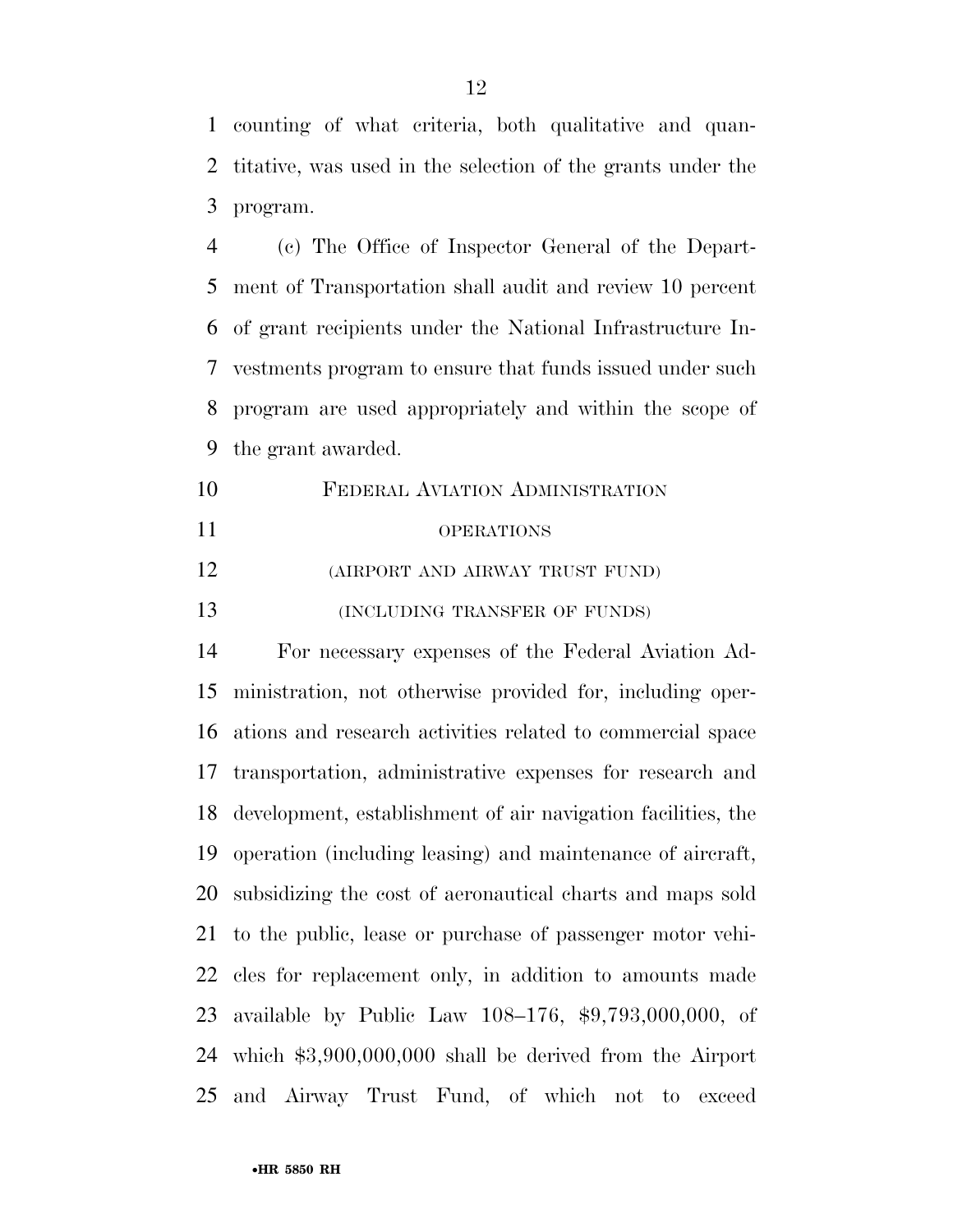counting of what criteria, both qualitative and quan- titative, was used in the selection of the grants under the program.

 (c) The Office of Inspector General of the Depart- ment of Transportation shall audit and review 10 percent of grant recipients under the National Infrastructure In- vestments program to ensure that funds issued under such program are used appropriately and within the scope of the grant awarded.

 FEDERAL AVIATION ADMINISTRATION OPERATIONS (AIRPORT AND AIRWAY TRUST FUND) **(INCLUDING TRANSFER OF FUNDS)** 

 For necessary expenses of the Federal Aviation Ad- ministration, not otherwise provided for, including oper- ations and research activities related to commercial space transportation, administrative expenses for research and development, establishment of air navigation facilities, the operation (including leasing) and maintenance of aircraft, subsidizing the cost of aeronautical charts and maps sold to the public, lease or purchase of passenger motor vehi- cles for replacement only, in addition to amounts made available by Public Law 108–176, \$9,793,000,000, of which \$3,900,000,000 shall be derived from the Airport and Airway Trust Fund, of which not to exceed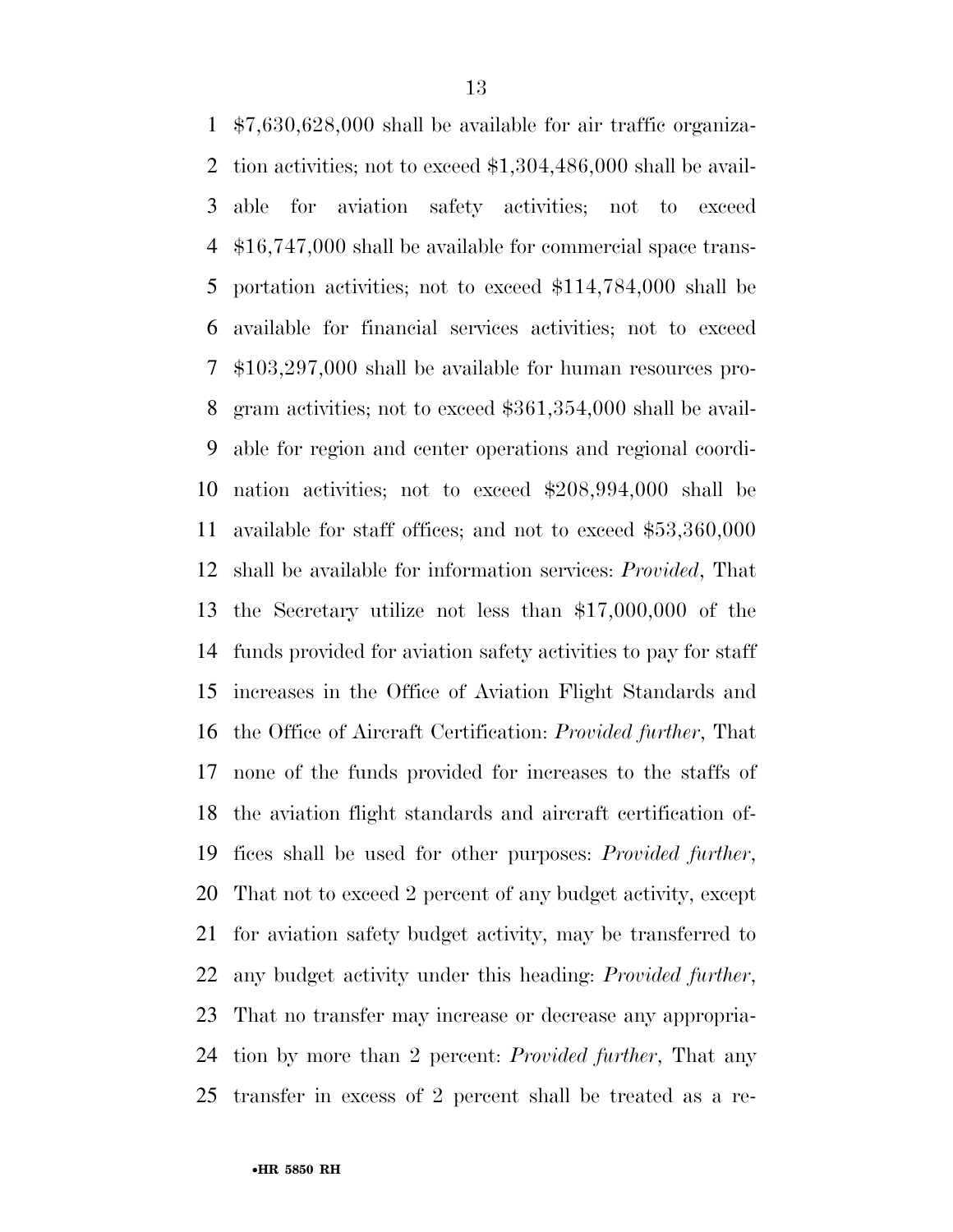\$7,630,628,000 shall be available for air traffic organiza- tion activities; not to exceed \$1,304,486,000 shall be avail- able for aviation safety activities; not to exceed \$16,747,000 shall be available for commercial space trans- portation activities; not to exceed \$114,784,000 shall be available for financial services activities; not to exceed \$103,297,000 shall be available for human resources pro- gram activities; not to exceed \$361,354,000 shall be avail- able for region and center operations and regional coordi- nation activities; not to exceed \$208,994,000 shall be available for staff offices; and not to exceed \$53,360,000 shall be available for information services: *Provided*, That the Secretary utilize not less than \$17,000,000 of the funds provided for aviation safety activities to pay for staff increases in the Office of Aviation Flight Standards and the Office of Aircraft Certification: *Provided further*, That none of the funds provided for increases to the staffs of the aviation flight standards and aircraft certification of- fices shall be used for other purposes: *Provided further*, That not to exceed 2 percent of any budget activity, except for aviation safety budget activity, may be transferred to any budget activity under this heading: *Provided further*, That no transfer may increase or decrease any appropria- tion by more than 2 percent: *Provided further*, That any transfer in excess of 2 percent shall be treated as a re-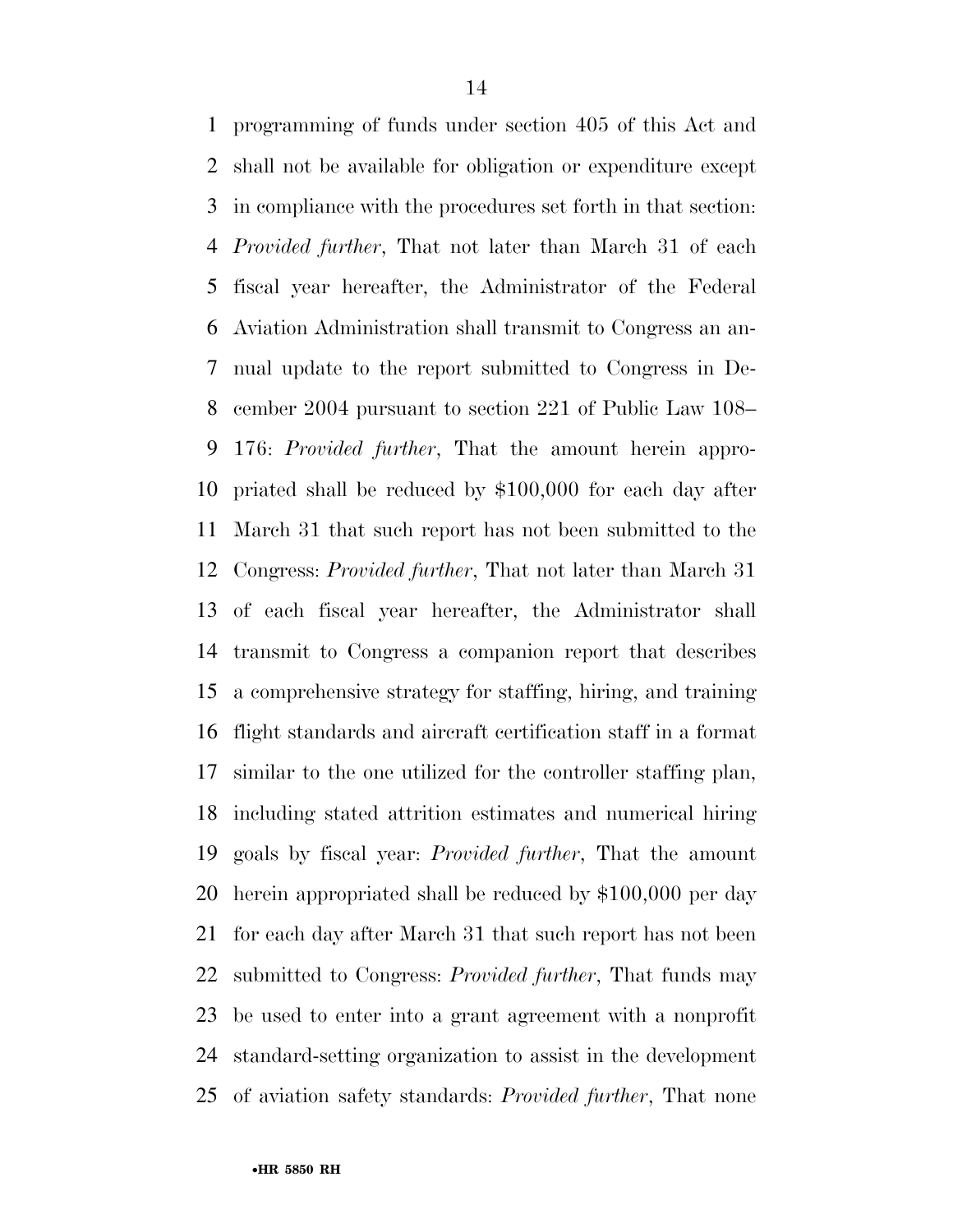programming of funds under section 405 of this Act and shall not be available for obligation or expenditure except in compliance with the procedures set forth in that section: *Provided further*, That not later than March 31 of each fiscal year hereafter, the Administrator of the Federal Aviation Administration shall transmit to Congress an an- nual update to the report submitted to Congress in De- cember 2004 pursuant to section 221 of Public Law 108– 176: *Provided further*, That the amount herein appro- priated shall be reduced by \$100,000 for each day after March 31 that such report has not been submitted to the Congress: *Provided further*, That not later than March 31 of each fiscal year hereafter, the Administrator shall transmit to Congress a companion report that describes a comprehensive strategy for staffing, hiring, and training flight standards and aircraft certification staff in a format similar to the one utilized for the controller staffing plan, including stated attrition estimates and numerical hiring goals by fiscal year: *Provided further*, That the amount herein appropriated shall be reduced by \$100,000 per day for each day after March 31 that such report has not been submitted to Congress: *Provided further*, That funds may be used to enter into a grant agreement with a nonprofit standard-setting organization to assist in the development of aviation safety standards: *Provided further*, That none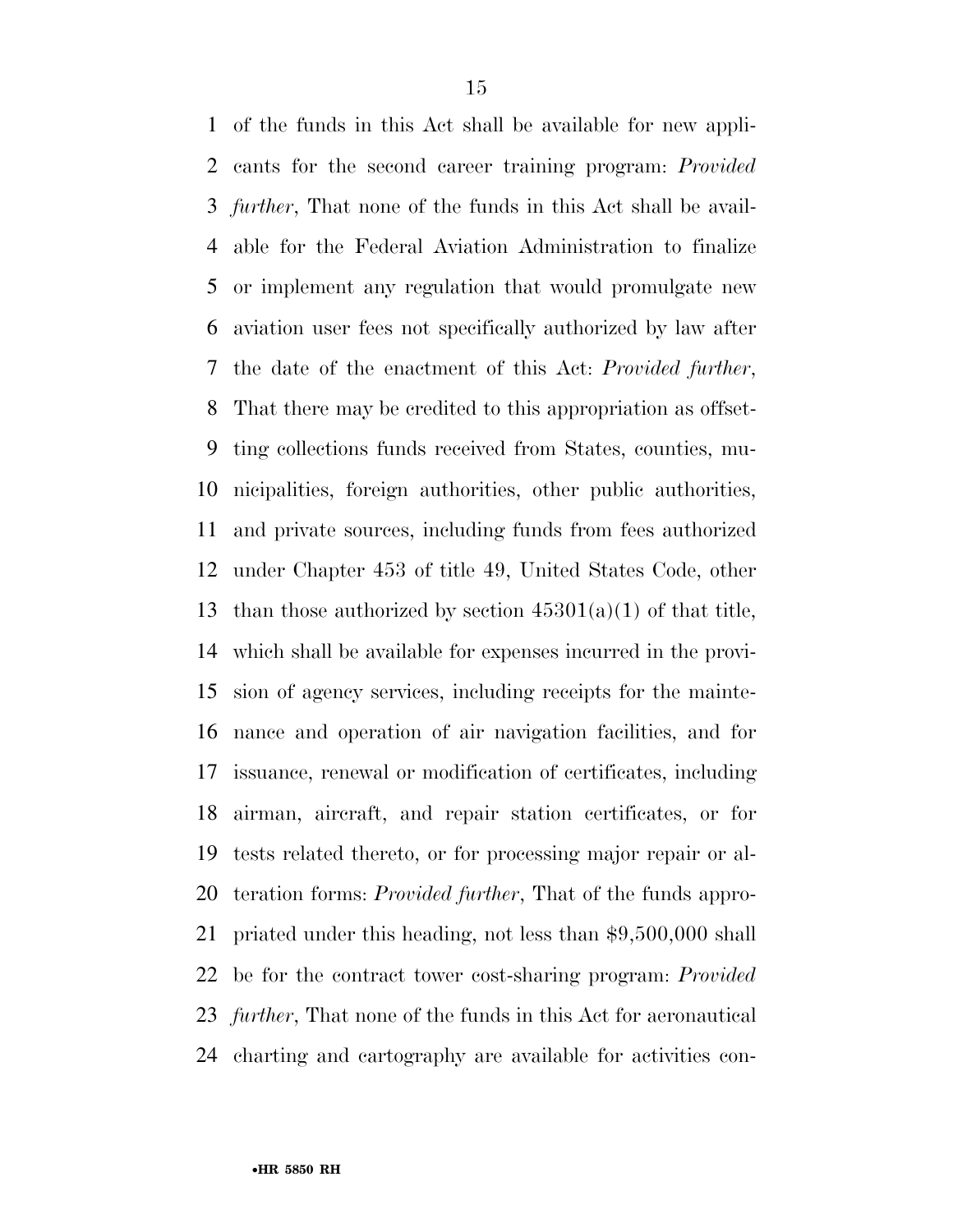of the funds in this Act shall be available for new appli- cants for the second career training program: *Provided further*, That none of the funds in this Act shall be avail- able for the Federal Aviation Administration to finalize or implement any regulation that would promulgate new aviation user fees not specifically authorized by law after the date of the enactment of this Act: *Provided further*, That there may be credited to this appropriation as offset- ting collections funds received from States, counties, mu- nicipalities, foreign authorities, other public authorities, and private sources, including funds from fees authorized under Chapter 453 of title 49, United States Code, other 13 than those authorized by section  $45301(a)(1)$  of that title, which shall be available for expenses incurred in the provi- sion of agency services, including receipts for the mainte- nance and operation of air navigation facilities, and for issuance, renewal or modification of certificates, including airman, aircraft, and repair station certificates, or for tests related thereto, or for processing major repair or al- teration forms: *Provided further*, That of the funds appro- priated under this heading, not less than \$9,500,000 shall be for the contract tower cost-sharing program: *Provided further*, That none of the funds in this Act for aeronautical charting and cartography are available for activities con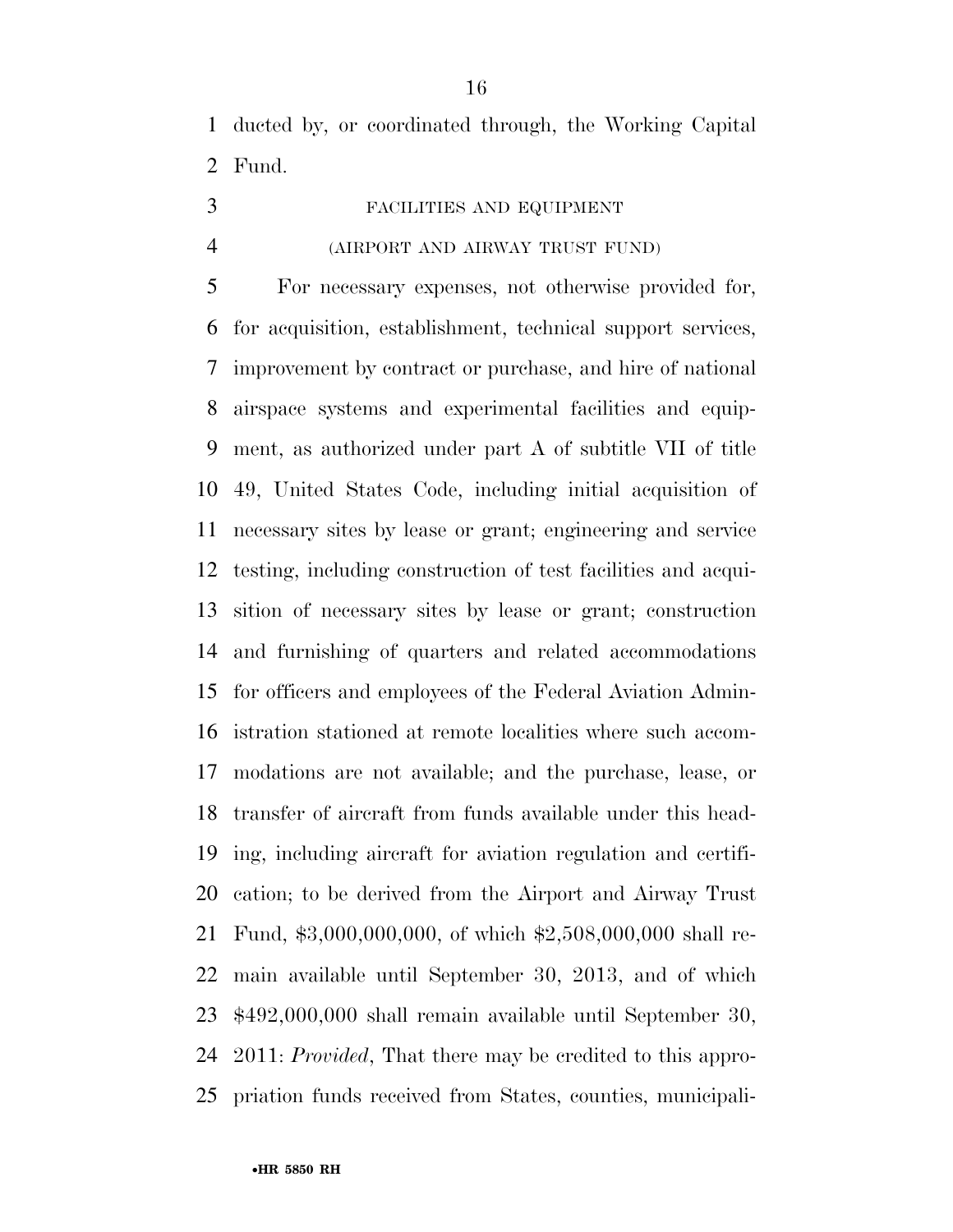ducted by, or coordinated through, the Working Capital Fund.

- FACILITIES AND EQUIPMENT
- 

#### (AIRPORT AND AIRWAY TRUST FUND)

 For necessary expenses, not otherwise provided for, for acquisition, establishment, technical support services, improvement by contract or purchase, and hire of national airspace systems and experimental facilities and equip- ment, as authorized under part A of subtitle VII of title 49, United States Code, including initial acquisition of necessary sites by lease or grant; engineering and service testing, including construction of test facilities and acqui- sition of necessary sites by lease or grant; construction and furnishing of quarters and related accommodations for officers and employees of the Federal Aviation Admin- istration stationed at remote localities where such accom- modations are not available; and the purchase, lease, or transfer of aircraft from funds available under this head- ing, including aircraft for aviation regulation and certifi- cation; to be derived from the Airport and Airway Trust Fund, \$3,000,000,000, of which \$2,508,000,000 shall re- main available until September 30, 2013, and of which \$492,000,000 shall remain available until September 30, 2011: *Provided*, That there may be credited to this appro-priation funds received from States, counties, municipali-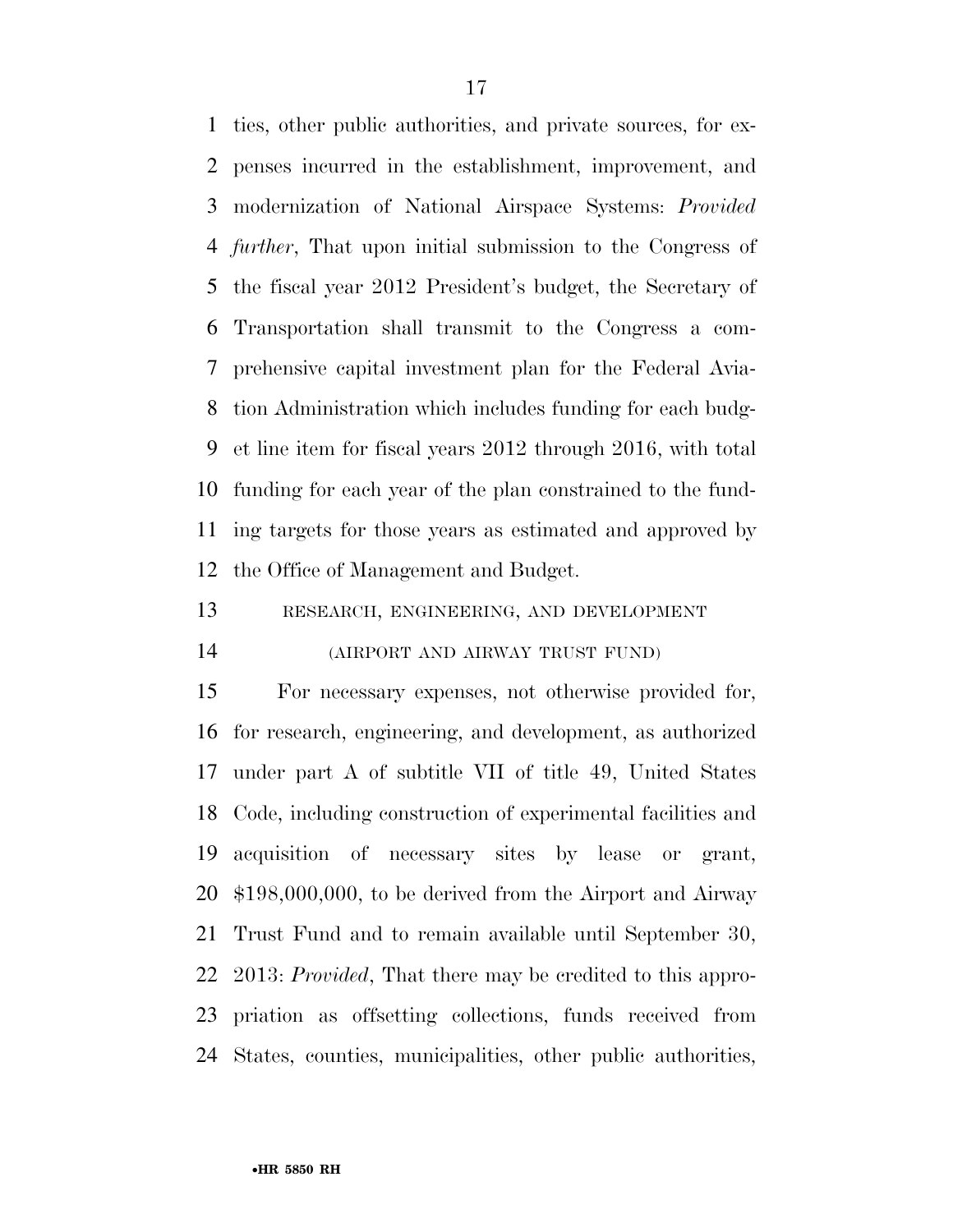ties, other public authorities, and private sources, for ex- penses incurred in the establishment, improvement, and modernization of National Airspace Systems: *Provided further*, That upon initial submission to the Congress of the fiscal year 2012 President's budget, the Secretary of Transportation shall transmit to the Congress a com- prehensive capital investment plan for the Federal Avia- tion Administration which includes funding for each budg- et line item for fiscal years 2012 through 2016, with total funding for each year of the plan constrained to the fund- ing targets for those years as estimated and approved by the Office of Management and Budget.

RESEARCH, ENGINEERING, AND DEVELOPMENT

(AIRPORT AND AIRWAY TRUST FUND)

 For necessary expenses, not otherwise provided for, for research, engineering, and development, as authorized under part A of subtitle VII of title 49, United States Code, including construction of experimental facilities and acquisition of necessary sites by lease or grant, \$198,000,000, to be derived from the Airport and Airway Trust Fund and to remain available until September 30, 2013: *Provided*, That there may be credited to this appro- priation as offsetting collections, funds received from States, counties, municipalities, other public authorities,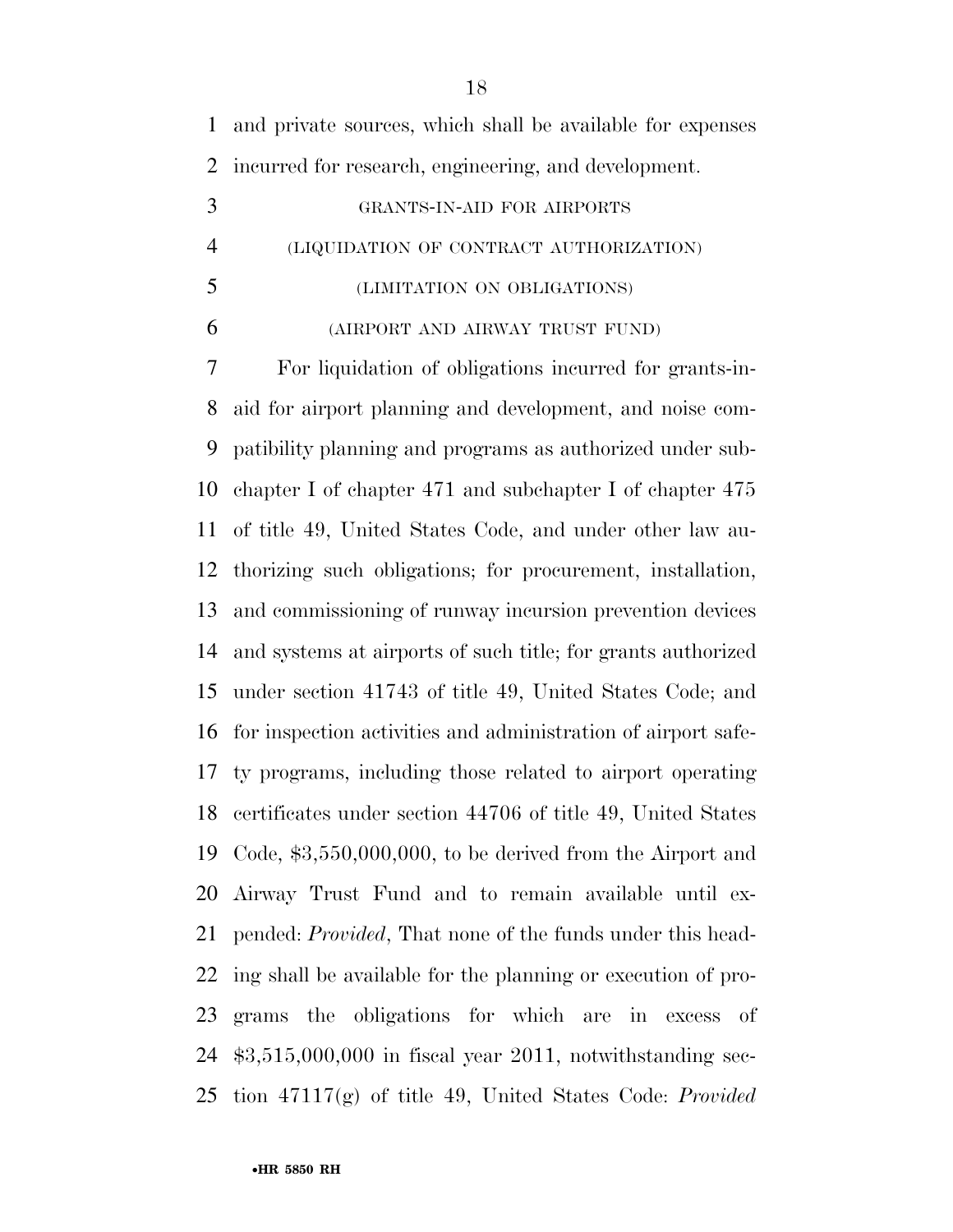and private sources, which shall be available for expenses incurred for research, engineering, and development.

- GRANTS-IN-AID FOR AIRPORTS (LIQUIDATION OF CONTRACT AUTHORIZATION)
- (LIMITATION ON OBLIGATIONS)
- (AIRPORT AND AIRWAY TRUST FUND)

 For liquidation of obligations incurred for grants-in- aid for airport planning and development, and noise com- patibility planning and programs as authorized under sub- chapter I of chapter 471 and subchapter I of chapter 475 of title 49, United States Code, and under other law au- thorizing such obligations; for procurement, installation, and commissioning of runway incursion prevention devices and systems at airports of such title; for grants authorized under section 41743 of title 49, United States Code; and for inspection activities and administration of airport safe- ty programs, including those related to airport operating certificates under section 44706 of title 49, United States Code, \$3,550,000,000, to be derived from the Airport and Airway Trust Fund and to remain available until ex- pended: *Provided*, That none of the funds under this head- ing shall be available for the planning or execution of pro- grams the obligations for which are in excess of \$3,515,000,000 in fiscal year 2011, notwithstanding sec-tion 47117(g) of title 49, United States Code: *Provided*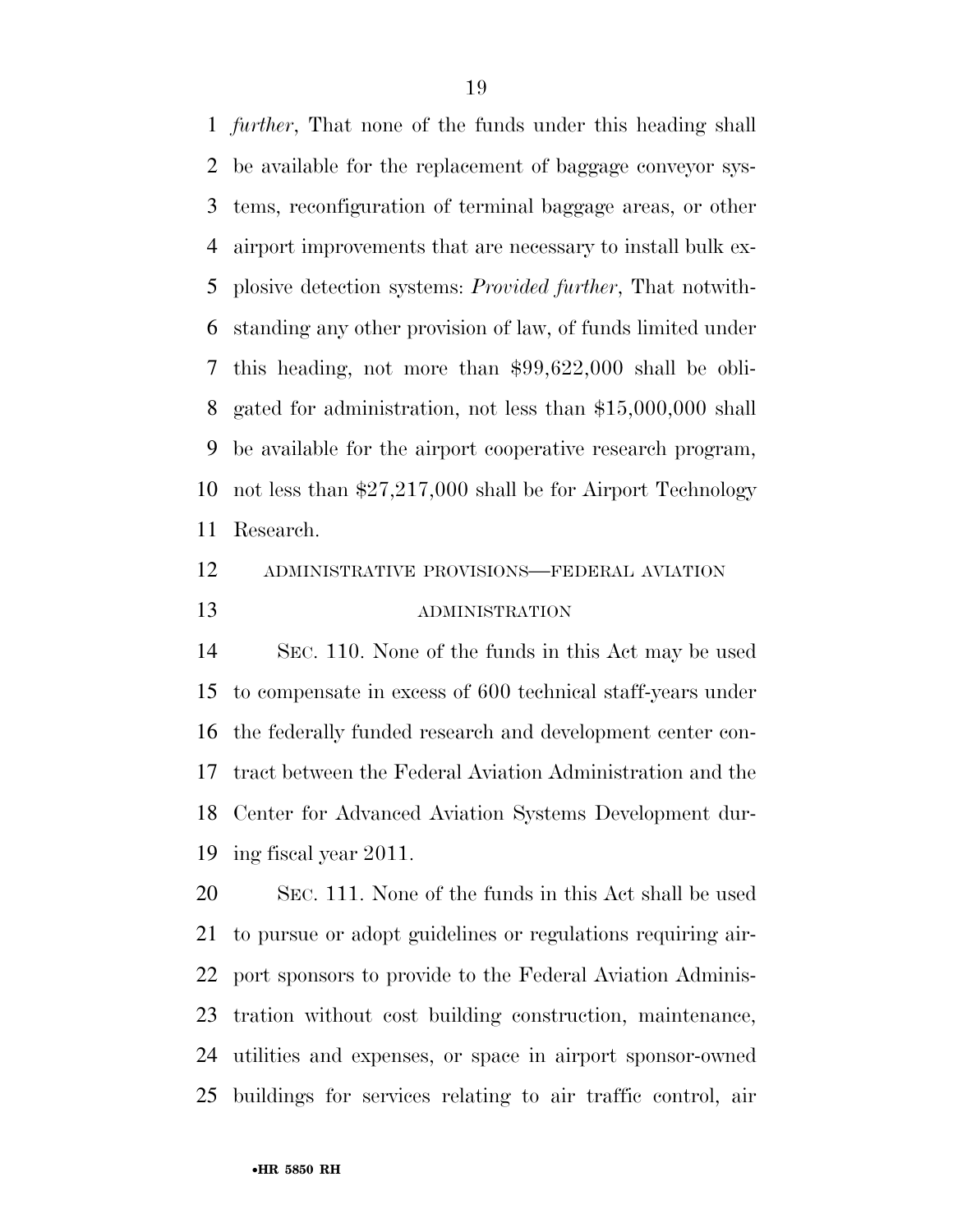*further*, That none of the funds under this heading shall be available for the replacement of baggage conveyor sys- tems, reconfiguration of terminal baggage areas, or other airport improvements that are necessary to install bulk ex- plosive detection systems: *Provided further*, That notwith- standing any other provision of law, of funds limited under this heading, not more than \$99,622,000 shall be obli- gated for administration, not less than \$15,000,000 shall be available for the airport cooperative research program, not less than \$27,217,000 shall be for Airport Technology Research.

### ADMINISTRATIVE PROVISIONS—FEDERAL AVIATION ADMINISTRATION

 SEC. 110. None of the funds in this Act may be used to compensate in excess of 600 technical staff-years under the federally funded research and development center con- tract between the Federal Aviation Administration and the Center for Advanced Aviation Systems Development dur-ing fiscal year 2011.

 SEC. 111. None of the funds in this Act shall be used to pursue or adopt guidelines or regulations requiring air- port sponsors to provide to the Federal Aviation Adminis- tration without cost building construction, maintenance, utilities and expenses, or space in airport sponsor-owned buildings for services relating to air traffic control, air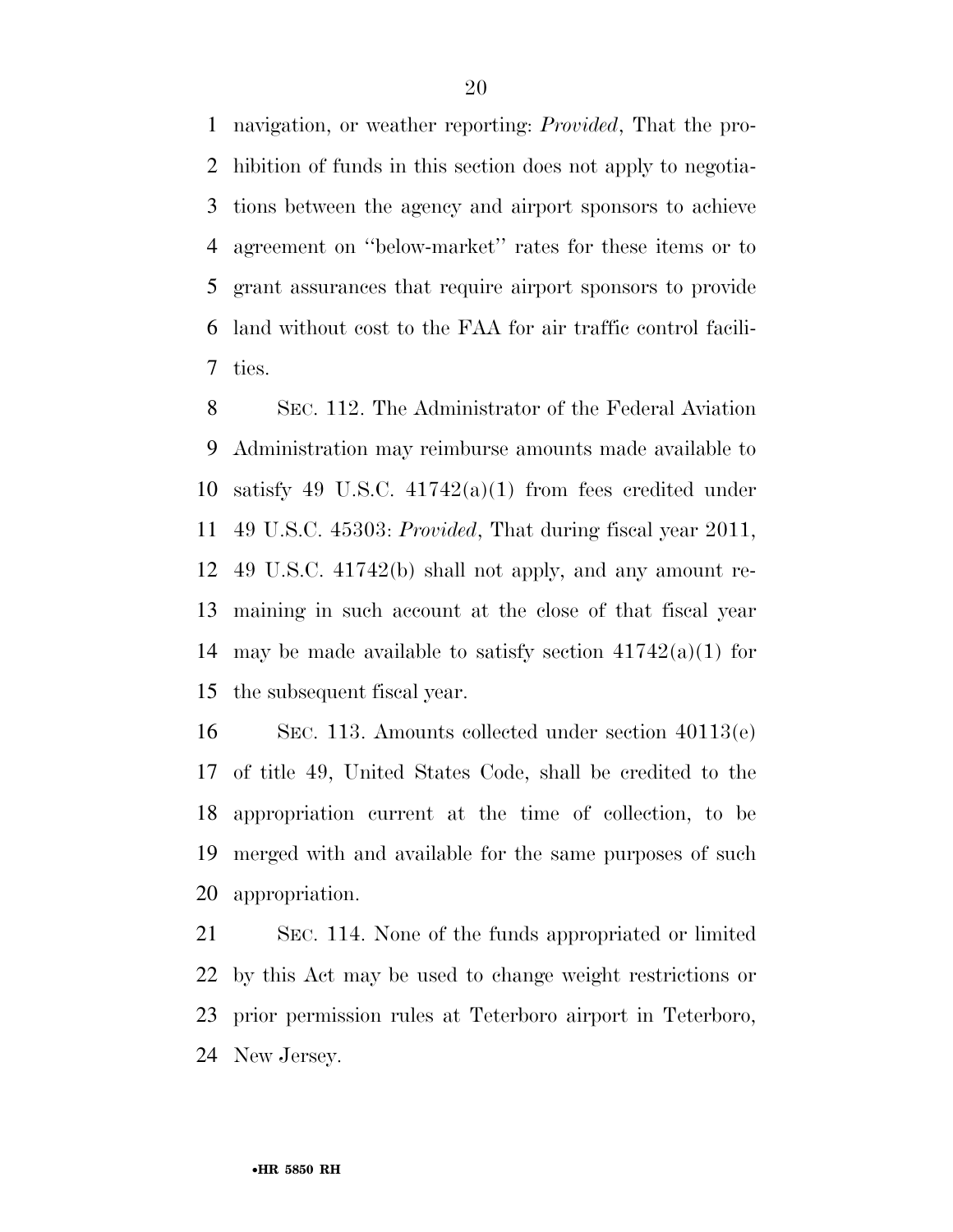navigation, or weather reporting: *Provided*, That the pro- hibition of funds in this section does not apply to negotia- tions between the agency and airport sponsors to achieve agreement on ''below-market'' rates for these items or to grant assurances that require airport sponsors to provide land without cost to the FAA for air traffic control facili-ties.

 SEC. 112. The Administrator of the Federal Aviation Administration may reimburse amounts made available to satisfy 49 U.S.C. 41742(a)(1) from fees credited under 49 U.S.C. 45303: *Provided*, That during fiscal year 2011, 49 U.S.C. 41742(b) shall not apply, and any amount re- maining in such account at the close of that fiscal year 14 may be made available to satisfy section  $41742(a)(1)$  for the subsequent fiscal year.

 SEC. 113. Amounts collected under section 40113(e) of title 49, United States Code, shall be credited to the appropriation current at the time of collection, to be merged with and available for the same purposes of such appropriation.

 SEC. 114. None of the funds appropriated or limited by this Act may be used to change weight restrictions or prior permission rules at Teterboro airport in Teterboro, New Jersey.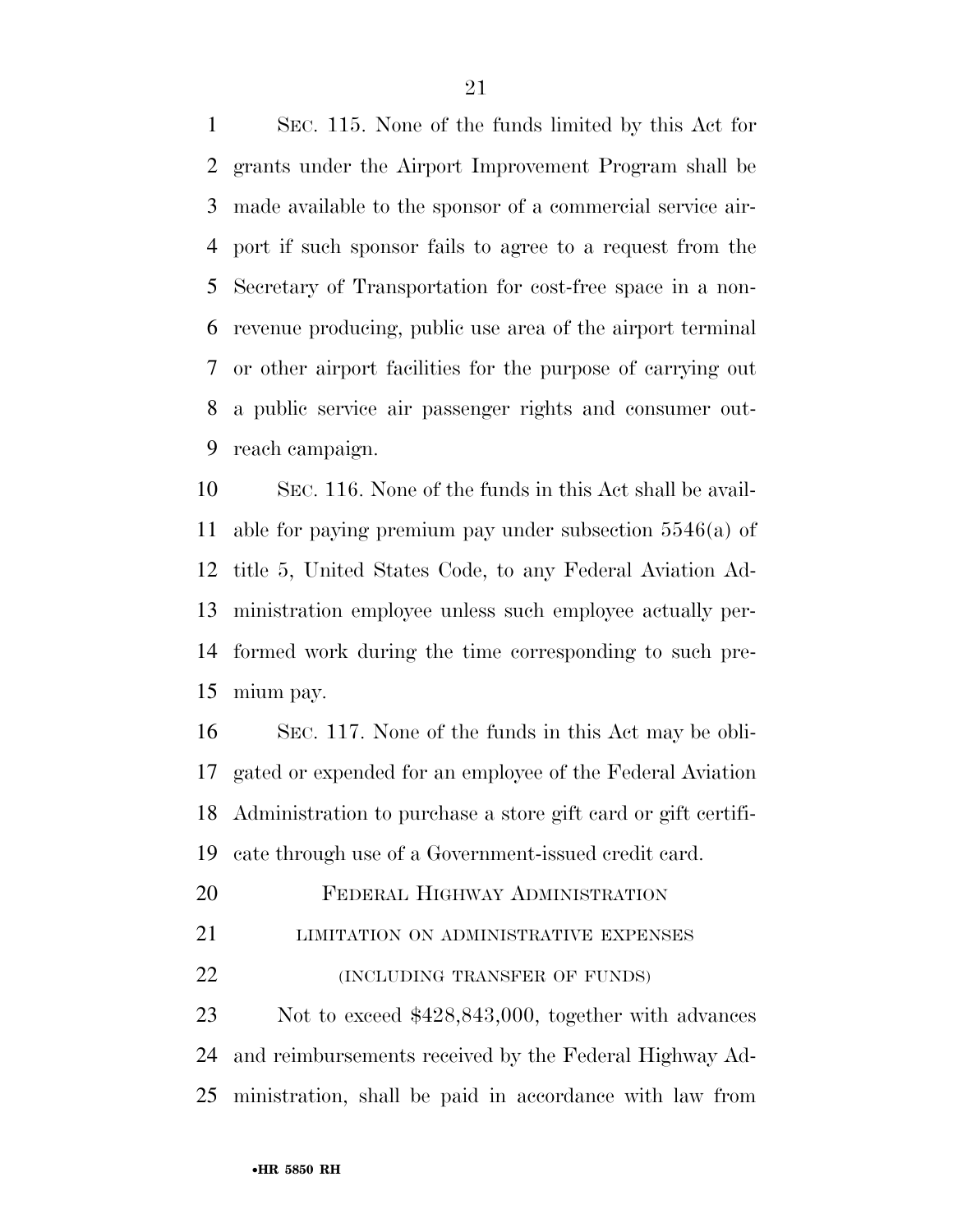SEC. 115. None of the funds limited by this Act for grants under the Airport Improvement Program shall be made available to the sponsor of a commercial service air- port if such sponsor fails to agree to a request from the Secretary of Transportation for cost-free space in a non- revenue producing, public use area of the airport terminal or other airport facilities for the purpose of carrying out a public service air passenger rights and consumer out-reach campaign.

 SEC. 116. None of the funds in this Act shall be avail- able for paying premium pay under subsection 5546(a) of title 5, United States Code, to any Federal Aviation Ad- ministration employee unless such employee actually per- formed work during the time corresponding to such pre-mium pay.

 SEC. 117. None of the funds in this Act may be obli- gated or expended for an employee of the Federal Aviation Administration to purchase a store gift card or gift certifi-cate through use of a Government-issued credit card.

20 FEDERAL HIGHWAY ADMINISTRATION

**LIMITATION ON ADMINISTRATIVE EXPENSES** 

*INCLUDING TRANSFER OF FUNDS* 

 Not to exceed \$428,843,000, together with advances and reimbursements received by the Federal Highway Ad-ministration, shall be paid in accordance with law from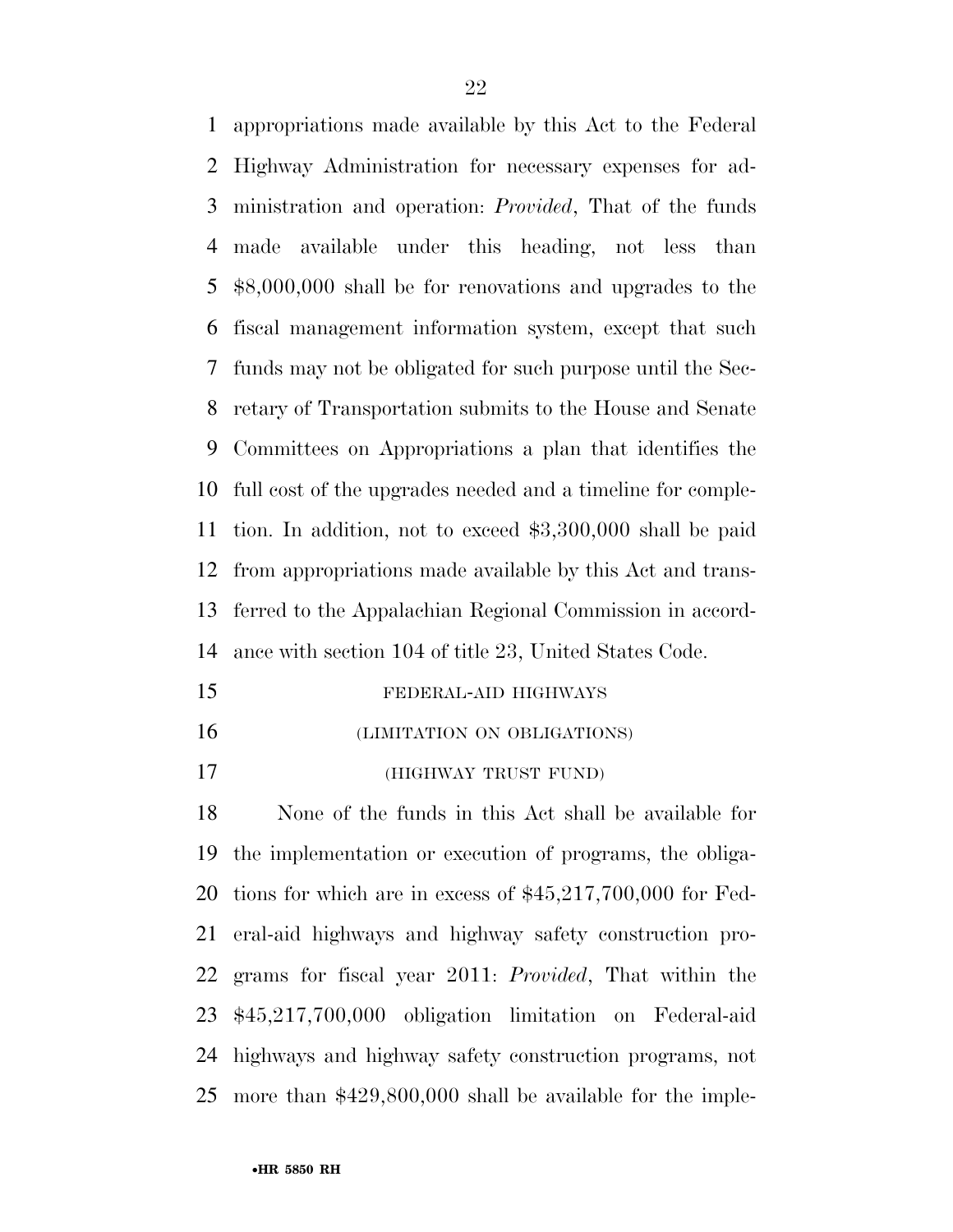appropriations made available by this Act to the Federal Highway Administration for necessary expenses for ad- ministration and operation: *Provided*, That of the funds made available under this heading, not less than \$8,000,000 shall be for renovations and upgrades to the fiscal management information system, except that such funds may not be obligated for such purpose until the Sec- retary of Transportation submits to the House and Senate Committees on Appropriations a plan that identifies the full cost of the upgrades needed and a timeline for comple- tion. In addition, not to exceed \$3,300,000 shall be paid from appropriations made available by this Act and trans- ferred to the Appalachian Regional Commission in accord-ance with section 104 of title 23, United States Code.

- FEDERAL-AID HIGHWAYS
- (LIMITATION ON OBLIGATIONS)
- (HIGHWAY TRUST FUND)

 None of the funds in this Act shall be available for the implementation or execution of programs, the obliga- tions for which are in excess of \$45,217,700,000 for Fed- eral-aid highways and highway safety construction pro- grams for fiscal year 2011: *Provided*, That within the \$45,217,700,000 obligation limitation on Federal-aid highways and highway safety construction programs, not more than \$429,800,000 shall be available for the imple-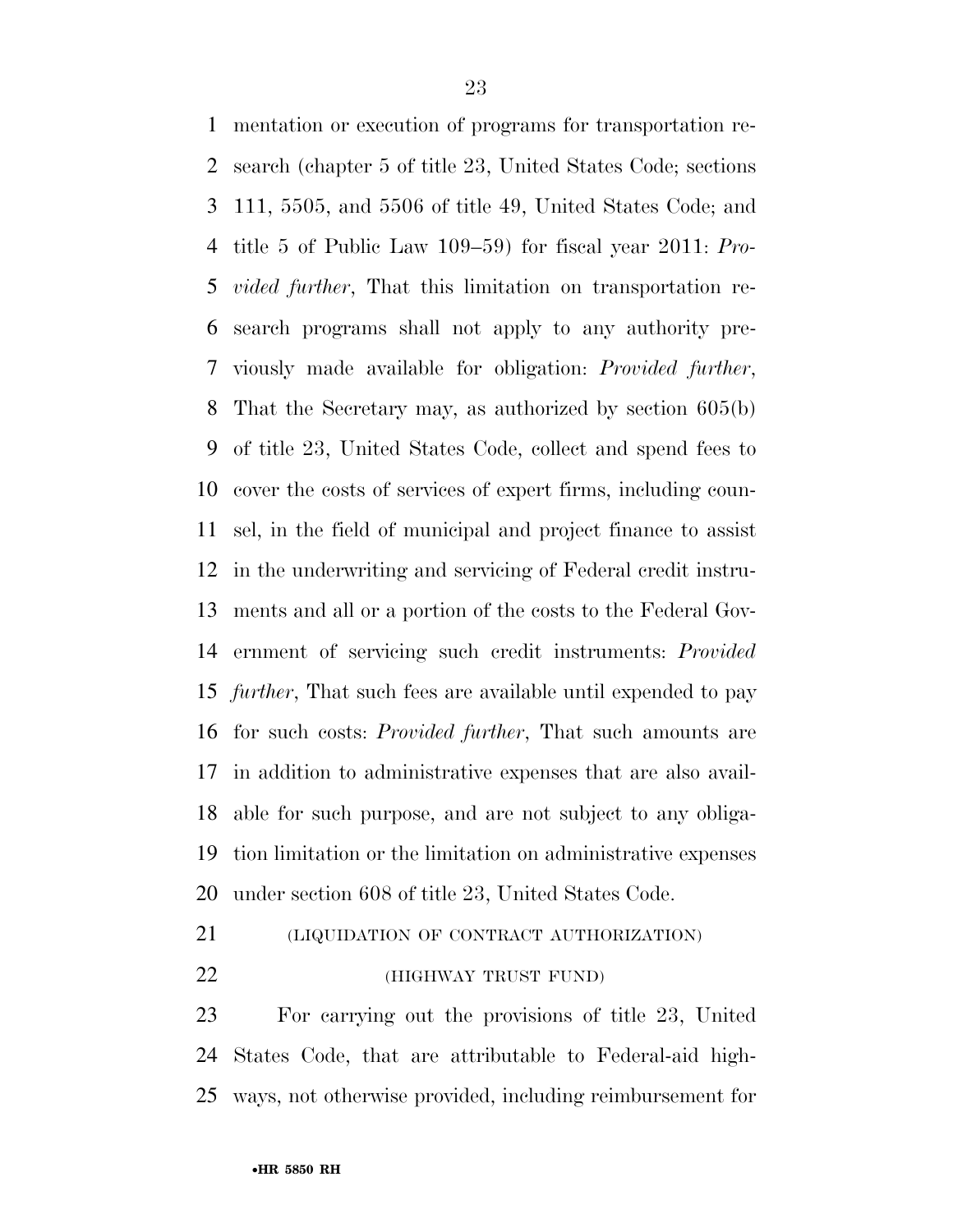mentation or execution of programs for transportation re- search (chapter 5 of title 23, United States Code; sections 111, 5505, and 5506 of title 49, United States Code; and title 5 of Public Law 109–59) for fiscal year 2011: *Pro- vided further*, That this limitation on transportation re- search programs shall not apply to any authority pre- viously made available for obligation: *Provided further*, That the Secretary may, as authorized by section 605(b) of title 23, United States Code, collect and spend fees to cover the costs of services of expert firms, including coun- sel, in the field of municipal and project finance to assist in the underwriting and servicing of Federal credit instru- ments and all or a portion of the costs to the Federal Gov- ernment of servicing such credit instruments: *Provided further*, That such fees are available until expended to pay for such costs: *Provided further*, That such amounts are in addition to administrative expenses that are also avail- able for such purpose, and are not subject to any obliga- tion limitation or the limitation on administrative expenses under section 608 of title 23, United States Code.

(LIQUIDATION OF CONTRACT AUTHORIZATION)

(HIGHWAY TRUST FUND)

 For carrying out the provisions of title 23, United States Code, that are attributable to Federal-aid high-ways, not otherwise provided, including reimbursement for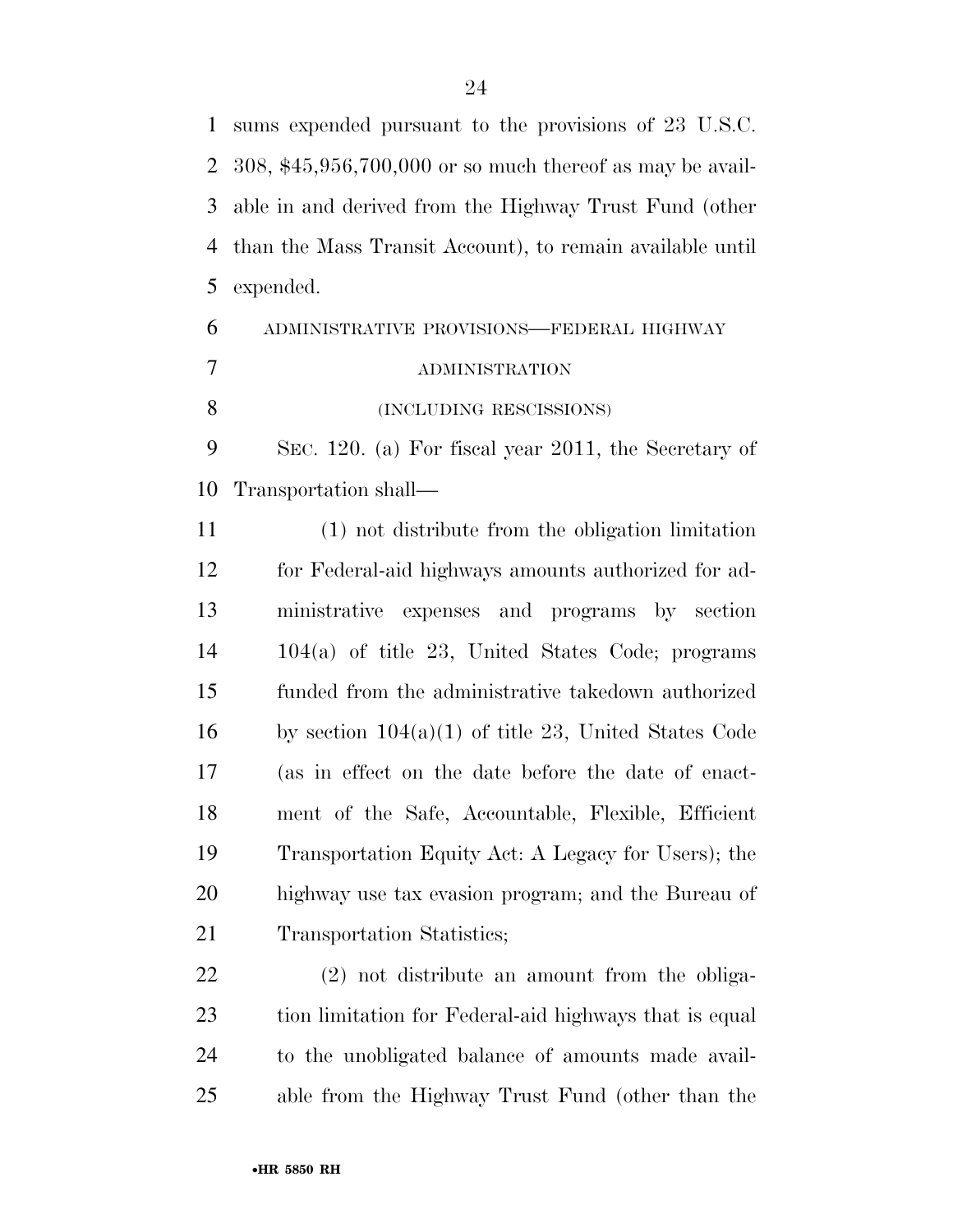sums expended pursuant to the provisions of 23 U.S.C. 308, \$45,956,700,000 or so much thereof as may be avail- able in and derived from the Highway Trust Fund (other than the Mass Transit Account), to remain available until expended. ADMINISTRATIVE PROVISIONS—FEDERAL HIGHWAY ADMINISTRATION 8 (INCLUDING RESCISSIONS) SEC. 120. (a) For fiscal year 2011, the Secretary of Transportation shall— (1) not distribute from the obligation limitation for Federal-aid highways amounts authorized for ad- ministrative expenses and programs by section 104(a) of title 23, United States Code; programs funded from the administrative takedown authorized 16 by section  $104(a)(1)$  of title 23, United States Code (as in effect on the date before the date of enact- ment of the Safe, Accountable, Flexible, Efficient Transportation Equity Act: A Legacy for Users); the

 highway use tax evasion program; and the Bureau of 21 Transportation Statistics;

 (2) not distribute an amount from the obliga- tion limitation for Federal-aid highways that is equal to the unobligated balance of amounts made avail-able from the Highway Trust Fund (other than the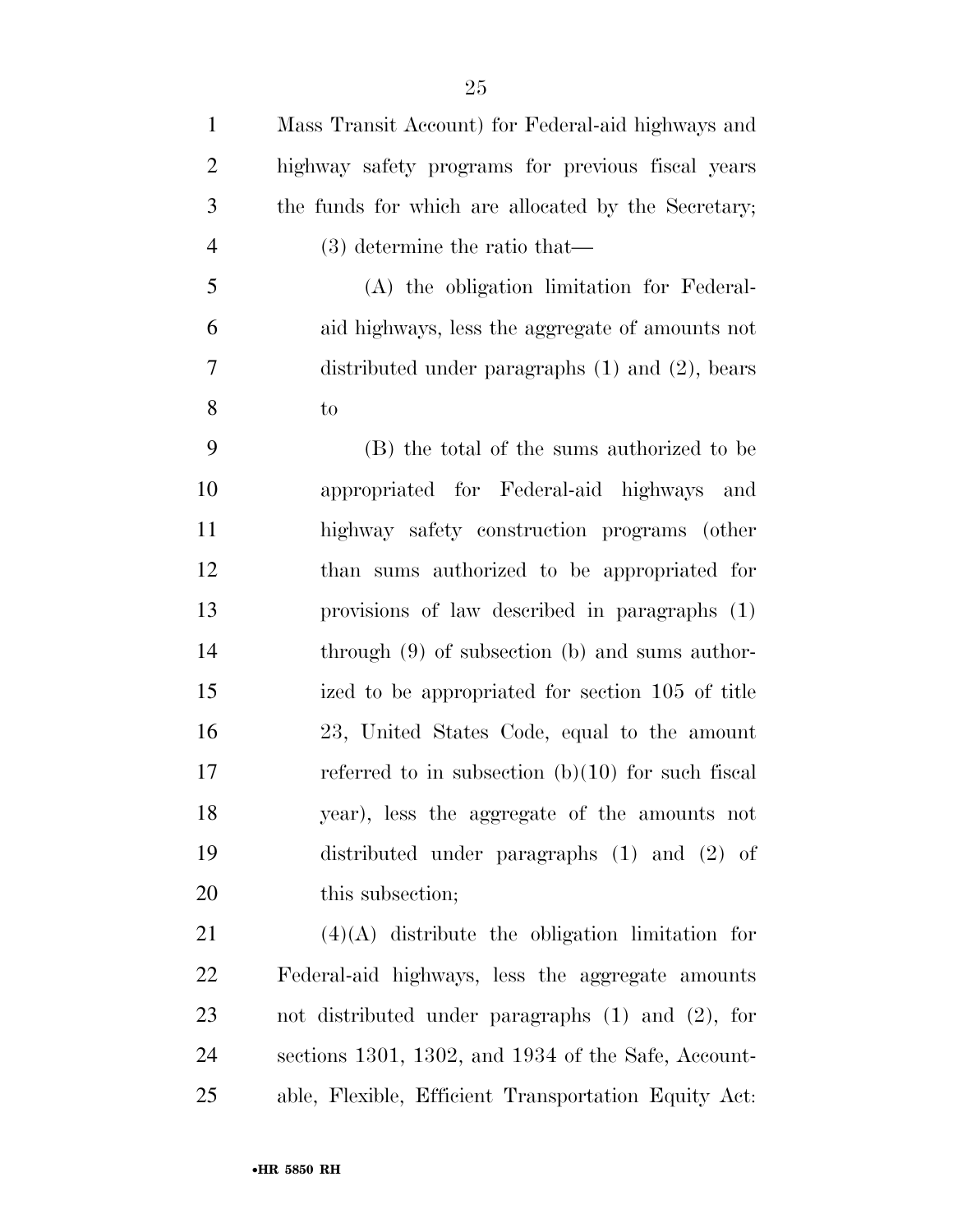| $\mathbf{1}$   | Mass Transit Account) for Federal-aid highways and     |
|----------------|--------------------------------------------------------|
| $\overline{2}$ | highway safety programs for previous fiscal years      |
| 3              | the funds for which are allocated by the Secretary;    |
| $\overline{4}$ | $(3)$ determine the ratio that—                        |
| 5              | (A) the obligation limitation for Federal-             |
| 6              | aid highways, less the aggregate of amounts not        |
| 7              | distributed under paragraphs $(1)$ and $(2)$ , bears   |
| 8              | to                                                     |
| 9              | (B) the total of the sums authorized to be             |
| 10             | appropriated for Federal-aid highways and              |
| 11             | highway safety construction programs (other            |
| 12             | than sums authorized to be appropriated for            |
| 13             | provisions of law described in paragraphs (1)          |
| 14             | through $(9)$ of subsection $(b)$ and sums author-     |
| 15             | ized to be appropriated for section 105 of title       |
| 16             | 23, United States Code, equal to the amount            |
| 17             | referred to in subsection $(b)(10)$ for such fiscal    |
| 18             | year), less the aggregate of the amounts not           |
| 19             | distributed under paragraphs $(1)$ and $(2)$ of        |
| 20             | this subsection;                                       |
| 21             | $(4)(A)$ distribute the obligation limitation for      |
| 22             | Federal-aid highways, less the aggregate amounts       |
| 23             | not distributed under paragraphs $(1)$ and $(2)$ , for |
| 24             | sections 1301, 1302, and 1934 of the Safe, Account-    |
| 25             | able, Flexible, Efficient Transportation Equity Act:   |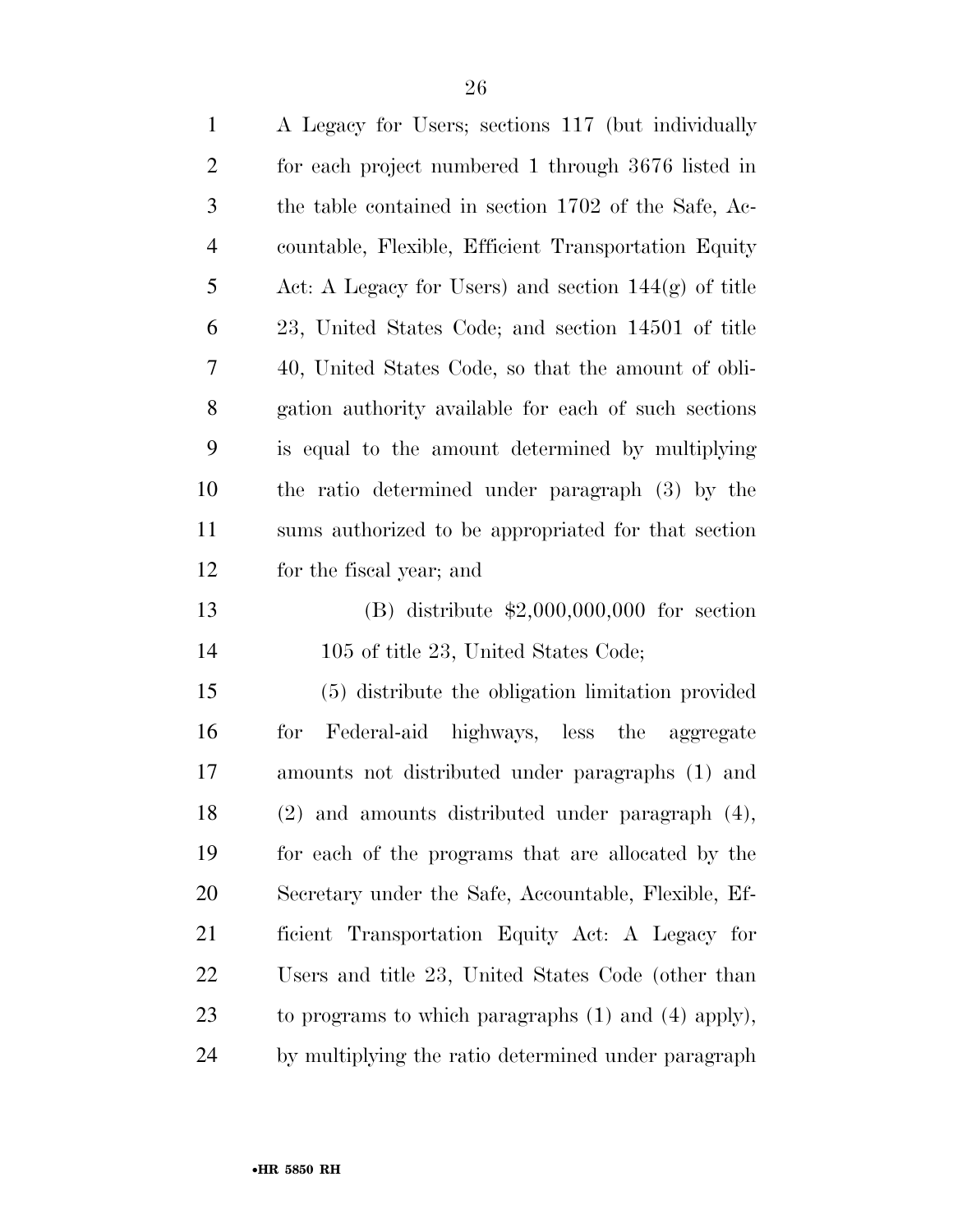| $\mathbf{1}$   | A Legacy for Users; sections 117 (but individually      |
|----------------|---------------------------------------------------------|
| $\overline{c}$ | for each project numbered 1 through 3676 listed in      |
| 3              | the table contained in section 1702 of the Safe, Ac-    |
| $\overline{4}$ | countable, Flexible, Efficient Transportation Equity    |
| 5              | Act: A Legacy for Users) and section $144(g)$ of title  |
| 6              | 23, United States Code; and section 14501 of title      |
| 7              | 40, United States Code, so that the amount of obli-     |
| 8              | gation authority available for each of such sections    |
| 9              | is equal to the amount determined by multiplying        |
| 10             | the ratio determined under paragraph (3) by the         |
| 11             | sums authorized to be appropriated for that section     |
| 12             | for the fiscal year; and                                |
| 13             | (B) distribute $$2,000,000,000$ for section             |
| 14             | 105 of title 23, United States Code;                    |
| 15             | (5) distribute the obligation limitation provided       |
| 16             | Federal-aid highways, less the aggregate<br>for         |
| 17             | amounts not distributed under paragraphs (1) and        |
| 18             | $(2)$ and amounts distributed under paragraph $(4)$ ,   |
| 19             | for each of the programs that are allocated by the      |
| 20             | Secretary under the Safe, Accountable, Flexible, Ef-    |
| 21             | ficient Transportation Equity Act: A Legacy for         |
| 22             | Users and title 23, United States Code (other than      |
| 23             | to programs to which paragraphs $(1)$ and $(4)$ apply), |
| 24             | by multiplying the ratio determined under paragraph     |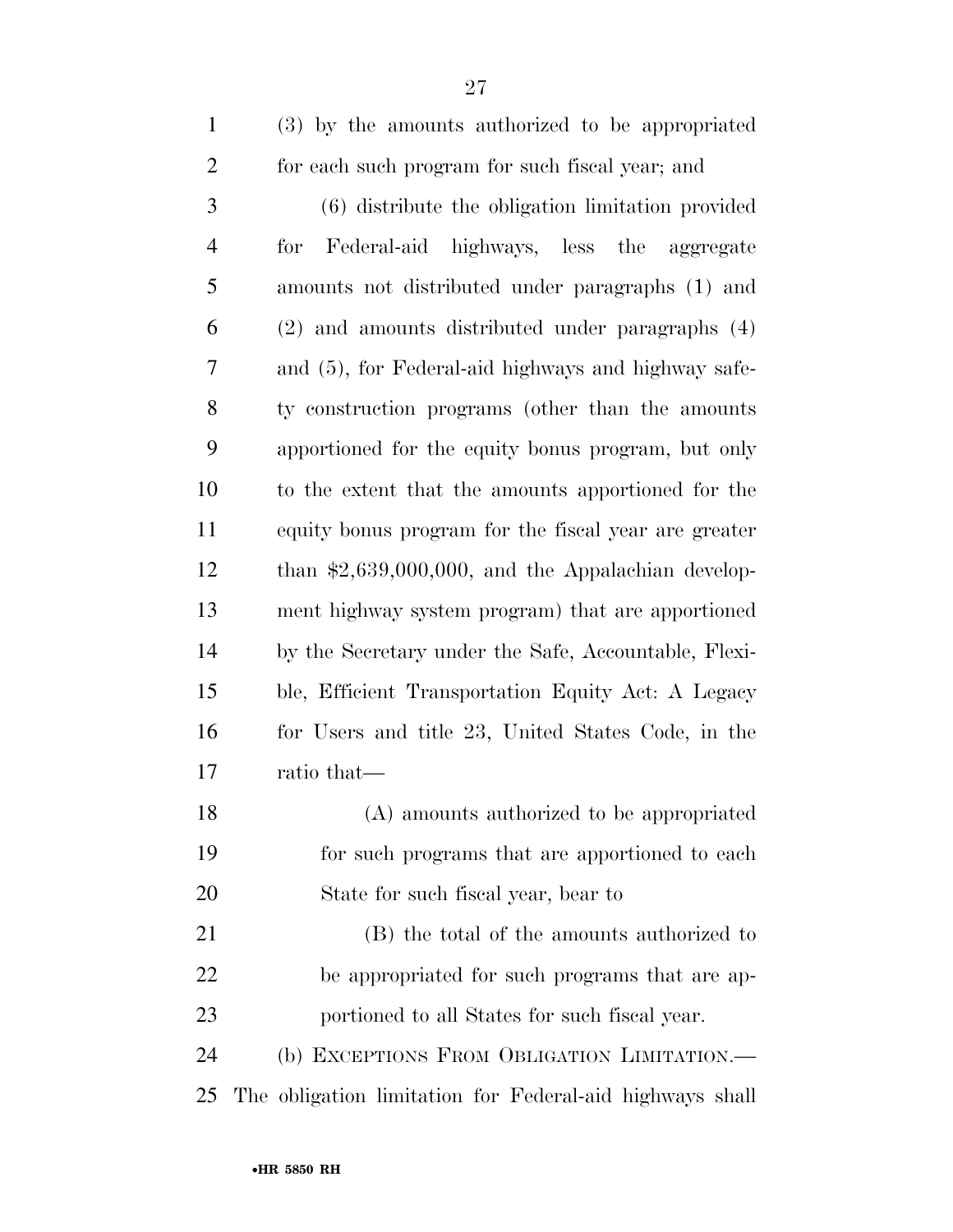| $\mathbf{1}$   | (3) by the amounts authorized to be appropriated     |
|----------------|------------------------------------------------------|
| $\overline{2}$ | for each such program for such fiscal year; and      |
| 3              | (6) distribute the obligation limitation provided    |
| $\overline{4}$ | Federal-aid highways, less the aggregate<br>for      |
| 5              | amounts not distributed under paragraphs (1) and     |
| 6              | (2) and amounts distributed under paragraphs (4)     |
| 7              | and (5), for Federal-aid highways and highway safe-  |
| 8              | ty construction programs (other than the amounts     |
| 9              | apportioned for the equity bonus program, but only   |
| 10             | to the extent that the amounts apportioned for the   |
| 11             | equity bonus program for the fiscal year are greater |
| 12             | than $$2,639,000,000$ , and the Appalachian develop- |
| 13             | ment highway system program) that are apportioned    |
| 14             | by the Secretary under the Safe, Accountable, Flexi- |
| 15             | ble, Efficient Transportation Equity Act: A Legacy   |
| 16             | for Users and title 23, United States Code, in the   |
| 17             | ratio that—                                          |
| 18             | (A) amounts authorized to be appropriated            |
| 19             | for such programs that are apportioned to each       |
| 20             | State for such fiscal year, bear to                  |
| 21             | (B) the total of the amounts authorized to           |
| 22             | be appropriated for such programs that are ap-       |
| 23             | portioned to all States for such fiscal year.        |
| 24             | (b) EXCEPTIONS FROM OBLIGATION LIMITATION.-          |
|                |                                                      |

The obligation limitation for Federal-aid highways shall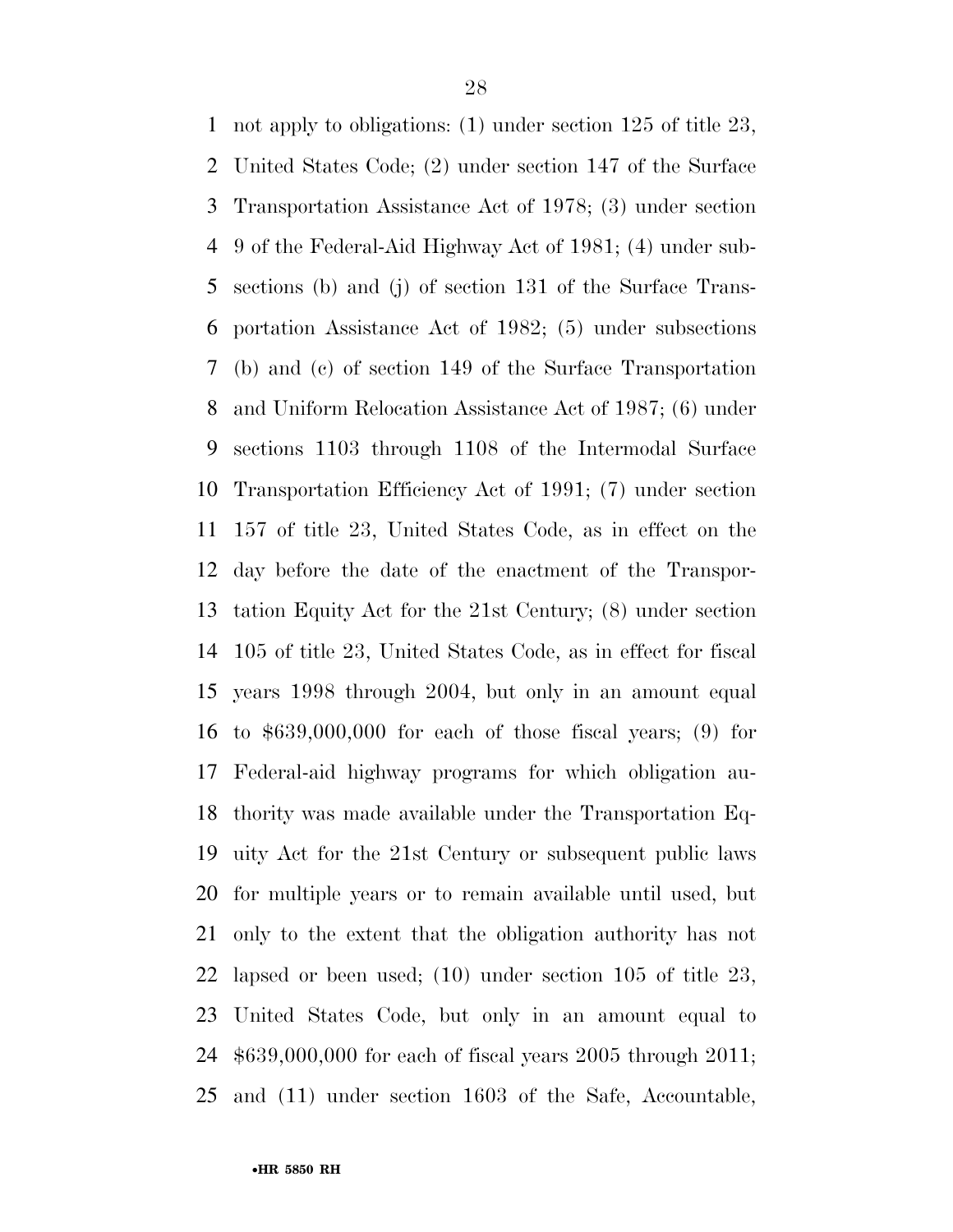not apply to obligations: (1) under section 125 of title 23, United States Code; (2) under section 147 of the Surface Transportation Assistance Act of 1978; (3) under section 9 of the Federal-Aid Highway Act of 1981; (4) under sub- sections (b) and (j) of section 131 of the Surface Trans- portation Assistance Act of 1982; (5) under subsections (b) and (c) of section 149 of the Surface Transportation and Uniform Relocation Assistance Act of 1987; (6) under sections 1103 through 1108 of the Intermodal Surface Transportation Efficiency Act of 1991; (7) under section 157 of title 23, United States Code, as in effect on the day before the date of the enactment of the Transpor- tation Equity Act for the 21st Century; (8) under section 105 of title 23, United States Code, as in effect for fiscal years 1998 through 2004, but only in an amount equal to \$639,000,000 for each of those fiscal years; (9) for Federal-aid highway programs for which obligation au- thority was made available under the Transportation Eq- uity Act for the 21st Century or subsequent public laws for multiple years or to remain available until used, but only to the extent that the obligation authority has not lapsed or been used; (10) under section 105 of title 23, United States Code, but only in an amount equal to \$639,000,000 for each of fiscal years 2005 through 2011; and (11) under section 1603 of the Safe, Accountable,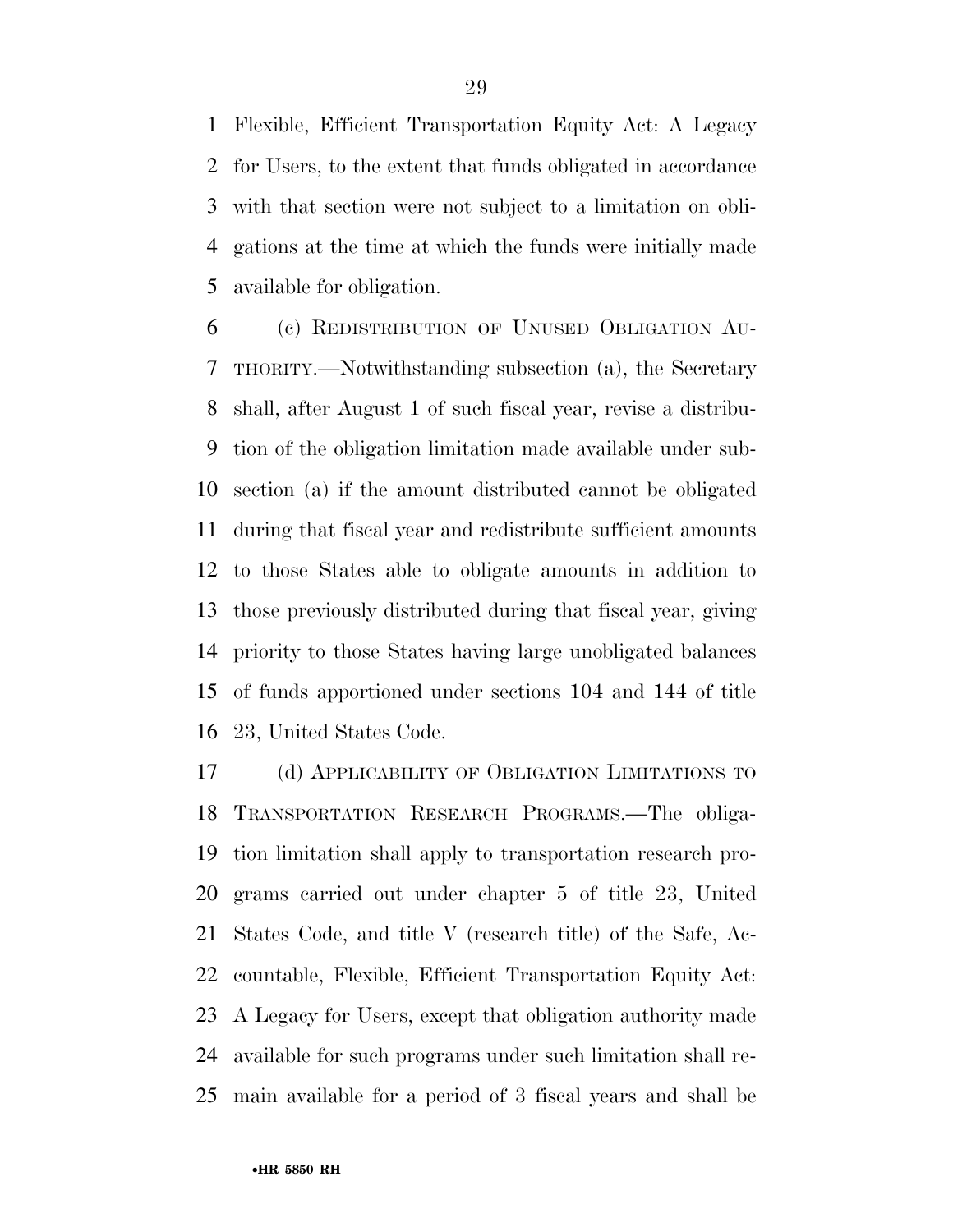Flexible, Efficient Transportation Equity Act: A Legacy for Users, to the extent that funds obligated in accordance with that section were not subject to a limitation on obli- gations at the time at which the funds were initially made available for obligation.

 (c) REDISTRIBUTION OF UNUSED OBLIGATION AU- THORITY.—Notwithstanding subsection (a), the Secretary shall, after August 1 of such fiscal year, revise a distribu- tion of the obligation limitation made available under sub- section (a) if the amount distributed cannot be obligated during that fiscal year and redistribute sufficient amounts to those States able to obligate amounts in addition to those previously distributed during that fiscal year, giving priority to those States having large unobligated balances of funds apportioned under sections 104 and 144 of title 23, United States Code.

 (d) APPLICABILITY OF OBLIGATION LIMITATIONS TO TRANSPORTATION RESEARCH PROGRAMS.—The obliga- tion limitation shall apply to transportation research pro- grams carried out under chapter 5 of title 23, United States Code, and title V (research title) of the Safe, Ac- countable, Flexible, Efficient Transportation Equity Act: A Legacy for Users, except that obligation authority made available for such programs under such limitation shall re-main available for a period of 3 fiscal years and shall be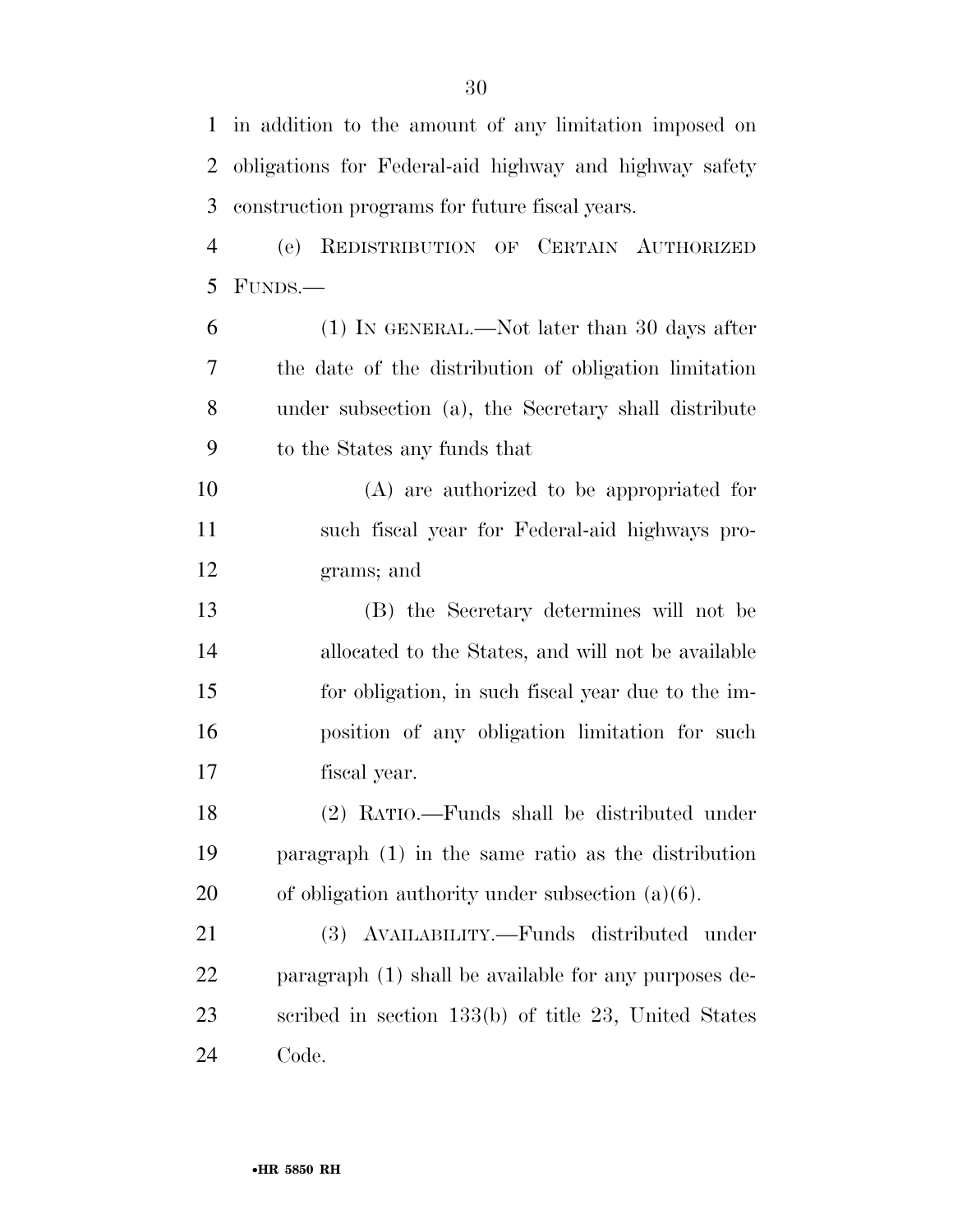in addition to the amount of any limitation imposed on obligations for Federal-aid highway and highway safety construction programs for future fiscal years.

 (e) REDISTRIBUTION OF CERTAIN AUTHORIZED FUNDS.—

 (1) IN GENERAL.—Not later than 30 days after the date of the distribution of obligation limitation under subsection (a), the Secretary shall distribute to the States any funds that

 (A) are authorized to be appropriated for such fiscal year for Federal-aid highways pro-grams; and

 (B) the Secretary determines will not be allocated to the States, and will not be available for obligation, in such fiscal year due to the im- position of any obligation limitation for such fiscal year.

 (2) RATIO.—Funds shall be distributed under paragraph (1) in the same ratio as the distribution of obligation authority under subsection (a)(6).

 (3) AVAILABILITY.—Funds distributed under paragraph (1) shall be available for any purposes de- scribed in section 133(b) of title 23, United States Code.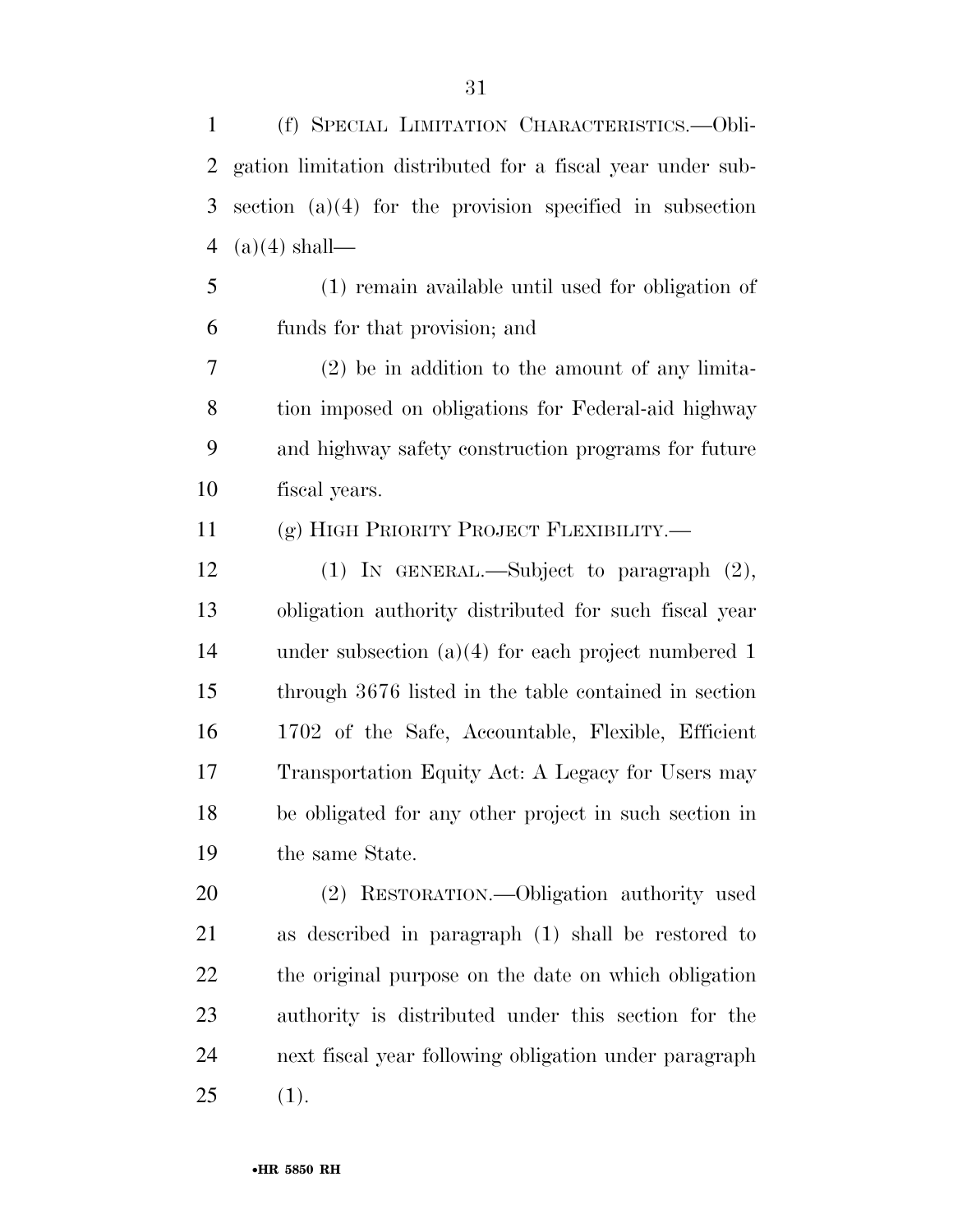(f) SPECIAL LIMITATION CHARACTERISTICS.—Obli- gation limitation distributed for a fiscal year under sub- section (a)(4) for the provision specified in subsection 4 (a)(4) shall—

 (1) remain available until used for obligation of funds for that provision; and

 (2) be in addition to the amount of any limita- tion imposed on obligations for Federal-aid highway and highway safety construction programs for future fiscal years.

(g) HIGH PRIORITY PROJECT FLEXIBILITY.—

 (1) IN GENERAL.—Subject to paragraph (2), obligation authority distributed for such fiscal year under subsection (a)(4) for each project numbered 1 through 3676 listed in the table contained in section 1702 of the Safe, Accountable, Flexible, Efficient Transportation Equity Act: A Legacy for Users may be obligated for any other project in such section in the same State.

 (2) RESTORATION.—Obligation authority used as described in paragraph (1) shall be restored to the original purpose on the date on which obligation authority is distributed under this section for the next fiscal year following obligation under paragraph (1).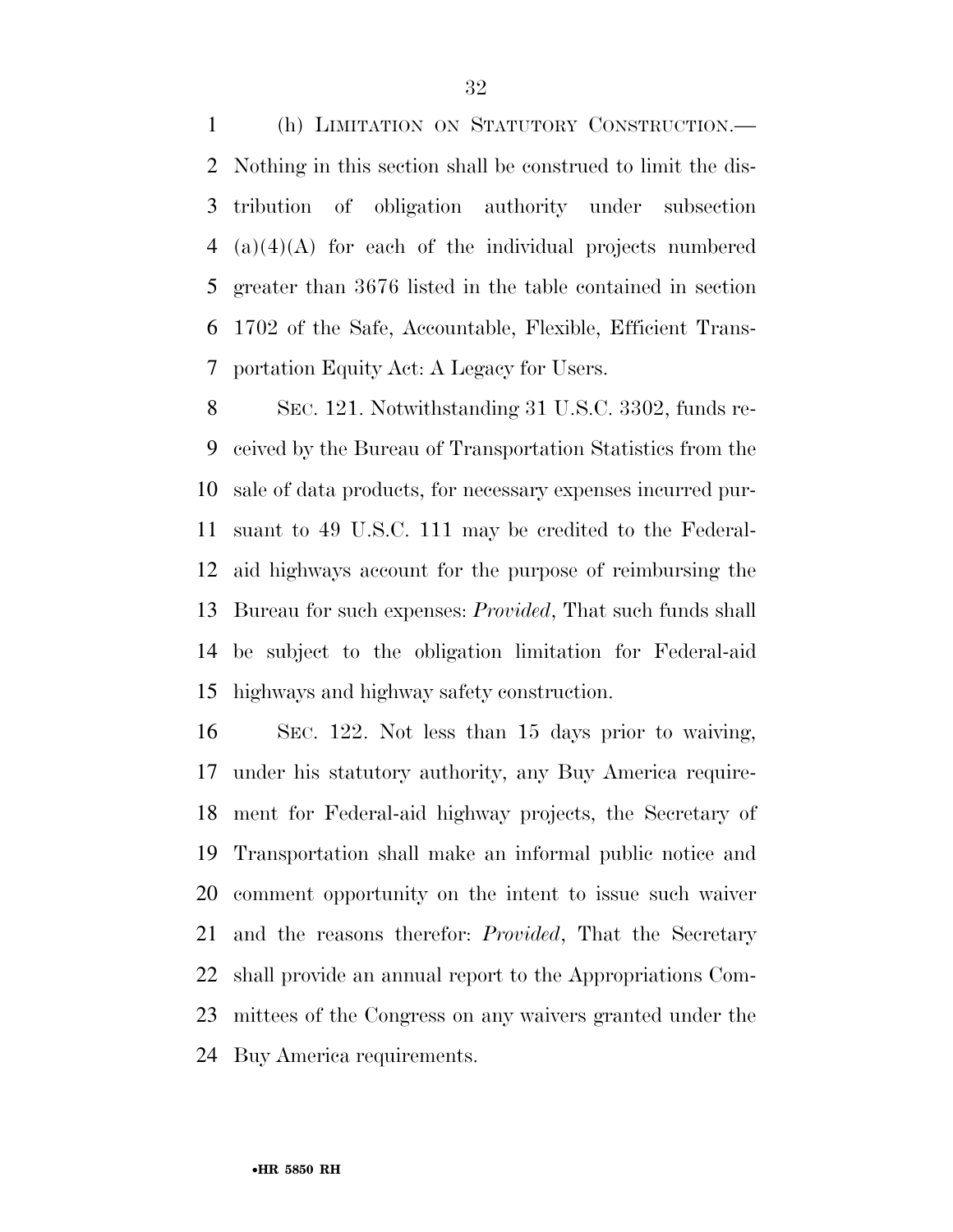(h) LIMITATION ON STATUTORY CONSTRUCTION.— Nothing in this section shall be construed to limit the dis- tribution of obligation authority under subsection (a)(4)(A) for each of the individual projects numbered greater than 3676 listed in the table contained in section 1702 of the Safe, Accountable, Flexible, Efficient Trans-portation Equity Act: A Legacy for Users.

 SEC. 121. Notwithstanding 31 U.S.C. 3302, funds re- ceived by the Bureau of Transportation Statistics from the sale of data products, for necessary expenses incurred pur- suant to 49 U.S.C. 111 may be credited to the Federal- aid highways account for the purpose of reimbursing the Bureau for such expenses: *Provided*, That such funds shall be subject to the obligation limitation for Federal-aid highways and highway safety construction.

 SEC. 122. Not less than 15 days prior to waiving, under his statutory authority, any Buy America require- ment for Federal-aid highway projects, the Secretary of Transportation shall make an informal public notice and comment opportunity on the intent to issue such waiver and the reasons therefor: *Provided*, That the Secretary shall provide an annual report to the Appropriations Com- mittees of the Congress on any waivers granted under the Buy America requirements.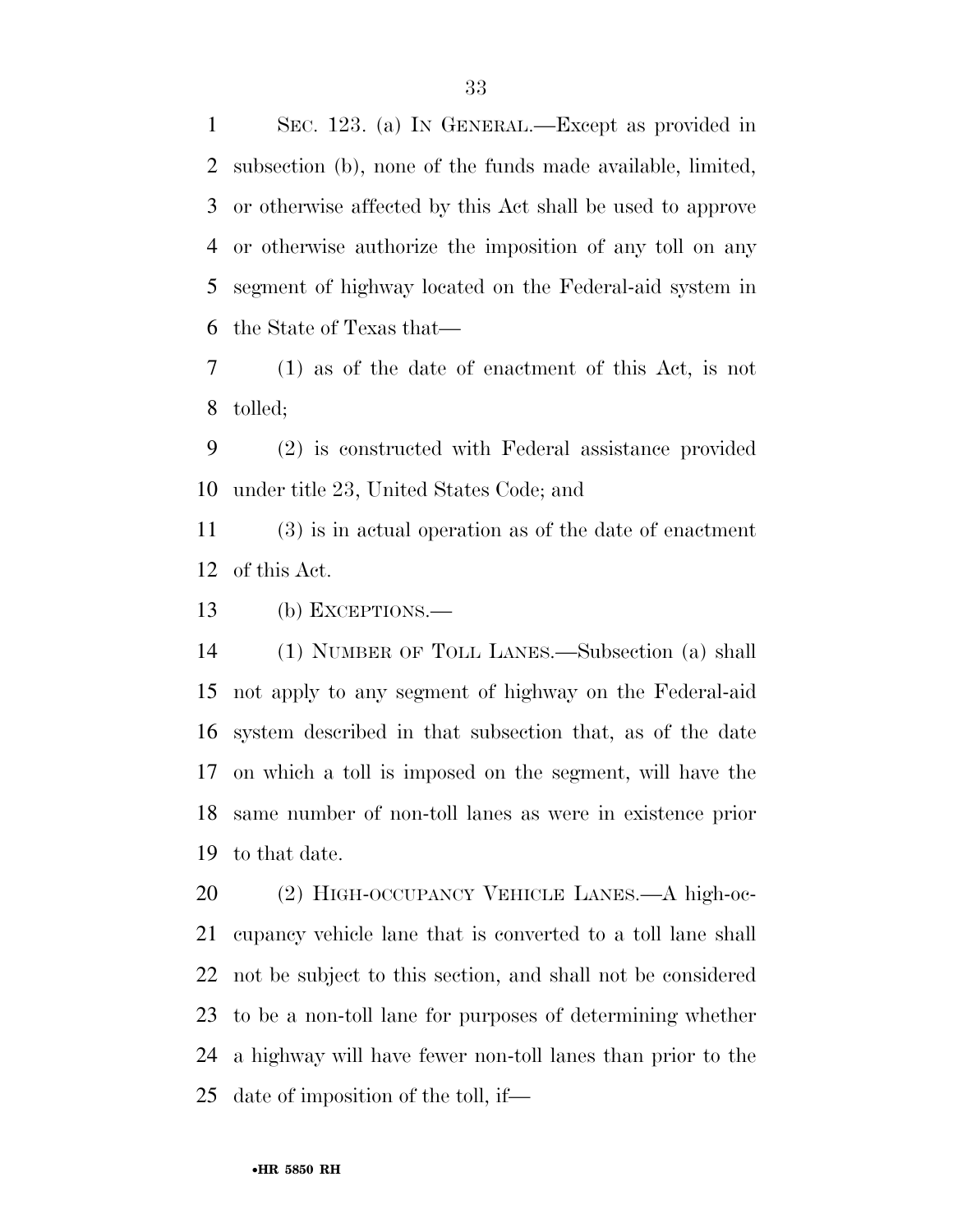SEC. 123. (a) IN GENERAL.—Except as provided in subsection (b), none of the funds made available, limited, or otherwise affected by this Act shall be used to approve or otherwise authorize the imposition of any toll on any segment of highway located on the Federal-aid system in the State of Texas that—

 (1) as of the date of enactment of this Act, is not tolled;

 (2) is constructed with Federal assistance provided under title 23, United States Code; and

 (3) is in actual operation as of the date of enactment of this Act.

(b) EXCEPTIONS.—

 (1) NUMBER OF TOLL LANES.—Subsection (a) shall not apply to any segment of highway on the Federal-aid system described in that subsection that, as of the date on which a toll is imposed on the segment, will have the same number of non-toll lanes as were in existence prior to that date.

 (2) HIGH-OCCUPANCY VEHICLE LANES.—A high-oc- cupancy vehicle lane that is converted to a toll lane shall not be subject to this section, and shall not be considered to be a non-toll lane for purposes of determining whether a highway will have fewer non-toll lanes than prior to the date of imposition of the toll, if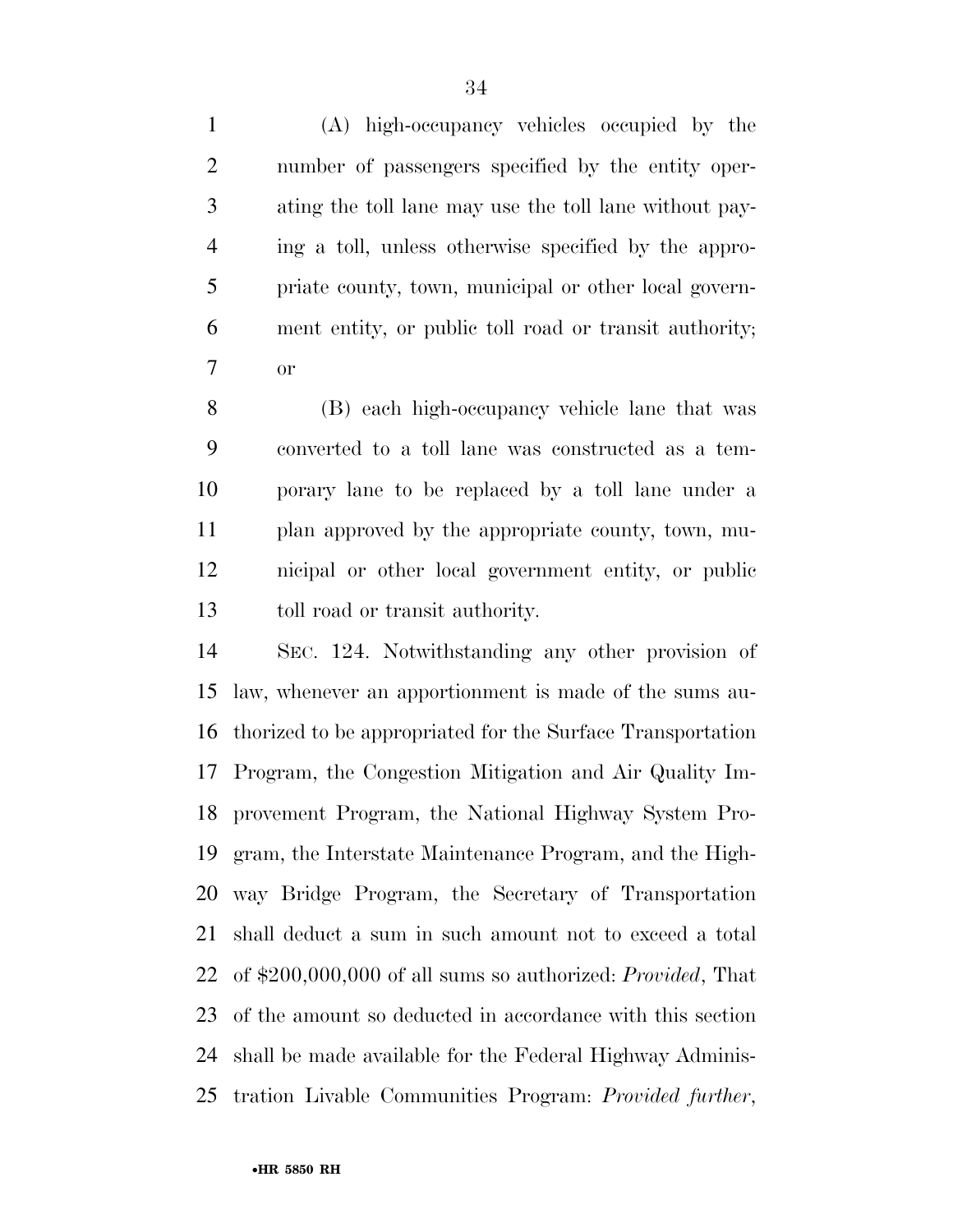(A) high-occupancy vehicles occupied by the number of passengers specified by the entity oper- ating the toll lane may use the toll lane without pay- ing a toll, unless otherwise specified by the appro- priate county, town, municipal or other local govern- ment entity, or public toll road or transit authority; or

 (B) each high-occupancy vehicle lane that was converted to a toll lane was constructed as a tem- porary lane to be replaced by a toll lane under a plan approved by the appropriate county, town, mu- nicipal or other local government entity, or public toll road or transit authority.

 SEC. 124. Notwithstanding any other provision of law, whenever an apportionment is made of the sums au- thorized to be appropriated for the Surface Transportation Program, the Congestion Mitigation and Air Quality Im- provement Program, the National Highway System Pro- gram, the Interstate Maintenance Program, and the High- way Bridge Program, the Secretary of Transportation shall deduct a sum in such amount not to exceed a total of \$200,000,000 of all sums so authorized: *Provided*, That of the amount so deducted in accordance with this section shall be made available for the Federal Highway Adminis-tration Livable Communities Program: *Provided further*,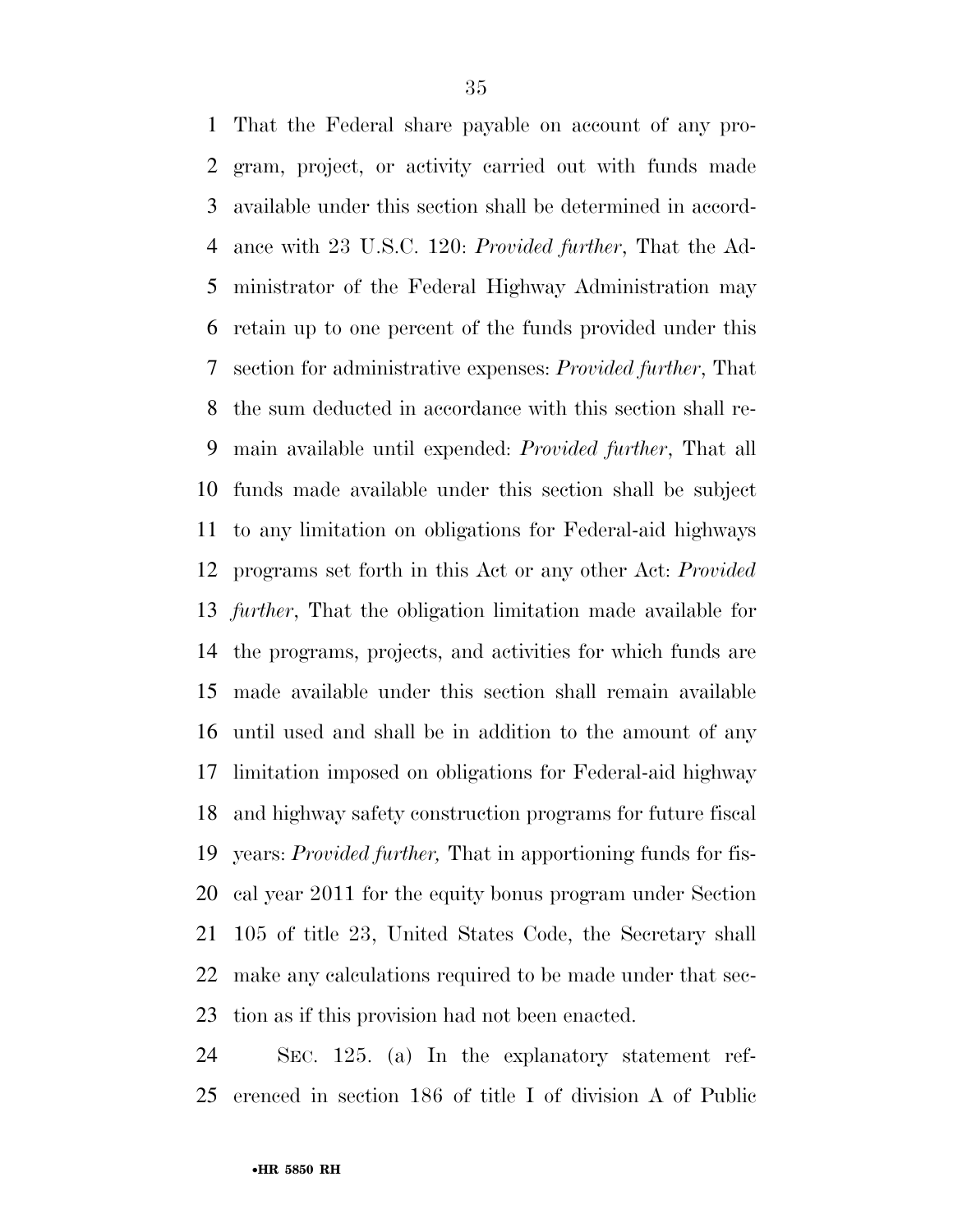That the Federal share payable on account of any pro- gram, project, or activity carried out with funds made available under this section shall be determined in accord- ance with 23 U.S.C. 120: *Provided further*, That the Ad- ministrator of the Federal Highway Administration may retain up to one percent of the funds provided under this section for administrative expenses: *Provided further*, That the sum deducted in accordance with this section shall re- main available until expended: *Provided further*, That all funds made available under this section shall be subject to any limitation on obligations for Federal-aid highways programs set forth in this Act or any other Act: *Provided further*, That the obligation limitation made available for the programs, projects, and activities for which funds are made available under this section shall remain available until used and shall be in addition to the amount of any limitation imposed on obligations for Federal-aid highway and highway safety construction programs for future fiscal years: *Provided further,* That in apportioning funds for fis- cal year 2011 for the equity bonus program under Section 105 of title 23, United States Code, the Secretary shall make any calculations required to be made under that sec-tion as if this provision had not been enacted.

 SEC. 125. (a) In the explanatory statement ref-erenced in section 186 of title I of division A of Public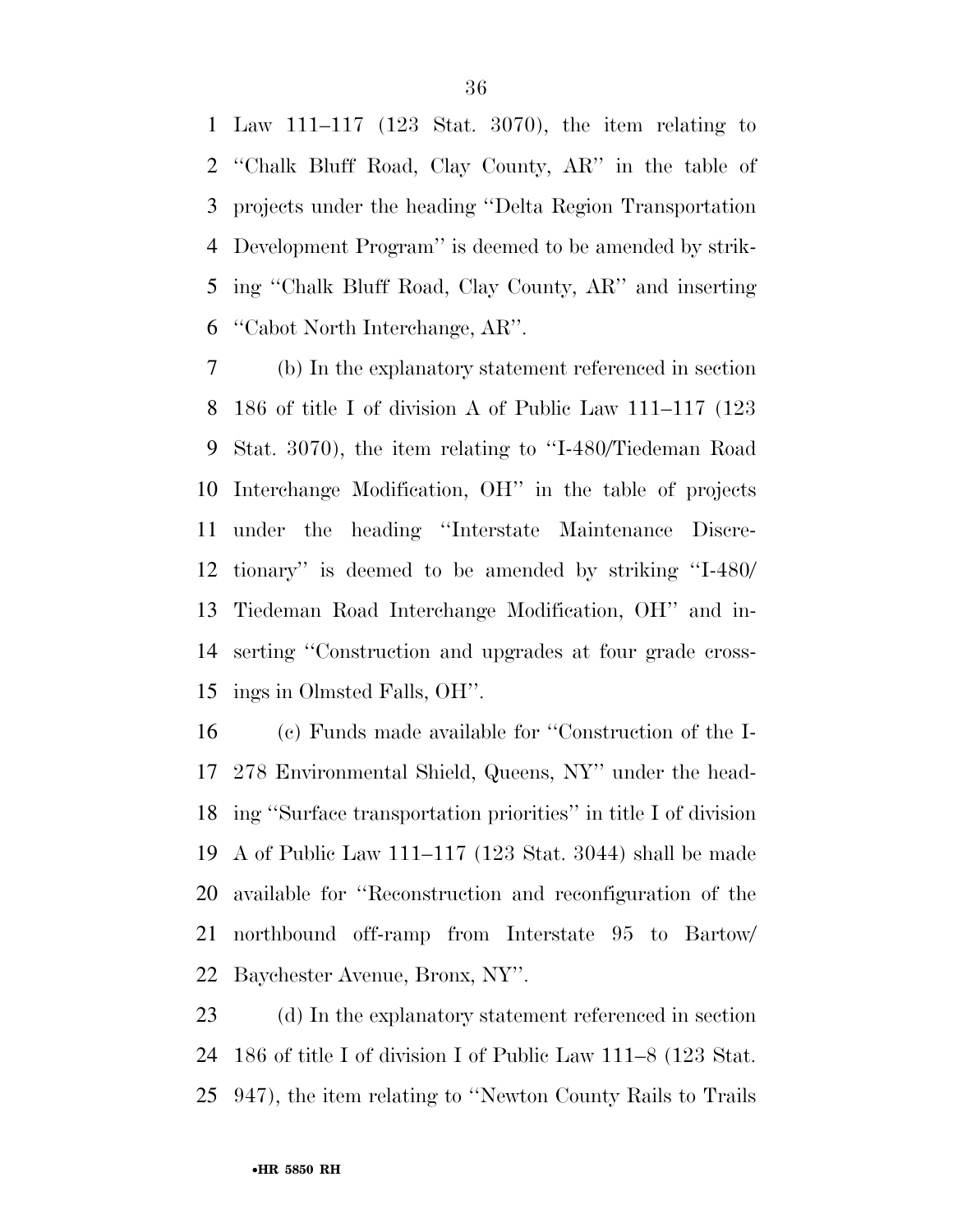Law 111–117 (123 Stat. 3070), the item relating to ''Chalk Bluff Road, Clay County, AR'' in the table of projects under the heading ''Delta Region Transportation Development Program'' is deemed to be amended by strik- ing ''Chalk Bluff Road, Clay County, AR'' and inserting ''Cabot North Interchange, AR''.

 (b) In the explanatory statement referenced in section 186 of title I of division A of Public Law 111–117 (123 Stat. 3070), the item relating to ''I-480/Tiedeman Road Interchange Modification, OH'' in the table of projects under the heading ''Interstate Maintenance Discre- tionary'' is deemed to be amended by striking ''I-480/ Tiedeman Road Interchange Modification, OH'' and in- serting ''Construction and upgrades at four grade cross-ings in Olmsted Falls, OH''.

 (c) Funds made available for ''Construction of the I- 278 Environmental Shield, Queens, NY'' under the head- ing ''Surface transportation priorities'' in title I of division A of Public Law 111–117 (123 Stat. 3044) shall be made available for ''Reconstruction and reconfiguration of the northbound off-ramp from Interstate 95 to Bartow/ Baychester Avenue, Bronx, NY''.

 (d) In the explanatory statement referenced in section 186 of title I of division I of Public Law 111–8 (123 Stat. 947), the item relating to ''Newton County Rails to Trails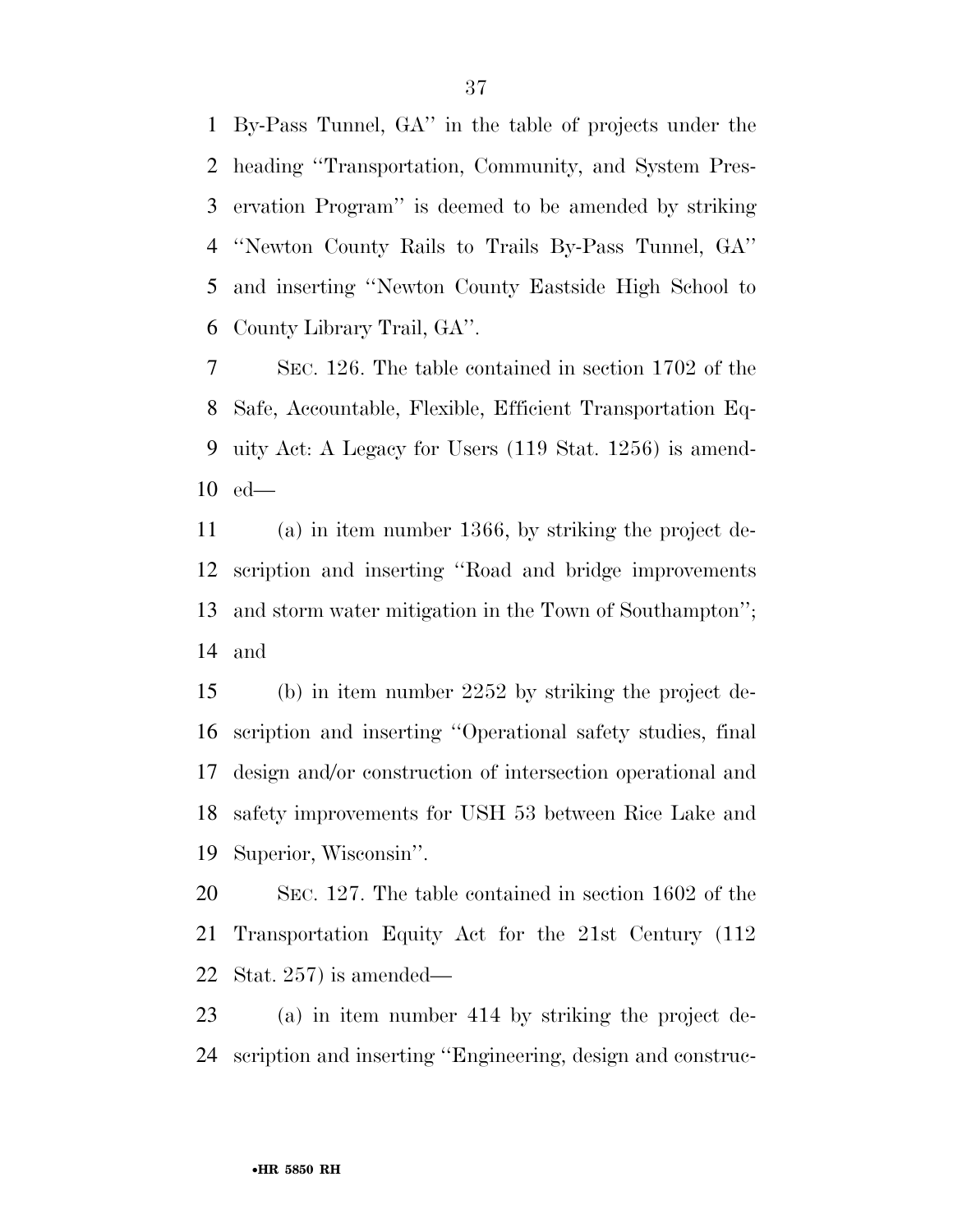By-Pass Tunnel, GA'' in the table of projects under the heading ''Transportation, Community, and System Pres- ervation Program'' is deemed to be amended by striking ''Newton County Rails to Trails By-Pass Tunnel, GA'' and inserting ''Newton County Eastside High School to County Library Trail, GA''.

 SEC. 126. The table contained in section 1702 of the Safe, Accountable, Flexible, Efficient Transportation Eq- uity Act: A Legacy for Users (119 Stat. 1256) is amend-ed—

 (a) in item number 1366, by striking the project de- scription and inserting ''Road and bridge improvements and storm water mitigation in the Town of Southampton''; and

 (b) in item number 2252 by striking the project de- scription and inserting ''Operational safety studies, final design and/or construction of intersection operational and safety improvements for USH 53 between Rice Lake and Superior, Wisconsin''.

 SEC. 127. The table contained in section 1602 of the Transportation Equity Act for the 21st Century (112 Stat. 257) is amended—

 (a) in item number 414 by striking the project de-scription and inserting ''Engineering, design and construc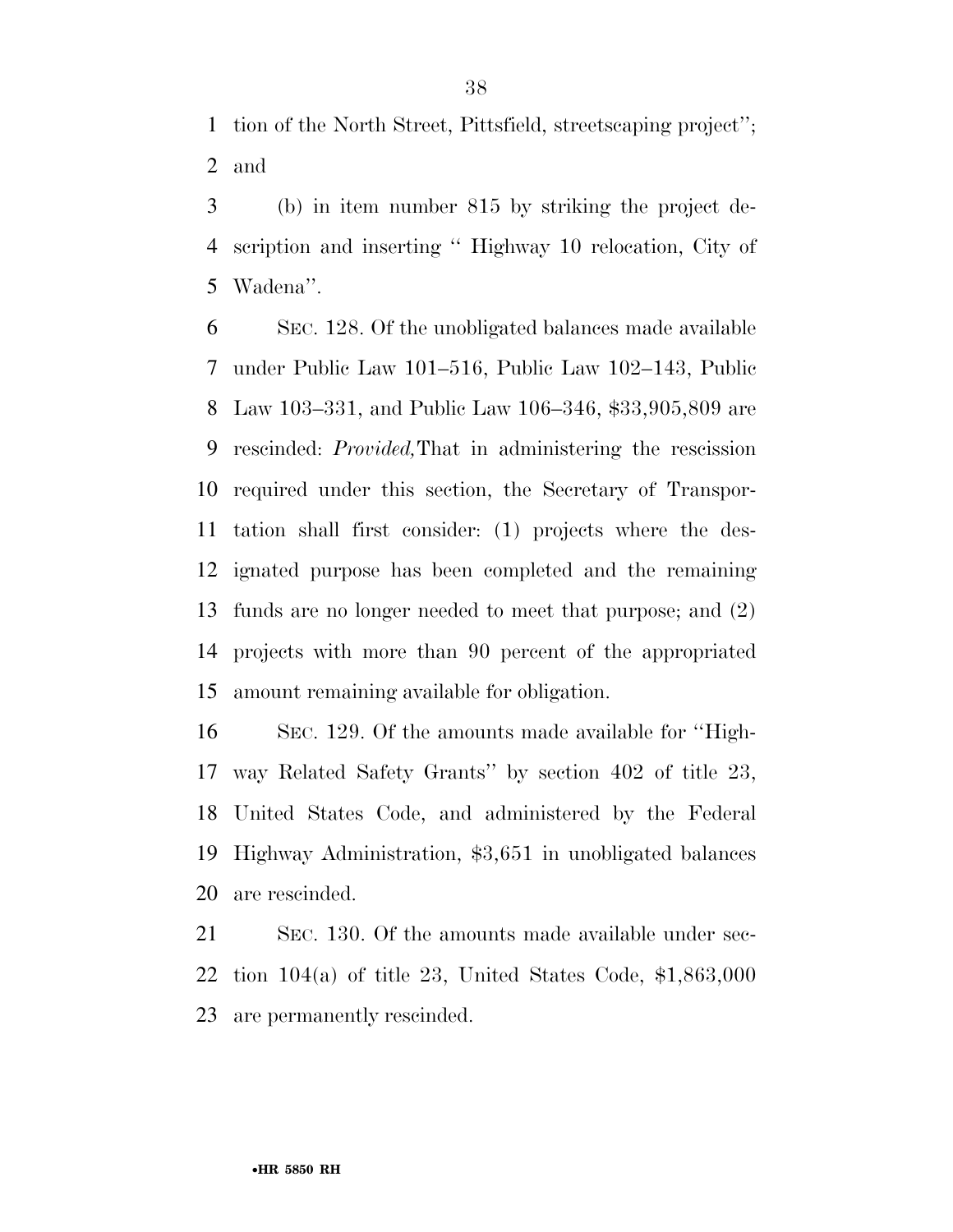tion of the North Street, Pittsfield, streetscaping project''; and

 (b) in item number 815 by striking the project de- scription and inserting '' Highway 10 relocation, City of Wadena''.

 SEC. 128. Of the unobligated balances made available under Public Law 101–516, Public Law 102–143, Public Law 103–331, and Public Law 106–346, \$33,905,809 are rescinded: *Provided,*That in administering the rescission required under this section, the Secretary of Transpor- tation shall first consider: (1) projects where the des- ignated purpose has been completed and the remaining funds are no longer needed to meet that purpose; and (2) projects with more than 90 percent of the appropriated amount remaining available for obligation.

 SEC. 129. Of the amounts made available for ''High- way Related Safety Grants'' by section 402 of title 23, United States Code, and administered by the Federal Highway Administration, \$3,651 in unobligated balances are rescinded.

 SEC. 130. Of the amounts made available under sec- tion 104(a) of title 23, United States Code, \$1,863,000 are permanently rescinded.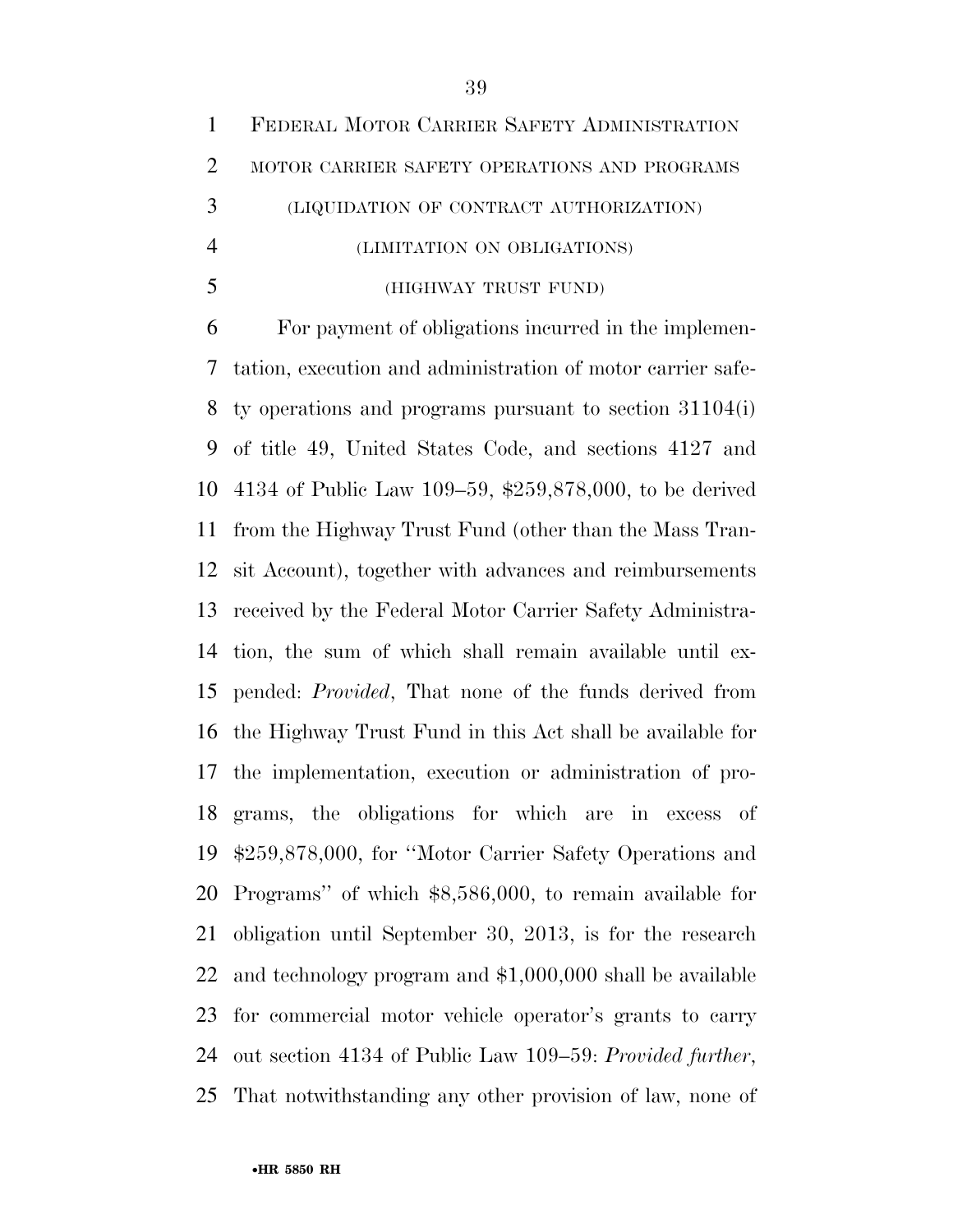|   | 1 FEDERAL MOTOR CARRIER SAFETY ADMINISTRATION |
|---|-----------------------------------------------|
| 2 | MOTOR CARRIER SAFETY OPERATIONS AND PROGRAMS  |
| 3 | (LIQUIDATION OF CONTRACT AUTHORIZATION)       |
|   | (LIMITATION ON OBLIGATIONS)                   |
|   | (HIGHWAY TRUST FUND)                          |

 For payment of obligations incurred in the implemen- tation, execution and administration of motor carrier safe- ty operations and programs pursuant to section 31104(i) of title 49, United States Code, and sections 4127 and 4134 of Public Law 109–59, \$259,878,000, to be derived from the Highway Trust Fund (other than the Mass Tran- sit Account), together with advances and reimbursements received by the Federal Motor Carrier Safety Administra- tion, the sum of which shall remain available until ex- pended: *Provided*, That none of the funds derived from the Highway Trust Fund in this Act shall be available for the implementation, execution or administration of pro- grams, the obligations for which are in excess of \$259,878,000, for ''Motor Carrier Safety Operations and Programs'' of which \$8,586,000, to remain available for obligation until September 30, 2013, is for the research and technology program and \$1,000,000 shall be available for commercial motor vehicle operator's grants to carry out section 4134 of Public Law 109–59: *Provided further*, That notwithstanding any other provision of law, none of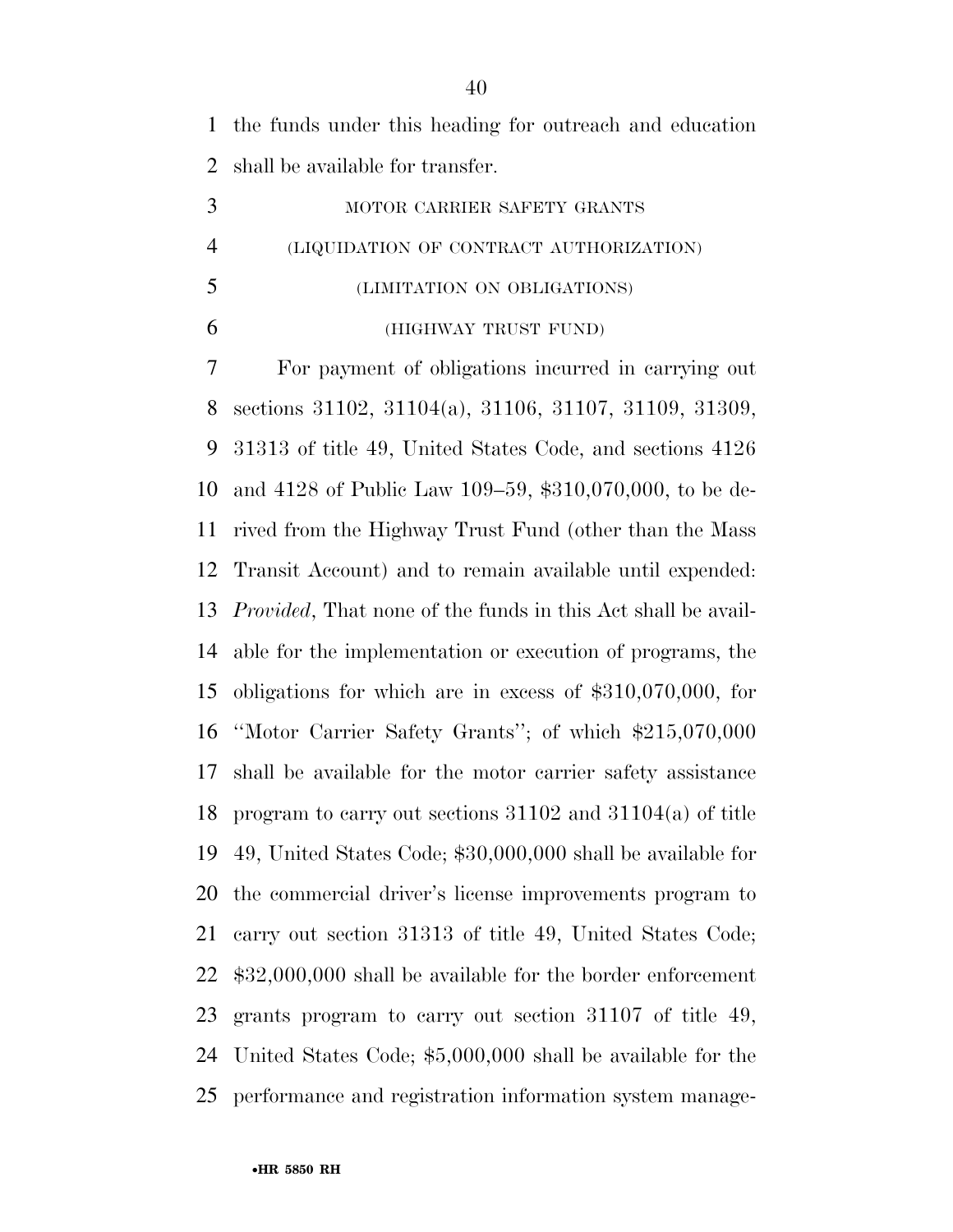the funds under this heading for outreach and education shall be available for transfer.

|                | MOTOR CARRIER SAFETY GRANTS             |
|----------------|-----------------------------------------|
| $\overline{4}$ | (LIQUIDATION OF CONTRACT AUTHORIZATION) |
| 5              | (LIMITATION ON OBLIGATIONS)             |
|                | (HIGHWAY TRUST FUND)                    |

 For payment of obligations incurred in carrying out sections 31102, 31104(a), 31106, 31107, 31109, 31309, 31313 of title 49, United States Code, and sections 4126 and 4128 of Public Law 109–59, \$310,070,000, to be de- rived from the Highway Trust Fund (other than the Mass Transit Account) and to remain available until expended: *Provided*, That none of the funds in this Act shall be avail- able for the implementation or execution of programs, the obligations for which are in excess of \$310,070,000, for ''Motor Carrier Safety Grants''; of which \$215,070,000 shall be available for the motor carrier safety assistance program to carry out sections 31102 and 31104(a) of title 49, United States Code; \$30,000,000 shall be available for the commercial driver's license improvements program to carry out section 31313 of title 49, United States Code; \$32,000,000 shall be available for the border enforcement grants program to carry out section 31107 of title 49, United States Code; \$5,000,000 shall be available for the performance and registration information system manage-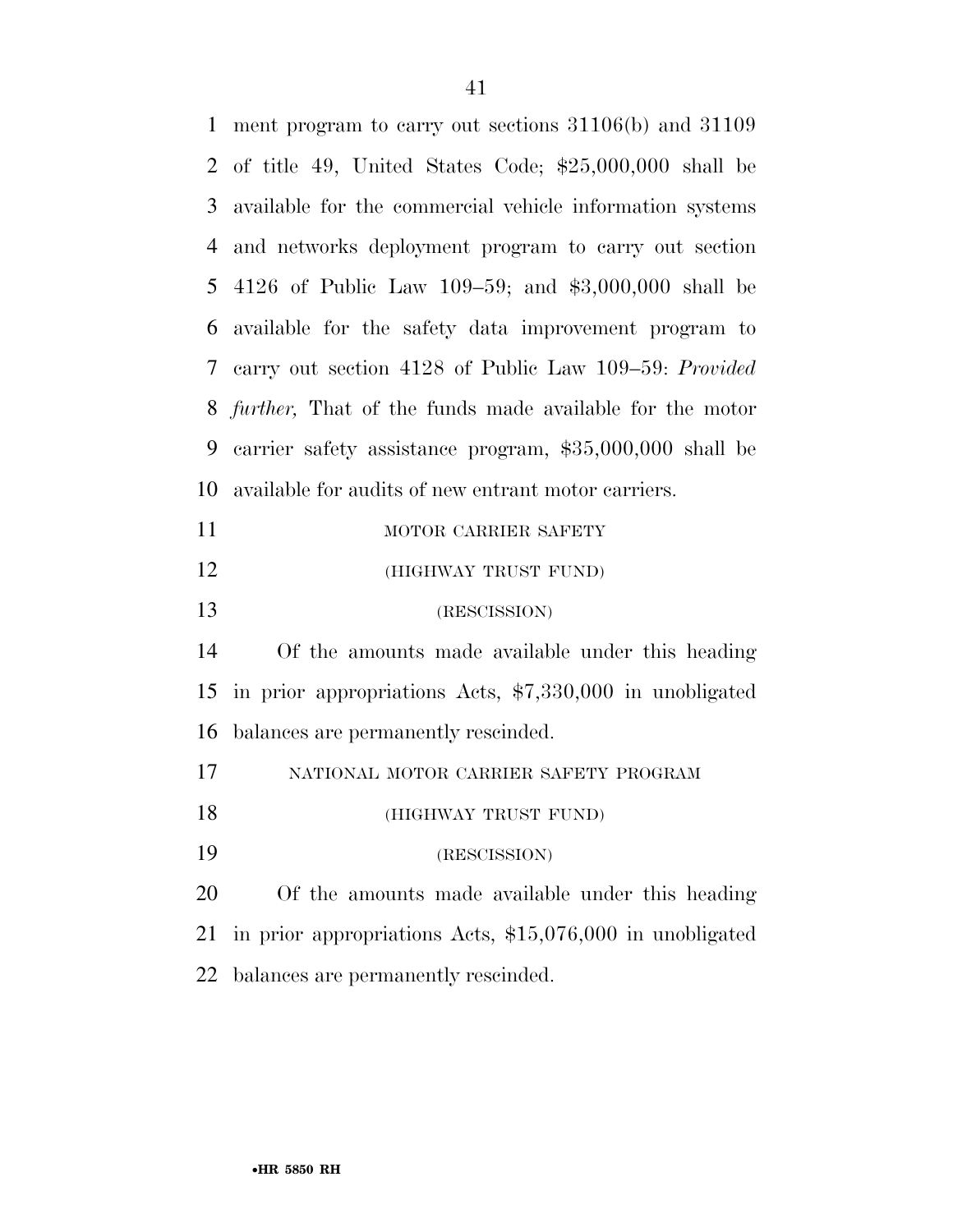| $\mathbf{1}$    | ment program to carry out sections $31106(b)$ and $31109$       |
|-----------------|-----------------------------------------------------------------|
|                 | 2 of title 49, United States Code; $$25,000,000$ shall be       |
| 3               | available for the commercial vehicle information systems        |
| 4               | and networks deployment program to carry out section            |
| 5               | 4126 of Public Law 109-59; and $$3,000,000$ shall be            |
| 6               | available for the safety data improvement program to            |
| $7\overline{ }$ | carry out section 4128 of Public Law 109–59: Provided           |
| 8               | <i>further</i> , That of the funds made available for the motor |
| 9               | carrier safety assistance program, \$35,000,000 shall be        |
| 10              | available for audits of new entrant motor carriers.             |
| 11              | MOTOR CARRIER SAFETY                                            |
| 12              | (HIGHWAY TRUST FUND)                                            |
| 13              | (RESCISSION)                                                    |
| 14              | Of the amounts made available under this heading                |
| 15              | in prior appropriations Acts, \$7,330,000 in unobligated        |
| 16              | balances are permanently rescinded.                             |
| 17              | NATIONAL MOTOR CARRIER SAFETY PROGRAM                           |
| 18              | (HIGHWAY TRUST FUND)                                            |
| 19              | (RESCISSION)                                                    |
|                 |                                                                 |
| 20              | Of the amounts made available under this heading                |
| 21              | in prior appropriations Acts, $$15,076,000$ in unobligated      |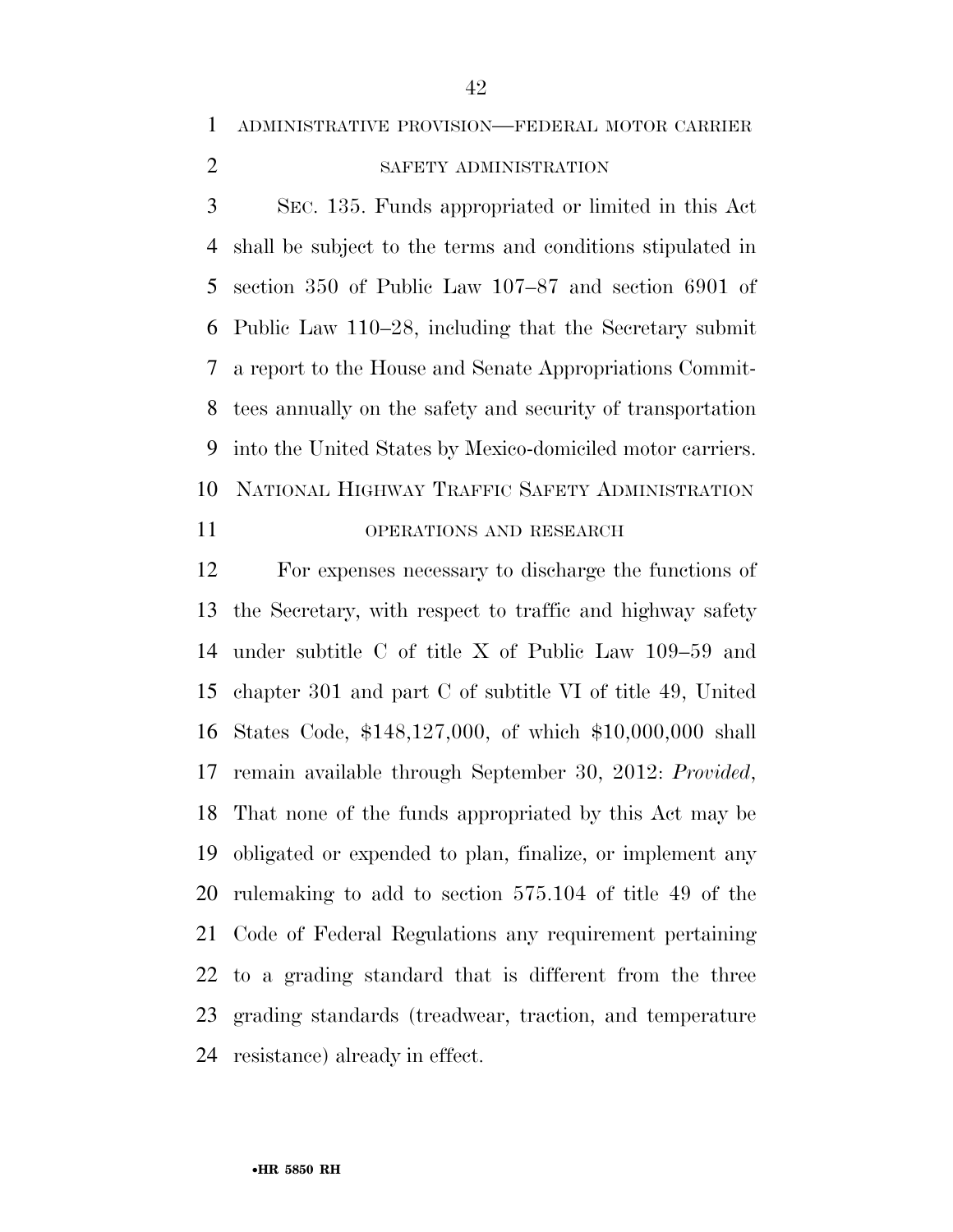ADMINISTRATIVE PROVISION—FEDERAL MOTOR CARRIER

## 2 SAFETY ADMINISTRATION

 SEC. 135. Funds appropriated or limited in this Act shall be subject to the terms and conditions stipulated in section 350 of Public Law 107–87 and section 6901 of Public Law 110–28, including that the Secretary submit a report to the House and Senate Appropriations Commit- tees annually on the safety and security of transportation into the United States by Mexico-domiciled motor carriers. NATIONAL HIGHWAY TRAFFIC SAFETY ADMINISTRATION

### OPERATIONS AND RESEARCH

 For expenses necessary to discharge the functions of the Secretary, with respect to traffic and highway safety under subtitle C of title X of Public Law 109–59 and chapter 301 and part C of subtitle VI of title 49, United States Code, \$148,127,000, of which \$10,000,000 shall remain available through September 30, 2012: *Provided*, That none of the funds appropriated by this Act may be obligated or expended to plan, finalize, or implement any rulemaking to add to section 575.104 of title 49 of the Code of Federal Regulations any requirement pertaining to a grading standard that is different from the three grading standards (treadwear, traction, and temperature resistance) already in effect.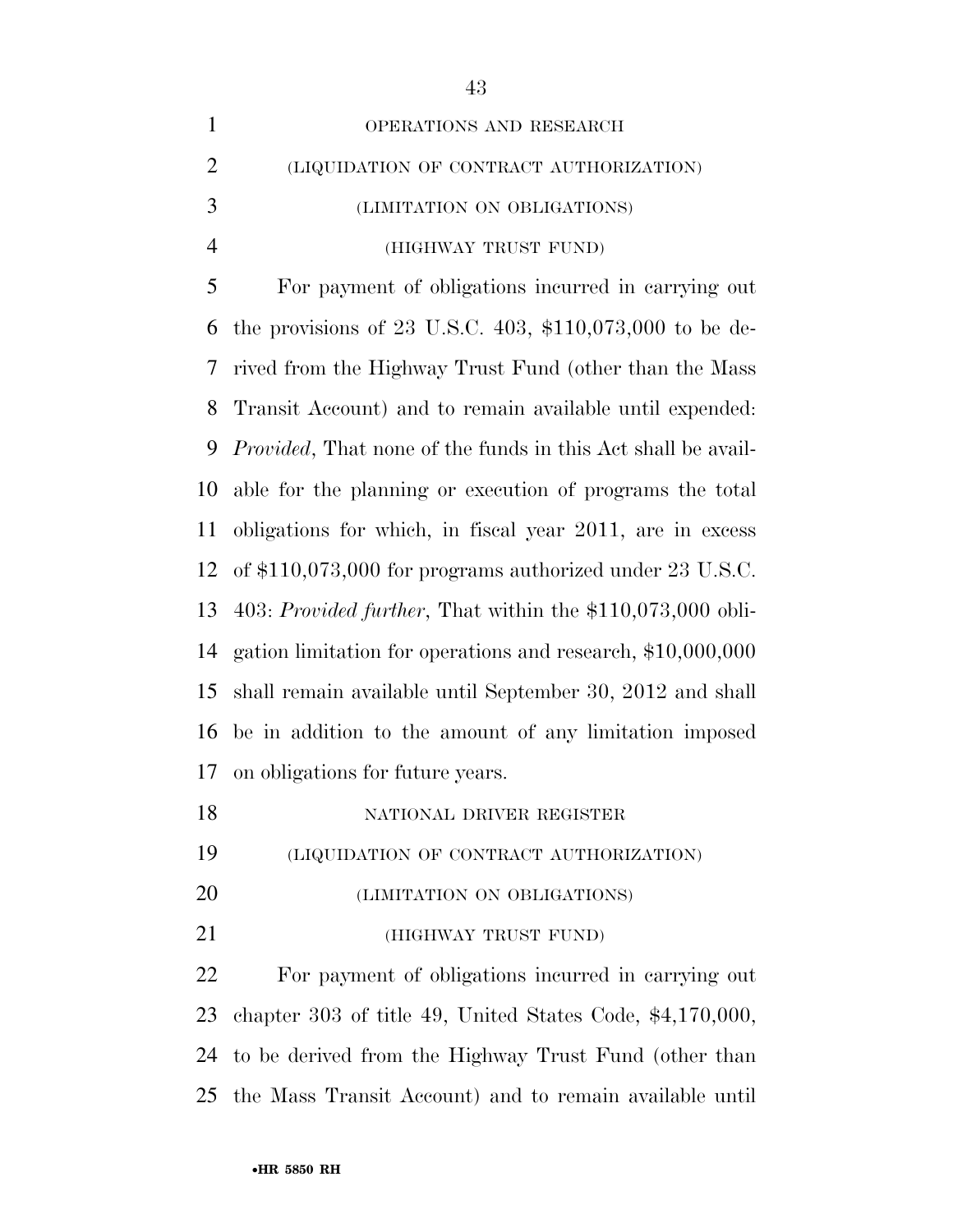| $\mathbf{1}$   | OPERATIONS AND RESEARCH                                              |
|----------------|----------------------------------------------------------------------|
| $\overline{2}$ | (LIQUIDATION OF CONTRACT AUTHORIZATION)                              |
| 3              | (LIMITATION ON OBLIGATIONS)                                          |
| $\overline{4}$ | (HIGHWAY TRUST FUND)                                                 |
| 5              | For payment of obligations incurred in carrying out                  |
| 6              | the provisions of 23 U.S.C. $403, $110,073,000$ to be de-            |
| 7              | rived from the Highway Trust Fund (other than the Mass               |
| 8              | Transit Account) and to remain available until expended:             |
| 9              | <i>Provided</i> , That none of the funds in this Act shall be avail- |
| 10             | able for the planning or execution of programs the total             |
| 11             | obligations for which, in fiscal year 2011, are in excess            |
| 12             | of $$110,073,000$ for programs authorized under 23 U.S.C.            |
| 13             | 403: Provided further, That within the $$110,073,000$ obli-          |
| 14             | gation limitation for operations and research, \$10,000,000          |
| 15             | shall remain available until September 30, 2012 and shall            |
| 16             | be in addition to the amount of any limitation imposed               |
| 17             | on obligations for future years.                                     |
| 18             | NATIONAL DRIVER REGISTER                                             |
| 19             | (LIQUIDATION OF CONTRACT AUTHORIZATION)                              |
| <b>20</b>      | (LIMITATION ON OBLIGATIONS)                                          |
| 21             | (HIGHWAY TRUST FUND)                                                 |
| 22             | For payment of obligations incurred in carrying out                  |
| 23             | chapter 303 of title 49, United States Code, $$4,170,000$ ,          |
| 24             | to be derived from the Highway Trust Fund (other than                |
| 25             | the Mass Transit Account) and to remain available until              |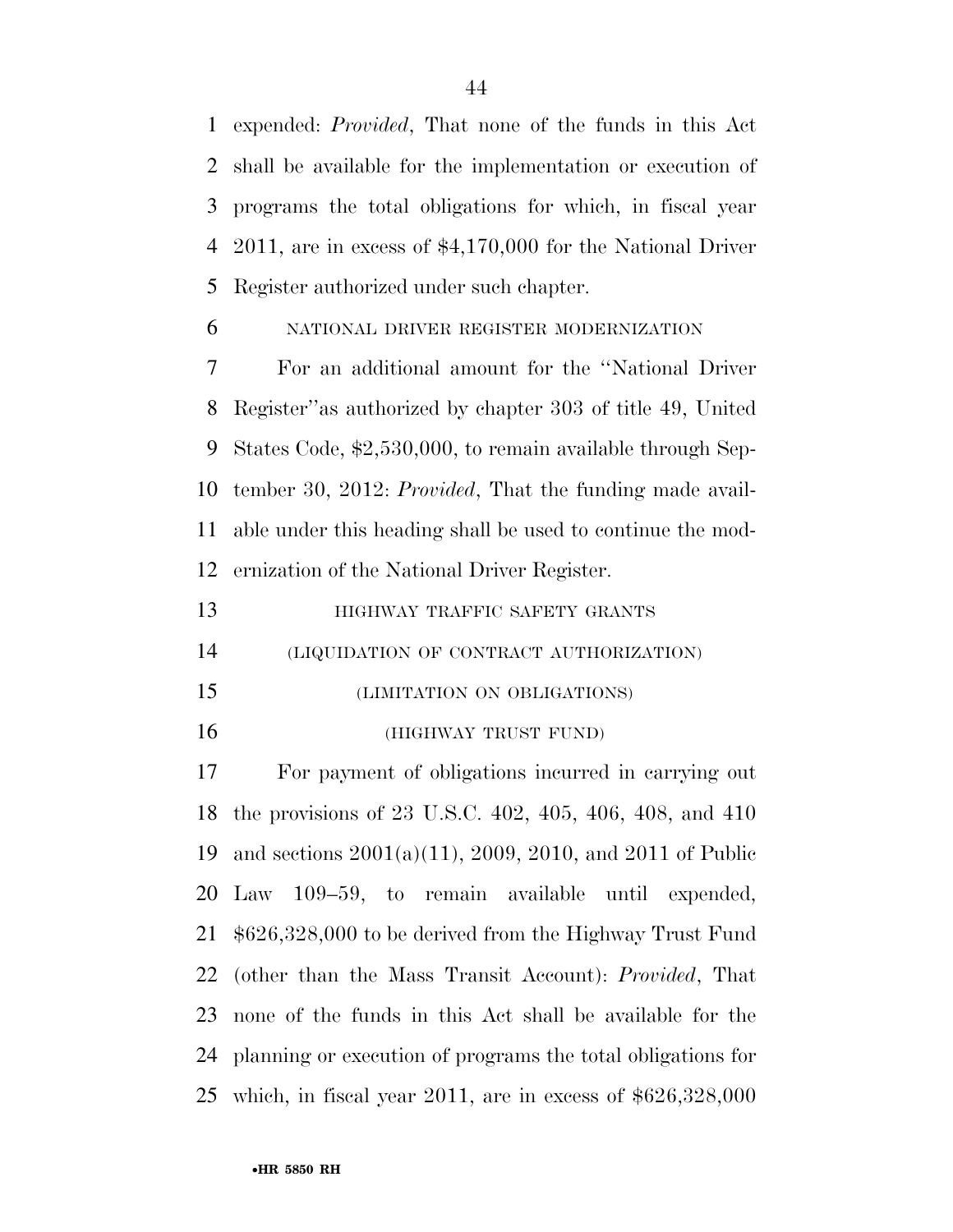expended: *Provided*, That none of the funds in this Act shall be available for the implementation or execution of programs the total obligations for which, in fiscal year 2011, are in excess of \$4,170,000 for the National Driver Register authorized under such chapter.

### NATIONAL DRIVER REGISTER MODERNIZATION

 For an additional amount for the ''National Driver Register''as authorized by chapter 303 of title 49, United States Code, \$2,530,000, to remain available through Sep- tember 30, 2012: *Provided*, That the funding made avail- able under this heading shall be used to continue the mod-ernization of the National Driver Register.

| 13 | HIGHWAY TRAFFIC SAFETY GRANTS |
|----|-------------------------------|
|    |                               |

(LIQUIDATION OF CONTRACT AUTHORIZATION)

- (LIMITATION ON OBLIGATIONS)
- (HIGHWAY TRUST FUND)

 For payment of obligations incurred in carrying out the provisions of 23 U.S.C. 402, 405, 406, 408, and 410 and sections 2001(a)(11), 2009, 2010, and 2011 of Public Law 109–59, to remain available until expended, \$626,328,000 to be derived from the Highway Trust Fund (other than the Mass Transit Account): *Provided*, That none of the funds in this Act shall be available for the planning or execution of programs the total obligations for which, in fiscal year 2011, are in excess of \$626,328,000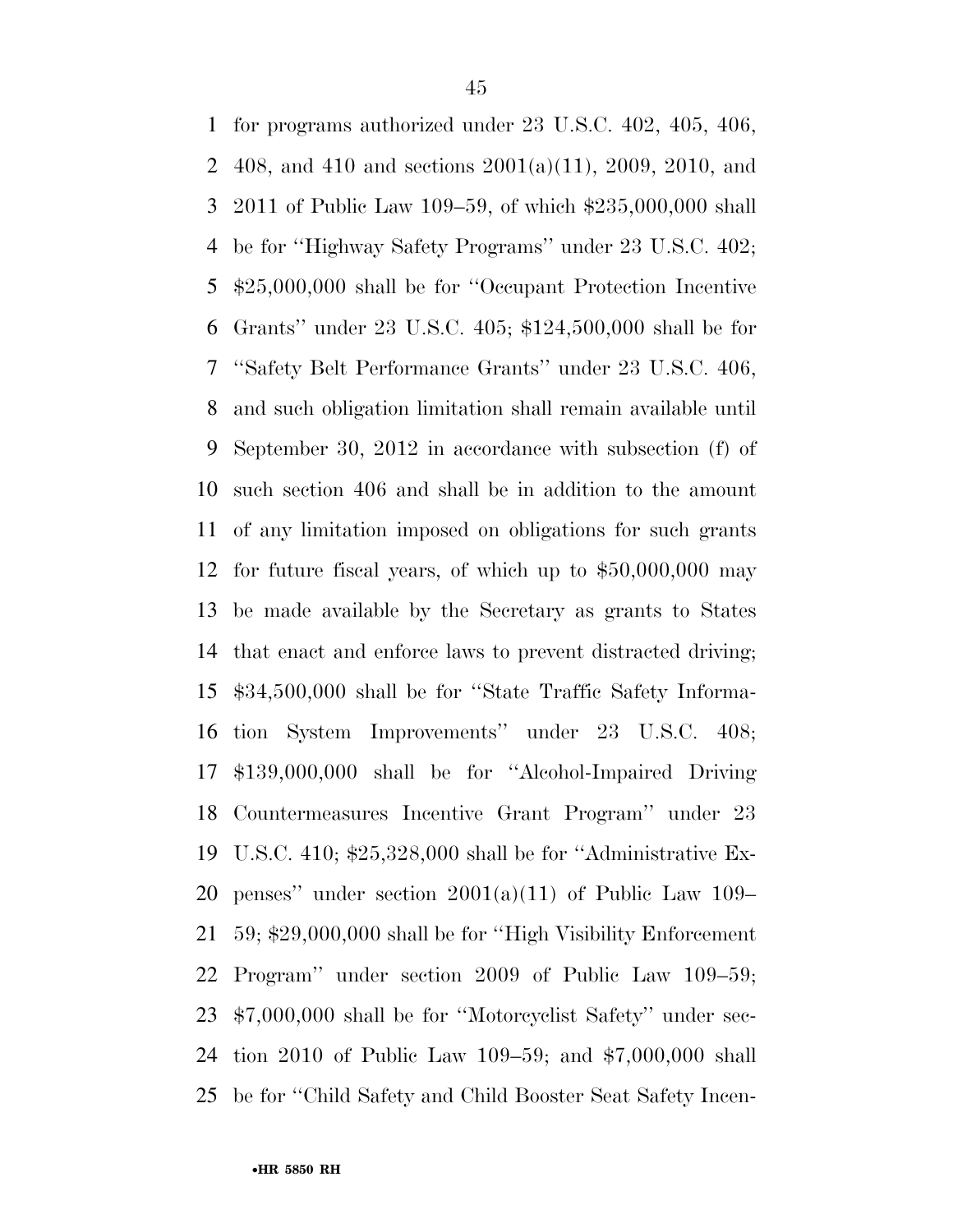for programs authorized under 23 U.S.C. 402, 405, 406, 408, and 410 and sections 2001(a)(11), 2009, 2010, and 2011 of Public Law 109–59, of which \$235,000,000 shall be for ''Highway Safety Programs'' under 23 U.S.C. 402; \$25,000,000 shall be for ''Occupant Protection Incentive Grants'' under 23 U.S.C. 405; \$124,500,000 shall be for ''Safety Belt Performance Grants'' under 23 U.S.C. 406, and such obligation limitation shall remain available until September 30, 2012 in accordance with subsection (f) of such section 406 and shall be in addition to the amount of any limitation imposed on obligations for such grants for future fiscal years, of which up to \$50,000,000 may be made available by the Secretary as grants to States that enact and enforce laws to prevent distracted driving; \$34,500,000 shall be for ''State Traffic Safety Informa- tion System Improvements'' under 23 U.S.C. 408; \$139,000,000 shall be for ''Alcohol-Impaired Driving Countermeasures Incentive Grant Program'' under 23 U.S.C. 410; \$25,328,000 shall be for ''Administrative Ex-20 penses" under section  $2001(a)(11)$  of Public Law 109– 59; \$29,000,000 shall be for ''High Visibility Enforcement Program'' under section 2009 of Public Law 109–59; \$7,000,000 shall be for ''Motorcyclist Safety'' under sec- tion 2010 of Public Law 109–59; and \$7,000,000 shall be for ''Child Safety and Child Booster Seat Safety Incen-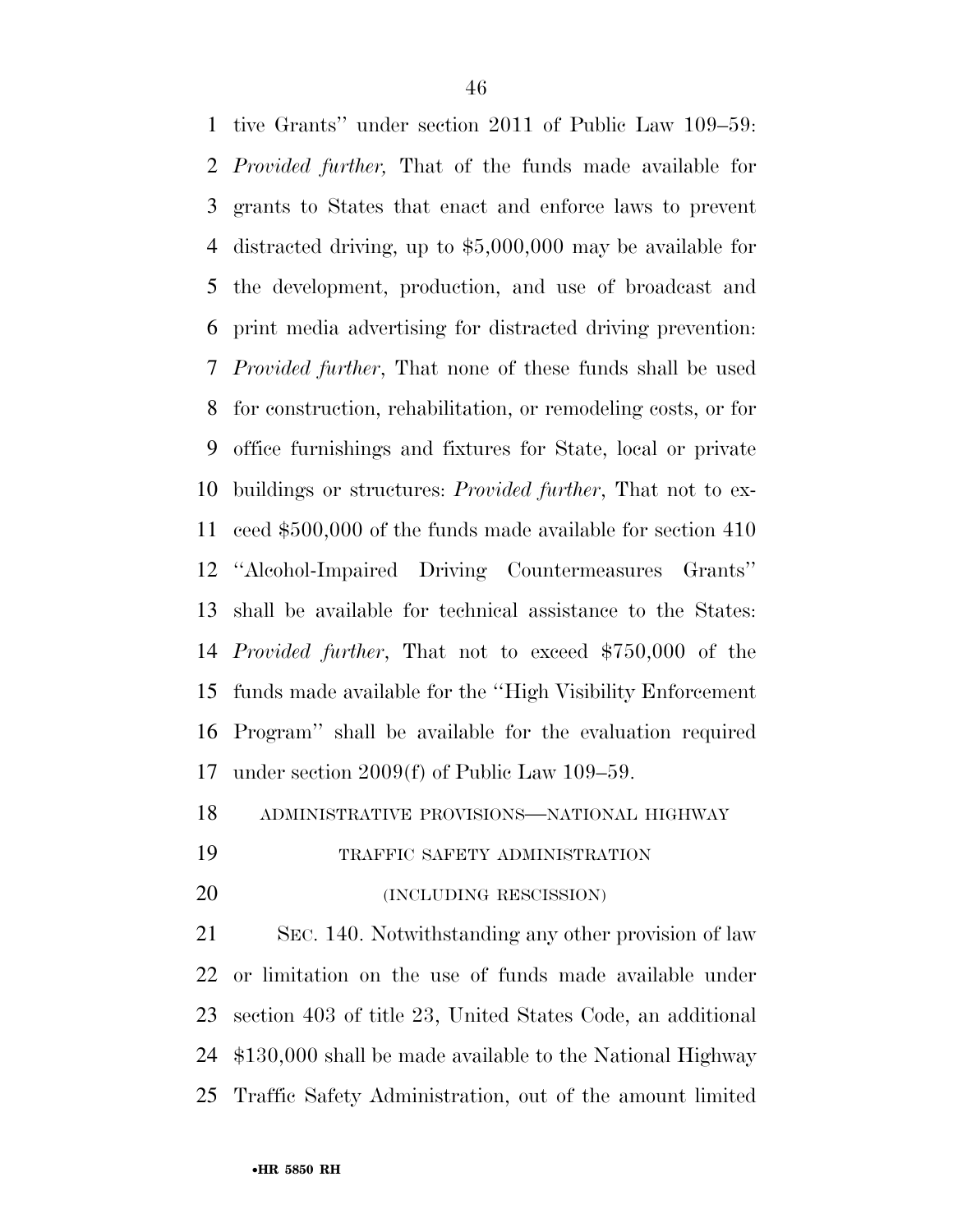tive Grants'' under section 2011 of Public Law 109–59: *Provided further,* That of the funds made available for grants to States that enact and enforce laws to prevent distracted driving, up to \$5,000,000 may be available for the development, production, and use of broadcast and print media advertising for distracted driving prevention: *Provided further*, That none of these funds shall be used for construction, rehabilitation, or remodeling costs, or for office furnishings and fixtures for State, local or private buildings or structures: *Provided further*, That not to ex- ceed \$500,000 of the funds made available for section 410 ''Alcohol-Impaired Driving Countermeasures Grants'' shall be available for technical assistance to the States: *Provided further*, That not to exceed \$750,000 of the funds made available for the ''High Visibility Enforcement Program'' shall be available for the evaluation required under section 2009(f) of Public Law 109–59.

ADMINISTRATIVE PROVISIONS—NATIONAL HIGHWAY

- TRAFFIC SAFETY ADMINISTRATION
- 20 (INCLUDING RESCISSION)

 SEC. 140. Notwithstanding any other provision of law or limitation on the use of funds made available under section 403 of title 23, United States Code, an additional \$130,000 shall be made available to the National Highway Traffic Safety Administration, out of the amount limited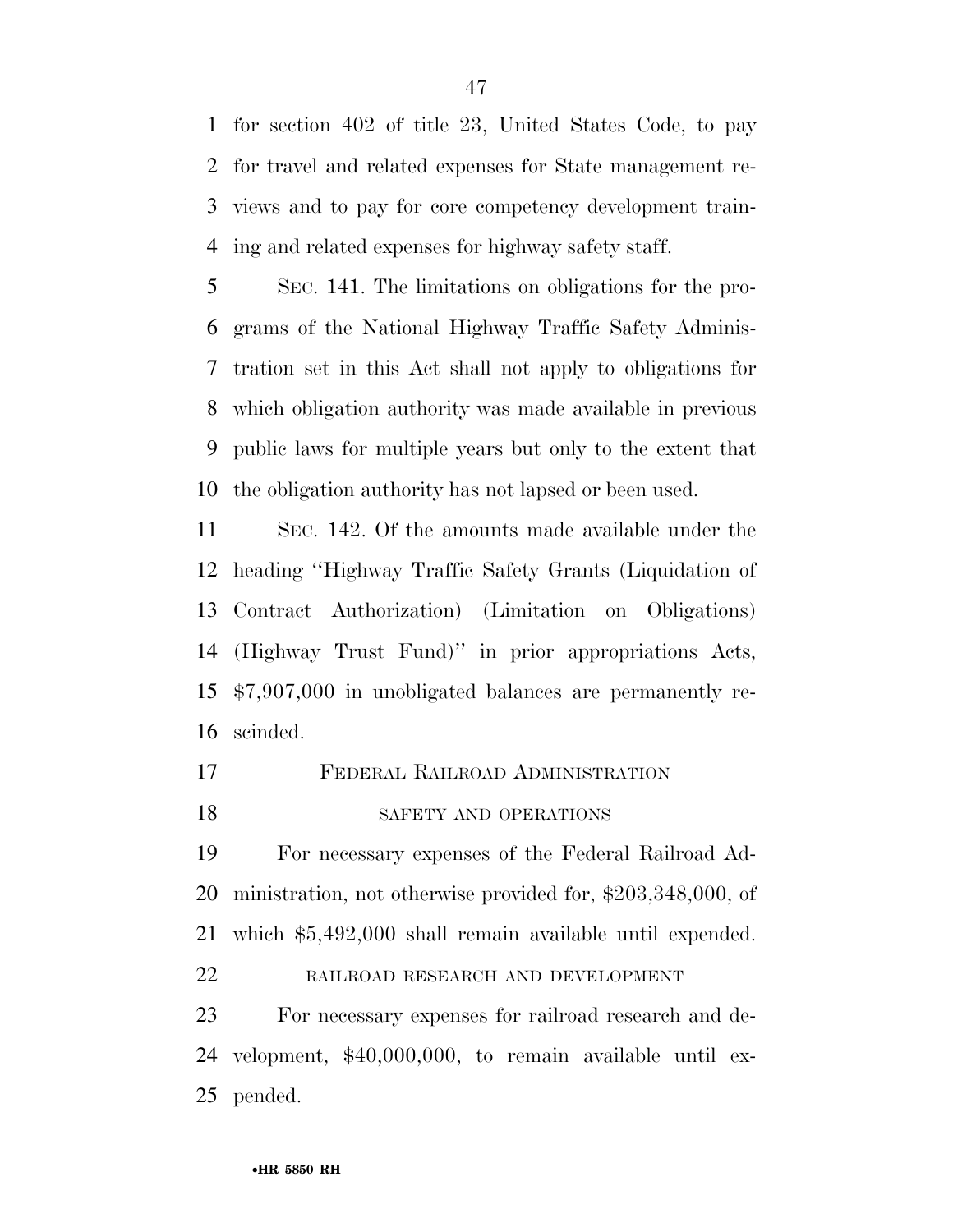for section 402 of title 23, United States Code, to pay for travel and related expenses for State management re- views and to pay for core competency development train-ing and related expenses for highway safety staff.

 SEC. 141. The limitations on obligations for the pro- grams of the National Highway Traffic Safety Adminis- tration set in this Act shall not apply to obligations for which obligation authority was made available in previous public laws for multiple years but only to the extent that the obligation authority has not lapsed or been used.

 SEC. 142. Of the amounts made available under the heading ''Highway Traffic Safety Grants (Liquidation of Contract Authorization) (Limitation on Obligations) (Highway Trust Fund)'' in prior appropriations Acts, \$7,907,000 in unobligated balances are permanently re-scinded.

- FEDERAL RAILROAD ADMINISTRATION
- 18 SAFETY AND OPERATIONS

 For necessary expenses of the Federal Railroad Ad- ministration, not otherwise provided for, \$203,348,000, of which \$5,492,000 shall remain available until expended.

RAILROAD RESEARCH AND DEVELOPMENT

 For necessary expenses for railroad research and de- velopment, \$40,000,000, to remain available until ex-pended.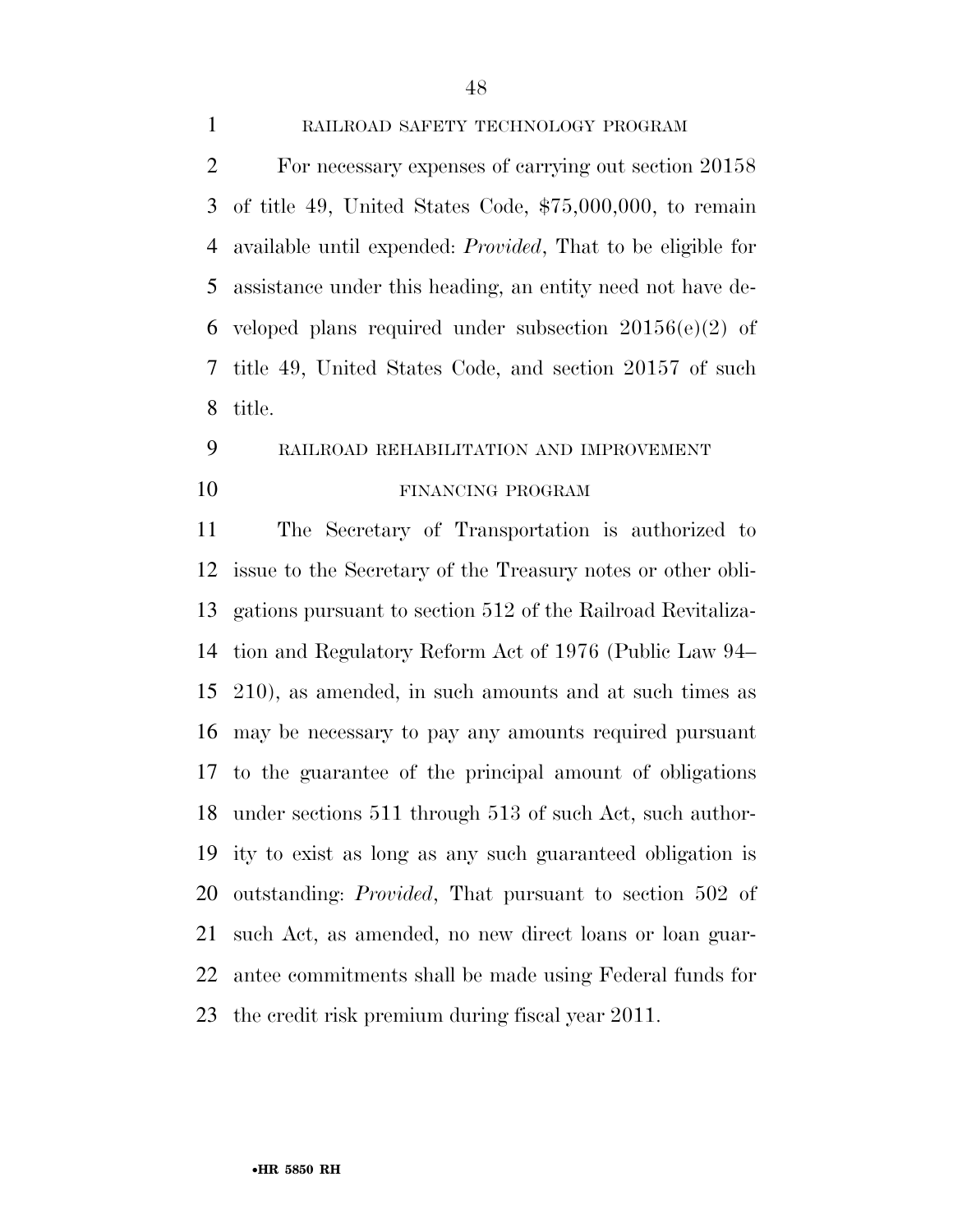### RAILROAD SAFETY TECHNOLOGY PROGRAM

 For necessary expenses of carrying out section 20158 of title 49, United States Code, \$75,000,000, to remain available until expended: *Provided*, That to be eligible for assistance under this heading, an entity need not have de-6 veloped plans required under subsection  $20156(e)(2)$  of title 49, United States Code, and section 20157 of such title.

# RAILROAD REHABILITATION AND IMPROVEMENT

### 10 FINANCING PROGRAM

 The Secretary of Transportation is authorized to issue to the Secretary of the Treasury notes or other obli- gations pursuant to section 512 of the Railroad Revitaliza- tion and Regulatory Reform Act of 1976 (Public Law 94– 210), as amended, in such amounts and at such times as may be necessary to pay any amounts required pursuant to the guarantee of the principal amount of obligations under sections 511 through 513 of such Act, such author- ity to exist as long as any such guaranteed obligation is outstanding: *Provided*, That pursuant to section 502 of such Act, as amended, no new direct loans or loan guar- antee commitments shall be made using Federal funds for the credit risk premium during fiscal year 2011.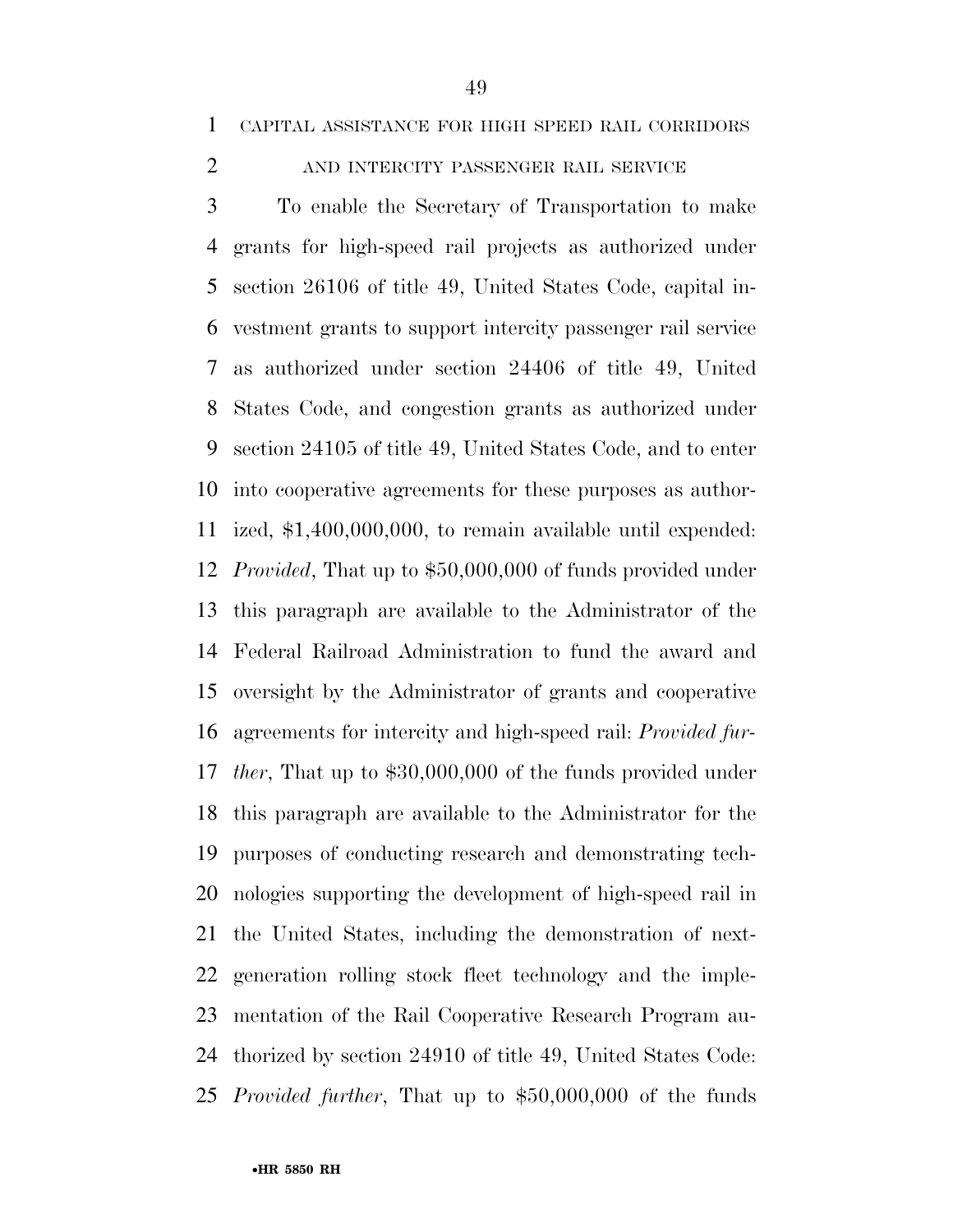### 2 AND INTERCITY PASSENGER RAIL SERVICE

 To enable the Secretary of Transportation to make grants for high-speed rail projects as authorized under section 26106 of title 49, United States Code, capital in- vestment grants to support intercity passenger rail service as authorized under section 24406 of title 49, United States Code, and congestion grants as authorized under section 24105 of title 49, United States Code, and to enter into cooperative agreements for these purposes as author- ized, \$1,400,000,000, to remain available until expended: *Provided*, That up to \$50,000,000 of funds provided under this paragraph are available to the Administrator of the Federal Railroad Administration to fund the award and oversight by the Administrator of grants and cooperative agreements for intercity and high-speed rail: *Provided fur- ther*, That up to \$30,000,000 of the funds provided under this paragraph are available to the Administrator for the purposes of conducting research and demonstrating tech- nologies supporting the development of high-speed rail in the United States, including the demonstration of next- generation rolling stock fleet technology and the imple- mentation of the Rail Cooperative Research Program au- thorized by section 24910 of title 49, United States Code: *Provided further*, That up to \$50,000,000 of the funds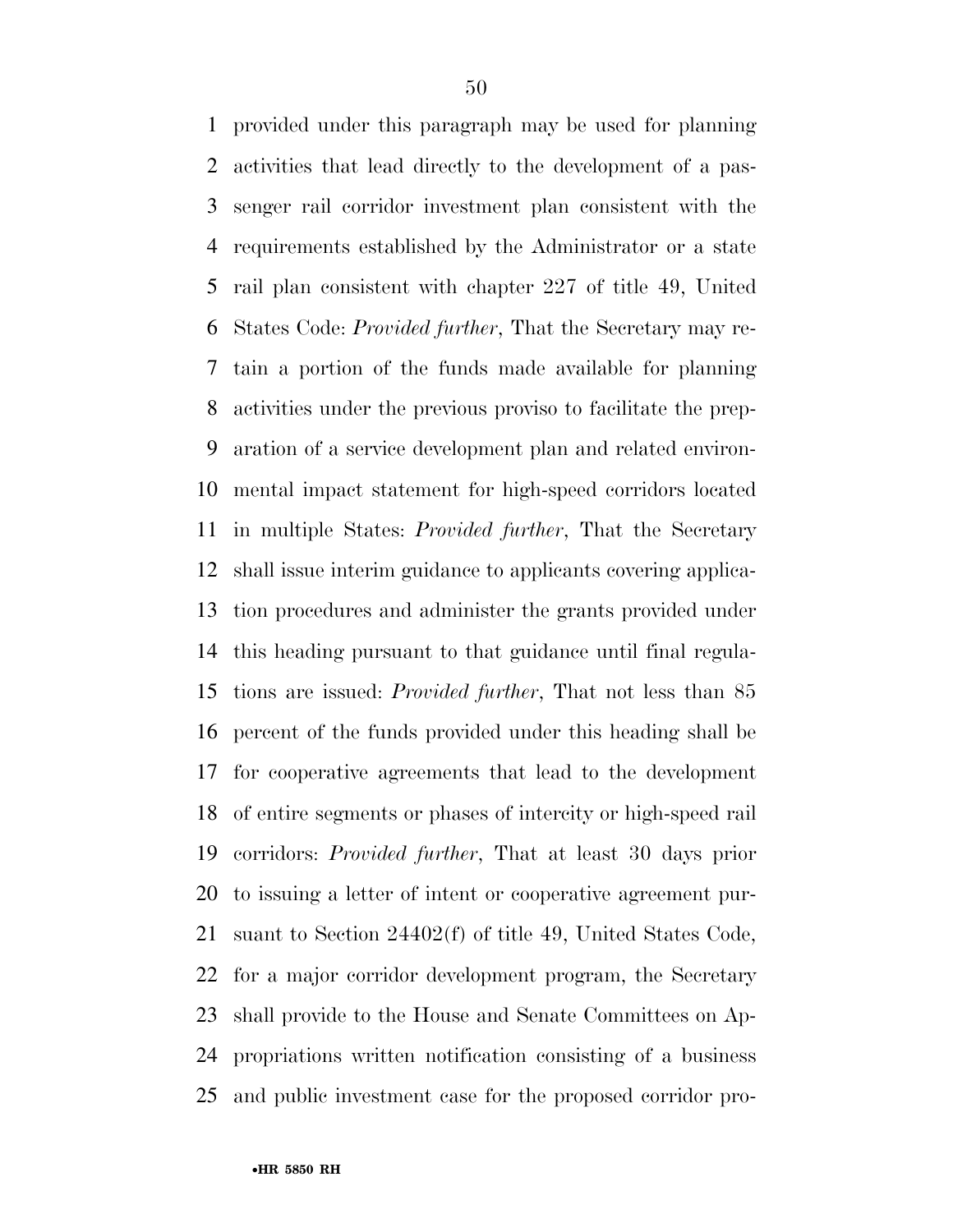provided under this paragraph may be used for planning activities that lead directly to the development of a pas- senger rail corridor investment plan consistent with the requirements established by the Administrator or a state rail plan consistent with chapter 227 of title 49, United States Code: *Provided further*, That the Secretary may re- tain a portion of the funds made available for planning activities under the previous proviso to facilitate the prep- aration of a service development plan and related environ- mental impact statement for high-speed corridors located in multiple States: *Provided further*, That the Secretary shall issue interim guidance to applicants covering applica- tion procedures and administer the grants provided under this heading pursuant to that guidance until final regula- tions are issued: *Provided further*, That not less than 85 percent of the funds provided under this heading shall be for cooperative agreements that lead to the development of entire segments or phases of intercity or high-speed rail corridors: *Provided further*, That at least 30 days prior to issuing a letter of intent or cooperative agreement pur- suant to Section 24402(f) of title 49, United States Code, for a major corridor development program, the Secretary shall provide to the House and Senate Committees on Ap- propriations written notification consisting of a business and public investment case for the proposed corridor pro-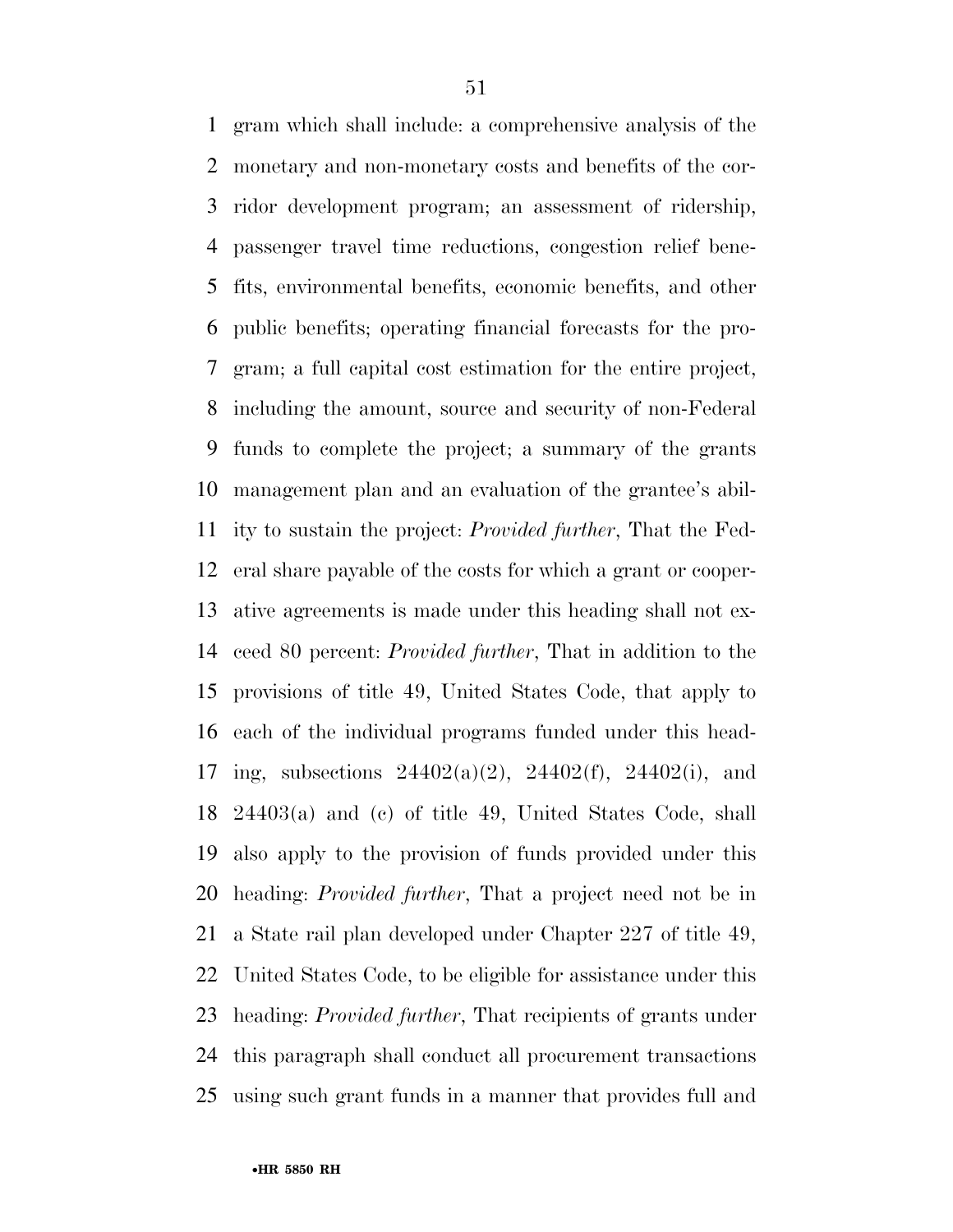gram which shall include: a comprehensive analysis of the monetary and non-monetary costs and benefits of the cor- ridor development program; an assessment of ridership, passenger travel time reductions, congestion relief bene- fits, environmental benefits, economic benefits, and other public benefits; operating financial forecasts for the pro- gram; a full capital cost estimation for the entire project, including the amount, source and security of non-Federal funds to complete the project; a summary of the grants management plan and an evaluation of the grantee's abil- ity to sustain the project: *Provided further*, That the Fed- eral share payable of the costs for which a grant or cooper- ative agreements is made under this heading shall not ex- ceed 80 percent: *Provided further*, That in addition to the provisions of title 49, United States Code, that apply to each of the individual programs funded under this head- ing, subsections 24402(a)(2), 24402(f), 24402(i), and 24403(a) and (c) of title 49, United States Code, shall also apply to the provision of funds provided under this heading: *Provided further*, That a project need not be in a State rail plan developed under Chapter 227 of title 49, United States Code, to be eligible for assistance under this heading: *Provided further*, That recipients of grants under this paragraph shall conduct all procurement transactions using such grant funds in a manner that provides full and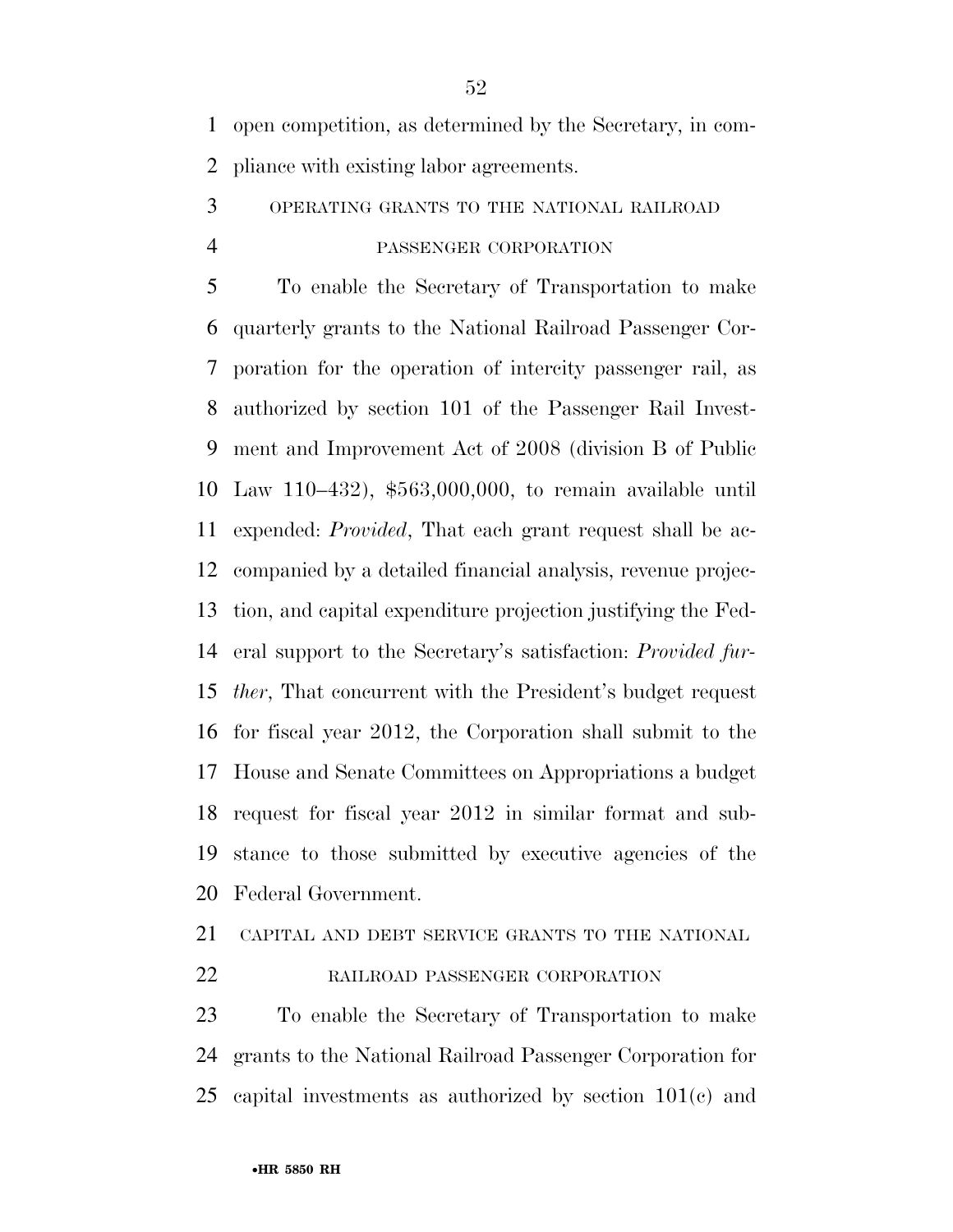open competition, as determined by the Secretary, in com-pliance with existing labor agreements.

# OPERATING GRANTS TO THE NATIONAL RAILROAD PASSENGER CORPORATION

 To enable the Secretary of Transportation to make quarterly grants to the National Railroad Passenger Cor- poration for the operation of intercity passenger rail, as authorized by section 101 of the Passenger Rail Invest- ment and Improvement Act of 2008 (division B of Public Law 110–432), \$563,000,000, to remain available until expended: *Provided*, That each grant request shall be ac- companied by a detailed financial analysis, revenue projec- tion, and capital expenditure projection justifying the Fed- eral support to the Secretary's satisfaction: *Provided fur- ther*, That concurrent with the President's budget request for fiscal year 2012, the Corporation shall submit to the House and Senate Committees on Appropriations a budget request for fiscal year 2012 in similar format and sub- stance to those submitted by executive agencies of the Federal Government.

### CAPITAL AND DEBT SERVICE GRANTS TO THE NATIONAL

### 22 RAILROAD PASSENGER CORPORATION

 To enable the Secretary of Transportation to make grants to the National Railroad Passenger Corporation for capital investments as authorized by section 101(c) and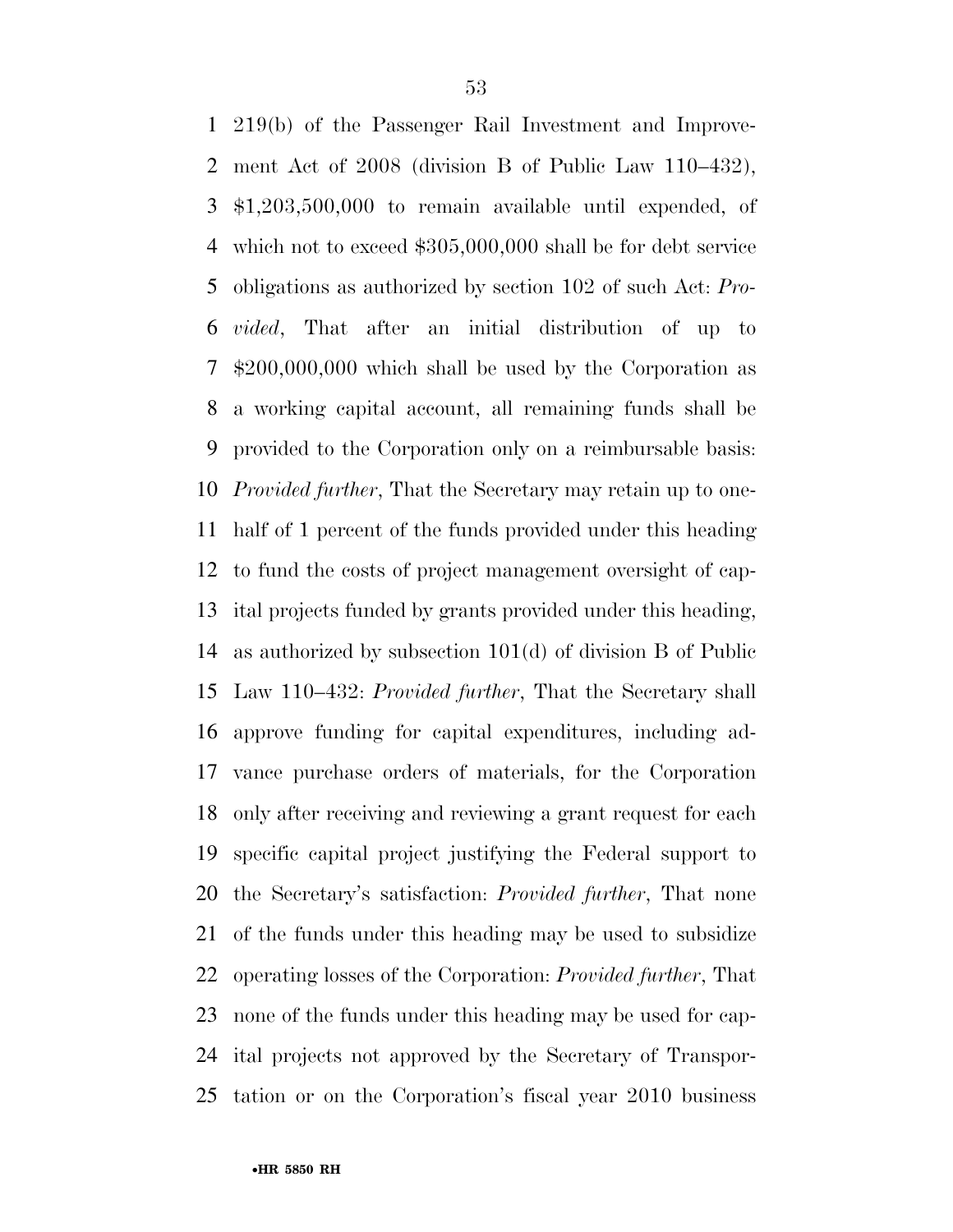219(b) of the Passenger Rail Investment and Improve- ment Act of 2008 (division B of Public Law 110–432), \$1,203,500,000 to remain available until expended, of which not to exceed \$305,000,000 shall be for debt service obligations as authorized by section 102 of such Act: *Pro- vided*, That after an initial distribution of up to \$200,000,000 which shall be used by the Corporation as a working capital account, all remaining funds shall be provided to the Corporation only on a reimbursable basis: *Provided further*, That the Secretary may retain up to one- half of 1 percent of the funds provided under this heading to fund the costs of project management oversight of cap- ital projects funded by grants provided under this heading, as authorized by subsection 101(d) of division B of Public Law 110–432: *Provided further*, That the Secretary shall approve funding for capital expenditures, including ad- vance purchase orders of materials, for the Corporation only after receiving and reviewing a grant request for each specific capital project justifying the Federal support to the Secretary's satisfaction: *Provided further*, That none of the funds under this heading may be used to subsidize operating losses of the Corporation: *Provided further*, That none of the funds under this heading may be used for cap- ital projects not approved by the Secretary of Transpor-tation or on the Corporation's fiscal year 2010 business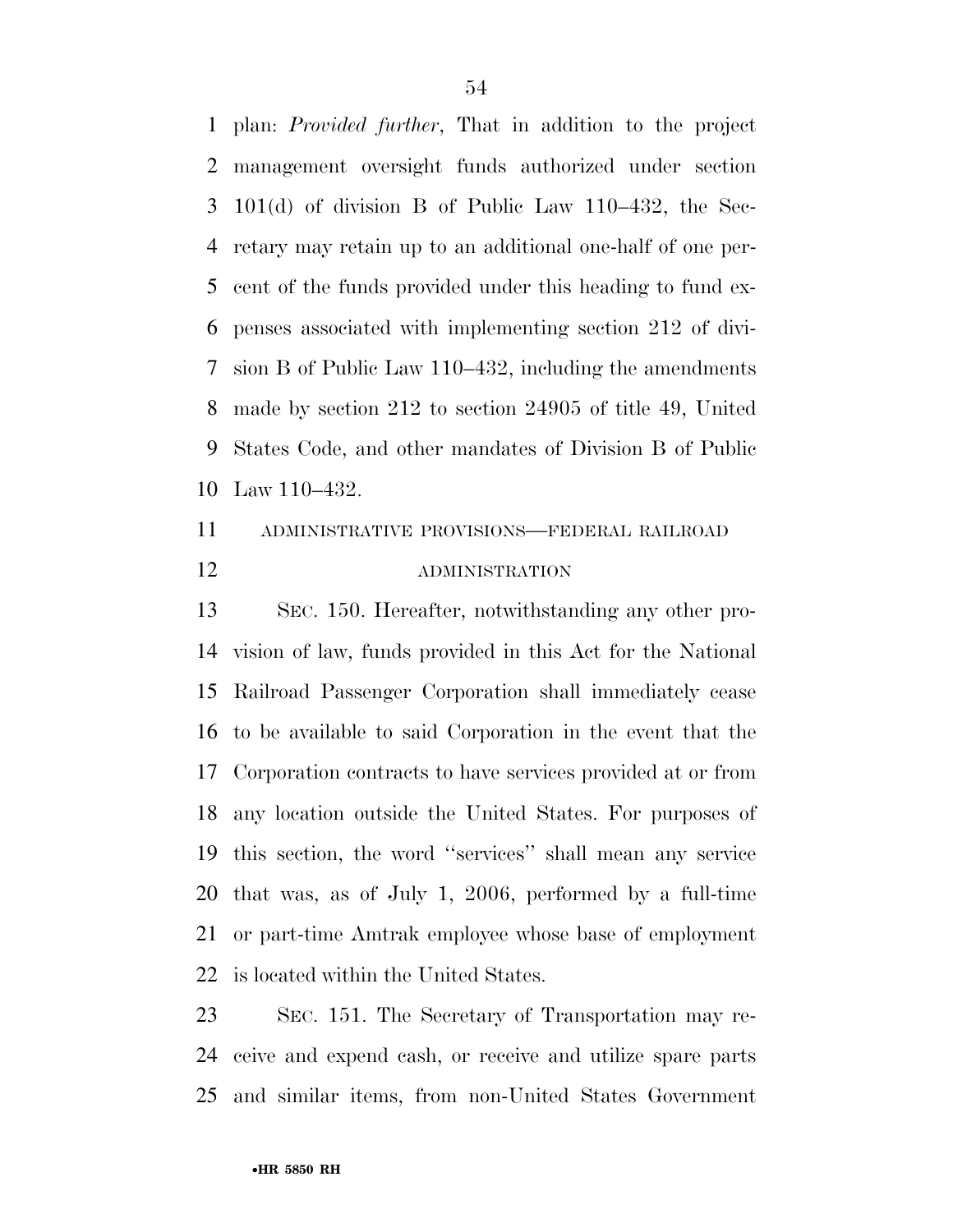plan: *Provided further*, That in addition to the project management oversight funds authorized under section 101(d) of division B of Public Law 110–432, the Sec- retary may retain up to an additional one-half of one per- cent of the funds provided under this heading to fund ex- penses associated with implementing section 212 of divi- sion B of Public Law 110–432, including the amendments made by section 212 to section 24905 of title 49, United States Code, and other mandates of Division B of Public Law 110–432.

# ADMINISTRATIVE PROVISIONS—FEDERAL RAILROAD ADMINISTRATION

 SEC. 150. Hereafter, notwithstanding any other pro- vision of law, funds provided in this Act for the National Railroad Passenger Corporation shall immediately cease to be available to said Corporation in the event that the Corporation contracts to have services provided at or from any location outside the United States. For purposes of this section, the word ''services'' shall mean any service that was, as of July 1, 2006, performed by a full-time or part-time Amtrak employee whose base of employment is located within the United States.

 SEC. 151. The Secretary of Transportation may re- ceive and expend cash, or receive and utilize spare parts and similar items, from non-United States Government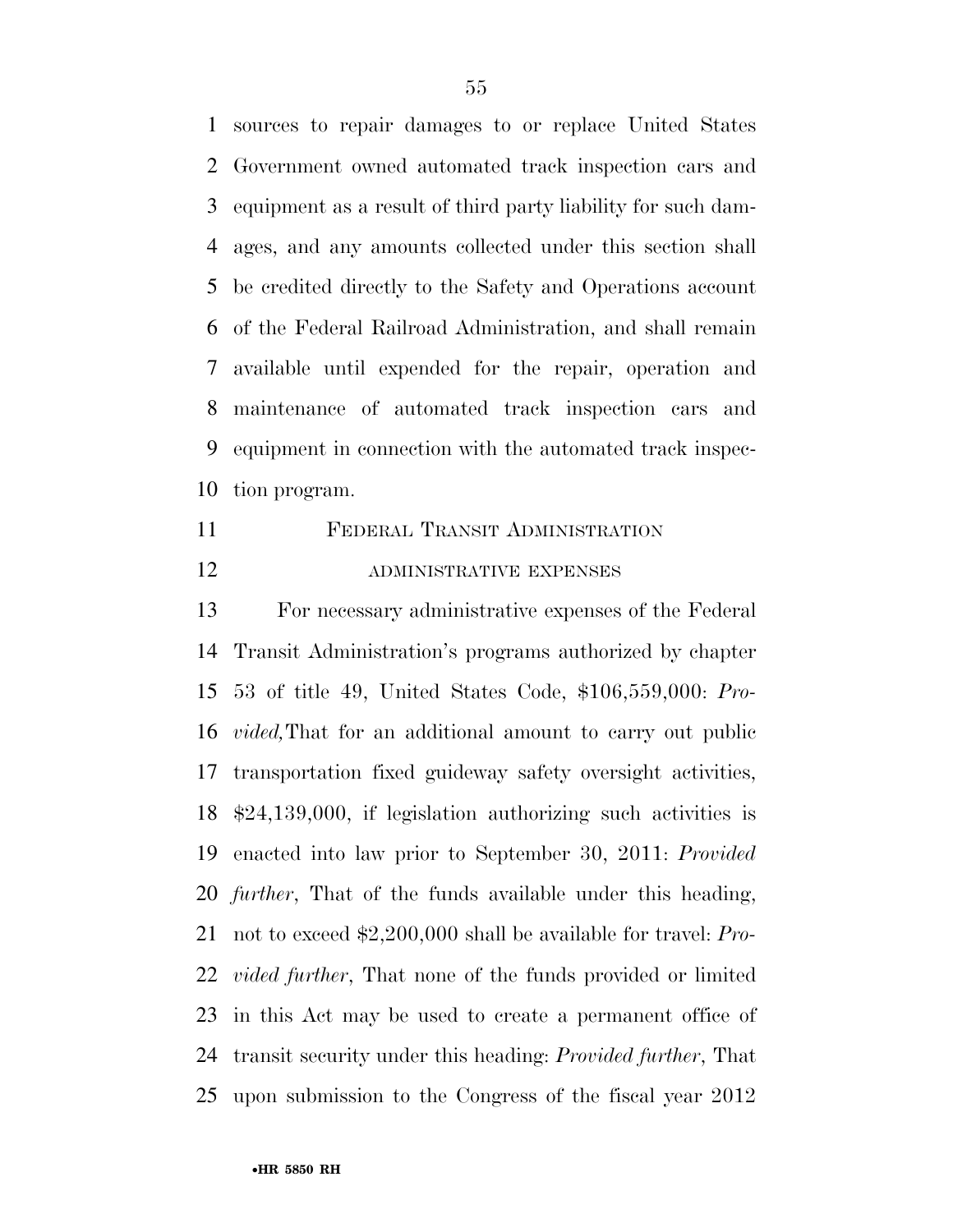sources to repair damages to or replace United States Government owned automated track inspection cars and equipment as a result of third party liability for such dam- ages, and any amounts collected under this section shall be credited directly to the Safety and Operations account of the Federal Railroad Administration, and shall remain available until expended for the repair, operation and maintenance of automated track inspection cars and equipment in connection with the automated track inspec-tion program.

 FEDERAL TRANSIT ADMINISTRATION 12 ADMINISTRATIVE EXPENSES

 For necessary administrative expenses of the Federal Transit Administration's programs authorized by chapter 53 of title 49, United States Code, \$106,559,000: *Pro- vided,*That for an additional amount to carry out public transportation fixed guideway safety oversight activities, \$24,139,000, if legislation authorizing such activities is enacted into law prior to September 30, 2011: *Provided further*, That of the funds available under this heading, not to exceed \$2,200,000 shall be available for travel: *Pro- vided further*, That none of the funds provided or limited in this Act may be used to create a permanent office of transit security under this heading: *Provided further*, That upon submission to the Congress of the fiscal year 2012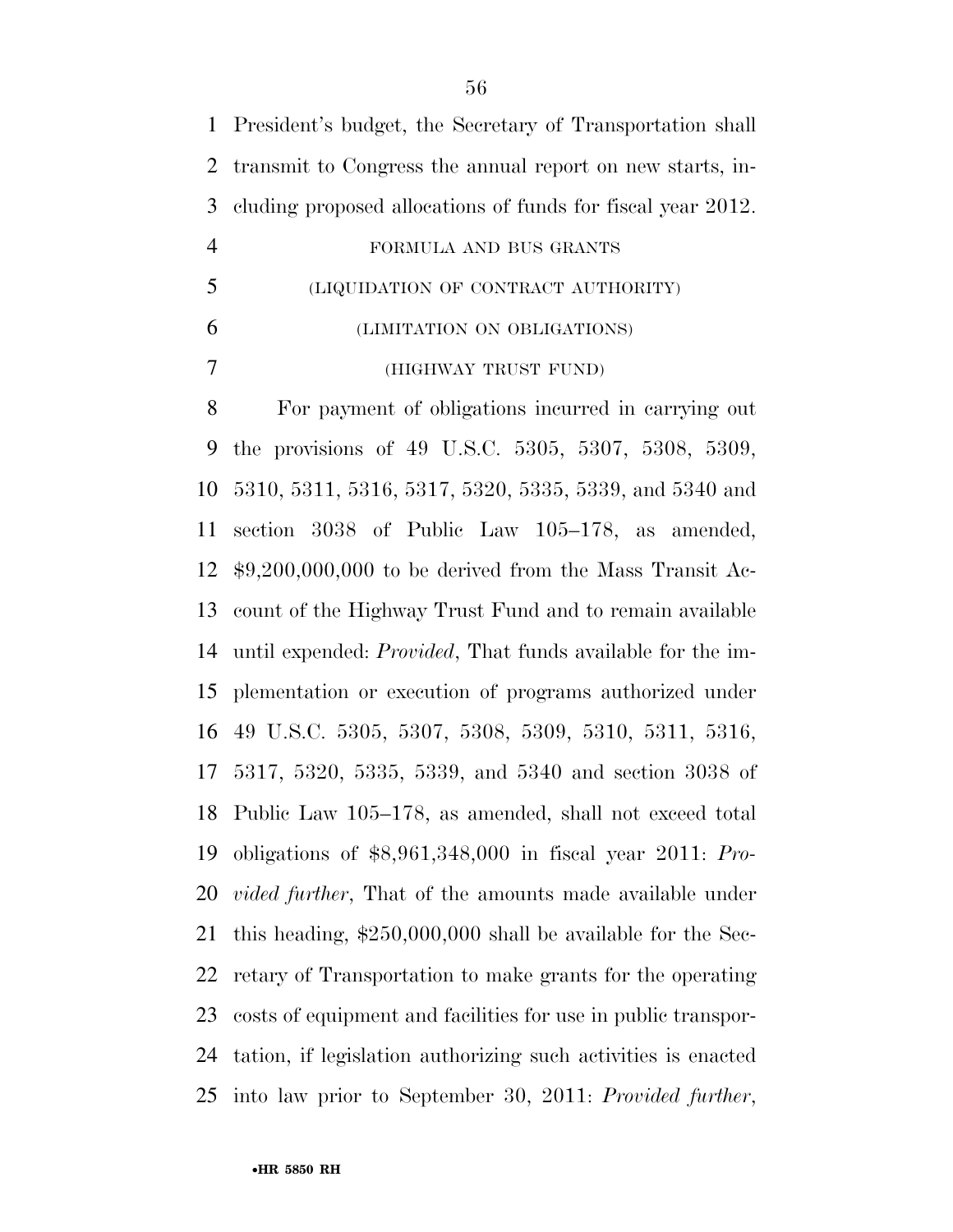| $\mathbf{1}$   | President's budget, the Secretary of Transportation shall          |
|----------------|--------------------------------------------------------------------|
| $\overline{2}$ | transmit to Congress the annual report on new starts, in-          |
| 3              | cluding proposed allocations of funds for fiscal year 2012.        |
| $\overline{4}$ | FORMULA AND BUS GRANTS                                             |
| 5              | (LIQUIDATION OF CONTRACT AUTHORITY)                                |
| 6              | (LIMITATION ON OBLIGATIONS)                                        |
| 7              | (HIGHWAY TRUST FUND)                                               |
| 8              | For payment of obligations incurred in carrying out                |
| 9              | the provisions of 49 U.S.C. 5305, 5307, 5308, 5309,                |
| 10             | 5310, 5311, 5316, 5317, 5320, 5335, 5339, and 5340 and             |
| 11             | section 3038 of Public Law 105-178, as amended,                    |
| 12             | $$9,200,000,000$ to be derived from the Mass Transit Ac-           |
| 13             | count of the Highway Trust Fund and to remain available            |
| 14             | until expended: <i>Provided</i> , That funds available for the im- |
| 15             | plementation or execution of programs authorized under             |
| 16             | 49 U.S.C. 5305, 5307, 5308, 5309, 5310, 5311, 5316,                |
| 17             | 5317, 5320, 5335, 5339, and 5340 and section 3038 of               |
|                | 18 Public Law 105–178, as amended, shall not exceed total          |
| 19             | obligations of $$8,961,348,000$ in fiscal year 2011: Pro-          |
| 20             | <i>vided further</i> , That of the amounts made available under    |
| 21             | this heading, $$250,000,000$ shall be available for the Sec-       |
| 22             | retary of Transportation to make grants for the operating          |
| 23             | costs of equipment and facilities for use in public transpor-      |
| 24             | tation, if legislation authorizing such activities is enacted      |
|                | 25 into law prior to September 30, 2011: Provided further,         |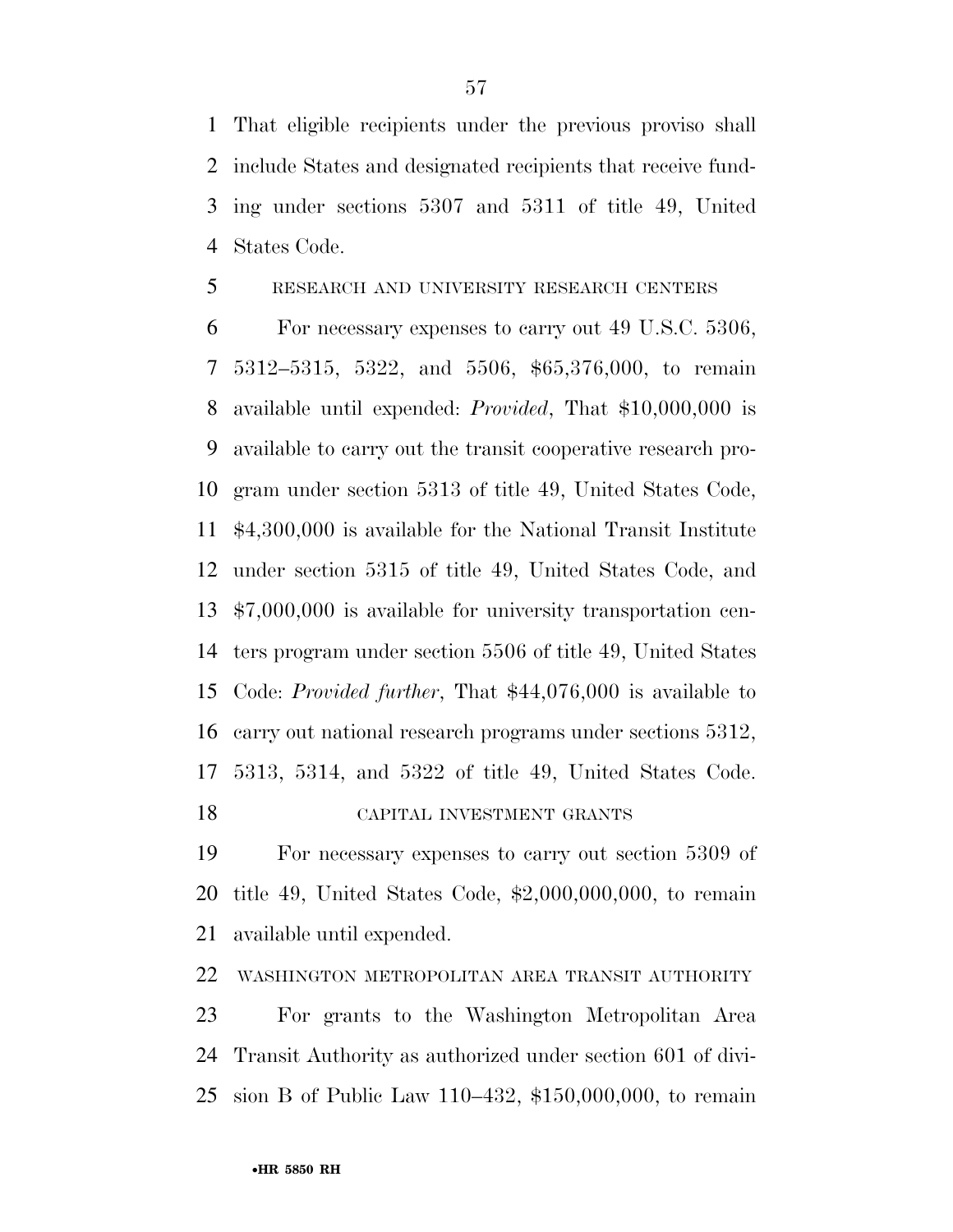That eligible recipients under the previous proviso shall include States and designated recipients that receive fund- ing under sections 5307 and 5311 of title 49, United States Code.

### RESEARCH AND UNIVERSITY RESEARCH CENTERS

 For necessary expenses to carry out 49 U.S.C. 5306, 5312–5315, 5322, and 5506, \$65,376,000, to remain available until expended: *Provided*, That \$10,000,000 is available to carry out the transit cooperative research pro- gram under section 5313 of title 49, United States Code, \$4,300,000 is available for the National Transit Institute under section 5315 of title 49, United States Code, and \$7,000,000 is available for university transportation cen- ters program under section 5506 of title 49, United States Code: *Provided further*, That \$44,076,000 is available to carry out national research programs under sections 5312, 5313, 5314, and 5322 of title 49, United States Code. CAPITAL INVESTMENT GRANTS

 For necessary expenses to carry out section 5309 of title 49, United States Code, \$2,000,000,000, to remain available until expended.

WASHINGTON METROPOLITAN AREA TRANSIT AUTHORITY

 For grants to the Washington Metropolitan Area Transit Authority as authorized under section 601 of divi-sion B of Public Law 110–432, \$150,000,000, to remain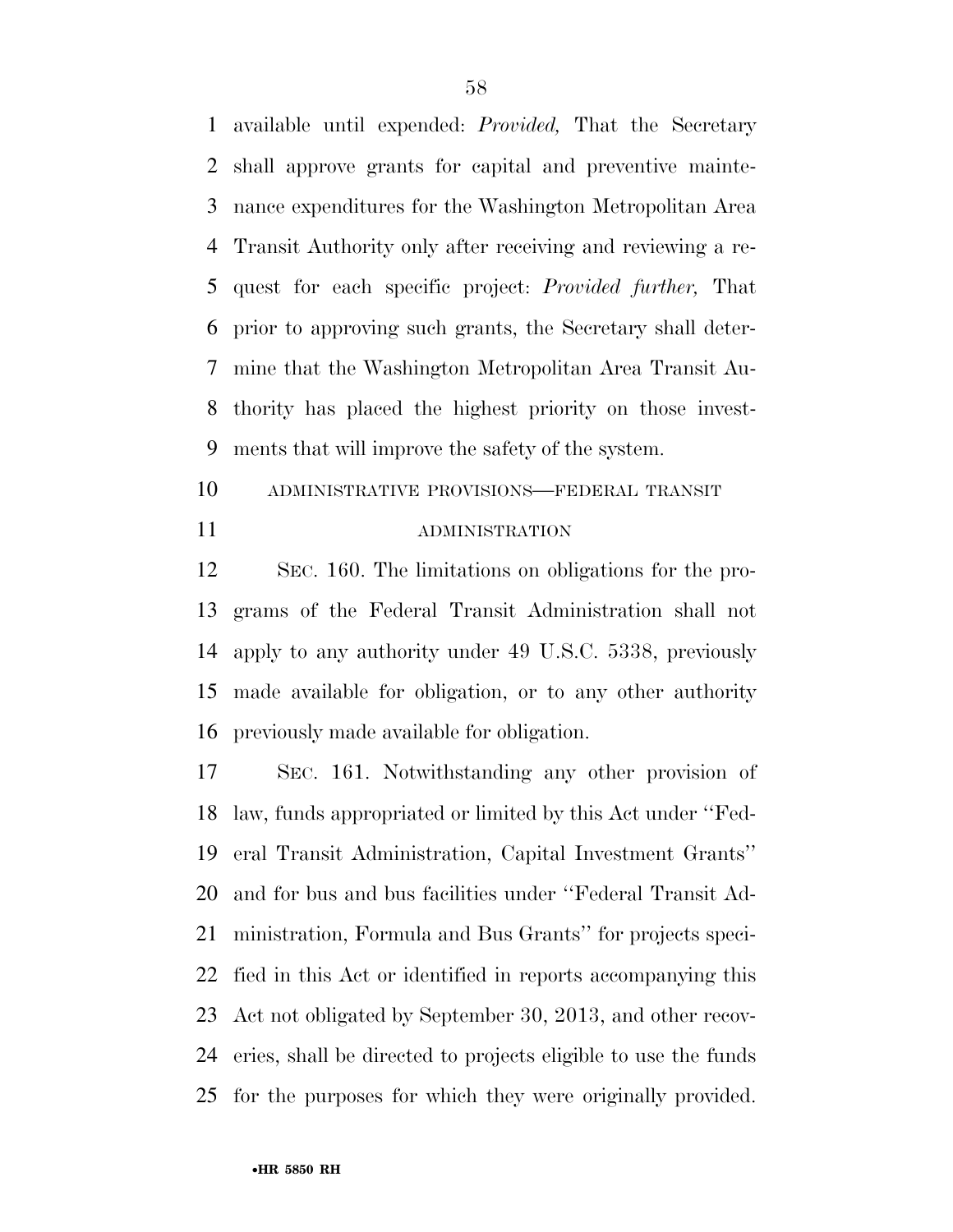available until expended: *Provided,* That the Secretary shall approve grants for capital and preventive mainte- nance expenditures for the Washington Metropolitan Area Transit Authority only after receiving and reviewing a re- quest for each specific project: *Provided further,* That prior to approving such grants, the Secretary shall deter- mine that the Washington Metropolitan Area Transit Au- thority has placed the highest priority on those invest-ments that will improve the safety of the system.

 ADMINISTRATIVE PROVISIONS—FEDERAL TRANSIT ADMINISTRATION

 SEC. 160. The limitations on obligations for the pro- grams of the Federal Transit Administration shall not apply to any authority under 49 U.S.C. 5338, previously made available for obligation, or to any other authority previously made available for obligation.

 SEC. 161. Notwithstanding any other provision of law, funds appropriated or limited by this Act under ''Fed- eral Transit Administration, Capital Investment Grants'' and for bus and bus facilities under ''Federal Transit Ad- ministration, Formula and Bus Grants'' for projects speci- fied in this Act or identified in reports accompanying this Act not obligated by September 30, 2013, and other recov- eries, shall be directed to projects eligible to use the funds for the purposes for which they were originally provided.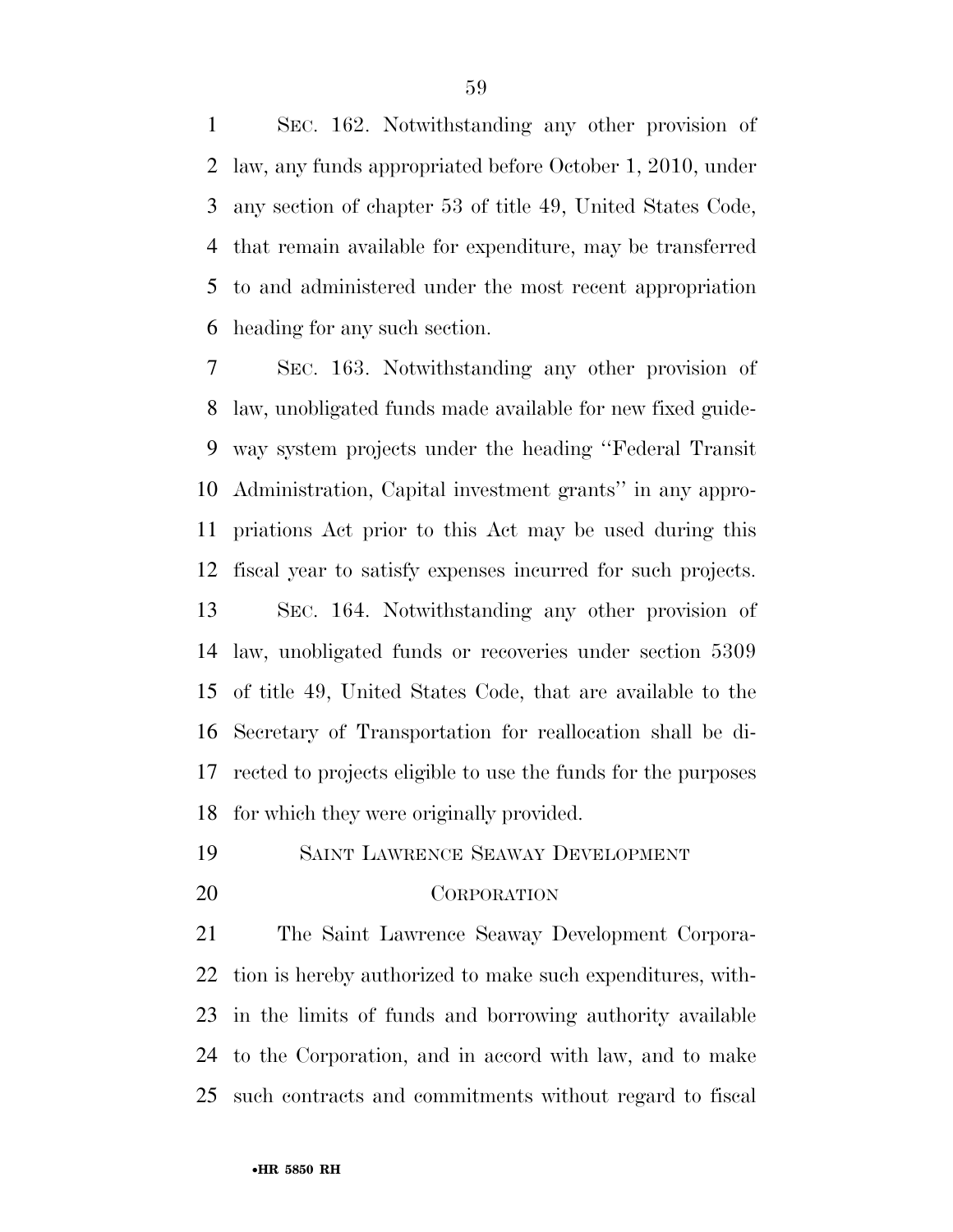SEC. 162. Notwithstanding any other provision of law, any funds appropriated before October 1, 2010, under any section of chapter 53 of title 49, United States Code, that remain available for expenditure, may be transferred to and administered under the most recent appropriation heading for any such section.

 SEC. 163. Notwithstanding any other provision of law, unobligated funds made available for new fixed guide- way system projects under the heading ''Federal Transit Administration, Capital investment grants'' in any appro- priations Act prior to this Act may be used during this fiscal year to satisfy expenses incurred for such projects. SEC. 164. Notwithstanding any other provision of law, unobligated funds or recoveries under section 5309 of title 49, United States Code, that are available to the Secretary of Transportation for reallocation shall be di- rected to projects eligible to use the funds for the purposes for which they were originally provided.

SAINT LAWRENCE SEAWAY DEVELOPMENT

### CORPORATION

 The Saint Lawrence Seaway Development Corpora- tion is hereby authorized to make such expenditures, with- in the limits of funds and borrowing authority available to the Corporation, and in accord with law, and to make such contracts and commitments without regard to fiscal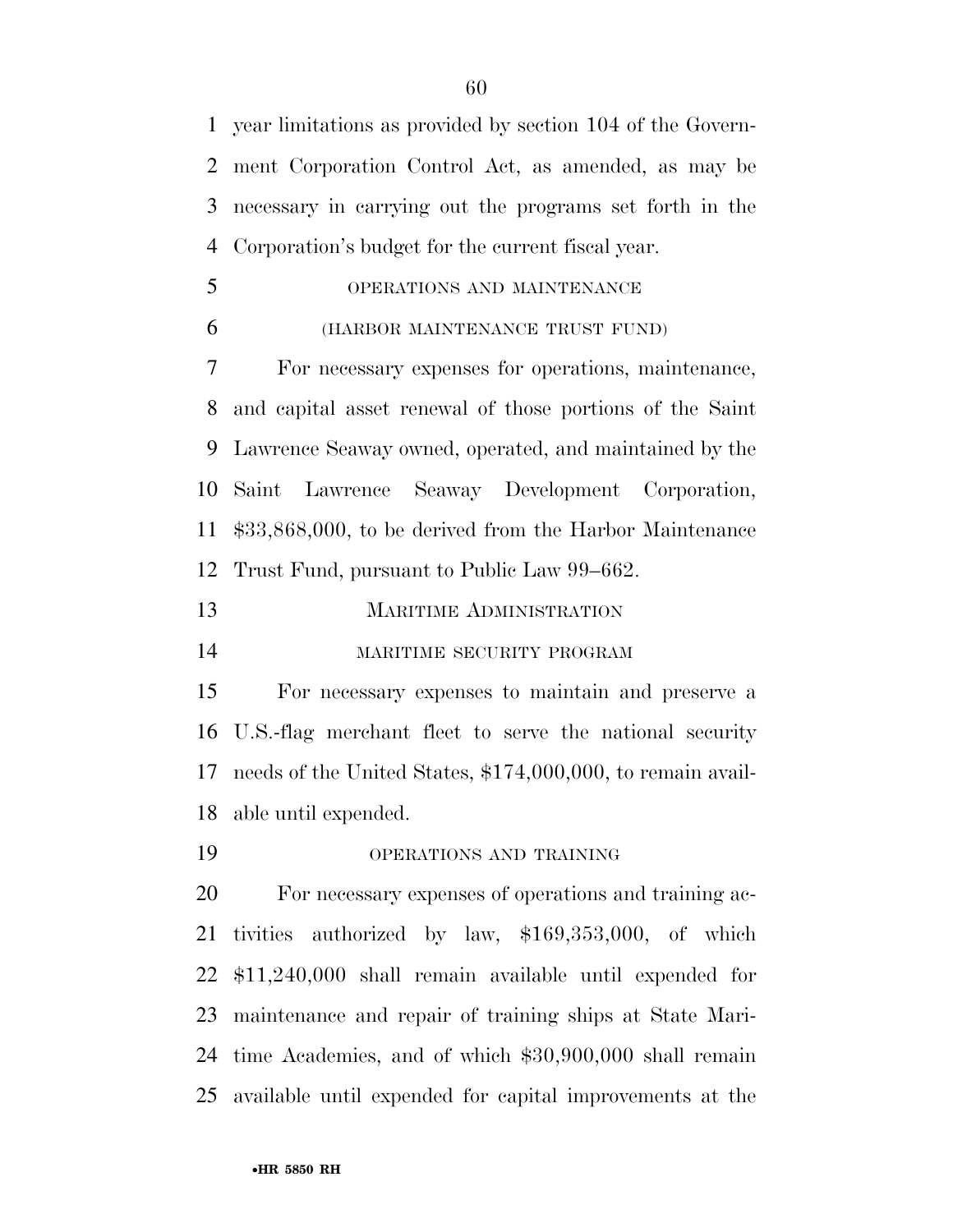year limitations as provided by section 104 of the Govern- ment Corporation Control Act, as amended, as may be necessary in carrying out the programs set forth in the Corporation's budget for the current fiscal year.

- OPERATIONS AND MAINTENANCE
- (HARBOR MAINTENANCE TRUST FUND)

 For necessary expenses for operations, maintenance, and capital asset renewal of those portions of the Saint Lawrence Seaway owned, operated, and maintained by the Saint Lawrence Seaway Development Corporation, \$33,868,000, to be derived from the Harbor Maintenance Trust Fund, pursuant to Public Law 99–662.

- MARITIME ADMINISTRATION
- MARITIME SECURITY PROGRAM

 For necessary expenses to maintain and preserve a U.S.-flag merchant fleet to serve the national security needs of the United States, \$174,000,000, to remain avail-able until expended.

OPERATIONS AND TRAINING

 For necessary expenses of operations and training ac- tivities authorized by law, \$169,353,000, of which \$11,240,000 shall remain available until expended for maintenance and repair of training ships at State Mari- time Academies, and of which \$30,900,000 shall remain available until expended for capital improvements at the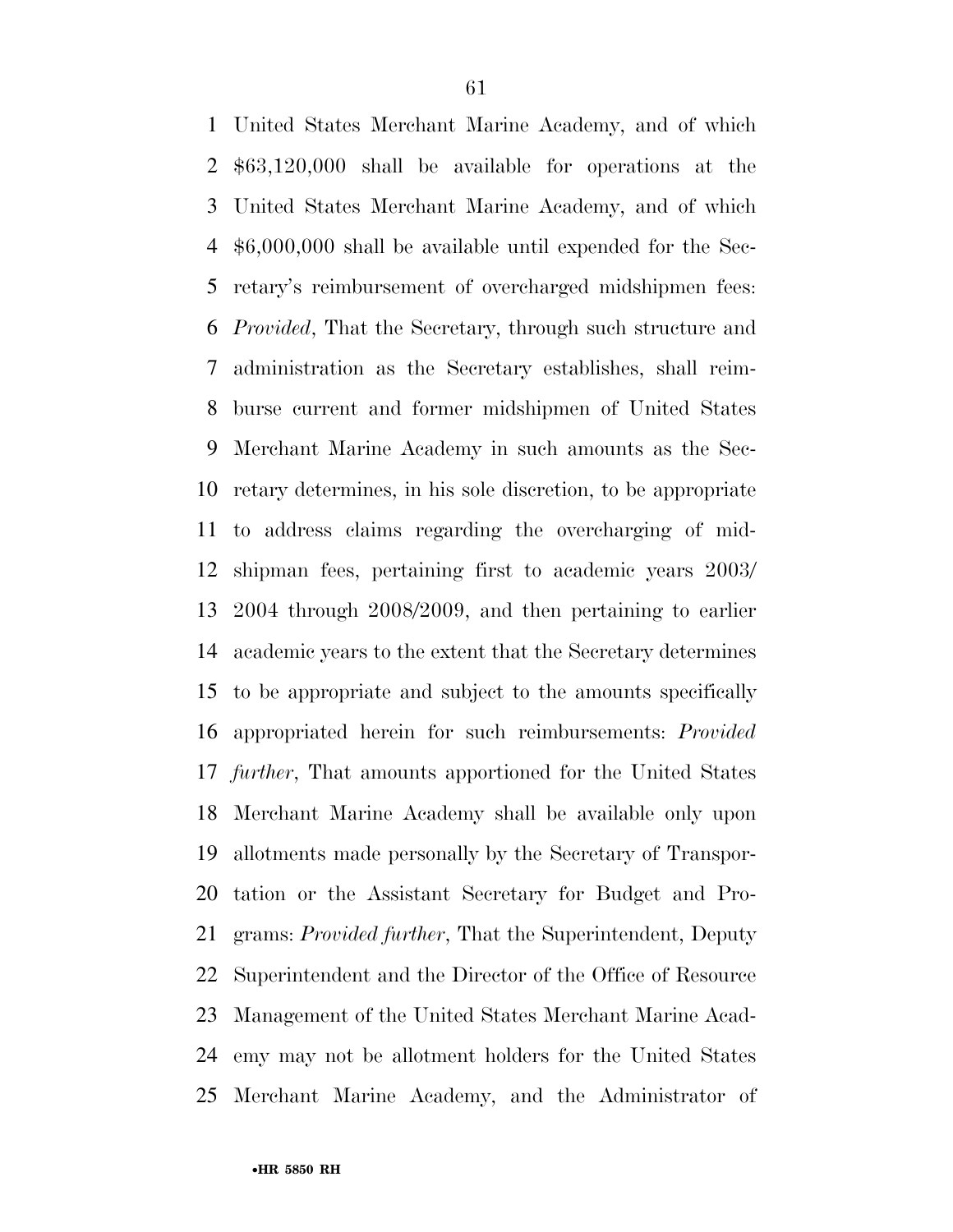United States Merchant Marine Academy, and of which \$63,120,000 shall be available for operations at the United States Merchant Marine Academy, and of which \$6,000,000 shall be available until expended for the Sec- retary's reimbursement of overcharged midshipmen fees: *Provided*, That the Secretary, through such structure and administration as the Secretary establishes, shall reim- burse current and former midshipmen of United States Merchant Marine Academy in such amounts as the Sec- retary determines, in his sole discretion, to be appropriate to address claims regarding the overcharging of mid- shipman fees, pertaining first to academic years 2003/ 2004 through 2008/2009, and then pertaining to earlier academic years to the extent that the Secretary determines to be appropriate and subject to the amounts specifically appropriated herein for such reimbursements: *Provided further*, That amounts apportioned for the United States Merchant Marine Academy shall be available only upon allotments made personally by the Secretary of Transpor- tation or the Assistant Secretary for Budget and Pro- grams: *Provided further*, That the Superintendent, Deputy Superintendent and the Director of the Office of Resource Management of the United States Merchant Marine Acad- emy may not be allotment holders for the United States Merchant Marine Academy, and the Administrator of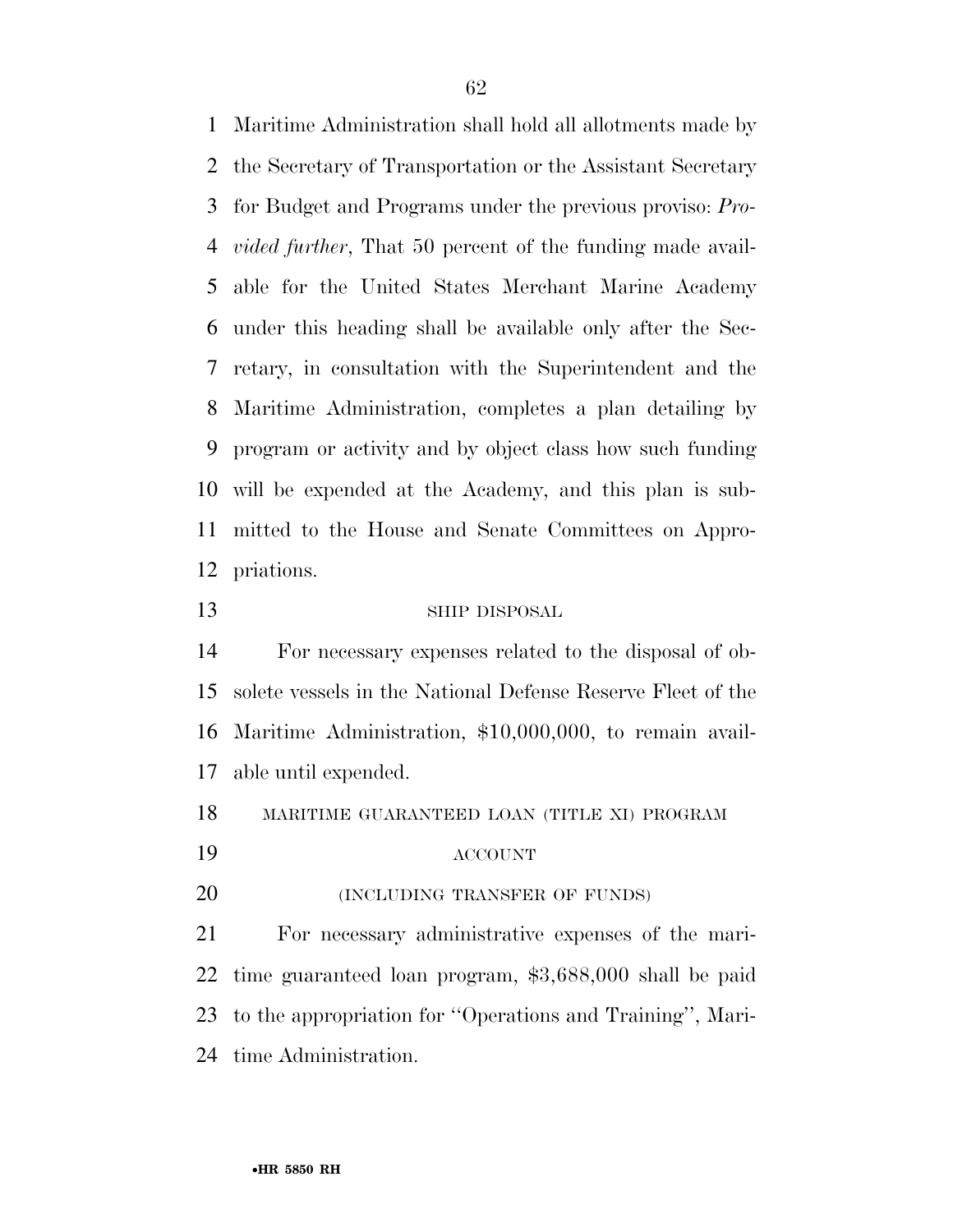Maritime Administration shall hold all allotments made by the Secretary of Transportation or the Assistant Secretary for Budget and Programs under the previous proviso: *Pro- vided further*, That 50 percent of the funding made avail- able for the United States Merchant Marine Academy under this heading shall be available only after the Sec- retary, in consultation with the Superintendent and the Maritime Administration, completes a plan detailing by program or activity and by object class how such funding will be expended at the Academy, and this plan is sub- mitted to the House and Senate Committees on Appro-priations.

### SHIP DISPOSAL

 For necessary expenses related to the disposal of ob- solete vessels in the National Defense Reserve Fleet of the Maritime Administration, \$10,000,000, to remain avail-able until expended.

MARITIME GUARANTEED LOAN (TITLE XI) PROGRAM

ACCOUNT

**(INCLUDING TRANSFER OF FUNDS)** 

 For necessary administrative expenses of the mari- time guaranteed loan program, \$3,688,000 shall be paid to the appropriation for ''Operations and Training'', Mari-time Administration.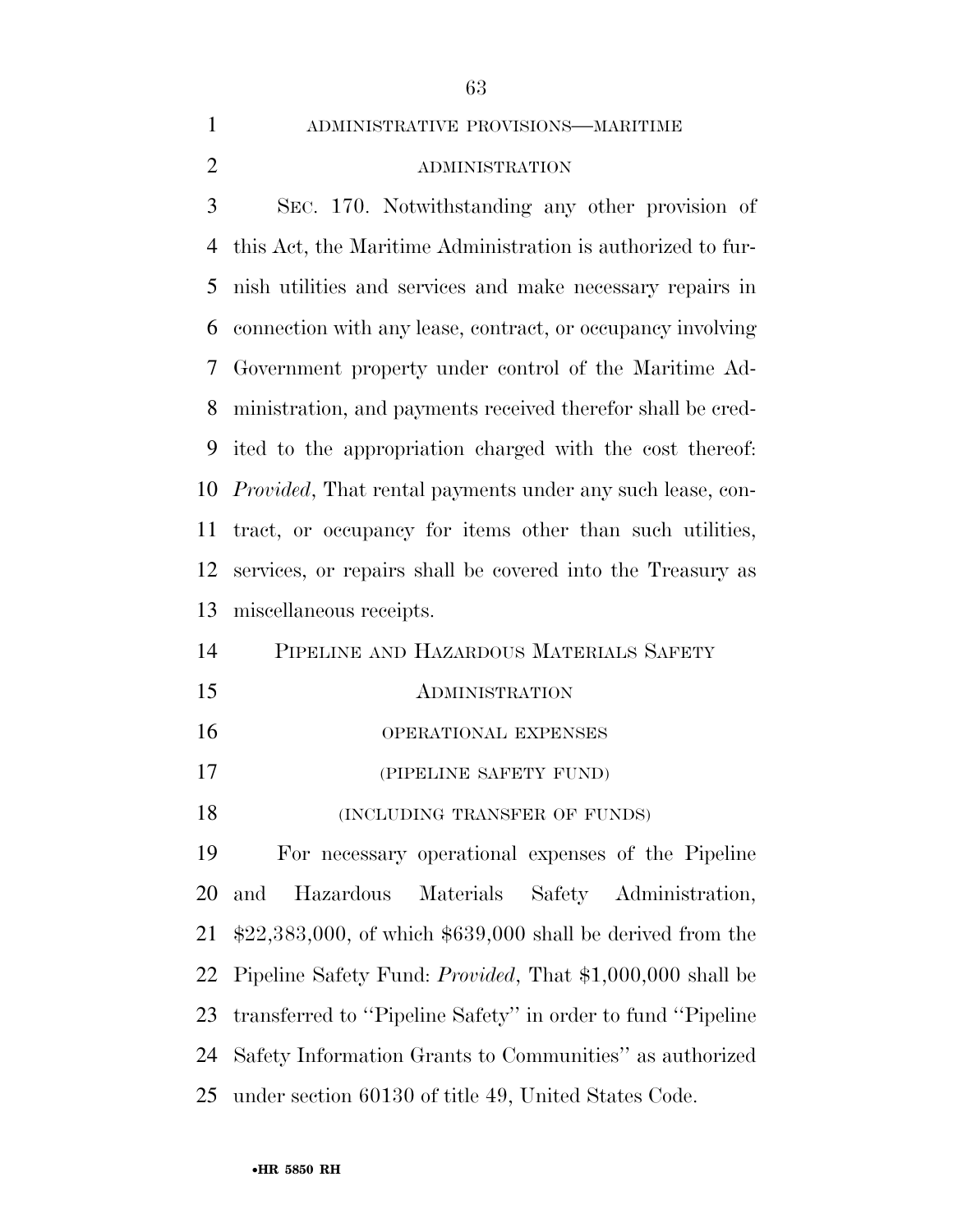| $\mathbf{1}$   | ADMINISTRATIVE PROVISIONS-MARITIME                                |
|----------------|-------------------------------------------------------------------|
| $\overline{2}$ | <b>ADMINISTRATION</b>                                             |
| 3              | SEC. 170. Notwithstanding any other provision of                  |
| 4              | this Act, the Maritime Administration is authorized to fur-       |
| 5              | nish utilities and services and make necessary repairs in         |
| 6              | connection with any lease, contract, or occupancy involving       |
| 7              | Government property under control of the Maritime Ad-             |
| 8              | ministration, and payments received therefor shall be cred-       |
| 9              | ited to the appropriation charged with the cost thereof:          |
| 10             | <i>Provided</i> , That rental payments under any such lease, con- |
| 11             | tract, or occupancy for items other than such utilities,          |
| 12             | services, or repairs shall be covered into the Treasury as        |
| 13             | miscellaneous receipts.                                           |
| 14             | PIPELINE AND HAZARDOUS MATERIALS SAFETY                           |
| 15             | <b>ADMINISTRATION</b>                                             |
| 16             | OPERATIONAL EXPENSES                                              |
| 17             | (PIPELINE SAFETY FUND)                                            |
| 18             | (INCLUDING TRANSFER OF FUNDS)                                     |
| 19             | For necessary operational expenses of the Pipeline                |
| 20             | Materials<br>and<br>Hazardous<br>Safety<br>Administration,        |
| 21             | $$22,383,000$ , of which $$639,000$ shall be derived from the     |
| 22             | Pipeline Safety Fund: <i>Provided</i> , That \$1,000,000 shall be |
| 23             | transferred to "Pipeline Safety" in order to fund "Pipeline       |
| 24             | Safety Information Grants to Communities" as authorized           |
| 25             | under section 60130 of title 49, United States Code.              |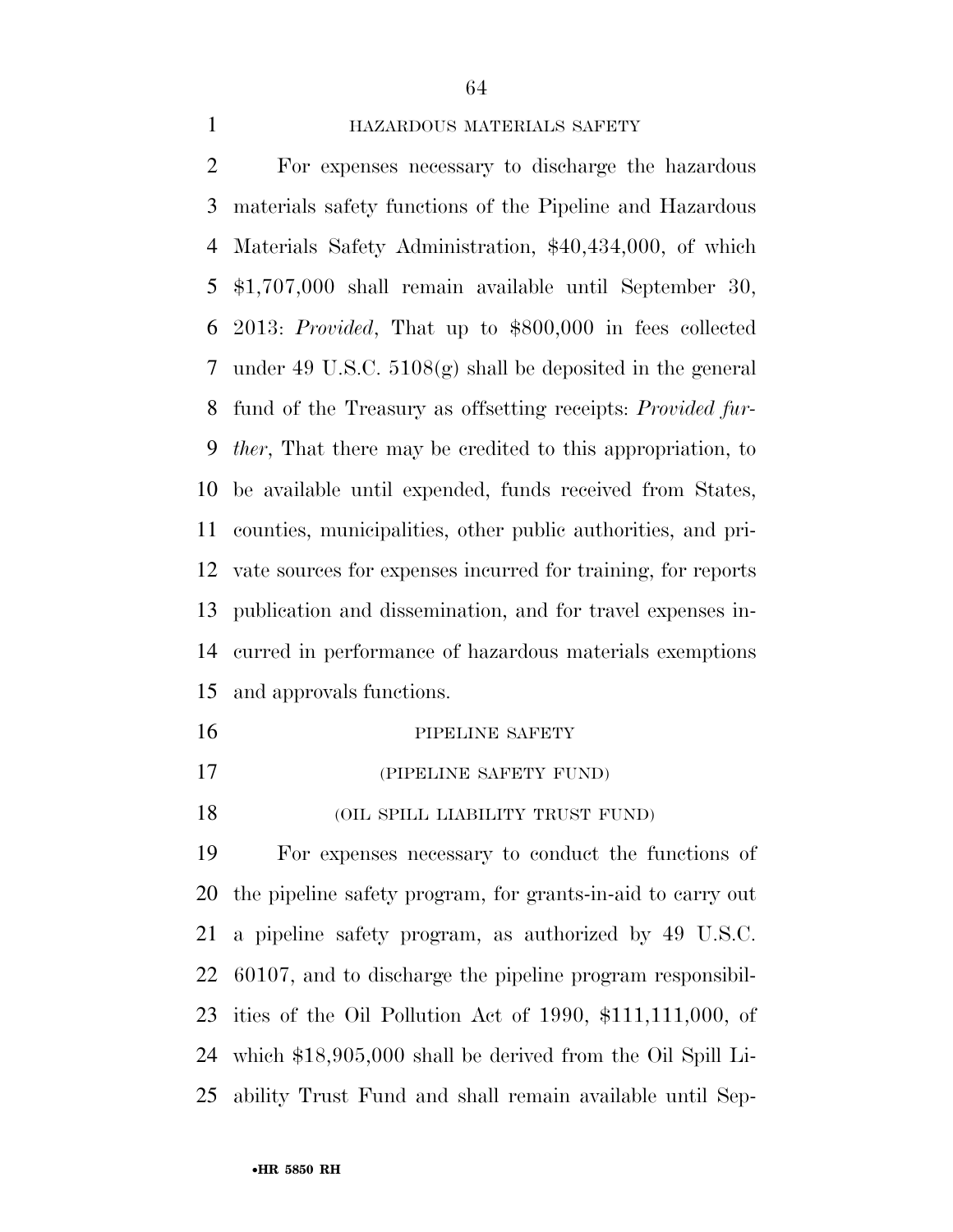### HAZARDOUS MATERIALS SAFETY

 For expenses necessary to discharge the hazardous materials safety functions of the Pipeline and Hazardous Materials Safety Administration, \$40,434,000, of which \$1,707,000 shall remain available until September 30, 2013: *Provided*, That up to \$800,000 in fees collected 7 under 49 U.S.C.  $5108(\text{g})$  shall be deposited in the general fund of the Treasury as offsetting receipts: *Provided fur- ther*, That there may be credited to this appropriation, to be available until expended, funds received from States, counties, municipalities, other public authorities, and pri- vate sources for expenses incurred for training, for reports publication and dissemination, and for travel expenses in- curred in performance of hazardous materials exemptions and approvals functions.

- 16 PIPELINE SAFETY (PIPELINE SAFETY FUND)
- **(OIL SPILL LIABILITY TRUST FUND)**

 For expenses necessary to conduct the functions of the pipeline safety program, for grants-in-aid to carry out a pipeline safety program, as authorized by 49 U.S.C. 60107, and to discharge the pipeline program responsibil- ities of the Oil Pollution Act of 1990, \$111,111,000, of which \$18,905,000 shall be derived from the Oil Spill Li-ability Trust Fund and shall remain available until Sep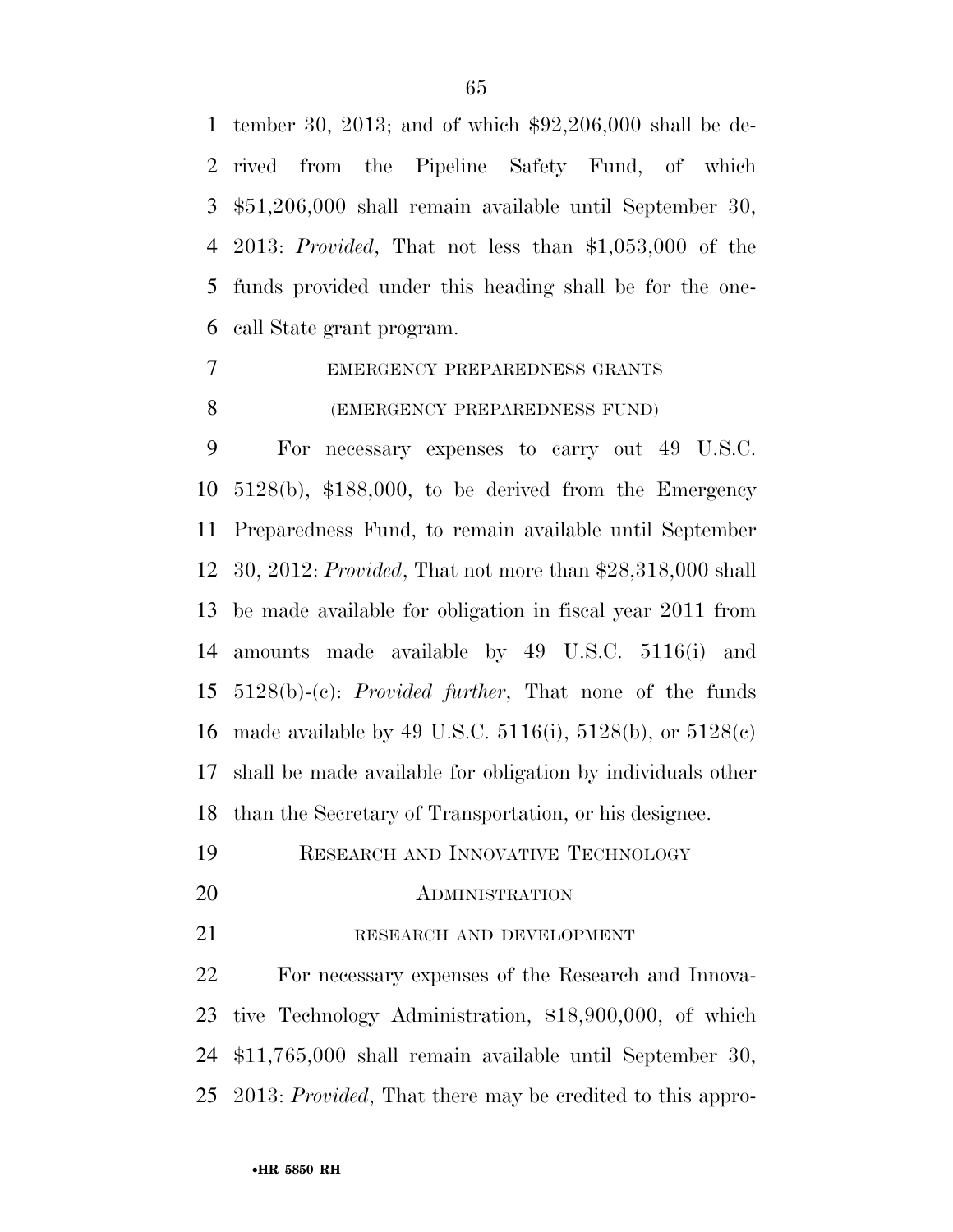tember 30, 2013; and of which \$92,206,000 shall be de- rived from the Pipeline Safety Fund, of which \$51,206,000 shall remain available until September 30, 2013: *Provided*, That not less than \$1,053,000 of the funds provided under this heading shall be for the one-call State grant program.

# EMERGENCY PREPAREDNESS GRANTS

### (EMERGENCY PREPAREDNESS FUND)

 For necessary expenses to carry out 49 U.S.C. 5128(b), \$188,000, to be derived from the Emergency Preparedness Fund, to remain available until September 30, 2012: *Provided*, That not more than \$28,318,000 shall be made available for obligation in fiscal year 2011 from amounts made available by 49 U.S.C. 5116(i) and 5128(b)-(c): *Provided further*, That none of the funds made available by 49 U.S.C. 5116(i), 5128(b), or 5128(c) shall be made available for obligation by individuals other than the Secretary of Transportation, or his designee.

- RESEARCH AND INNOVATIVE TECHNOLOGY
- 

#### 20 ADMINISTRATION

RESEARCH AND DEVELOPMENT

 For necessary expenses of the Research and Innova- tive Technology Administration, \$18,900,000, of which \$11,765,000 shall remain available until September 30, 2013: *Provided*, That there may be credited to this appro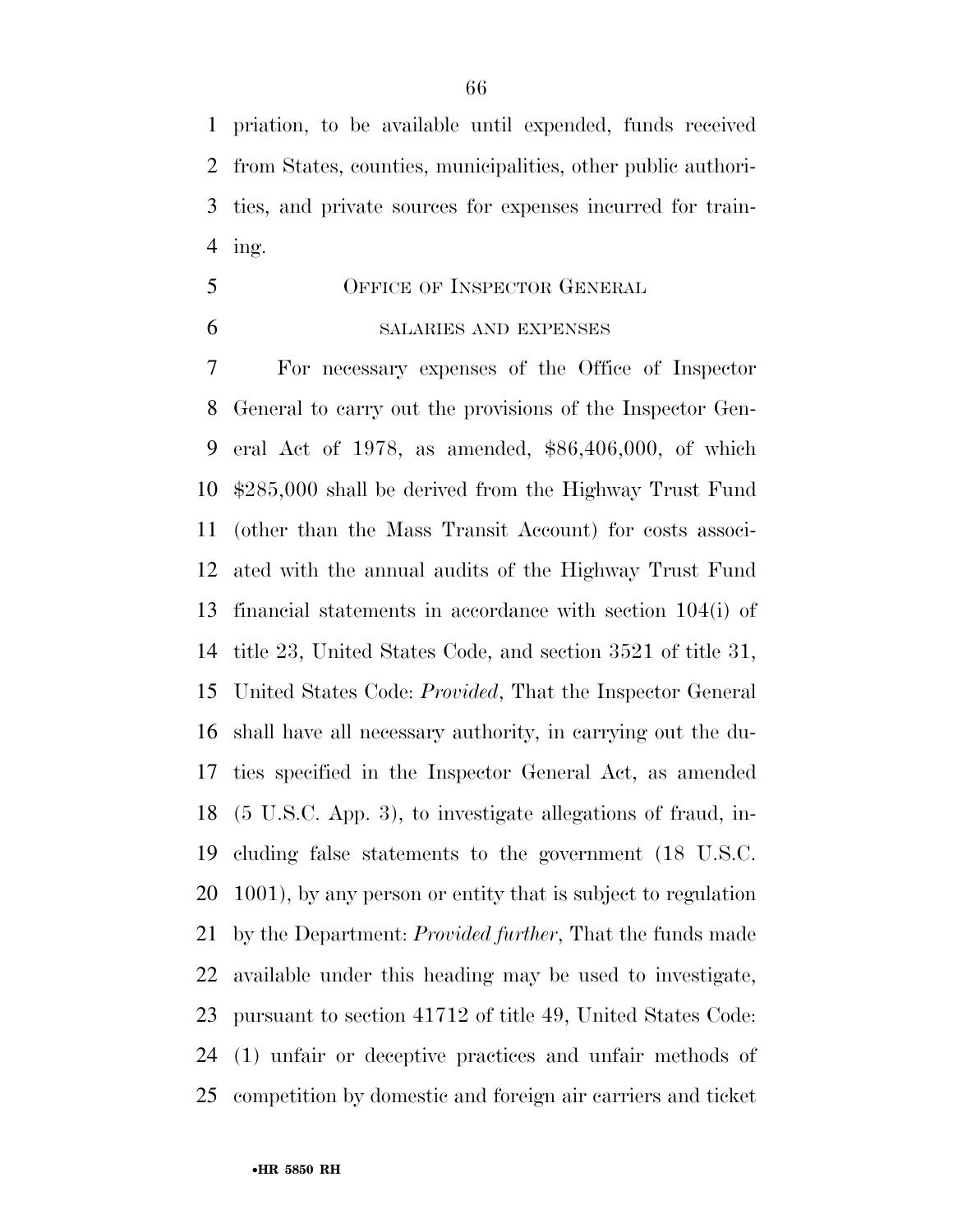priation, to be available until expended, funds received from States, counties, municipalities, other public authori- ties, and private sources for expenses incurred for train-ing.

- OFFICE OF INSPECTOR GENERAL
- 

### SALARIES AND EXPENSES

 For necessary expenses of the Office of Inspector General to carry out the provisions of the Inspector Gen- eral Act of 1978, as amended, \$86,406,000, of which \$285,000 shall be derived from the Highway Trust Fund (other than the Mass Transit Account) for costs associ- ated with the annual audits of the Highway Trust Fund financial statements in accordance with section 104(i) of title 23, United States Code, and section 3521 of title 31, United States Code: *Provided*, That the Inspector General shall have all necessary authority, in carrying out the du- ties specified in the Inspector General Act, as amended (5 U.S.C. App. 3), to investigate allegations of fraud, in- cluding false statements to the government (18 U.S.C. 1001), by any person or entity that is subject to regulation by the Department: *Provided further*, That the funds made available under this heading may be used to investigate, pursuant to section 41712 of title 49, United States Code: (1) unfair or deceptive practices and unfair methods of competition by domestic and foreign air carriers and ticket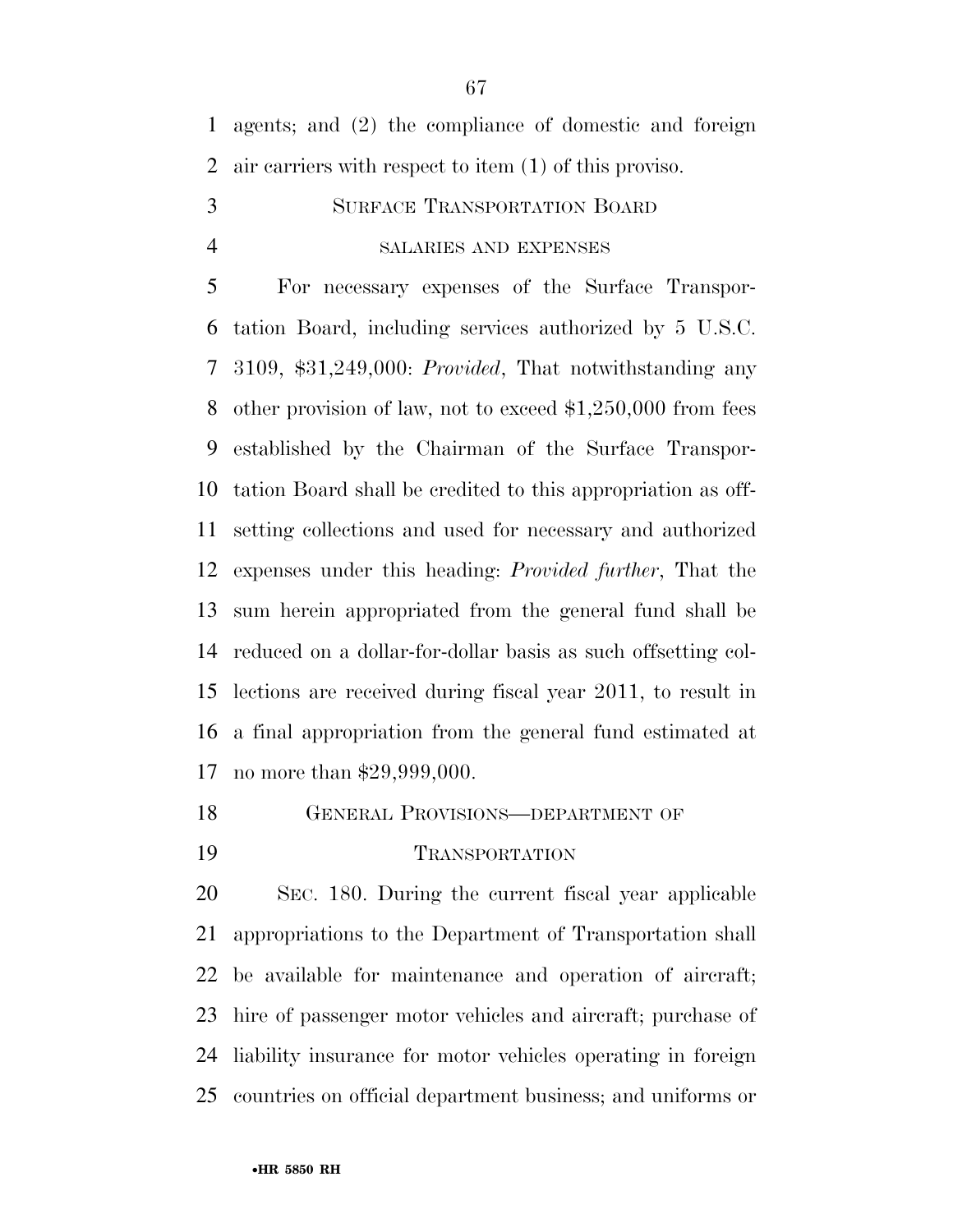agents; and (2) the compliance of domestic and foreign air carriers with respect to item (1) of this proviso.

 SURFACE TRANSPORTATION BOARD SALARIES AND EXPENSES

 For necessary expenses of the Surface Transpor- tation Board, including services authorized by 5 U.S.C. 3109, \$31,249,000: *Provided*, That notwithstanding any other provision of law, not to exceed \$1,250,000 from fees established by the Chairman of the Surface Transpor- tation Board shall be credited to this appropriation as off- setting collections and used for necessary and authorized expenses under this heading: *Provided further*, That the sum herein appropriated from the general fund shall be reduced on a dollar-for-dollar basis as such offsetting col- lections are received during fiscal year 2011, to result in a final appropriation from the general fund estimated at no more than \$29,999,000.

- GENERAL PROVISIONS—DEPARTMENT OF
- 

### TRANSPORTATION

 SEC. 180. During the current fiscal year applicable appropriations to the Department of Transportation shall be available for maintenance and operation of aircraft; hire of passenger motor vehicles and aircraft; purchase of liability insurance for motor vehicles operating in foreign countries on official department business; and uniforms or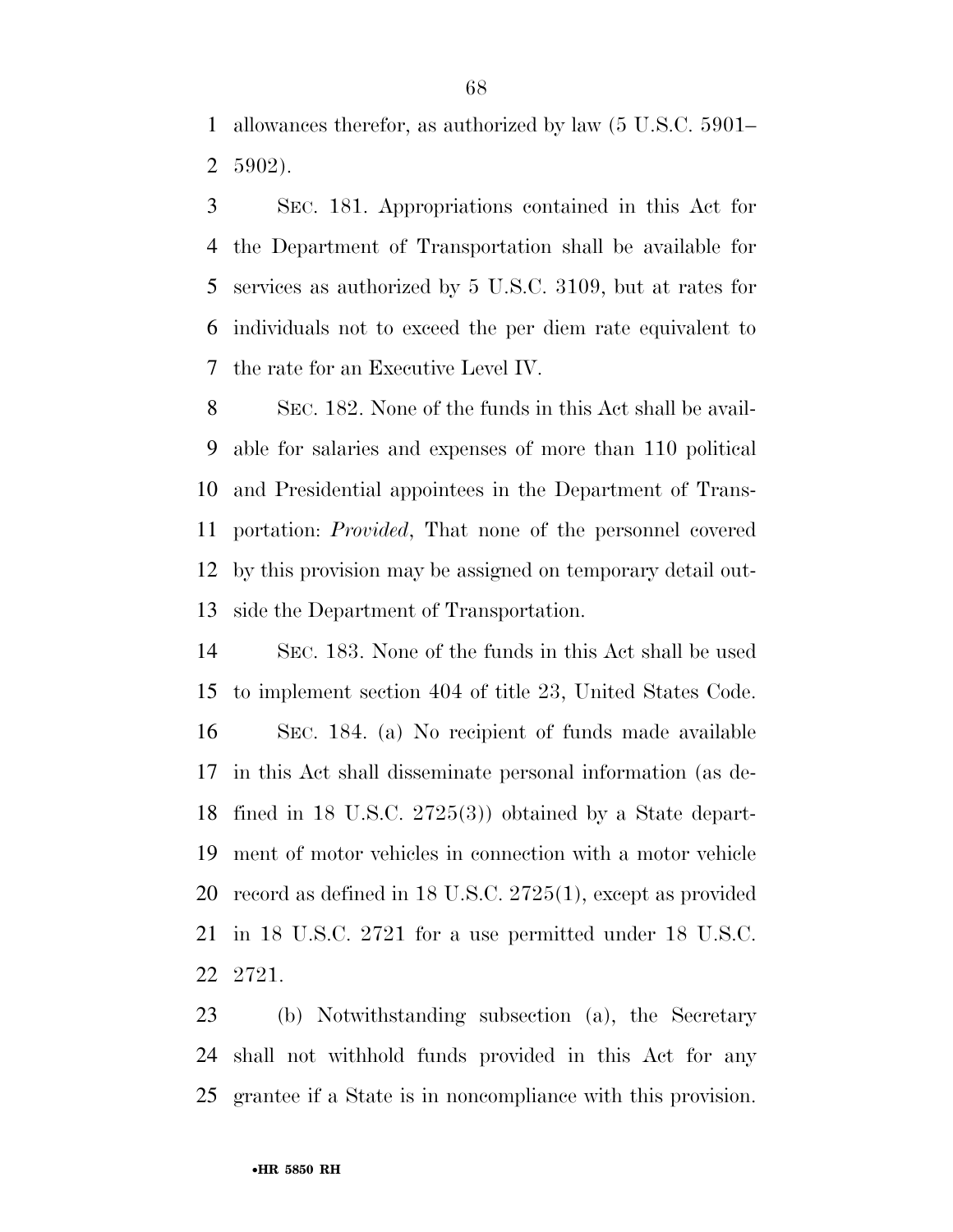allowances therefor, as authorized by law (5 U.S.C. 5901– 5902).

 SEC. 181. Appropriations contained in this Act for the Department of Transportation shall be available for services as authorized by 5 U.S.C. 3109, but at rates for individuals not to exceed the per diem rate equivalent to the rate for an Executive Level IV.

 SEC. 182. None of the funds in this Act shall be avail- able for salaries and expenses of more than 110 political and Presidential appointees in the Department of Trans- portation: *Provided*, That none of the personnel covered by this provision may be assigned on temporary detail out-side the Department of Transportation.

 SEC. 183. None of the funds in this Act shall be used to implement section 404 of title 23, United States Code. SEC. 184. (a) No recipient of funds made available in this Act shall disseminate personal information (as de- fined in 18 U.S.C. 2725(3)) obtained by a State depart- ment of motor vehicles in connection with a motor vehicle record as defined in 18 U.S.C. 2725(1), except as provided in 18 U.S.C. 2721 for a use permitted under 18 U.S.C. 2721.

 (b) Notwithstanding subsection (a), the Secretary shall not withhold funds provided in this Act for any grantee if a State is in noncompliance with this provision.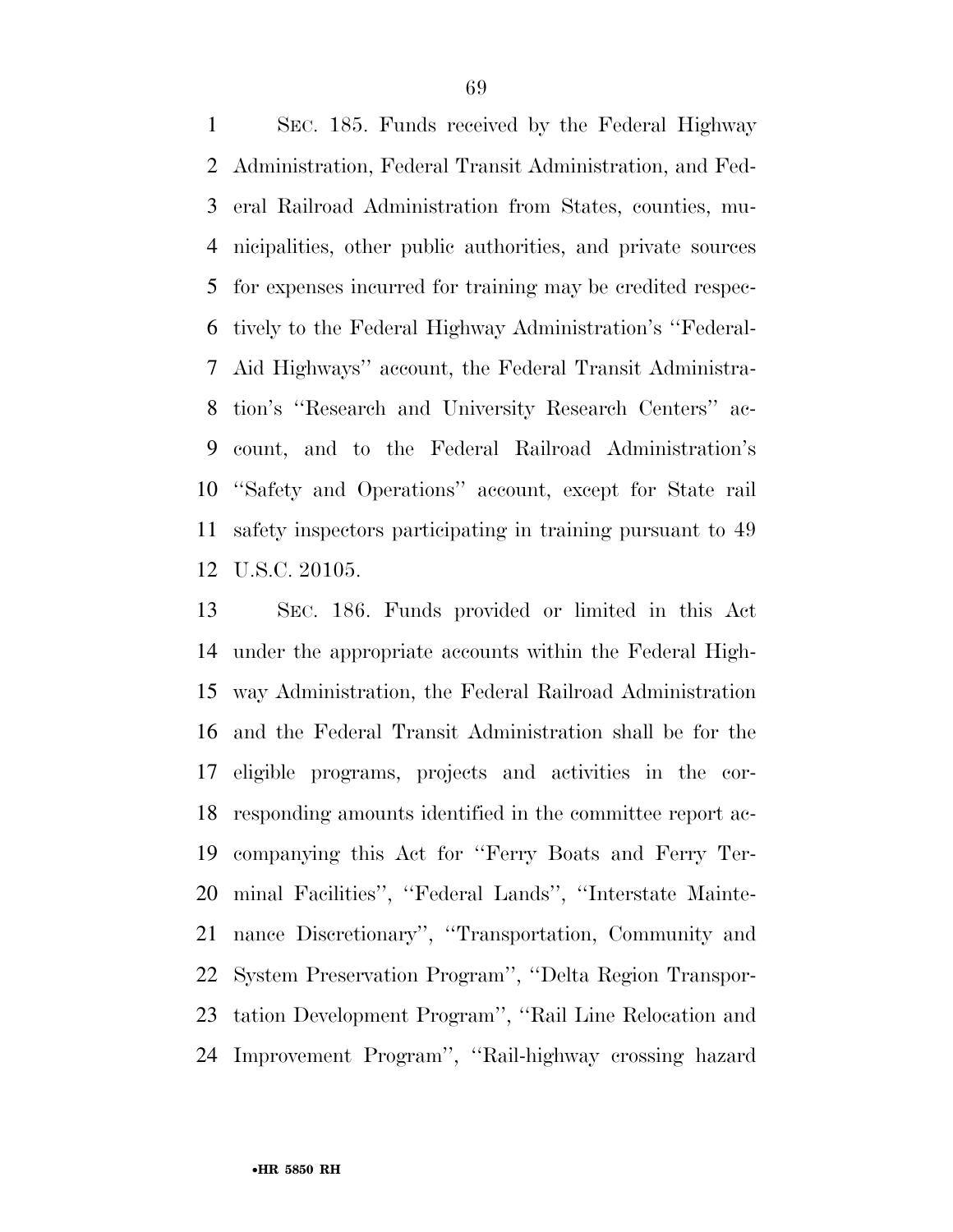SEC. 185. Funds received by the Federal Highway Administration, Federal Transit Administration, and Fed- eral Railroad Administration from States, counties, mu- nicipalities, other public authorities, and private sources for expenses incurred for training may be credited respec- tively to the Federal Highway Administration's ''Federal- Aid Highways'' account, the Federal Transit Administra- tion's ''Research and University Research Centers'' ac- count, and to the Federal Railroad Administration's ''Safety and Operations'' account, except for State rail safety inspectors participating in training pursuant to 49 U.S.C. 20105.

 SEC. 186. Funds provided or limited in this Act under the appropriate accounts within the Federal High- way Administration, the Federal Railroad Administration and the Federal Transit Administration shall be for the eligible programs, projects and activities in the cor- responding amounts identified in the committee report ac- companying this Act for ''Ferry Boats and Ferry Ter- minal Facilities'', ''Federal Lands'', ''Interstate Mainte- nance Discretionary'', ''Transportation, Community and System Preservation Program'', ''Delta Region Transpor- tation Development Program'', ''Rail Line Relocation and Improvement Program'', ''Rail-highway crossing hazard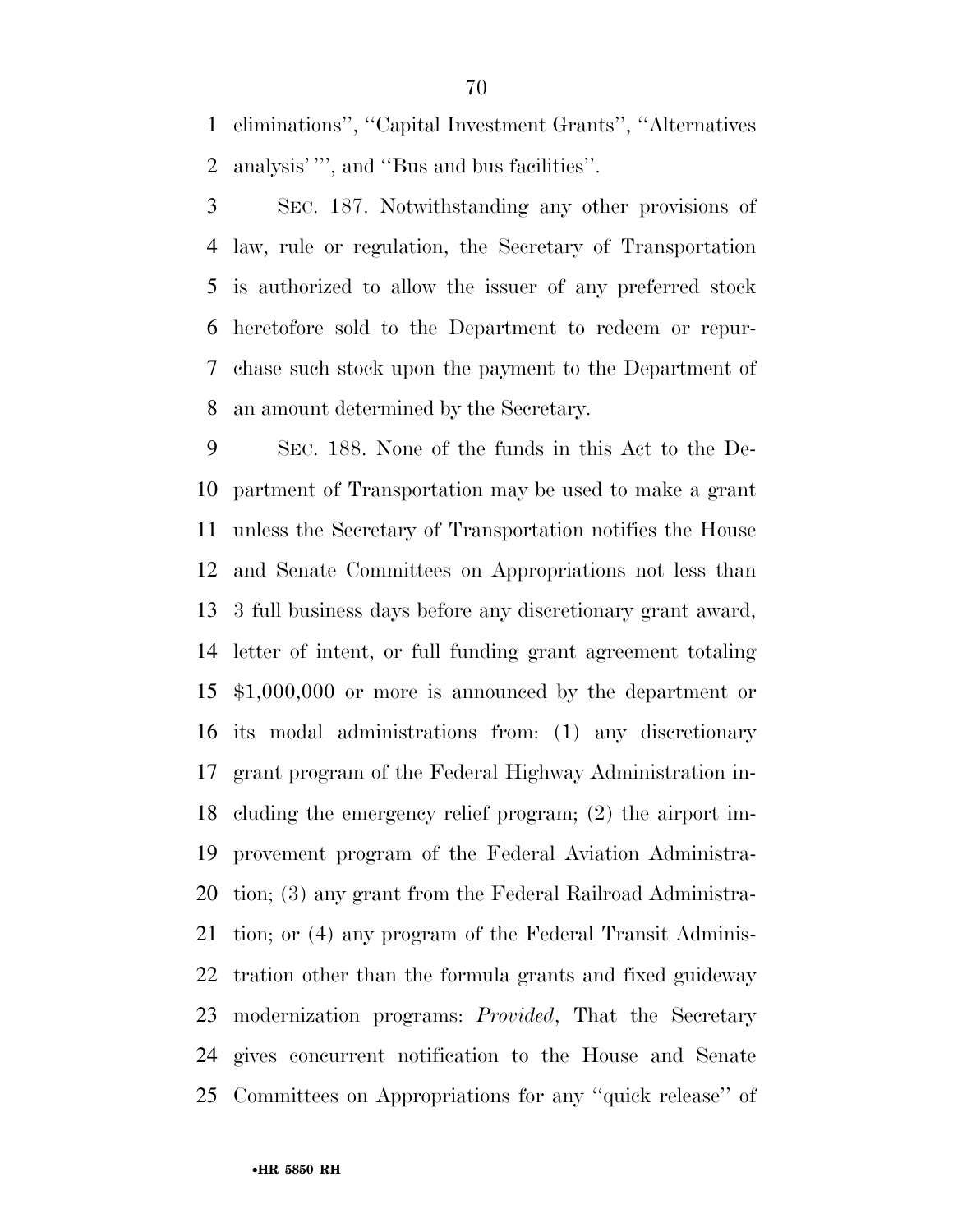eliminations'', ''Capital Investment Grants'', ''Alternatives analysis' ''', and ''Bus and bus facilities''.

 SEC. 187. Notwithstanding any other provisions of law, rule or regulation, the Secretary of Transportation is authorized to allow the issuer of any preferred stock heretofore sold to the Department to redeem or repur- chase such stock upon the payment to the Department of an amount determined by the Secretary.

 SEC. 188. None of the funds in this Act to the De- partment of Transportation may be used to make a grant unless the Secretary of Transportation notifies the House and Senate Committees on Appropriations not less than 3 full business days before any discretionary grant award, letter of intent, or full funding grant agreement totaling \$1,000,000 or more is announced by the department or its modal administrations from: (1) any discretionary grant program of the Federal Highway Administration in- cluding the emergency relief program; (2) the airport im- provement program of the Federal Aviation Administra- tion; (3) any grant from the Federal Railroad Administra- tion; or (4) any program of the Federal Transit Adminis- tration other than the formula grants and fixed guideway modernization programs: *Provided*, That the Secretary gives concurrent notification to the House and Senate Committees on Appropriations for any ''quick release'' of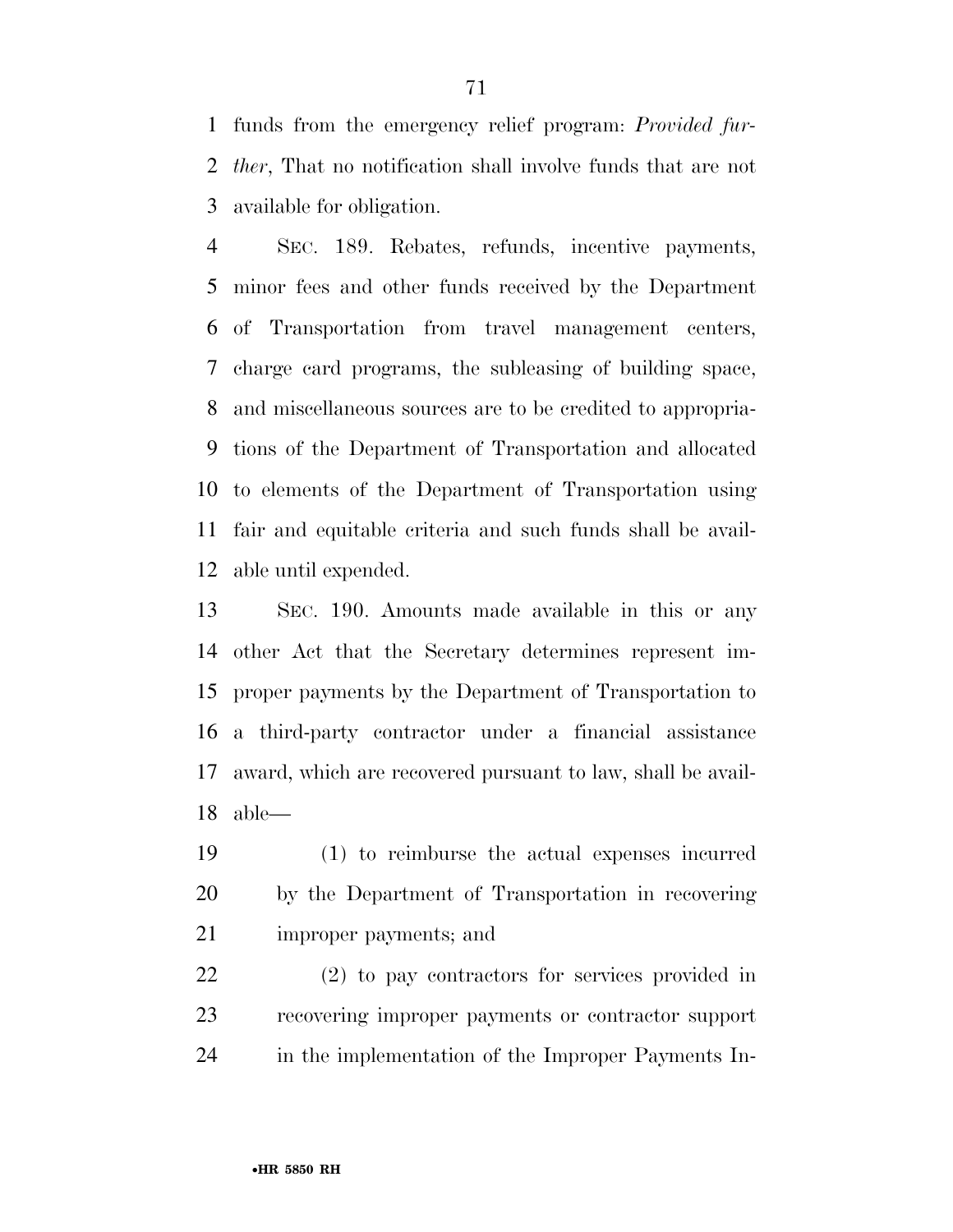funds from the emergency relief program: *Provided fur- ther*, That no notification shall involve funds that are not available for obligation.

 SEC. 189. Rebates, refunds, incentive payments, minor fees and other funds received by the Department of Transportation from travel management centers, charge card programs, the subleasing of building space, and miscellaneous sources are to be credited to appropria- tions of the Department of Transportation and allocated to elements of the Department of Transportation using fair and equitable criteria and such funds shall be avail-able until expended.

 SEC. 190. Amounts made available in this or any other Act that the Secretary determines represent im- proper payments by the Department of Transportation to a third-party contractor under a financial assistance award, which are recovered pursuant to law, shall be avail-able—

 (1) to reimburse the actual expenses incurred by the Department of Transportation in recovering improper payments; and

 (2) to pay contractors for services provided in recovering improper payments or contractor support in the implementation of the Improper Payments In-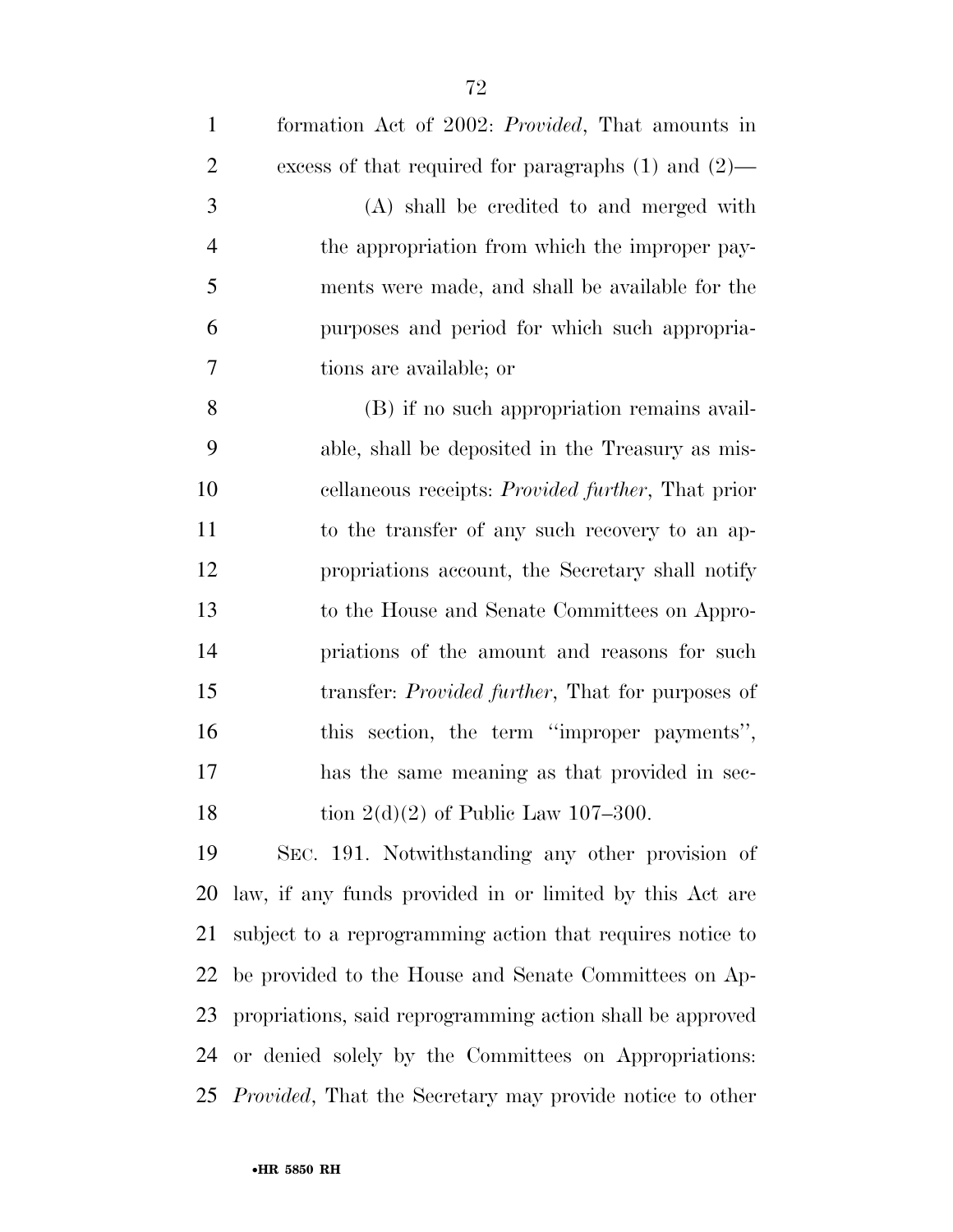| $\mathbf{1}$   | formation Act of 2002: <i>Provided</i> , That amounts in  |
|----------------|-----------------------------------------------------------|
| $\overline{2}$ | excess of that required for paragraphs $(1)$ and $(2)$ —  |
| 3              | (A) shall be credited to and merged with                  |
| $\overline{4}$ | the appropriation from which the improper pay-            |
| 5              | ments were made, and shall be available for the           |
| 6              | purposes and period for which such appropria-             |
| 7              | tions are available; or                                   |
| 8              | (B) if no such appropriation remains avail-               |
| 9              | able, shall be deposited in the Treasury as mis-          |
| 10             | cellaneous receipts: <i>Provided further</i> , That prior |
| 11             | to the transfer of any such recovery to an ap-            |
| 12             | propriations account, the Secretary shall notify          |
| 13             | to the House and Senate Committees on Appro-              |
| 14             | priations of the amount and reasons for such              |
| 15             | transfer: <i>Provided further</i> , That for purposes of  |
| 16             | this section, the term "improper payments",               |
| 17             | has the same meaning as that provided in sec-             |
| 18             | tion $2(d)(2)$ of Public Law 107-300.                     |
| 19             | SEC. 191. Notwithstanding any other provision of          |
| 20             | law, if any funds provided in or limited by this Act are  |
| 21             | subject to a reprogramming action that requires notice to |
| 22             | be provided to the House and Senate Committees on Ap-     |
| 23             | propriations, said reprogramming action shall be approved |
|                | 24 or denied solely by the Committees on Appropriations:  |
|                |                                                           |

*Provided*, That the Secretary may provide notice to other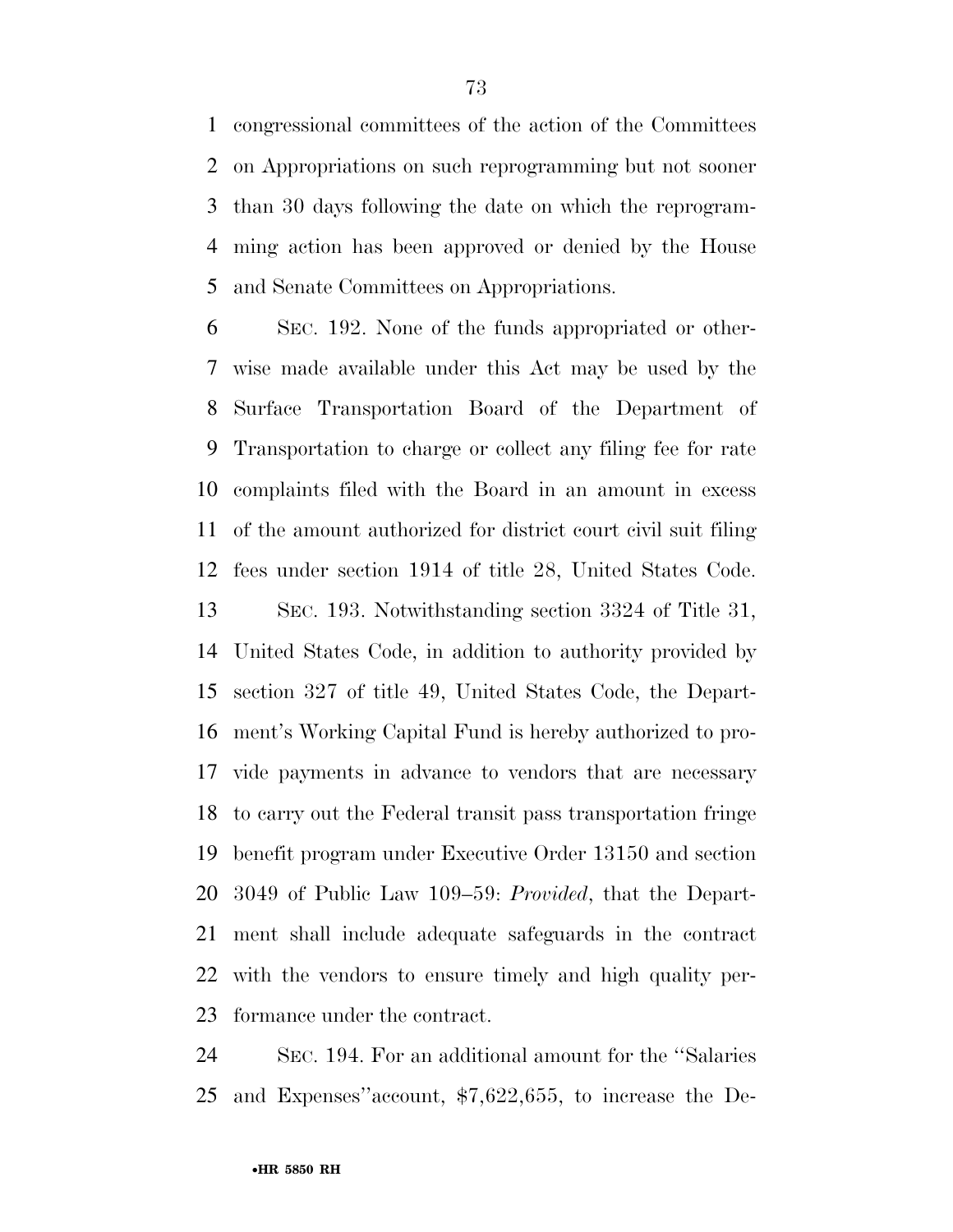congressional committees of the action of the Committees on Appropriations on such reprogramming but not sooner than 30 days following the date on which the reprogram- ming action has been approved or denied by the House and Senate Committees on Appropriations.

 SEC. 192. None of the funds appropriated or other- wise made available under this Act may be used by the Surface Transportation Board of the Department of Transportation to charge or collect any filing fee for rate complaints filed with the Board in an amount in excess of the amount authorized for district court civil suit filing fees under section 1914 of title 28, United States Code. SEC. 193. Notwithstanding section 3324 of Title 31, United States Code, in addition to authority provided by section 327 of title 49, United States Code, the Depart- ment's Working Capital Fund is hereby authorized to pro- vide payments in advance to vendors that are necessary to carry out the Federal transit pass transportation fringe benefit program under Executive Order 13150 and section 3049 of Public Law 109–59: *Provided*, that the Depart- ment shall include adequate safeguards in the contract with the vendors to ensure timely and high quality per-formance under the contract.

 SEC. 194. For an additional amount for the ''Salaries and Expenses''account, \$7,622,655, to increase the De-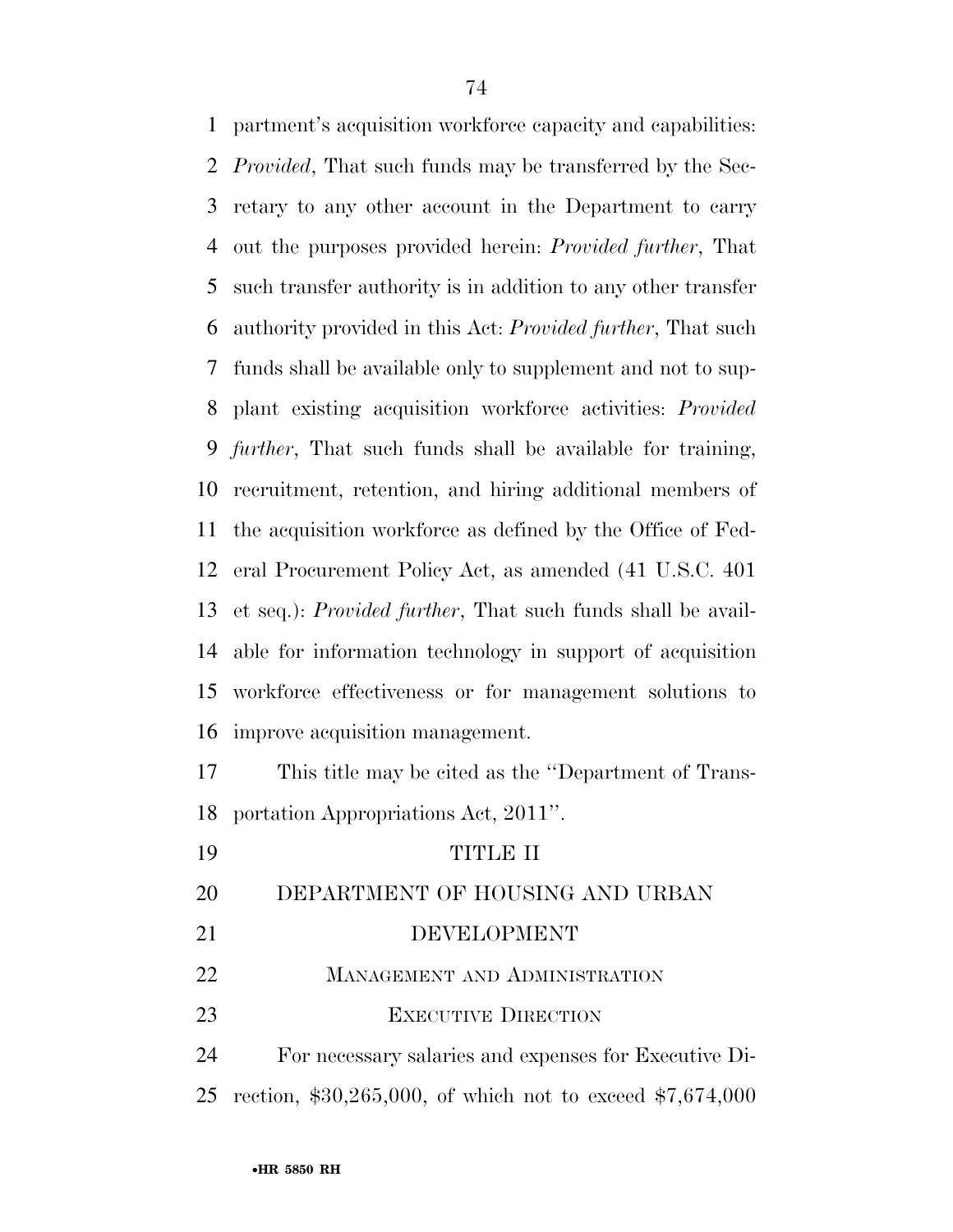partment's acquisition workforce capacity and capabilities: *Provided*, That such funds may be transferred by the Sec- retary to any other account in the Department to carry out the purposes provided herein: *Provided further*, That such transfer authority is in addition to any other transfer authority provided in this Act: *Provided further*, That such funds shall be available only to supplement and not to sup- plant existing acquisition workforce activities: *Provided further*, That such funds shall be available for training, recruitment, retention, and hiring additional members of the acquisition workforce as defined by the Office of Fed- eral Procurement Policy Act, as amended (41 U.S.C. 401 et seq.): *Provided further*, That such funds shall be avail- able for information technology in support of acquisition workforce effectiveness or for management solutions to improve acquisition management.

 This title may be cited as the ''Department of Trans-portation Appropriations Act, 2011''.

| 19 | <b>TITLE II</b>                                              |
|----|--------------------------------------------------------------|
| 20 | DEPARTMENT OF HOUSING AND URBAN                              |
| 21 | DEVELOPMENT                                                  |
| 22 | <b>MANAGEMENT AND ADMINISTRATION</b>                         |
| 23 | <b>EXECUTIVE DIRECTION</b>                                   |
| 24 | For necessary salaries and expenses for Executive Di-        |
|    | 25 rection, \$30,265,000, of which not to exceed \$7,674,000 |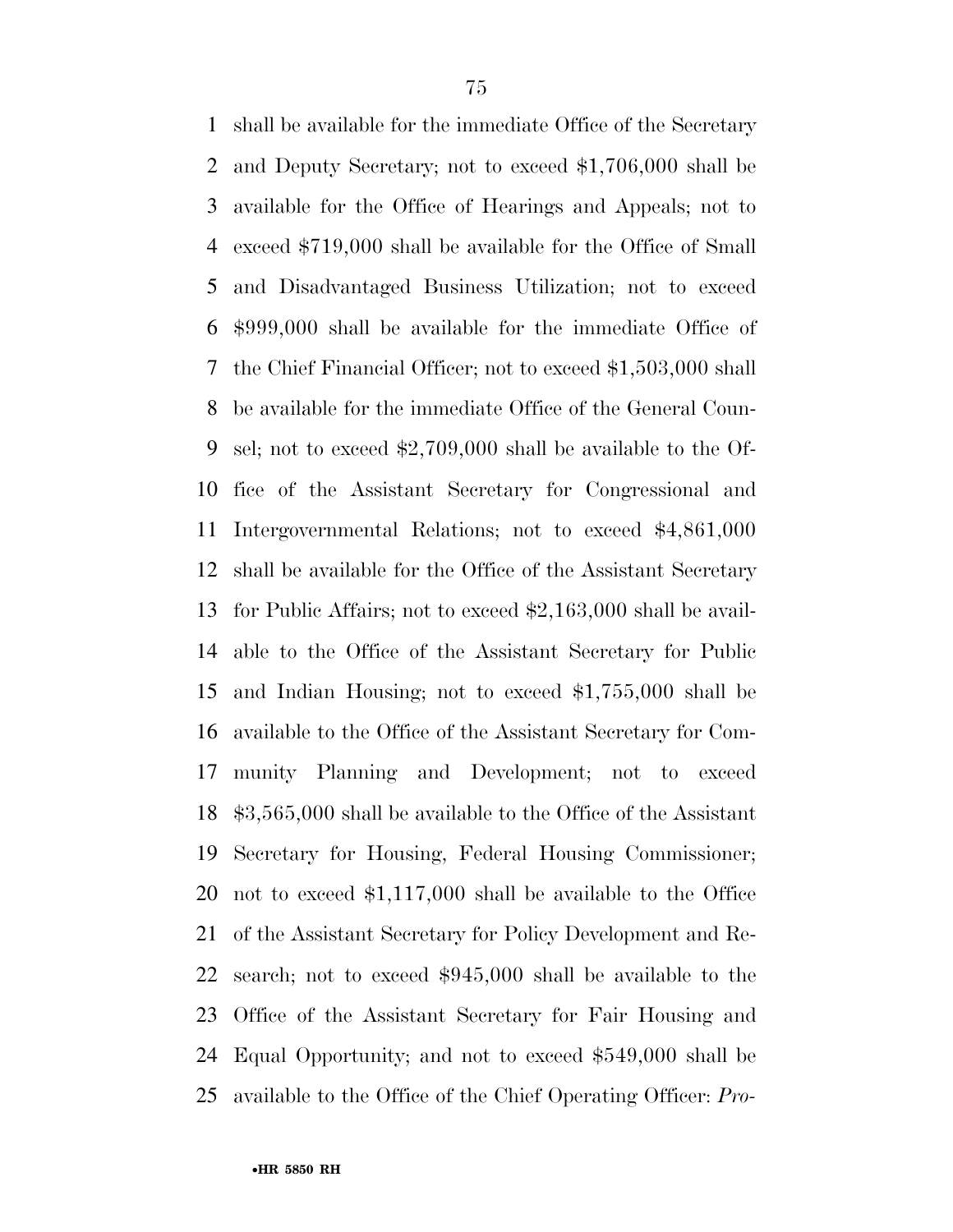shall be available for the immediate Office of the Secretary and Deputy Secretary; not to exceed \$1,706,000 shall be available for the Office of Hearings and Appeals; not to exceed \$719,000 shall be available for the Office of Small and Disadvantaged Business Utilization; not to exceed \$999,000 shall be available for the immediate Office of the Chief Financial Officer; not to exceed \$1,503,000 shall be available for the immediate Office of the General Coun- sel; not to exceed \$2,709,000 shall be available to the Of- fice of the Assistant Secretary for Congressional and Intergovernmental Relations; not to exceed \$4,861,000 shall be available for the Office of the Assistant Secretary for Public Affairs; not to exceed \$2,163,000 shall be avail- able to the Office of the Assistant Secretary for Public and Indian Housing; not to exceed \$1,755,000 shall be available to the Office of the Assistant Secretary for Com- munity Planning and Development; not to exceed \$3,565,000 shall be available to the Office of the Assistant Secretary for Housing, Federal Housing Commissioner; not to exceed \$1,117,000 shall be available to the Office of the Assistant Secretary for Policy Development and Re- search; not to exceed \$945,000 shall be available to the Office of the Assistant Secretary for Fair Housing and Equal Opportunity; and not to exceed \$549,000 shall be available to the Office of the Chief Operating Officer: *Pro-*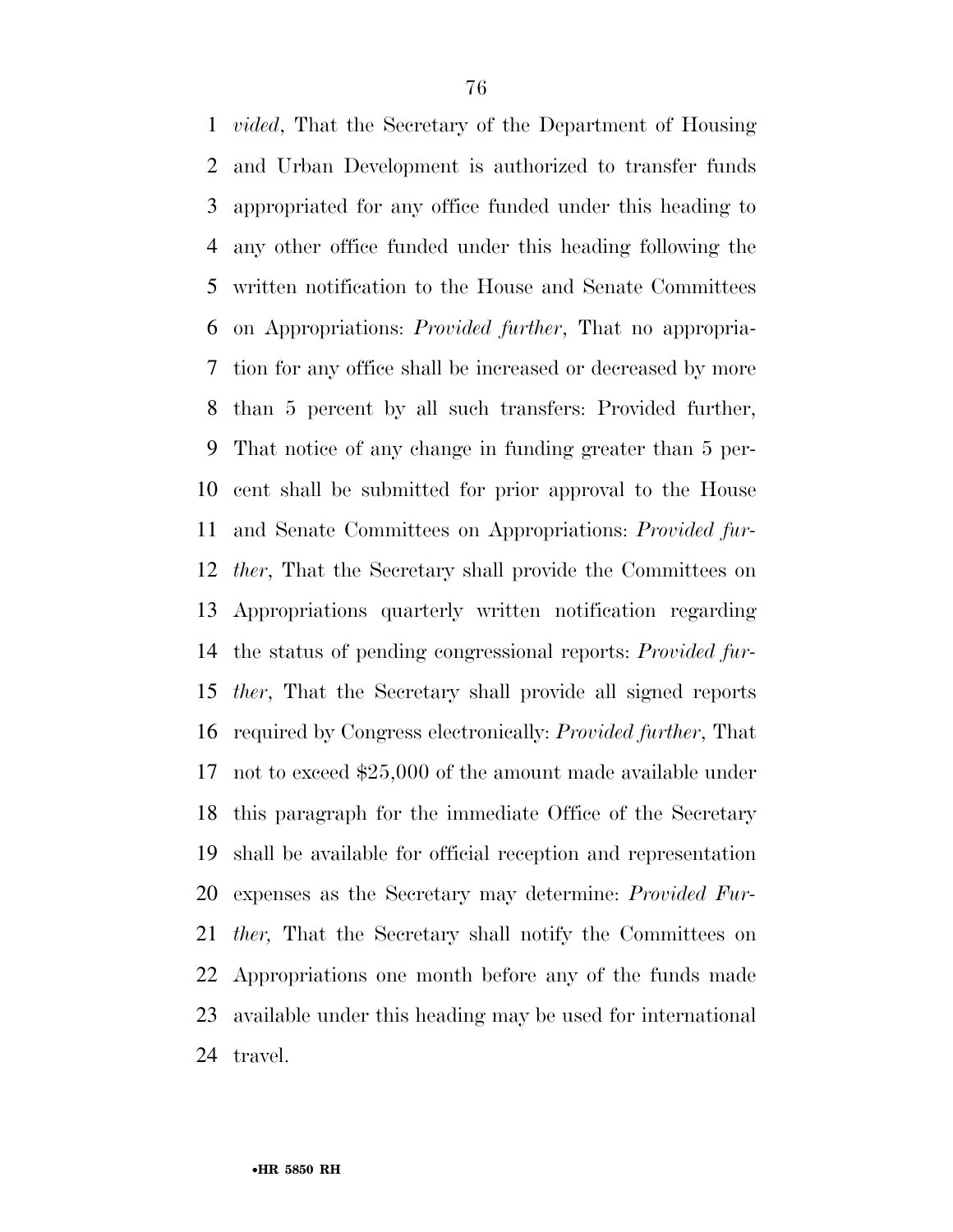*vided*, That the Secretary of the Department of Housing and Urban Development is authorized to transfer funds appropriated for any office funded under this heading to any other office funded under this heading following the written notification to the House and Senate Committees on Appropriations: *Provided further*, That no appropria- tion for any office shall be increased or decreased by more than 5 percent by all such transfers: Provided further, That notice of any change in funding greater than 5 per- cent shall be submitted for prior approval to the House and Senate Committees on Appropriations: *Provided fur- ther*, That the Secretary shall provide the Committees on Appropriations quarterly written notification regarding the status of pending congressional reports: *Provided fur- ther*, That the Secretary shall provide all signed reports required by Congress electronically: *Provided further*, That not to exceed \$25,000 of the amount made available under this paragraph for the immediate Office of the Secretary shall be available for official reception and representation expenses as the Secretary may determine: *Provided Fur- ther,* That the Secretary shall notify the Committees on Appropriations one month before any of the funds made available under this heading may be used for international travel.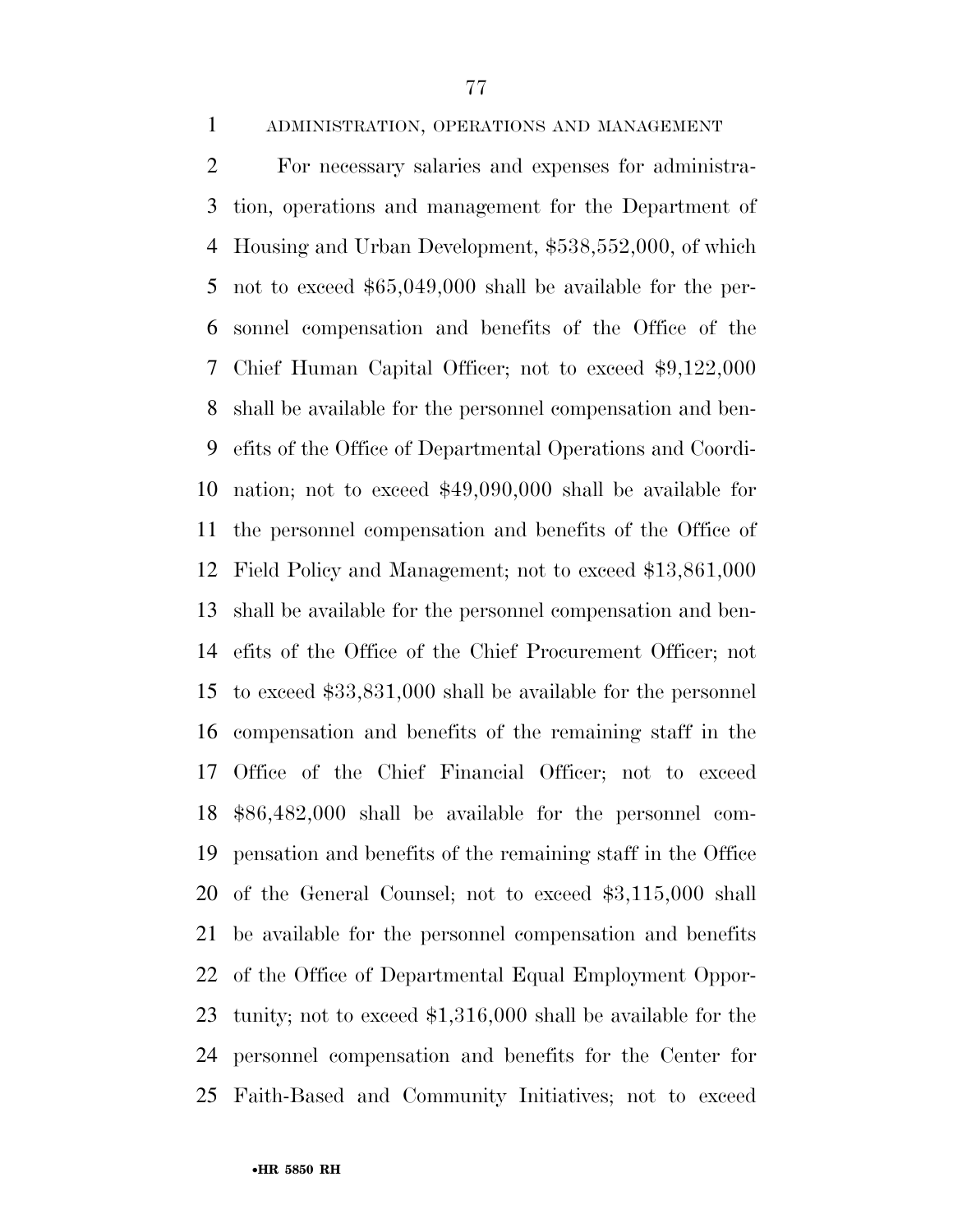ADMINISTRATION, OPERATIONS AND MANAGEMENT

 For necessary salaries and expenses for administra- tion, operations and management for the Department of Housing and Urban Development, \$538,552,000, of which not to exceed \$65,049,000 shall be available for the per- sonnel compensation and benefits of the Office of the Chief Human Capital Officer; not to exceed \$9,122,000 shall be available for the personnel compensation and ben- efits of the Office of Departmental Operations and Coordi- nation; not to exceed \$49,090,000 shall be available for the personnel compensation and benefits of the Office of Field Policy and Management; not to exceed \$13,861,000 shall be available for the personnel compensation and ben- efits of the Office of the Chief Procurement Officer; not to exceed \$33,831,000 shall be available for the personnel compensation and benefits of the remaining staff in the Office of the Chief Financial Officer; not to exceed \$86,482,000 shall be available for the personnel com- pensation and benefits of the remaining staff in the Office of the General Counsel; not to exceed \$3,115,000 shall be available for the personnel compensation and benefits of the Office of Departmental Equal Employment Oppor- tunity; not to exceed \$1,316,000 shall be available for the personnel compensation and benefits for the Center for Faith-Based and Community Initiatives; not to exceed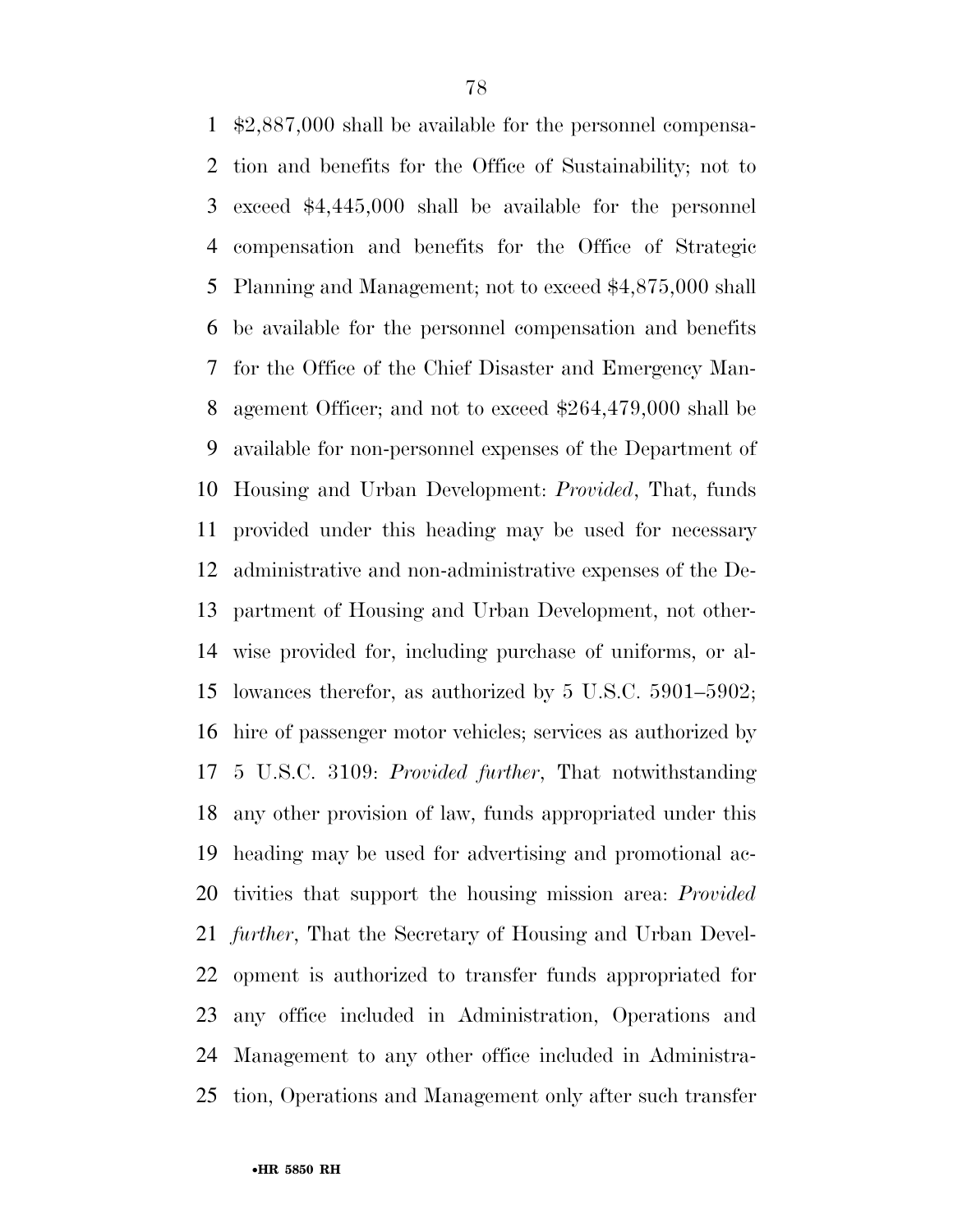\$2,887,000 shall be available for the personnel compensa- tion and benefits for the Office of Sustainability; not to exceed \$4,445,000 shall be available for the personnel compensation and benefits for the Office of Strategic Planning and Management; not to exceed \$4,875,000 shall be available for the personnel compensation and benefits for the Office of the Chief Disaster and Emergency Man- agement Officer; and not to exceed \$264,479,000 shall be available for non-personnel expenses of the Department of Housing and Urban Development: *Provided*, That, funds provided under this heading may be used for necessary administrative and non-administrative expenses of the De- partment of Housing and Urban Development, not other- wise provided for, including purchase of uniforms, or al- lowances therefor, as authorized by 5 U.S.C. 5901–5902; hire of passenger motor vehicles; services as authorized by 5 U.S.C. 3109: *Provided further*, That notwithstanding any other provision of law, funds appropriated under this heading may be used for advertising and promotional ac- tivities that support the housing mission area: *Provided further*, That the Secretary of Housing and Urban Devel- opment is authorized to transfer funds appropriated for any office included in Administration, Operations and Management to any other office included in Administra-tion, Operations and Management only after such transfer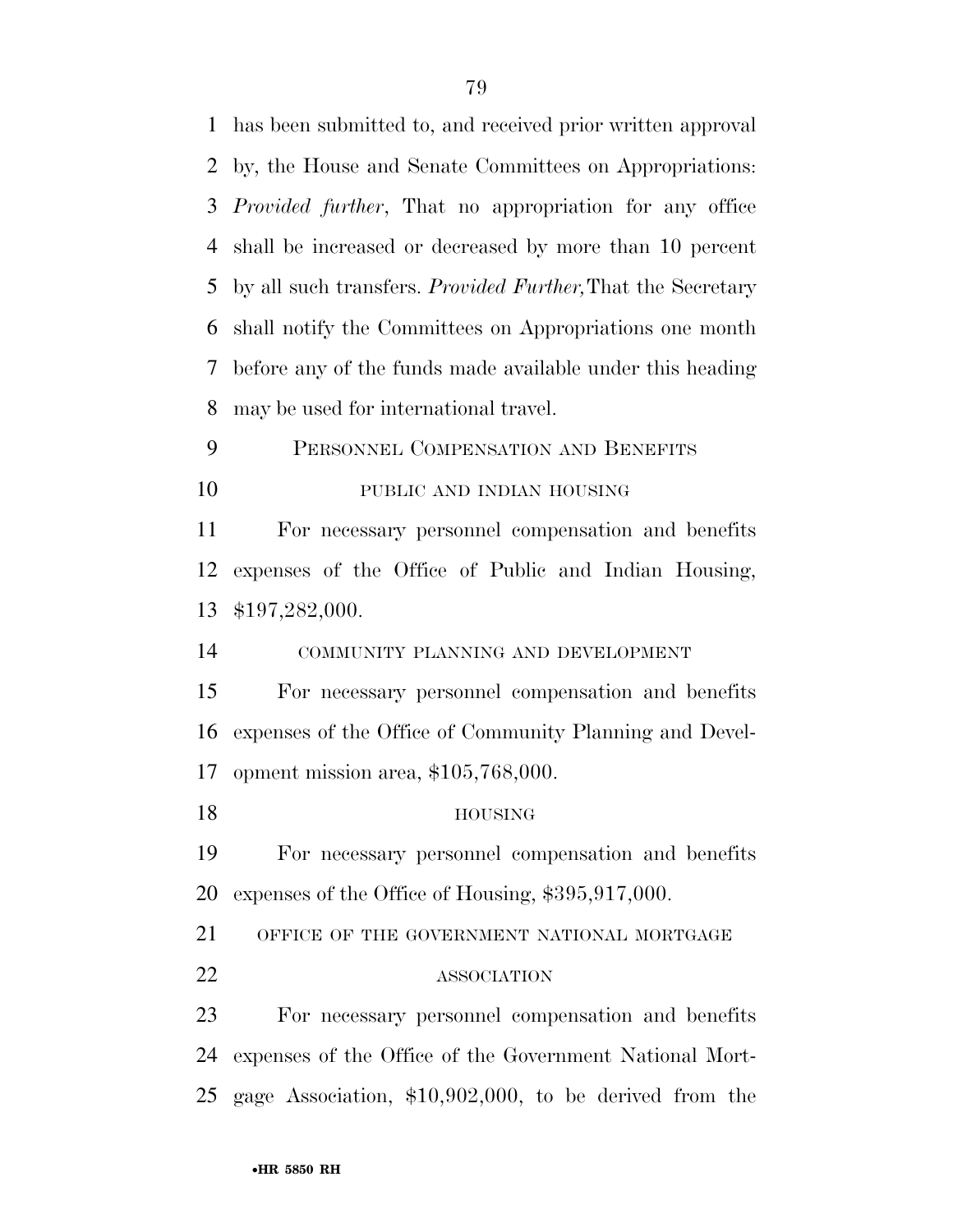| $\mathbf{1}$   | has been submitted to, and received prior written approval          |
|----------------|---------------------------------------------------------------------|
| $\overline{2}$ | by, the House and Senate Committees on Appropriations:              |
| 3              | <i>Provided further</i> , That no appropriation for any office      |
| 4              | shall be increased or decreased by more than 10 percent             |
| 5              | by all such transfers. <i>Provided Further</i> , That the Secretary |
| 6              | shall notify the Committees on Appropriations one month             |
| 7              | before any of the funds made available under this heading           |
| 8              | may be used for international travel.                               |
| 9              | PERSONNEL COMPENSATION AND BENEFITS                                 |
| 10             | PUBLIC AND INDIAN HOUSING                                           |
| 11             | For necessary personnel compensation and benefits                   |
| 12             | expenses of the Office of Public and Indian Housing,                |
| 13             | \$197,282,000.                                                      |
|                |                                                                     |
| 14             | COMMUNITY PLANNING AND DEVELOPMENT                                  |
| 15             | For necessary personnel compensation and benefits                   |
| 16             | expenses of the Office of Community Planning and Devel-             |
|                | opment mission area, $$105,768,000$ .                               |
| 17<br>18       | <b>HOUSING</b>                                                      |
| 19             | For necessary personnel compensation and benefits                   |
| 20             | expenses of the Office of Housing, \$395,917,000.                   |
| 21             | OFFICE OF THE GOVERNMENT NATIONAL MORTGAGE                          |
| 22             | <b>ASSOCIATION</b>                                                  |
| 23             | For necessary personnel compensation and benefits                   |
| 24             | expenses of the Office of the Government National Mort-             |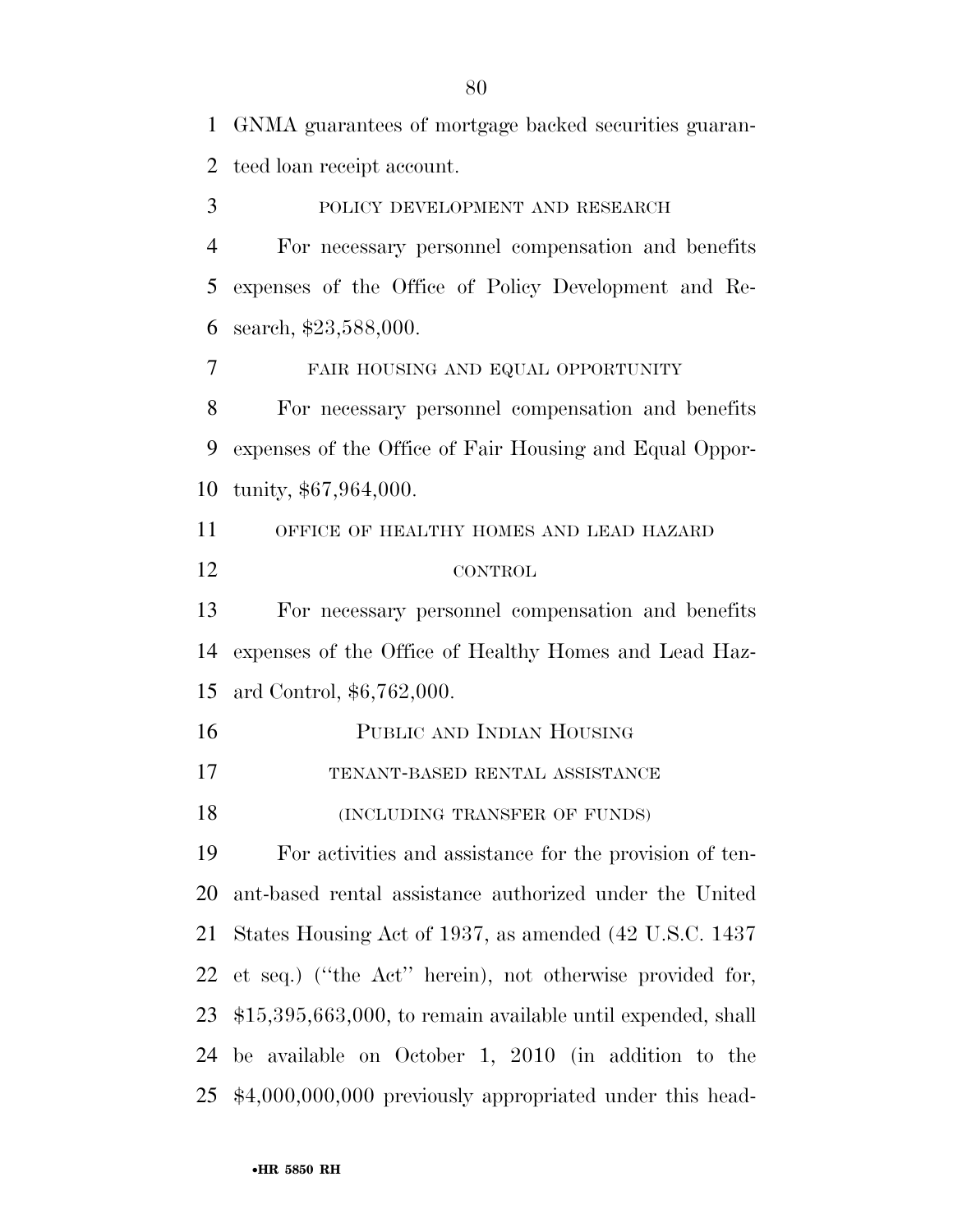GNMA guarantees of mortgage backed securities guaran-teed loan receipt account.

 POLICY DEVELOPMENT AND RESEARCH For necessary personnel compensation and benefits expenses of the Office of Policy Development and Re-search, \$23,588,000.

FAIR HOUSING AND EQUAL OPPORTUNITY

 For necessary personnel compensation and benefits expenses of the Office of Fair Housing and Equal Oppor-tunity, \$67,964,000.

 OFFICE OF HEALTHY HOMES AND LEAD HAZARD CONTROL

 For necessary personnel compensation and benefits expenses of the Office of Healthy Homes and Lead Haz-ard Control, \$6,762,000.

PUBLIC AND INDIAN HOUSING

TENANT-BASED RENTAL ASSISTANCE

18 (INCLUDING TRANSFER OF FUNDS)

 For activities and assistance for the provision of ten- ant-based rental assistance authorized under the United States Housing Act of 1937, as amended (42 U.S.C. 1437 et seq.) (''the Act'' herein), not otherwise provided for, \$15,395,663,000, to remain available until expended, shall be available on October 1, 2010 (in addition to the \$4,000,000,000 previously appropriated under this head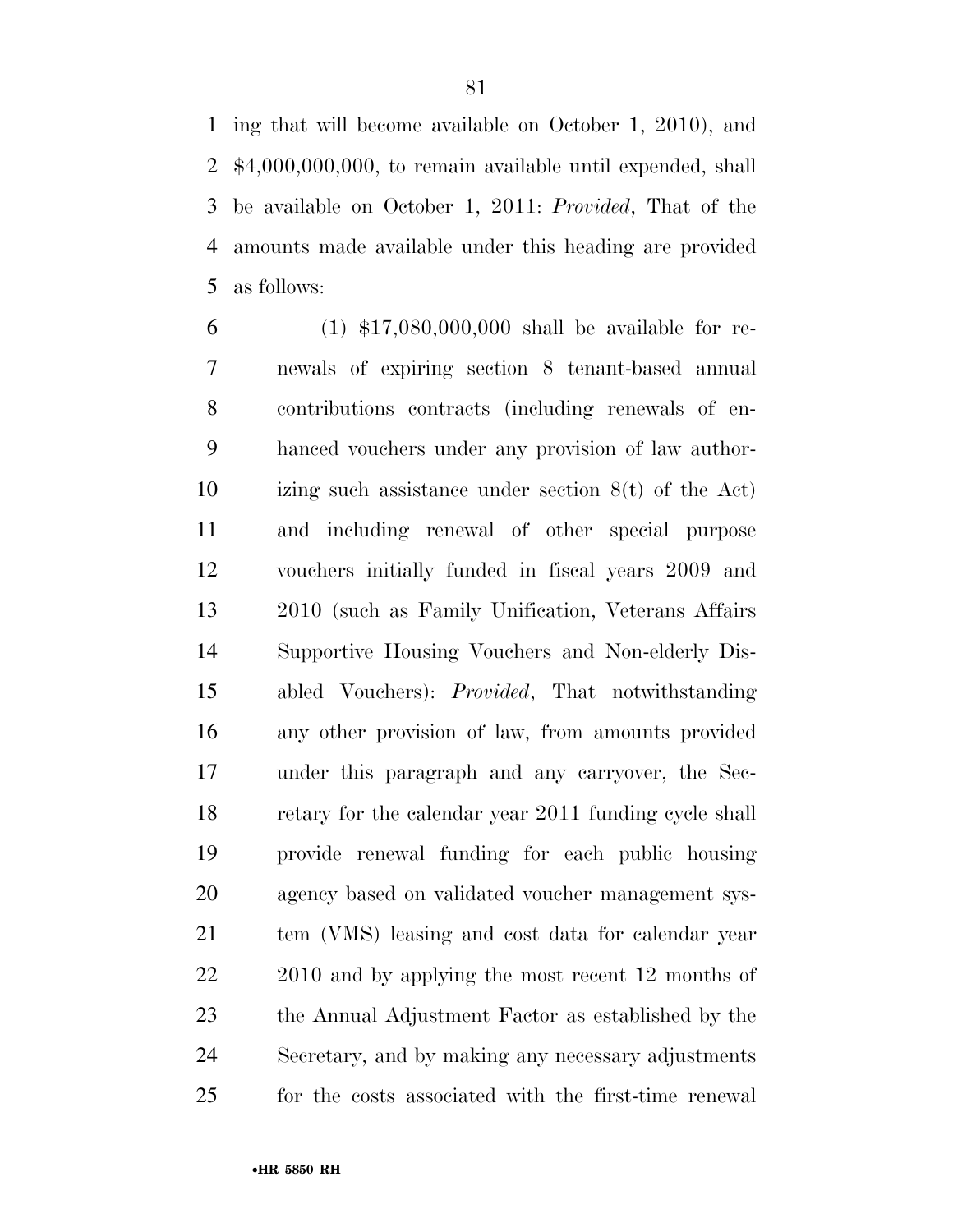ing that will become available on October 1, 2010), and \$4,000,000,000, to remain available until expended, shall be available on October 1, 2011: *Provided*, That of the amounts made available under this heading are provided as follows:

 (1) \$17,080,000,000 shall be available for re- newals of expiring section 8 tenant-based annual contributions contracts (including renewals of en- hanced vouchers under any provision of law author- izing such assistance under section 8(t) of the Act) and including renewal of other special purpose vouchers initially funded in fiscal years 2009 and 2010 (such as Family Unification, Veterans Affairs Supportive Housing Vouchers and Non-elderly Dis- abled Vouchers): *Provided*, That notwithstanding any other provision of law, from amounts provided under this paragraph and any carryover, the Sec- retary for the calendar year 2011 funding cycle shall provide renewal funding for each public housing agency based on validated voucher management sys- tem (VMS) leasing and cost data for calendar year 22 2010 and by applying the most recent 12 months of the Annual Adjustment Factor as established by the Secretary, and by making any necessary adjustments for the costs associated with the first-time renewal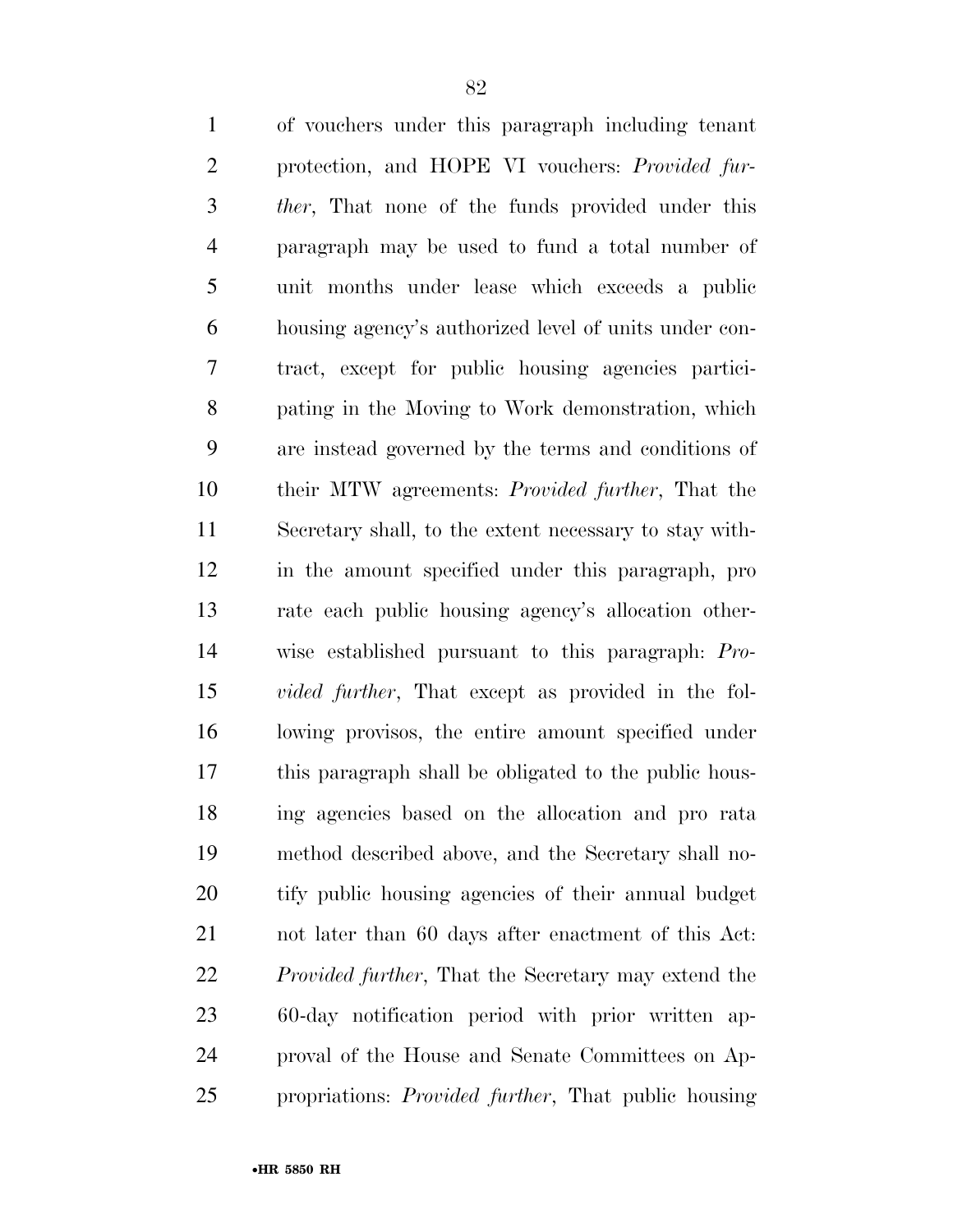of vouchers under this paragraph including tenant protection, and HOPE VI vouchers: *Provided fur- ther*, That none of the funds provided under this paragraph may be used to fund a total number of unit months under lease which exceeds a public housing agency's authorized level of units under con- tract, except for public housing agencies partici- pating in the Moving to Work demonstration, which are instead governed by the terms and conditions of their MTW agreements: *Provided further*, That the Secretary shall, to the extent necessary to stay with- in the amount specified under this paragraph, pro rate each public housing agency's allocation other- wise established pursuant to this paragraph: *Pro- vided further*, That except as provided in the fol- lowing provisos, the entire amount specified under this paragraph shall be obligated to the public hous- ing agencies based on the allocation and pro rata method described above, and the Secretary shall no- tify public housing agencies of their annual budget not later than 60 days after enactment of this Act: *Provided further*, That the Secretary may extend the 60-day notification period with prior written ap- proval of the House and Senate Committees on Ap-propriations: *Provided further*, That public housing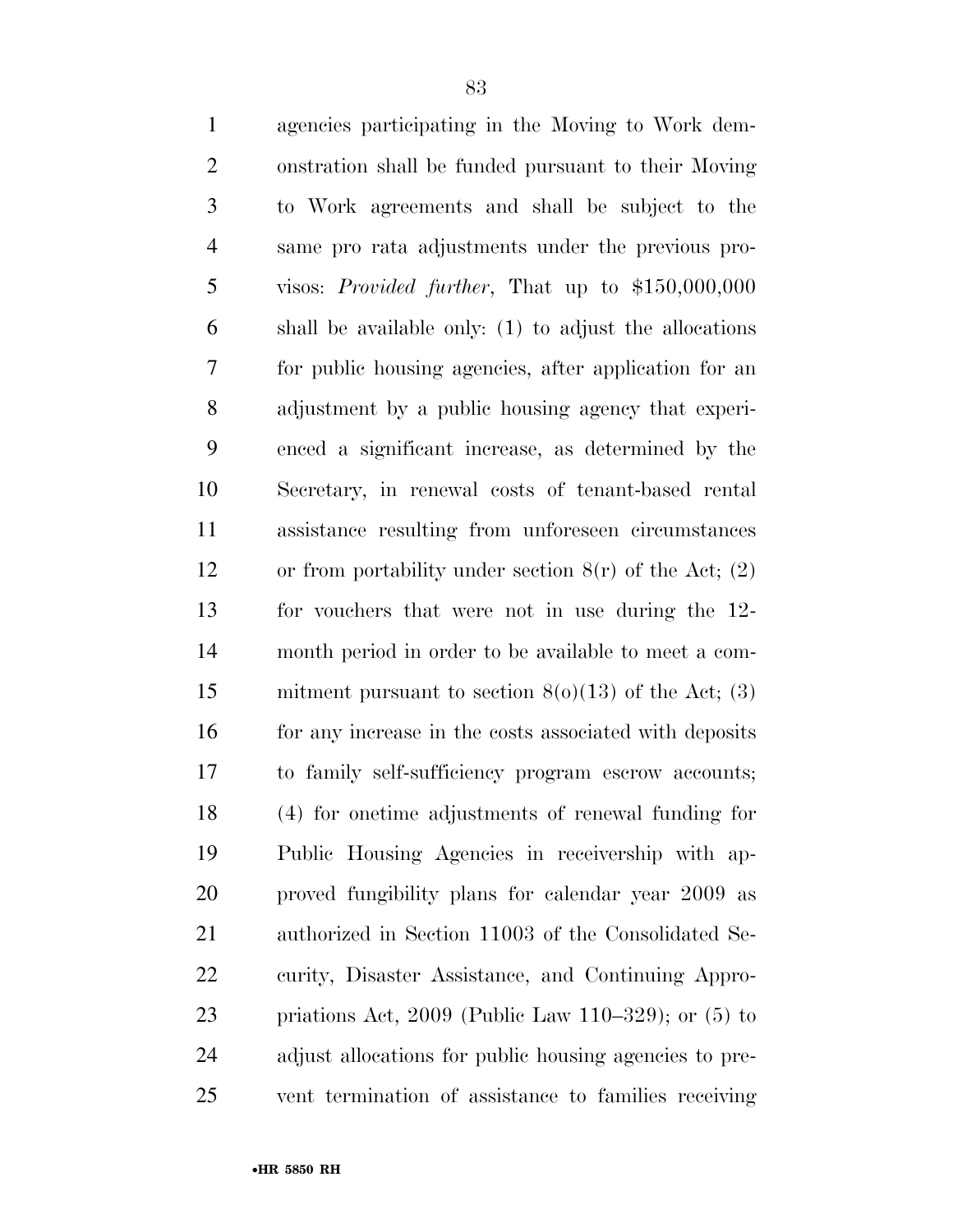| $\mathbf{1}$   | agencies participating in the Moving to Work dem-          |
|----------------|------------------------------------------------------------|
| $\overline{2}$ | onstration shall be funded pursuant to their Moving        |
| 3              | to Work agreements and shall be subject to the             |
| $\overline{4}$ | same pro rata adjustments under the previous pro-          |
| 5              | visos: <i>Provided further</i> , That up to $$150,000,000$ |
| 6              | shall be available only: (1) to adjust the allocations     |
| 7              | for public housing agencies, after application for an      |
| 8              | adjustment by a public housing agency that experi-         |
| 9              | enced a significant increase, as determined by the         |
| 10             | Secretary, in renewal costs of tenant-based rental         |
| 11             | assistance resulting from unforeseen circumstances         |
| 12             | or from portability under section $8(r)$ of the Act; (2)   |
| 13             | for vouchers that were not in use during the 12-           |
| 14             | month period in order to be available to meet a com-       |
| 15             | mitment pursuant to section $8(0)(13)$ of the Act; (3)     |
| 16             | for any increase in the costs associated with deposits     |
| 17             | to family self-sufficiency program escrow accounts;        |
| 18             | (4) for onetime adjustments of renewal funding for         |
| 19             | Public Housing Agencies in receivership with ap-           |
| 20             | proved fungibility plans for calendar year 2009 as         |
| 21             | authorized in Section 11003 of the Consolidated Se-        |
| 22             | curity, Disaster Assistance, and Continuing Appro-         |
| 23             | priations Act, $2009$ (Public Law 110–329); or (5) to      |
| 24             | adjust allocations for public housing agencies to pre-     |
| 25             | vent termination of assistance to families receiving       |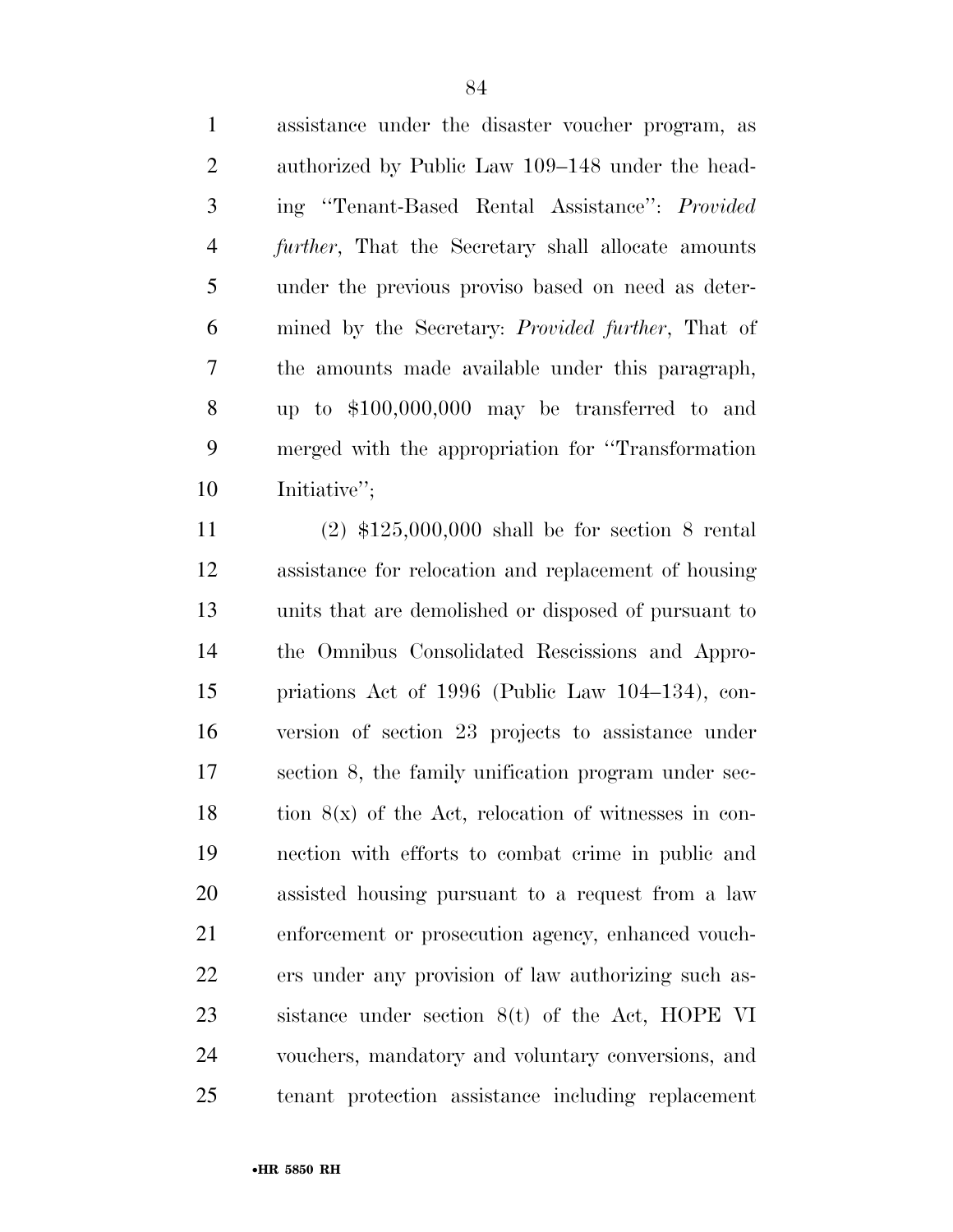assistance under the disaster voucher program, as authorized by Public Law 109–148 under the head- ing ''Tenant-Based Rental Assistance'': *Provided further*, That the Secretary shall allocate amounts under the previous proviso based on need as deter- mined by the Secretary: *Provided further*, That of the amounts made available under this paragraph, up to \$100,000,000 may be transferred to and merged with the appropriation for ''Transformation Initiative'';

 (2) \$125,000,000 shall be for section 8 rental assistance for relocation and replacement of housing units that are demolished or disposed of pursuant to the Omnibus Consolidated Rescissions and Appro- priations Act of 1996 (Public Law 104–134), con- version of section 23 projects to assistance under section 8, the family unification program under sec-18 tion  $8(x)$  of the Act, relocation of witnesses in con- nection with efforts to combat crime in public and assisted housing pursuant to a request from a law enforcement or prosecution agency, enhanced vouch- ers under any provision of law authorizing such as- sistance under section 8(t) of the Act, HOPE VI vouchers, mandatory and voluntary conversions, and tenant protection assistance including replacement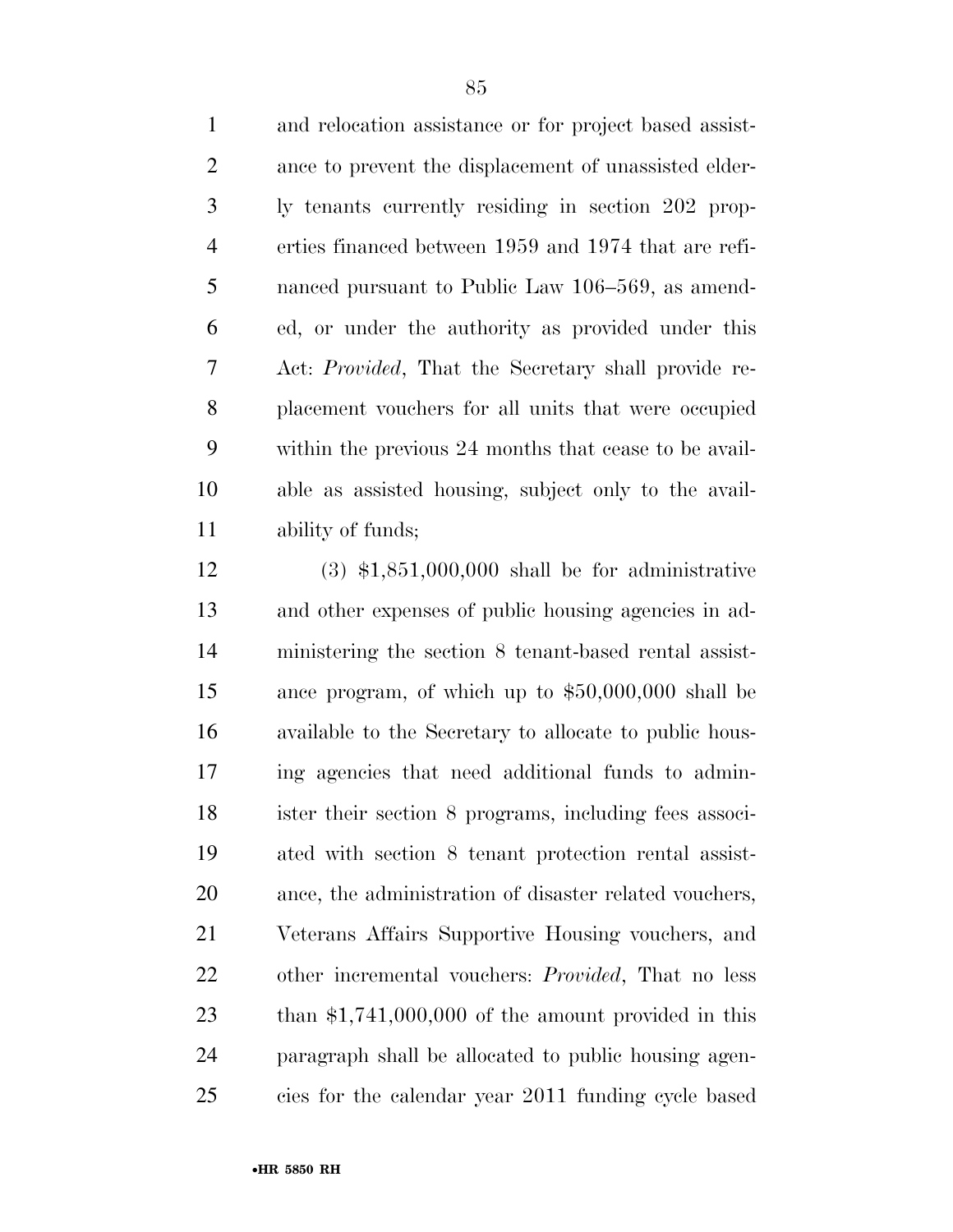and relocation assistance or for project based assist- ance to prevent the displacement of unassisted elder- ly tenants currently residing in section 202 prop- erties financed between 1959 and 1974 that are refi- nanced pursuant to Public Law 106–569, as amend- ed, or under the authority as provided under this Act: *Provided*, That the Secretary shall provide re- placement vouchers for all units that were occupied within the previous 24 months that cease to be avail- able as assisted housing, subject only to the avail-ability of funds;

 (3) \$1,851,000,000 shall be for administrative and other expenses of public housing agencies in ad- ministering the section 8 tenant-based rental assist- ance program, of which up to \$50,000,000 shall be available to the Secretary to allocate to public hous- ing agencies that need additional funds to admin- ister their section 8 programs, including fees associ- ated with section 8 tenant protection rental assist- ance, the administration of disaster related vouchers, Veterans Affairs Supportive Housing vouchers, and other incremental vouchers: *Provided*, That no less than \$1,741,000,000 of the amount provided in this paragraph shall be allocated to public housing agen-cies for the calendar year 2011 funding cycle based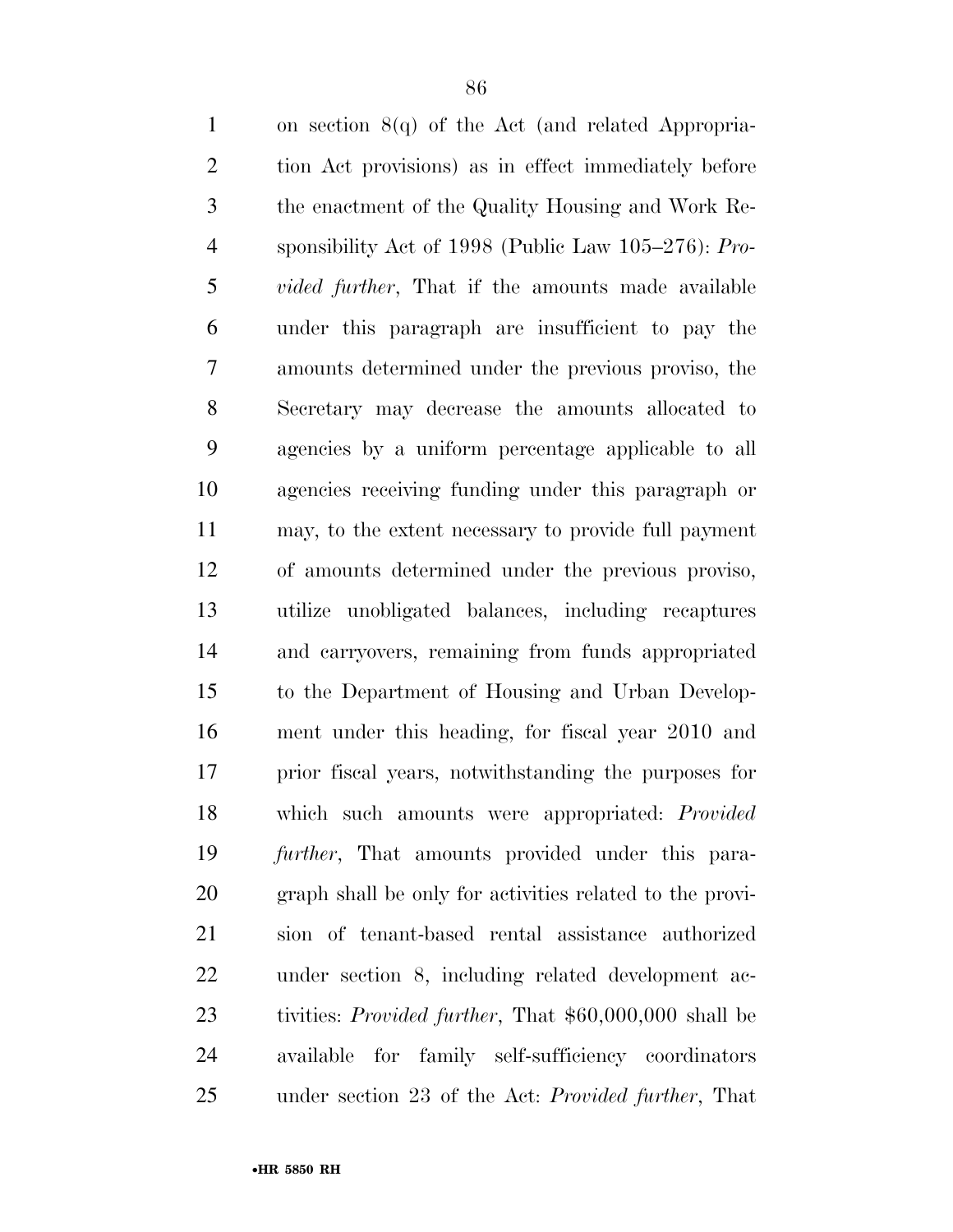| $\mathbf{1}$   | on section $8(q)$ of the Act (and related Appropria-           |
|----------------|----------------------------------------------------------------|
| $\overline{2}$ | tion Act provisions) as in effect immediately before           |
| 3              | the enactment of the Quality Housing and Work Re-              |
| $\overline{4}$ | sponsibility Act of 1998 (Public Law $105-276$ ): Pro-         |
| 5              | <i>vided further</i> , That if the amounts made available      |
| 6              | under this paragraph are insufficient to pay the               |
| 7              | amounts determined under the previous proviso, the             |
| $8\,$          | Secretary may decrease the amounts allocated to                |
| 9              | agencies by a uniform percentage applicable to all             |
| 10             | agencies receiving funding under this paragraph or             |
| 11             | may, to the extent necessary to provide full payment           |
| 12             | of amounts determined under the previous proviso,              |
| 13             | utilize unobligated balances, including recaptures             |
| 14             | and carryovers, remaining from funds appropriated              |
| 15             | to the Department of Housing and Urban Develop-                |
| 16             | ment under this heading, for fiscal year 2010 and              |
| 17             | prior fiscal years, notwithstanding the purposes for           |
| 18             | which such amounts were appropriated: <i>Provided</i>          |
| 19             | <i>further</i> , That amounts provided under this para-        |
| 20             | graph shall be only for activities related to the provi-       |
| 21             | sion of tenant-based rental assistance authorized              |
| 22             | under section 8, including related development ac-             |
| 23             | tivities: <i>Provided further</i> , That \$60,000,000 shall be |
| 24             | for family self-sufficiency coordinators<br>available          |
| 25             | under section 23 of the Act: Provided further, That            |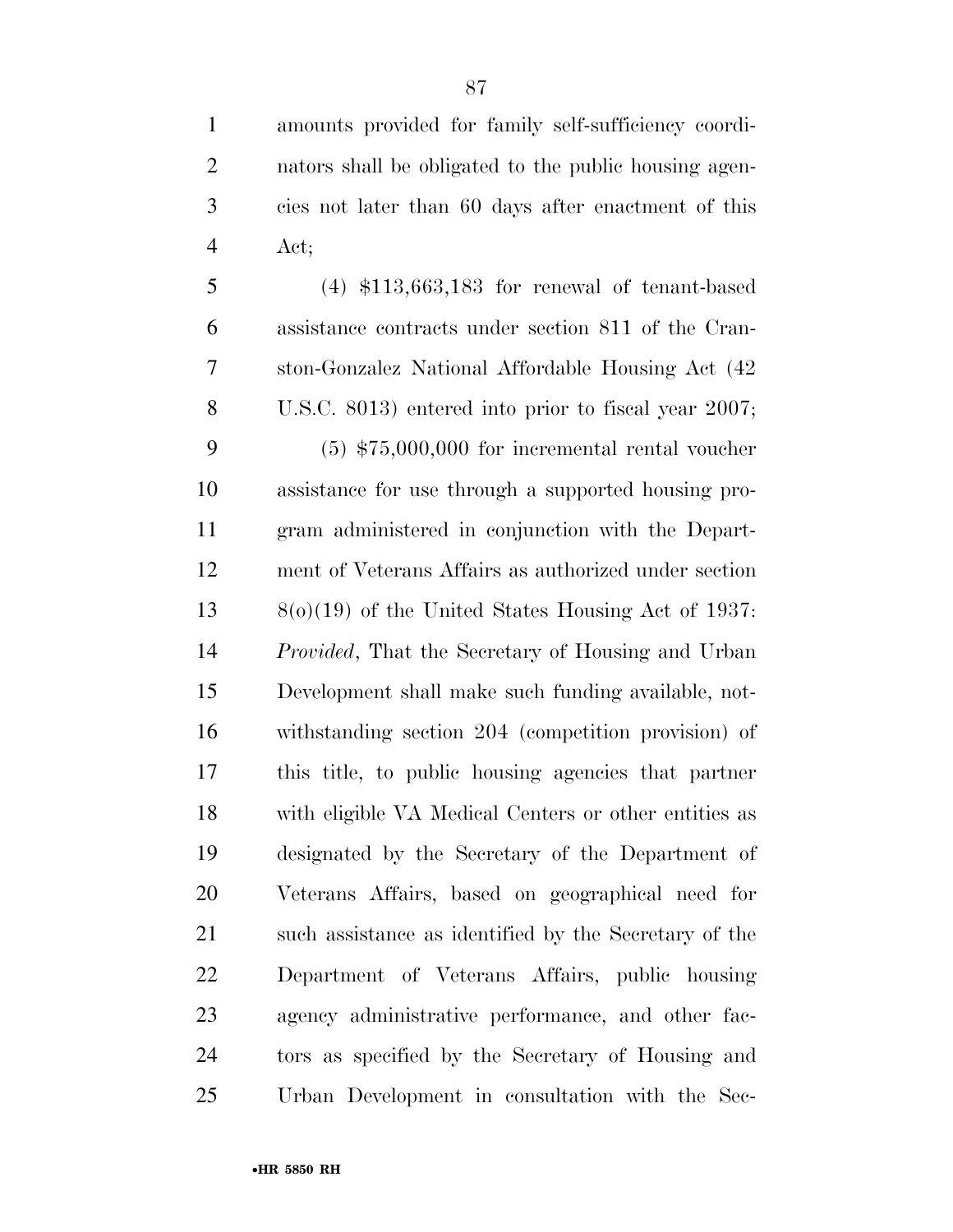amounts provided for family self-sufficiency coordi- nators shall be obligated to the public housing agen- cies not later than 60 days after enactment of this Act;

 (4) \$113,663,183 for renewal of tenant-based assistance contracts under section 811 of the Cran- ston-Gonzalez National Affordable Housing Act (42 U.S.C. 8013) entered into prior to fiscal year 2007; (5) \$75,000,000 for incremental rental voucher assistance for use through a supported housing pro- gram administered in conjunction with the Depart- ment of Veterans Affairs as authorized under section 8(o)(19) of the United States Housing Act of 1937: *Provided*, That the Secretary of Housing and Urban Development shall make such funding available, not- withstanding section 204 (competition provision) of this title, to public housing agencies that partner with eligible VA Medical Centers or other entities as designated by the Secretary of the Department of Veterans Affairs, based on geographical need for 21 such assistance as identified by the Secretary of the Department of Veterans Affairs, public housing agency administrative performance, and other fac- tors as specified by the Secretary of Housing and Urban Development in consultation with the Sec-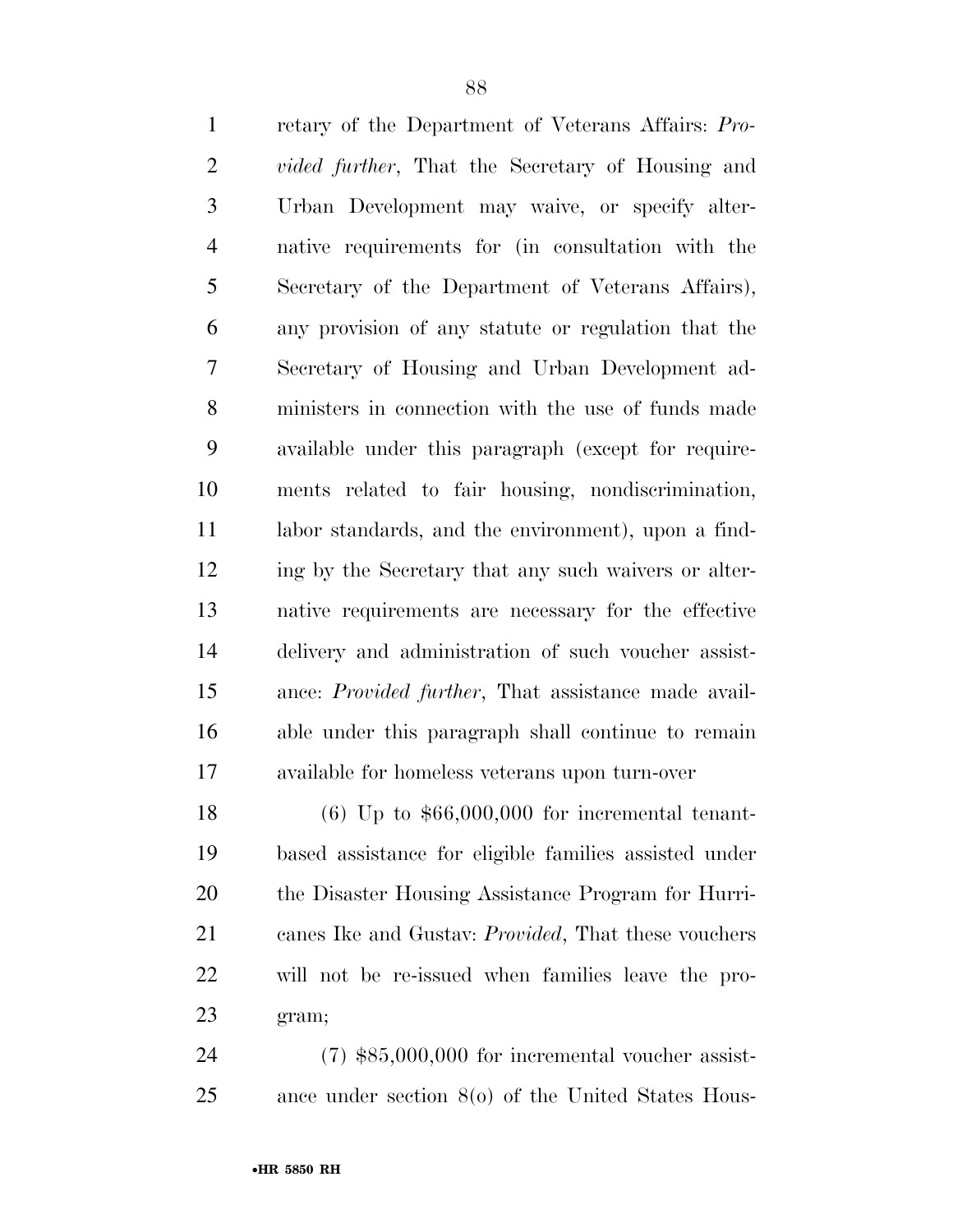retary of the Department of Veterans Affairs: *Pro- vided further*, That the Secretary of Housing and Urban Development may waive, or specify alter- native requirements for (in consultation with the Secretary of the Department of Veterans Affairs), any provision of any statute or regulation that the Secretary of Housing and Urban Development ad- ministers in connection with the use of funds made available under this paragraph (except for require- ments related to fair housing, nondiscrimination, labor standards, and the environment), upon a find- ing by the Secretary that any such waivers or alter- native requirements are necessary for the effective delivery and administration of such voucher assist- ance: *Provided further*, That assistance made avail- able under this paragraph shall continue to remain available for homeless veterans upon turn-over (6) Up to \$66,000,000 for incremental tenant- based assistance for eligible families assisted under the Disaster Housing Assistance Program for Hurri-

 canes Ike and Gustav: *Provided*, That these vouchers will not be re-issued when families leave the pro-gram;

 (7) \$85,000,000 for incremental voucher assist-ance under section 8(o) of the United States Hous-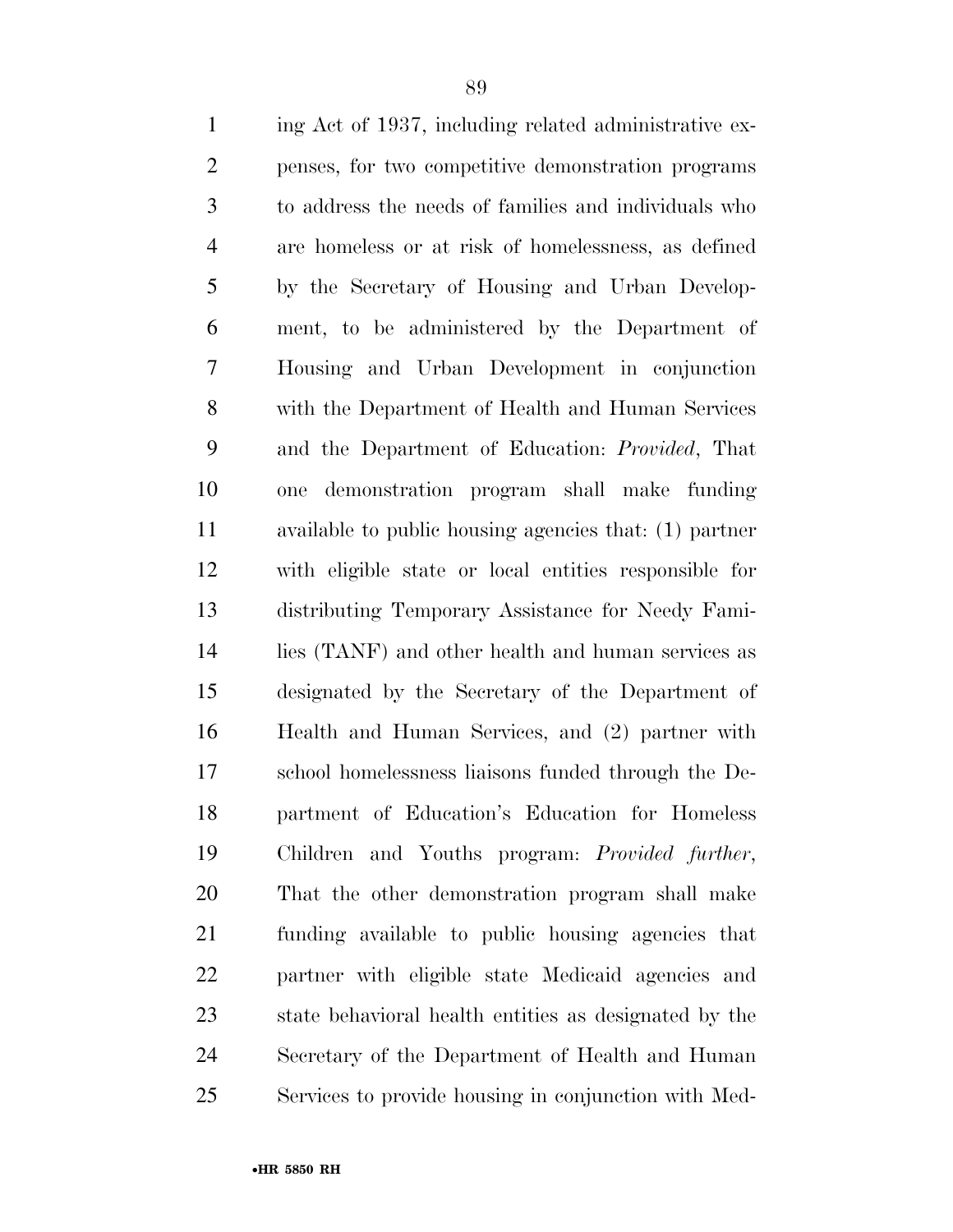| $\mathbf{1}$   | ing Act of 1937, including related administrative ex-   |
|----------------|---------------------------------------------------------|
| $\overline{2}$ | penses, for two competitive demonstration programs      |
| 3              | to address the needs of families and individuals who    |
| $\overline{4}$ | are homeless or at risk of homelessness, as defined     |
| 5              | by the Secretary of Housing and Urban Develop-          |
| 6              | ment, to be administered by the Department of           |
| 7              | Housing and Urban Development in conjunction            |
| 8              | with the Department of Health and Human Services        |
| 9              | and the Department of Education: <i>Provided</i> , That |
| 10             | demonstration program shall make funding<br>one         |
| 11             | available to public housing agencies that: (1) partner  |
| 12             | with eligible state or local entities responsible for   |
| 13             | distributing Temporary Assistance for Needy Fami-       |
| 14             | lies (TANF) and other health and human services as      |
| 15             | designated by the Secretary of the Department of        |
| 16             | Health and Human Services, and (2) partner with         |
| 17             | school homelessness liaisons funded through the De-     |
| 18             | partment of Education's Education for Homeless          |
| 19             | Children and Youths program: <i>Provided further</i> ,  |
| 20             | That the other demonstration program shall make         |
| 21             | funding available to public housing agencies that       |
| 22             | partner with eligible state Medicaid agencies and       |
| 23             | state behavioral health entities as designated by the   |
| 24             | Secretary of the Department of Health and Human         |
| 25             | Services to provide housing in conjunction with Med-    |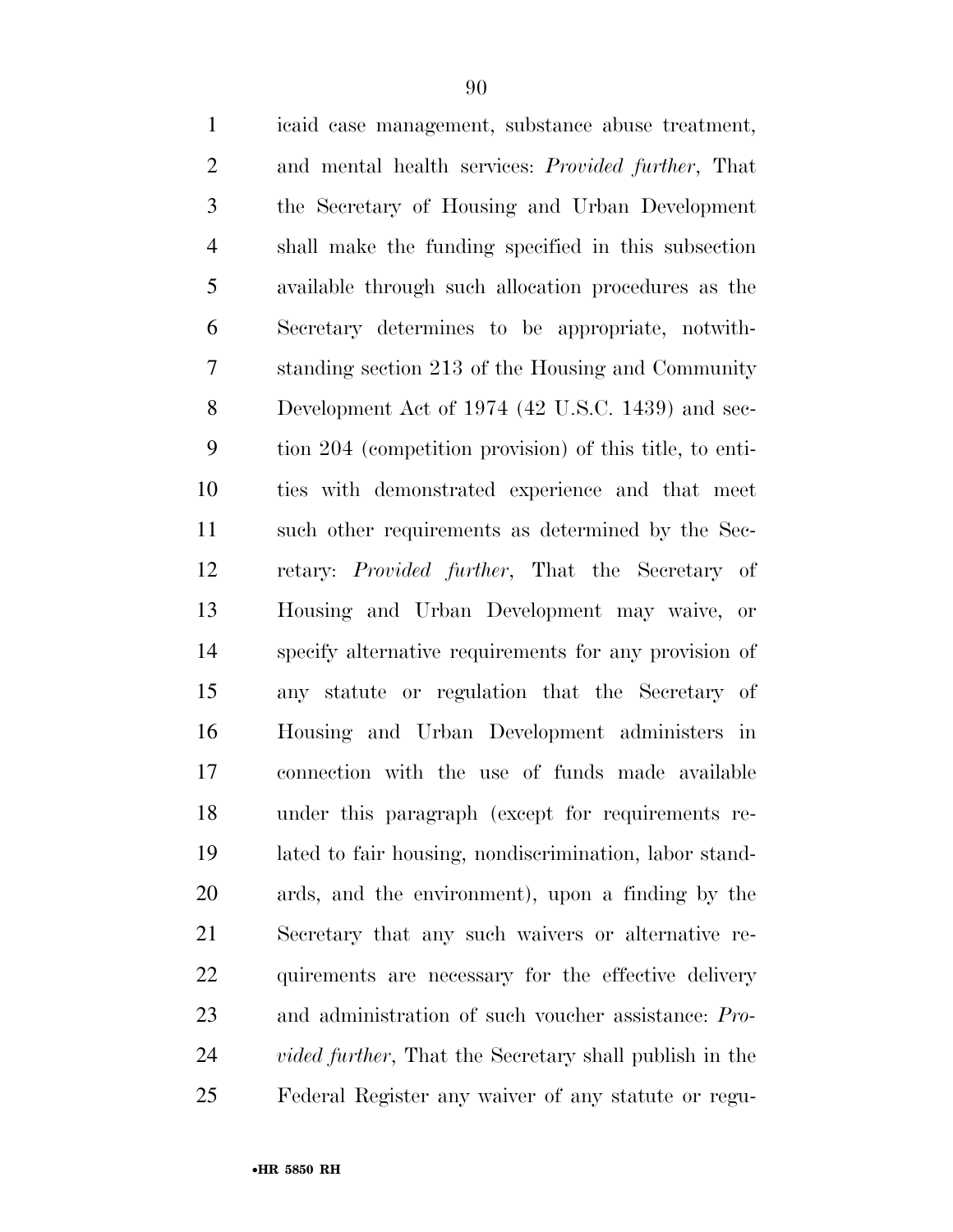| $\mathbf{1}$   | icaid case management, substance abuse treatment,              |
|----------------|----------------------------------------------------------------|
| $\overline{2}$ | and mental health services: Provided further, That             |
| 3              | the Secretary of Housing and Urban Development                 |
| $\overline{4}$ | shall make the funding specified in this subsection            |
| 5              | available through such allocation procedures as the            |
| 6              | Secretary determines to be appropriate, notwith-               |
| 7              | standing section 213 of the Housing and Community              |
| 8              | Development Act of 1974 (42 U.S.C. 1439) and sec-              |
| 9              | tion 204 (competition provision) of this title, to enti-       |
| 10             | ties with demonstrated experience and that meet                |
| 11             | such other requirements as determined by the Sec-              |
| 12             | retary: <i>Provided further</i> , That the Secretary of        |
| 13             | Housing and Urban Development may waive, or                    |
| 14             | specify alternative requirements for any provision of          |
| 15             | any statute or regulation that the Secretary of                |
| 16             | Housing and Urban Development administers in                   |
| 17             | connection with the use of funds made available                |
| 18             | under this paragraph (except for requirements re-              |
| 19             | lated to fair housing, nondiscrimination, labor stand-         |
| 20             | ards, and the environment), upon a finding by the              |
| 21             | Secretary that any such waivers or alternative re-             |
| 22             | quirements are necessary for the effective delivery            |
| 23             | and administration of such voucher assistance: Pro-            |
| 24             | <i>vided further</i> , That the Secretary shall publish in the |
| 25             | Federal Register any waiver of any statute or regu-            |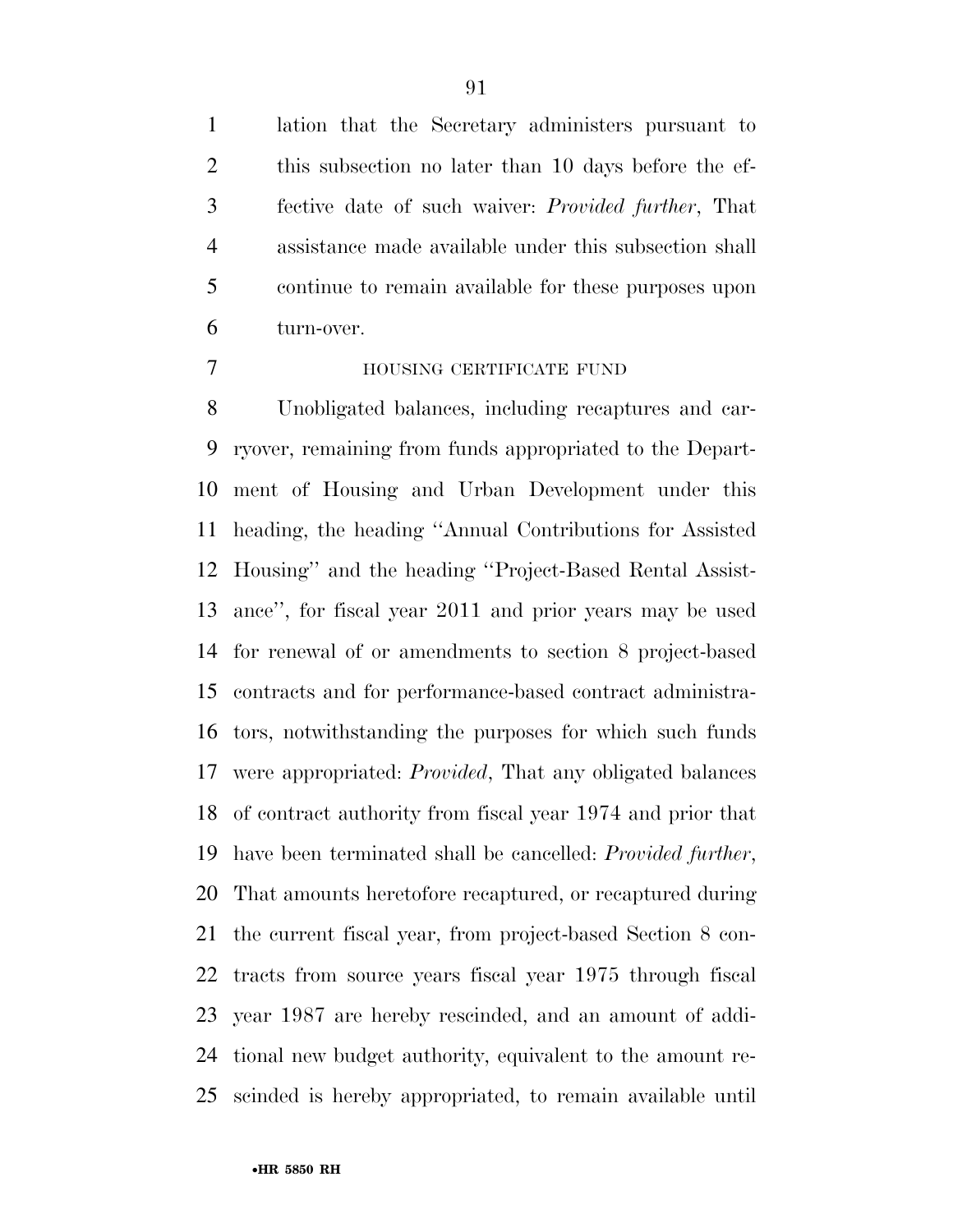lation that the Secretary administers pursuant to this subsection no later than 10 days before the ef- fective date of such waiver: *Provided further*, That assistance made available under this subsection shall continue to remain available for these purposes upon turn-over.

#### HOUSING CERTIFICATE FUND

 Unobligated balances, including recaptures and car- ryover, remaining from funds appropriated to the Depart- ment of Housing and Urban Development under this heading, the heading ''Annual Contributions for Assisted Housing'' and the heading ''Project-Based Rental Assist- ance'', for fiscal year 2011 and prior years may be used for renewal of or amendments to section 8 project-based contracts and for performance-based contract administra- tors, notwithstanding the purposes for which such funds were appropriated: *Provided*, That any obligated balances of contract authority from fiscal year 1974 and prior that have been terminated shall be cancelled: *Provided further*, That amounts heretofore recaptured, or recaptured during the current fiscal year, from project-based Section 8 con- tracts from source years fiscal year 1975 through fiscal year 1987 are hereby rescinded, and an amount of addi- tional new budget authority, equivalent to the amount re-scinded is hereby appropriated, to remain available until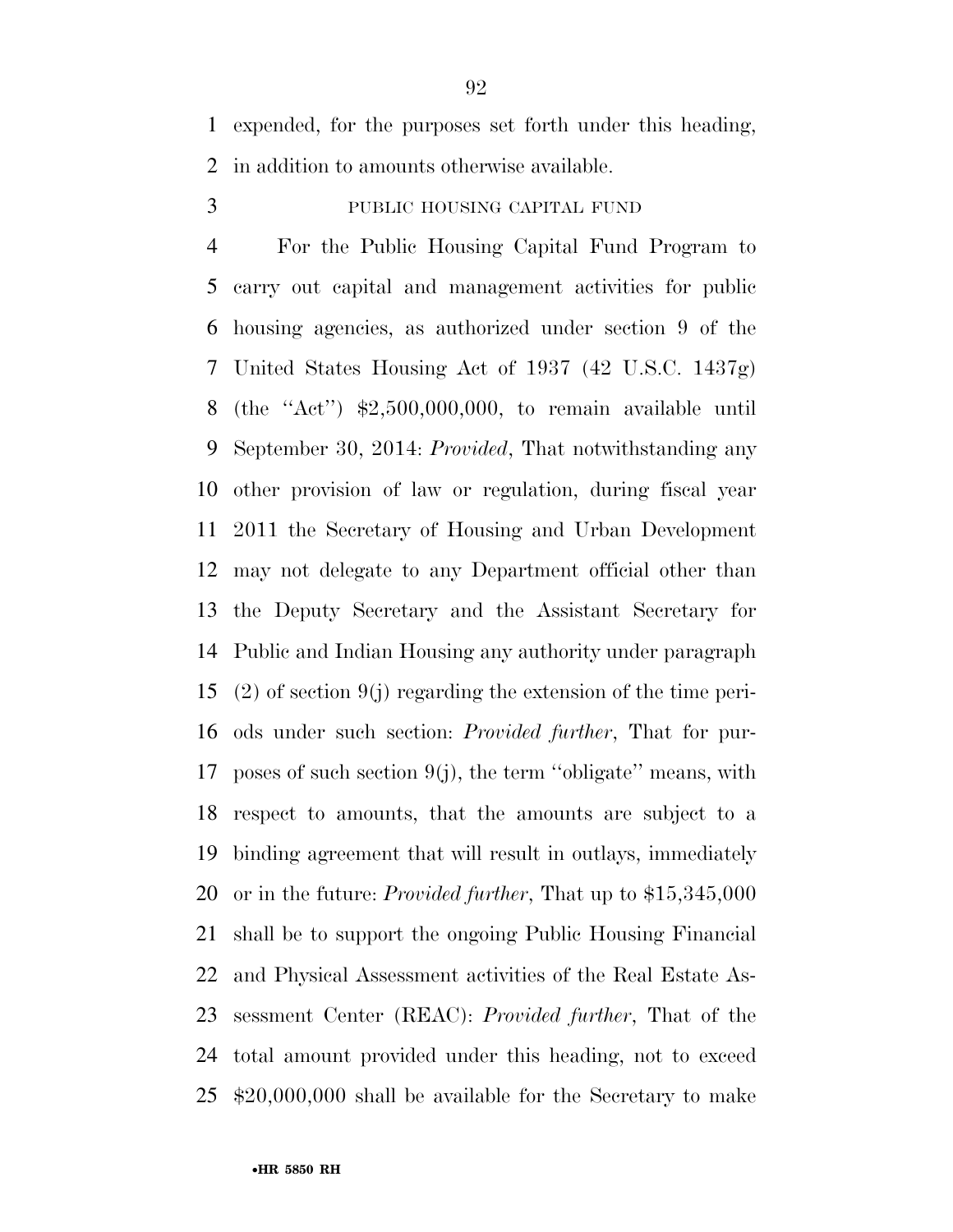expended, for the purposes set forth under this heading, in addition to amounts otherwise available.

PUBLIC HOUSING CAPITAL FUND

 For the Public Housing Capital Fund Program to carry out capital and management activities for public housing agencies, as authorized under section 9 of the United States Housing Act of 1937 (42 U.S.C. 1437g) (the ''Act'') \$2,500,000,000, to remain available until September 30, 2014: *Provided*, That notwithstanding any other provision of law or regulation, during fiscal year 2011 the Secretary of Housing and Urban Development may not delegate to any Department official other than the Deputy Secretary and the Assistant Secretary for Public and Indian Housing any authority under paragraph (2) of section 9(j) regarding the extension of the time peri- ods under such section: *Provided further*, That for pur-17 poses of such section  $9(i)$ , the term "obligate" means, with respect to amounts, that the amounts are subject to a binding agreement that will result in outlays, immediately or in the future: *Provided further*, That up to \$15,345,000 shall be to support the ongoing Public Housing Financial and Physical Assessment activities of the Real Estate As- sessment Center (REAC): *Provided further*, That of the total amount provided under this heading, not to exceed \$20,000,000 shall be available for the Secretary to make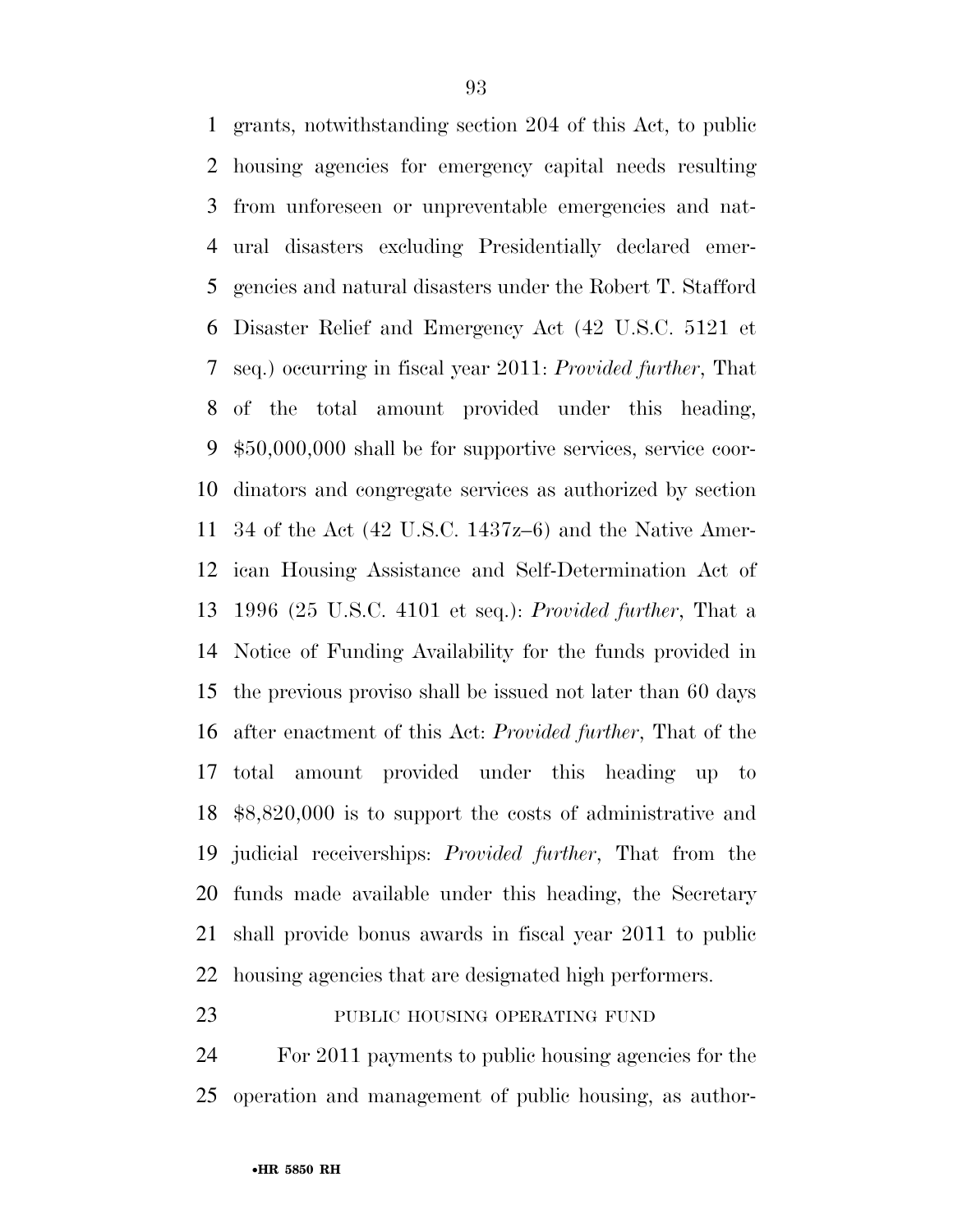grants, notwithstanding section 204 of this Act, to public housing agencies for emergency capital needs resulting from unforeseen or unpreventable emergencies and nat- ural disasters excluding Presidentially declared emer- gencies and natural disasters under the Robert T. Stafford Disaster Relief and Emergency Act (42 U.S.C. 5121 et seq.) occurring in fiscal year 2011: *Provided further*, That of the total amount provided under this heading, \$50,000,000 shall be for supportive services, service coor- dinators and congregate services as authorized by section 34 of the Act (42 U.S.C. 1437z–6) and the Native Amer- ican Housing Assistance and Self-Determination Act of 1996 (25 U.S.C. 4101 et seq.): *Provided further*, That a Notice of Funding Availability for the funds provided in the previous proviso shall be issued not later than 60 days after enactment of this Act: *Provided further*, That of the total amount provided under this heading up to \$8,820,000 is to support the costs of administrative and judicial receiverships: *Provided further*, That from the funds made available under this heading, the Secretary shall provide bonus awards in fiscal year 2011 to public housing agencies that are designated high performers.

## 23 PUBLIC HOUSING OPERATING FUND

 For 2011 payments to public housing agencies for the operation and management of public housing, as author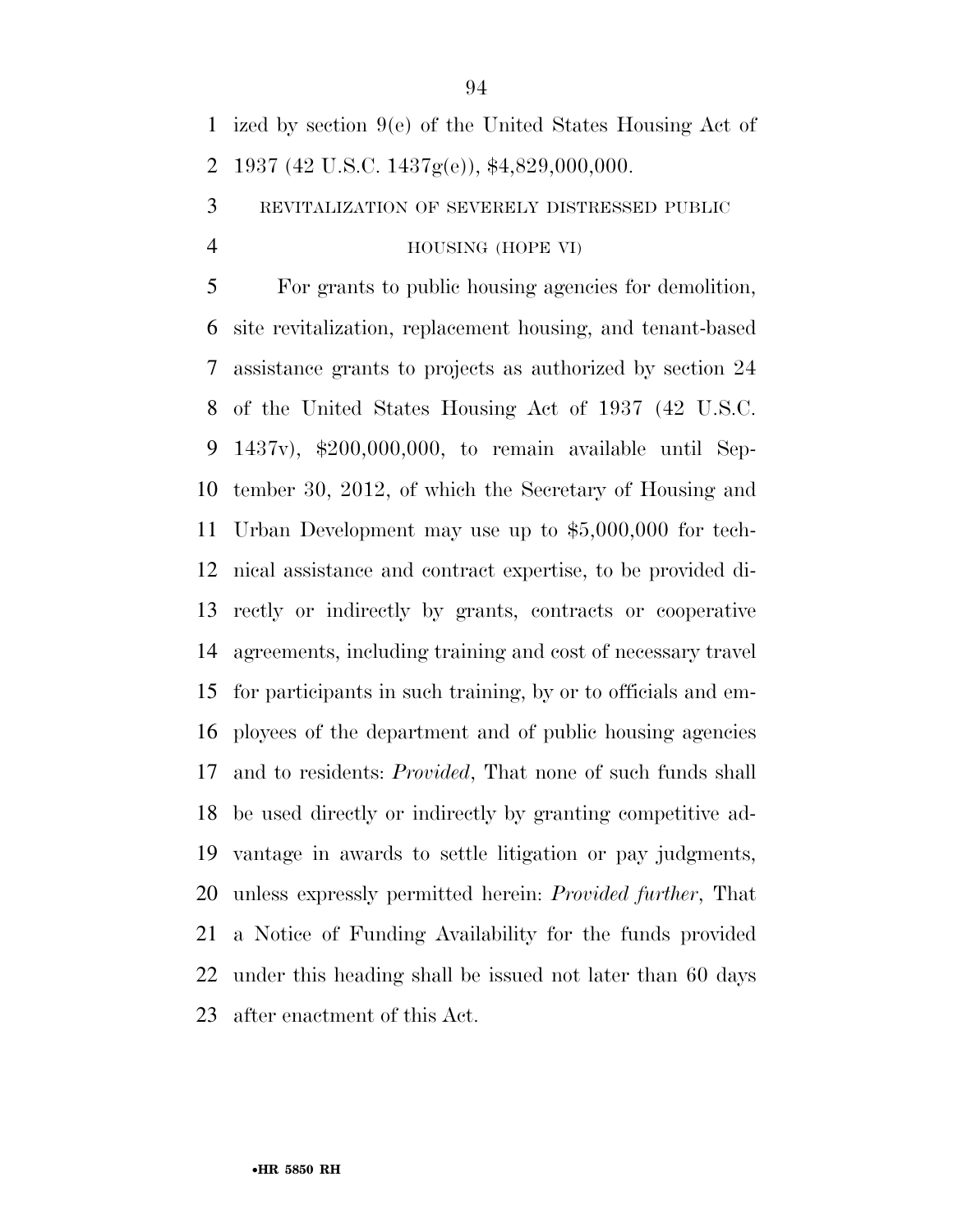ized by section 9(e) of the United States Housing Act of 1937 (42 U.S.C. 1437g(e)), \$4,829,000,000.

REVITALIZATION OF SEVERELY DISTRESSED PUBLIC

HOUSING (HOPE VI)

 For grants to public housing agencies for demolition, site revitalization, replacement housing, and tenant-based assistance grants to projects as authorized by section 24 of the United States Housing Act of 1937 (42 U.S.C. 1437v), \$200,000,000, to remain available until Sep- tember 30, 2012, of which the Secretary of Housing and Urban Development may use up to \$5,000,000 for tech- nical assistance and contract expertise, to be provided di- rectly or indirectly by grants, contracts or cooperative agreements, including training and cost of necessary travel for participants in such training, by or to officials and em- ployees of the department and of public housing agencies and to residents: *Provided*, That none of such funds shall be used directly or indirectly by granting competitive ad- vantage in awards to settle litigation or pay judgments, unless expressly permitted herein: *Provided further*, That a Notice of Funding Availability for the funds provided under this heading shall be issued not later than 60 days after enactment of this Act.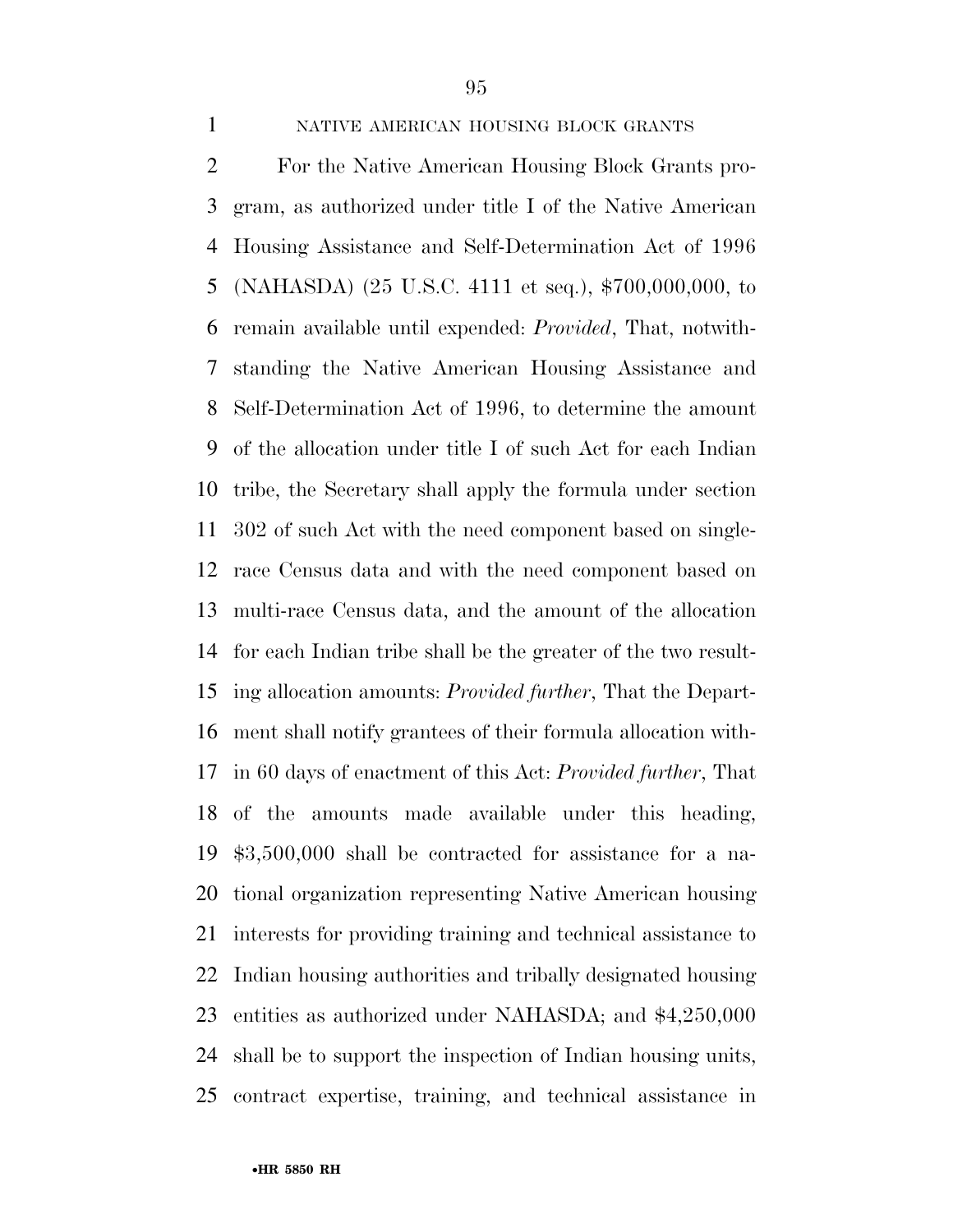#### NATIVE AMERICAN HOUSING BLOCK GRANTS

 For the Native American Housing Block Grants pro- gram, as authorized under title I of the Native American Housing Assistance and Self-Determination Act of 1996 (NAHASDA) (25 U.S.C. 4111 et seq.), \$700,000,000, to remain available until expended: *Provided*, That, notwith- standing the Native American Housing Assistance and Self-Determination Act of 1996, to determine the amount of the allocation under title I of such Act for each Indian tribe, the Secretary shall apply the formula under section 302 of such Act with the need component based on single- race Census data and with the need component based on multi-race Census data, and the amount of the allocation for each Indian tribe shall be the greater of the two result- ing allocation amounts: *Provided further*, That the Depart- ment shall notify grantees of their formula allocation with- in 60 days of enactment of this Act: *Provided further*, That of the amounts made available under this heading, \$3,500,000 shall be contracted for assistance for a na- tional organization representing Native American housing interests for providing training and technical assistance to Indian housing authorities and tribally designated housing entities as authorized under NAHASDA; and \$4,250,000 shall be to support the inspection of Indian housing units, contract expertise, training, and technical assistance in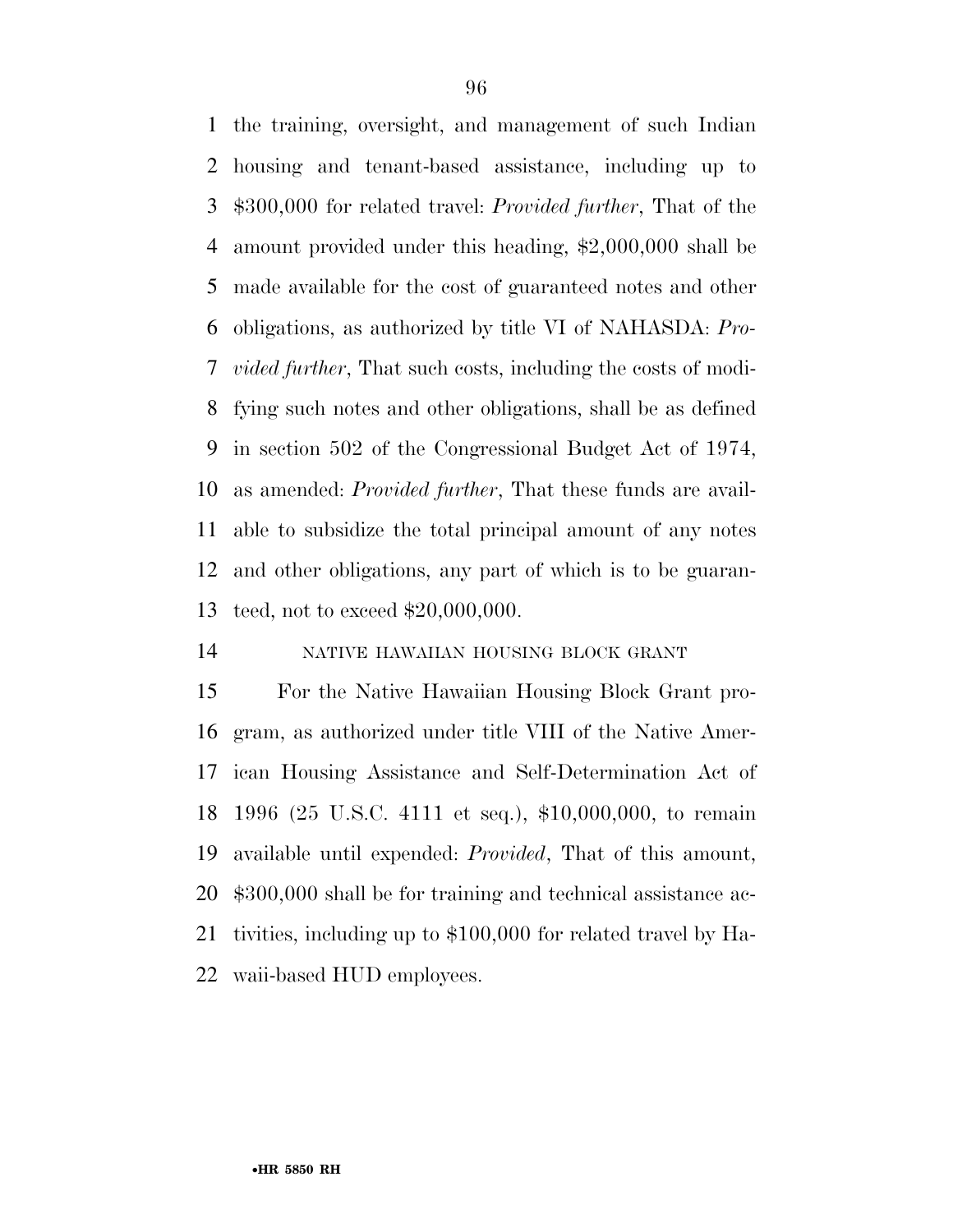the training, oversight, and management of such Indian housing and tenant-based assistance, including up to \$300,000 for related travel: *Provided further*, That of the amount provided under this heading, \$2,000,000 shall be made available for the cost of guaranteed notes and other obligations, as authorized by title VI of NAHASDA: *Pro- vided further*, That such costs, including the costs of modi- fying such notes and other obligations, shall be as defined in section 502 of the Congressional Budget Act of 1974, as amended: *Provided further*, That these funds are avail- able to subsidize the total principal amount of any notes and other obligations, any part of which is to be guaran-teed, not to exceed \$20,000,000.

### NATIVE HAWAIIAN HOUSING BLOCK GRANT

 For the Native Hawaiian Housing Block Grant pro- gram, as authorized under title VIII of the Native Amer- ican Housing Assistance and Self-Determination Act of 1996 (25 U.S.C. 4111 et seq.), \$10,000,000, to remain available until expended: *Provided*, That of this amount, \$300,000 shall be for training and technical assistance ac- tivities, including up to \$100,000 for related travel by Ha-waii-based HUD employees.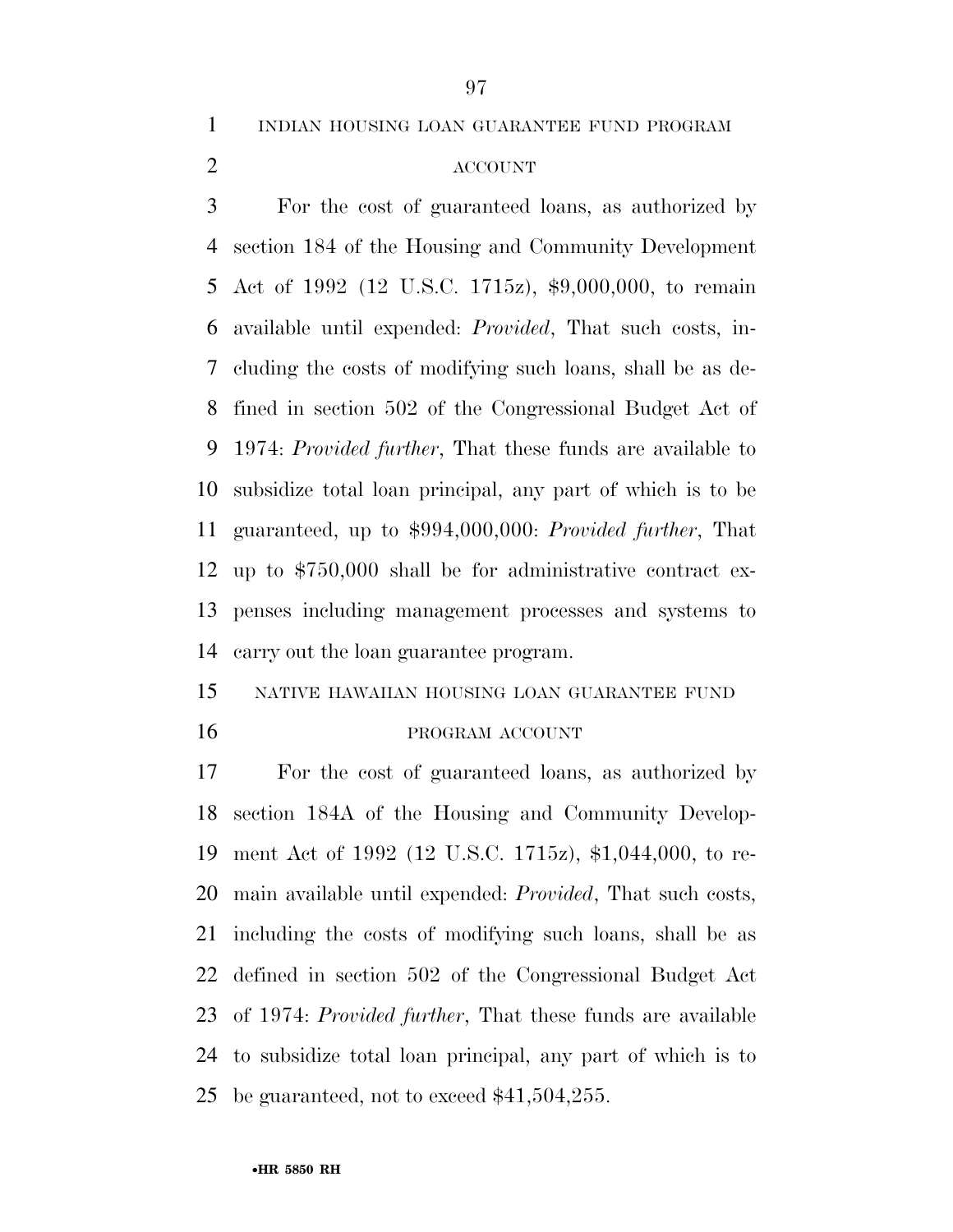INDIAN HOUSING LOAN GUARANTEE FUND PROGRAM

## ACCOUNT

 For the cost of guaranteed loans, as authorized by section 184 of the Housing and Community Development Act of 1992 (12 U.S.C. 1715z), \$9,000,000, to remain available until expended: *Provided*, That such costs, in- cluding the costs of modifying such loans, shall be as de- fined in section 502 of the Congressional Budget Act of 1974: *Provided further*, That these funds are available to subsidize total loan principal, any part of which is to be guaranteed, up to \$994,000,000: *Provided further*, That up to \$750,000 shall be for administrative contract ex- penses including management processes and systems to carry out the loan guarantee program.

# NATIVE HAWAIIAN HOUSING LOAN GUARANTEE FUND 16 PROGRAM ACCOUNT

 For the cost of guaranteed loans, as authorized by section 184A of the Housing and Community Develop- ment Act of 1992 (12 U.S.C. 1715z), \$1,044,000, to re- main available until expended: *Provided*, That such costs, including the costs of modifying such loans, shall be as defined in section 502 of the Congressional Budget Act of 1974: *Provided further*, That these funds are available to subsidize total loan principal, any part of which is to be guaranteed, not to exceed \$41,504,255.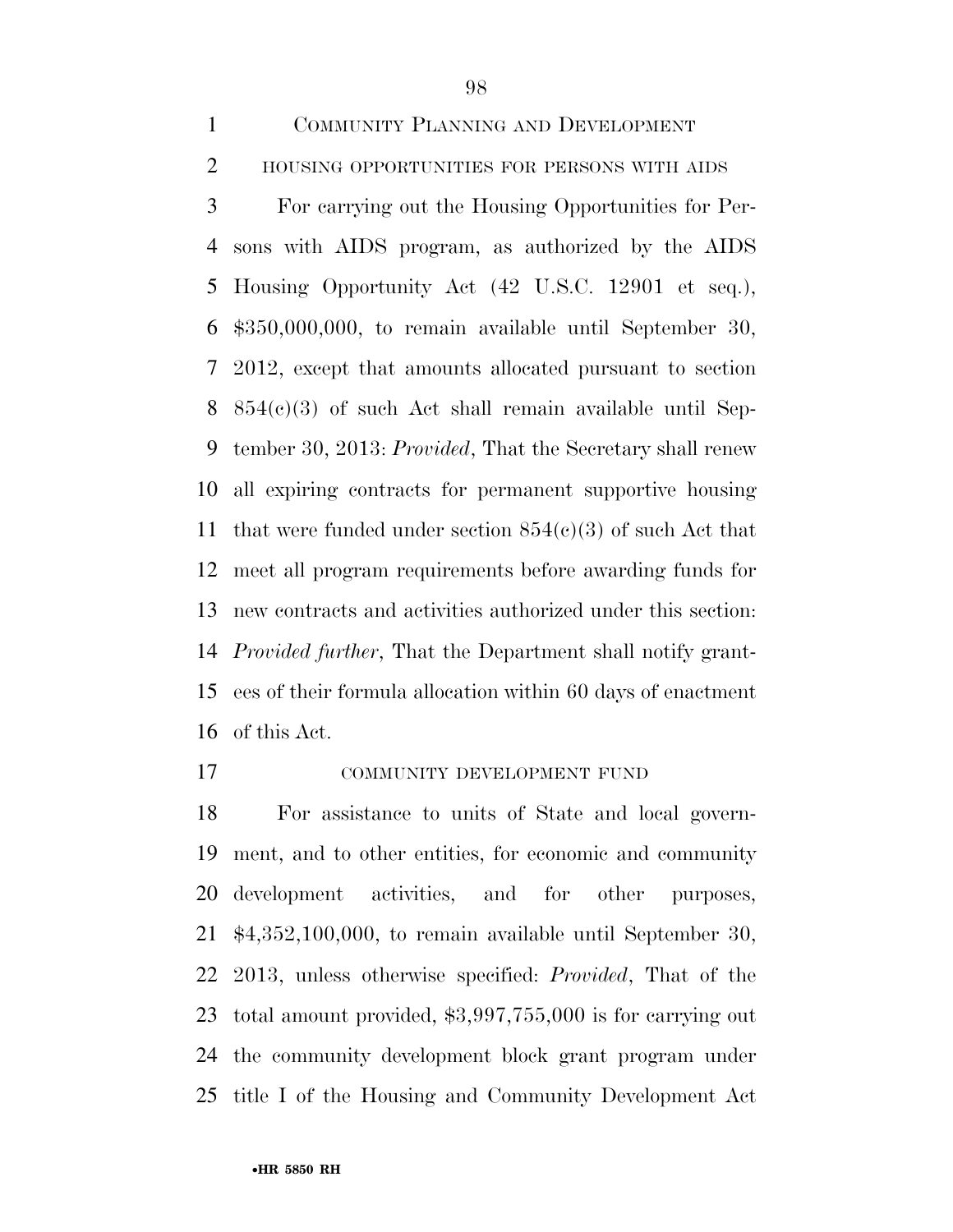COMMUNITY PLANNING AND DEVELOPMENT 2 HOUSING OPPORTUNITIES FOR PERSONS WITH AIDS For carrying out the Housing Opportunities for Per- sons with AIDS program, as authorized by the AIDS Housing Opportunity Act (42 U.S.C. 12901 et seq.), \$350,000,000, to remain available until September 30, 2012, except that amounts allocated pursuant to section 854(c)(3) of such Act shall remain available until Sep- tember 30, 2013: *Provided*, That the Secretary shall renew all expiring contracts for permanent supportive housing 11 that were funded under section  $854(c)(3)$  of such Act that meet all program requirements before awarding funds for new contracts and activities authorized under this section: *Provided further*, That the Department shall notify grant- ees of their formula allocation within 60 days of enactment of this Act.

COMMUNITY DEVELOPMENT FUND

 For assistance to units of State and local govern- ment, and to other entities, for economic and community development activities, and for other purposes, \$4,352,100,000, to remain available until September 30, 2013, unless otherwise specified: *Provided*, That of the total amount provided, \$3,997,755,000 is for carrying out the community development block grant program under title I of the Housing and Community Development Act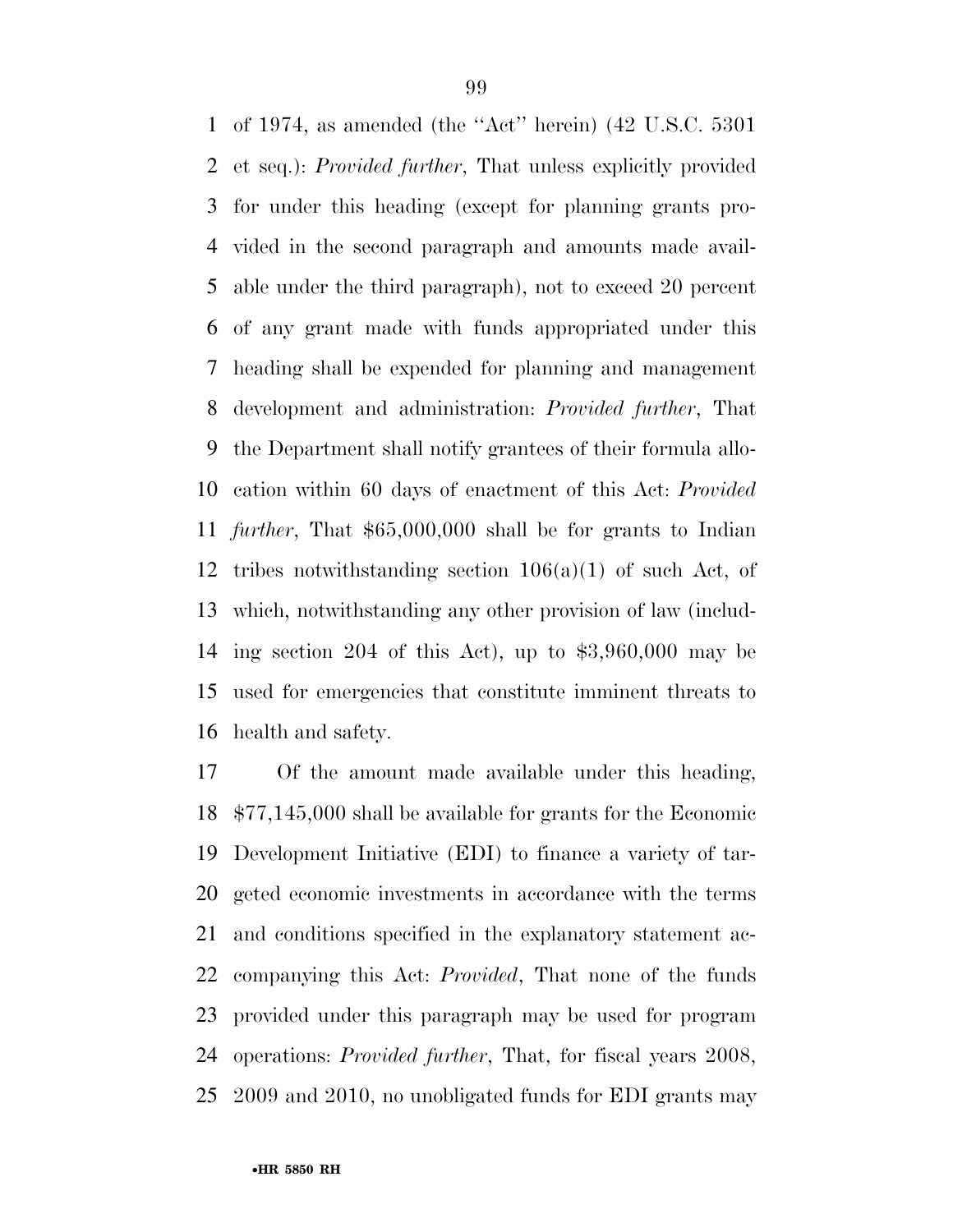of 1974, as amended (the ''Act'' herein) (42 U.S.C. 5301 et seq.): *Provided further*, That unless explicitly provided for under this heading (except for planning grants pro- vided in the second paragraph and amounts made avail- able under the third paragraph), not to exceed 20 percent of any grant made with funds appropriated under this heading shall be expended for planning and management development and administration: *Provided further*, That the Department shall notify grantees of their formula allo- cation within 60 days of enactment of this Act: *Provided further*, That \$65,000,000 shall be for grants to Indian tribes notwithstanding section 106(a)(1) of such Act, of which, notwithstanding any other provision of law (includ- ing section 204 of this Act), up to \$3,960,000 may be used for emergencies that constitute imminent threats to health and safety.

 Of the amount made available under this heading, \$77,145,000 shall be available for grants for the Economic Development Initiative (EDI) to finance a variety of tar- geted economic investments in accordance with the terms and conditions specified in the explanatory statement ac- companying this Act: *Provided*, That none of the funds provided under this paragraph may be used for program operations: *Provided further*, That, for fiscal years 2008, 2009 and 2010, no unobligated funds for EDI grants may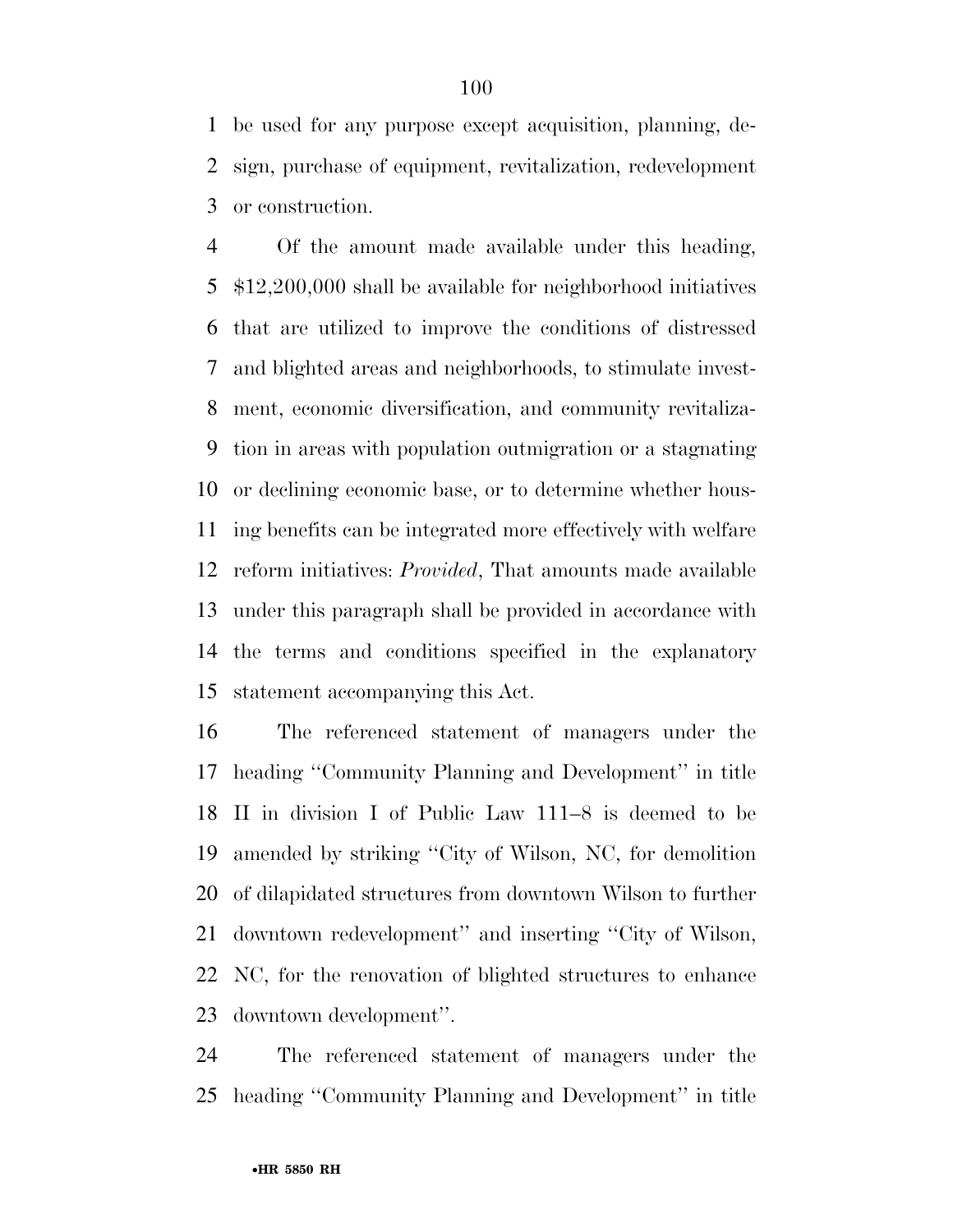be used for any purpose except acquisition, planning, de- sign, purchase of equipment, revitalization, redevelopment or construction.

 Of the amount made available under this heading, \$12,200,000 shall be available for neighborhood initiatives that are utilized to improve the conditions of distressed and blighted areas and neighborhoods, to stimulate invest- ment, economic diversification, and community revitaliza- tion in areas with population outmigration or a stagnating or declining economic base, or to determine whether hous- ing benefits can be integrated more effectively with welfare reform initiatives: *Provided*, That amounts made available under this paragraph shall be provided in accordance with the terms and conditions specified in the explanatory statement accompanying this Act.

 The referenced statement of managers under the heading ''Community Planning and Development'' in title II in division I of Public Law 111–8 is deemed to be amended by striking ''City of Wilson, NC, for demolition of dilapidated structures from downtown Wilson to further downtown redevelopment'' and inserting ''City of Wilson, NC, for the renovation of blighted structures to enhance downtown development''.

 The referenced statement of managers under the heading ''Community Planning and Development'' in title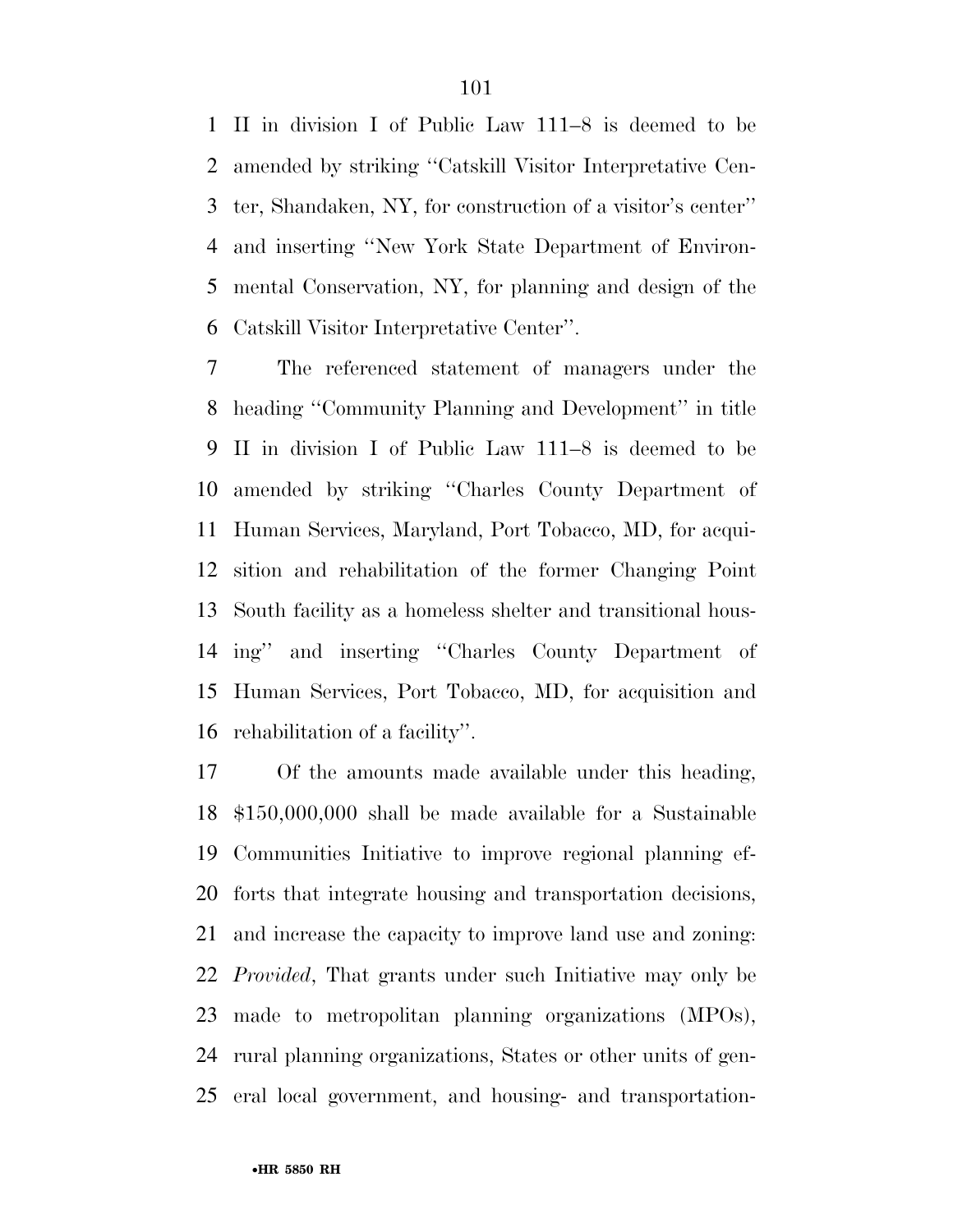II in division I of Public Law 111–8 is deemed to be amended by striking ''Catskill Visitor Interpretative Cen- ter, Shandaken, NY, for construction of a visitor's center'' and inserting ''New York State Department of Environ- mental Conservation, NY, for planning and design of the Catskill Visitor Interpretative Center''.

 The referenced statement of managers under the heading ''Community Planning and Development'' in title II in division I of Public Law 111–8 is deemed to be amended by striking ''Charles County Department of Human Services, Maryland, Port Tobacco, MD, for acqui- sition and rehabilitation of the former Changing Point South facility as a homeless shelter and transitional hous- ing'' and inserting ''Charles County Department of Human Services, Port Tobacco, MD, for acquisition and rehabilitation of a facility''.

 Of the amounts made available under this heading, \$150,000,000 shall be made available for a Sustainable Communities Initiative to improve regional planning ef- forts that integrate housing and transportation decisions, and increase the capacity to improve land use and zoning: *Provided*, That grants under such Initiative may only be made to metropolitan planning organizations (MPOs), rural planning organizations, States or other units of gen-eral local government, and housing- and transportation-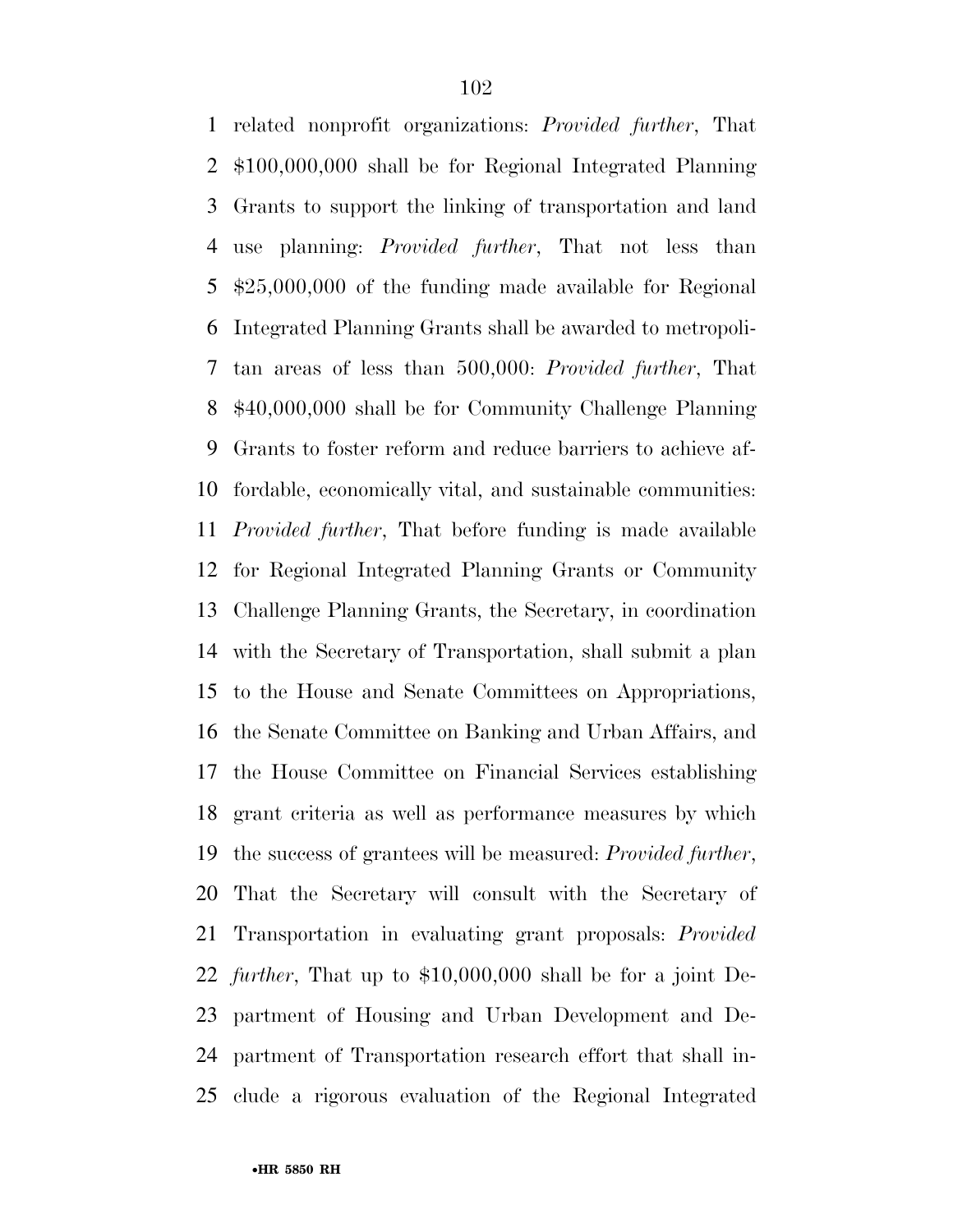related nonprofit organizations: *Provided further*, That \$100,000,000 shall be for Regional Integrated Planning Grants to support the linking of transportation and land use planning: *Provided further*, That not less than \$25,000,000 of the funding made available for Regional Integrated Planning Grants shall be awarded to metropoli- tan areas of less than 500,000: *Provided further*, That \$40,000,000 shall be for Community Challenge Planning Grants to foster reform and reduce barriers to achieve af- fordable, economically vital, and sustainable communities: *Provided further*, That before funding is made available for Regional Integrated Planning Grants or Community Challenge Planning Grants, the Secretary, in coordination with the Secretary of Transportation, shall submit a plan to the House and Senate Committees on Appropriations, the Senate Committee on Banking and Urban Affairs, and the House Committee on Financial Services establishing grant criteria as well as performance measures by which the success of grantees will be measured: *Provided further*, That the Secretary will consult with the Secretary of Transportation in evaluating grant proposals: *Provided further*, That up to \$10,000,000 shall be for a joint De- partment of Housing and Urban Development and De- partment of Transportation research effort that shall in-clude a rigorous evaluation of the Regional Integrated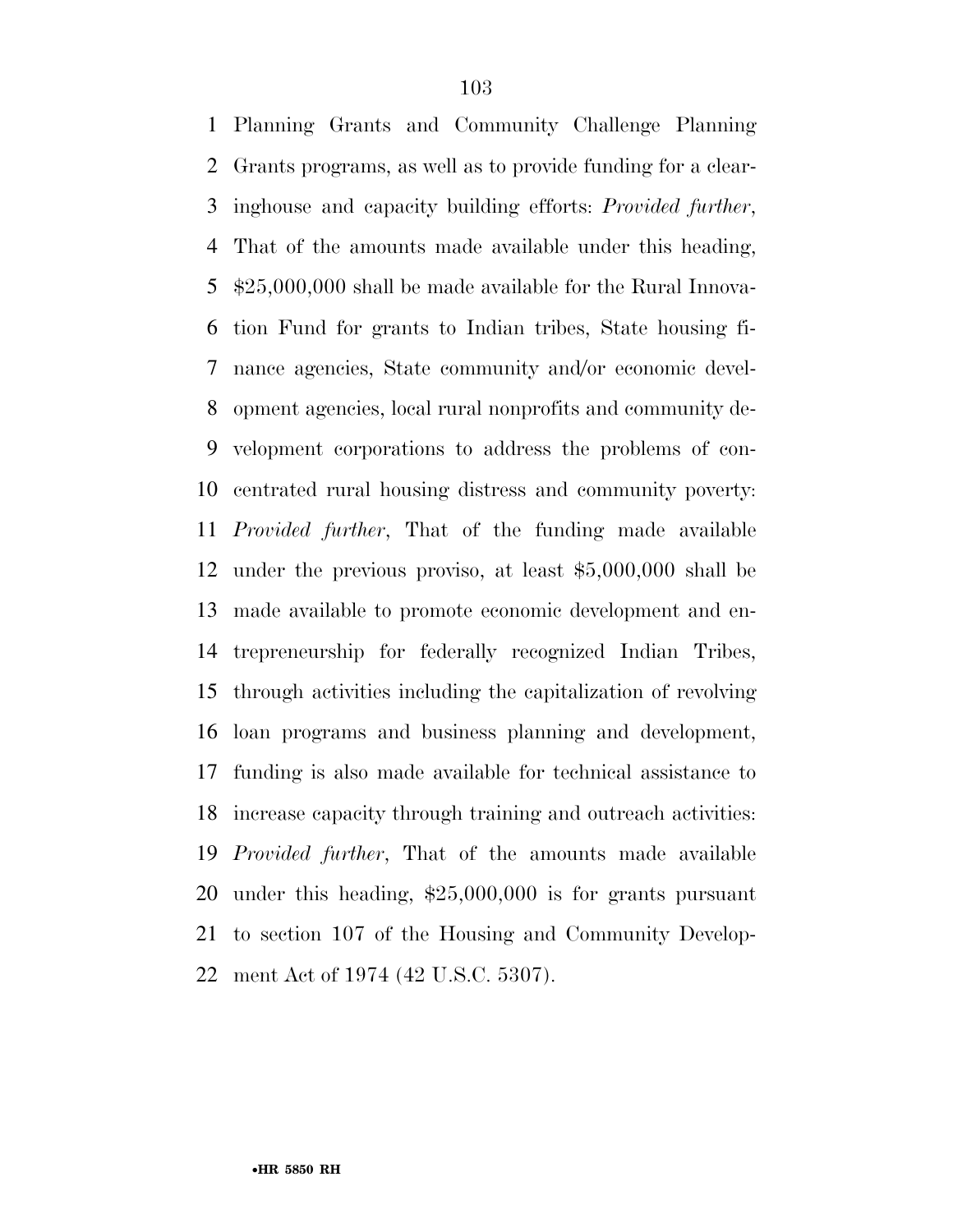Planning Grants and Community Challenge Planning Grants programs, as well as to provide funding for a clear- inghouse and capacity building efforts: *Provided further*, That of the amounts made available under this heading, \$25,000,000 shall be made available for the Rural Innova- tion Fund for grants to Indian tribes, State housing fi- nance agencies, State community and/or economic devel- opment agencies, local rural nonprofits and community de- velopment corporations to address the problems of con- centrated rural housing distress and community poverty: *Provided further*, That of the funding made available under the previous proviso, at least \$5,000,000 shall be made available to promote economic development and en- trepreneurship for federally recognized Indian Tribes, through activities including the capitalization of revolving loan programs and business planning and development, funding is also made available for technical assistance to increase capacity through training and outreach activities: *Provided further*, That of the amounts made available under this heading, \$25,000,000 is for grants pursuant to section 107 of the Housing and Community Develop-ment Act of 1974 (42 U.S.C. 5307).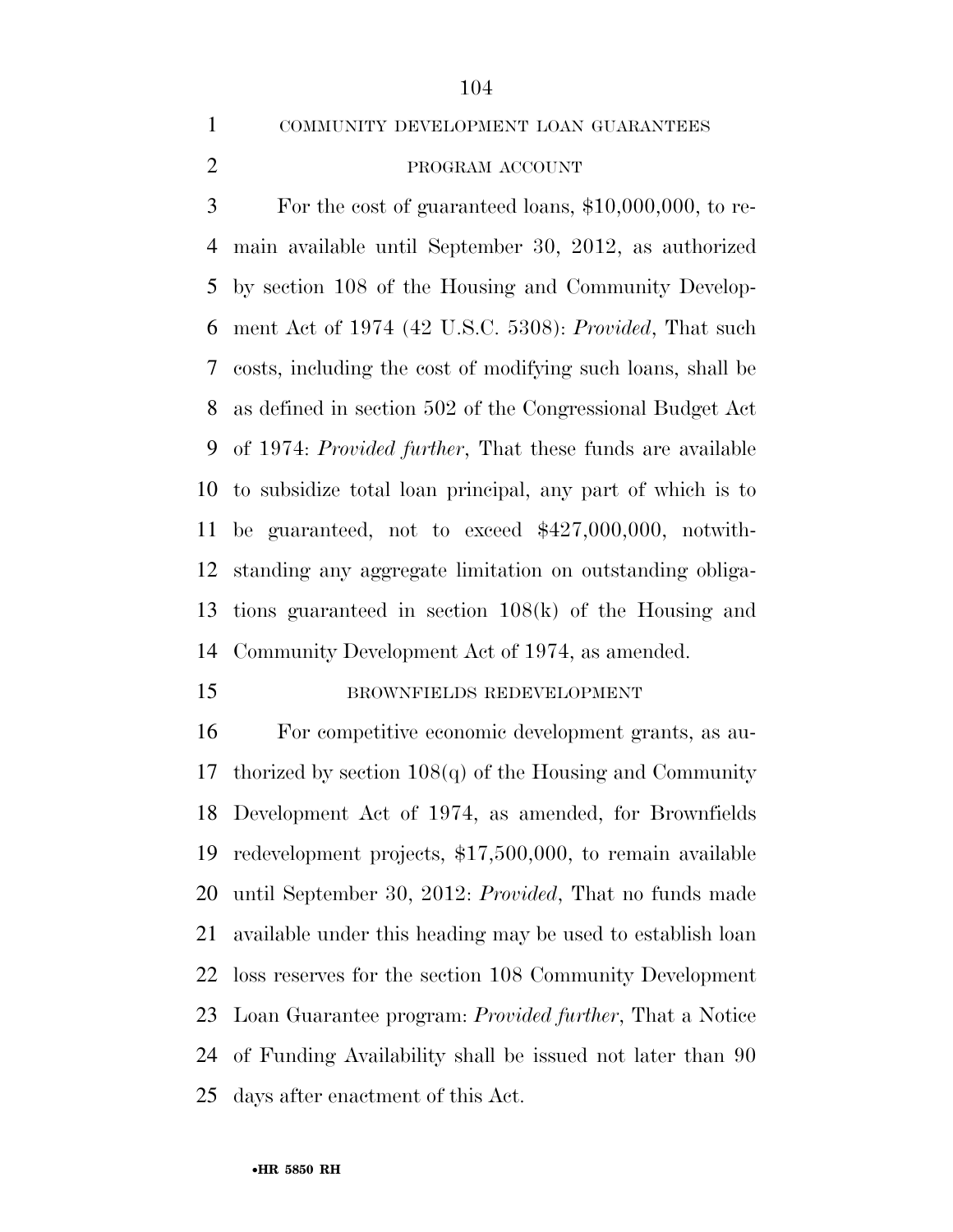COMMUNITY DEVELOPMENT LOAN GUARANTEES

## 2 PROGRAM ACCOUNT

 For the cost of guaranteed loans, \$10,000,000, to re- main available until September 30, 2012, as authorized by section 108 of the Housing and Community Develop- ment Act of 1974 (42 U.S.C. 5308): *Provided*, That such costs, including the cost of modifying such loans, shall be as defined in section 502 of the Congressional Budget Act of 1974: *Provided further*, That these funds are available to subsidize total loan principal, any part of which is to be guaranteed, not to exceed \$427,000,000, notwith- standing any aggregate limitation on outstanding obliga- tions guaranteed in section 108(k) of the Housing and Community Development Act of 1974, as amended.

#### 15 BROWNFIELDS REDEVELOPMENT

 For competitive economic development grants, as au- thorized by section 108(q) of the Housing and Community Development Act of 1974, as amended, for Brownfields redevelopment projects, \$17,500,000, to remain available until September 30, 2012: *Provided*, That no funds made available under this heading may be used to establish loan loss reserves for the section 108 Community Development Loan Guarantee program: *Provided further*, That a Notice of Funding Availability shall be issued not later than 90 days after enactment of this Act.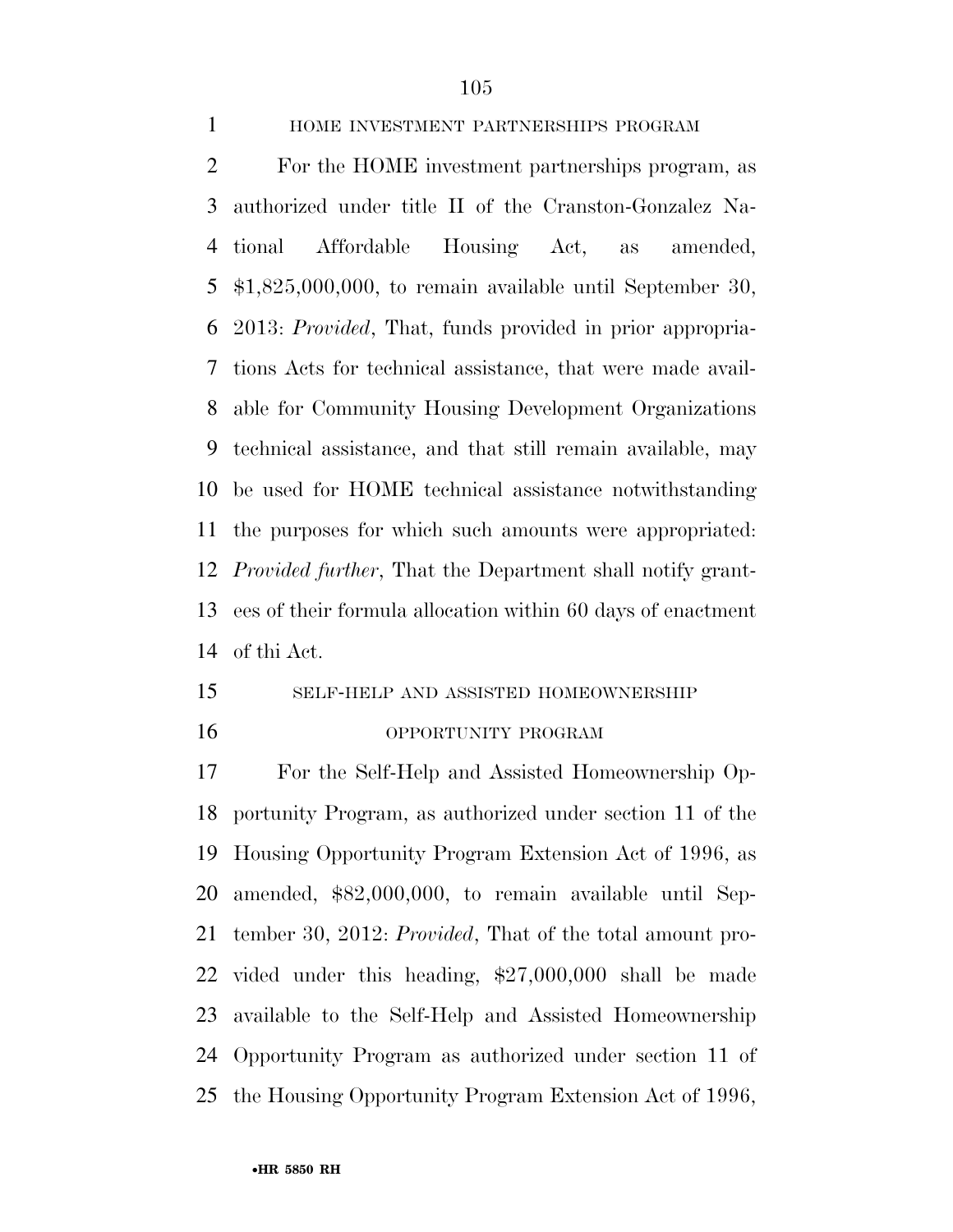### HOME INVESTMENT PARTNERSHIPS PROGRAM

 For the HOME investment partnerships program, as authorized under title II of the Cranston-Gonzalez Na- tional Affordable Housing Act, as amended, \$1,825,000,000, to remain available until September 30, 2013: *Provided*, That, funds provided in prior appropria- tions Acts for technical assistance, that were made avail- able for Community Housing Development Organizations technical assistance, and that still remain available, may be used for HOME technical assistance notwithstanding the purposes for which such amounts were appropriated: *Provided further*, That the Department shall notify grant- ees of their formula allocation within 60 days of enactment of thi Act.

## SELF-HELP AND ASSISTED HOMEOWNERSHIP OPPORTUNITY PROGRAM

 For the Self-Help and Assisted Homeownership Op- portunity Program, as authorized under section 11 of the Housing Opportunity Program Extension Act of 1996, as amended, \$82,000,000, to remain available until Sep- tember 30, 2012: *Provided*, That of the total amount pro- vided under this heading, \$27,000,000 shall be made available to the Self-Help and Assisted Homeownership Opportunity Program as authorized under section 11 of the Housing Opportunity Program Extension Act of 1996,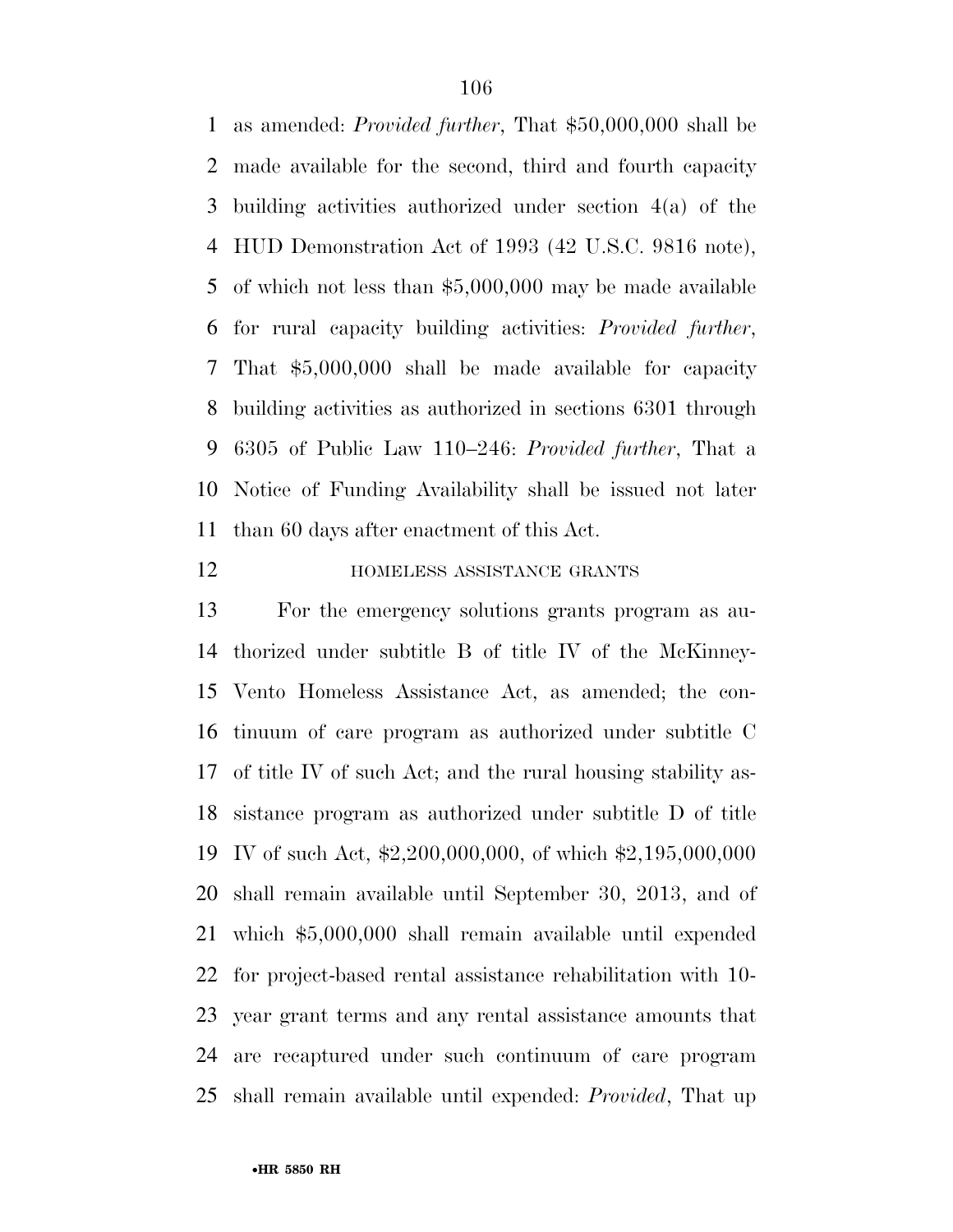as amended: *Provided further*, That \$50,000,000 shall be made available for the second, third and fourth capacity building activities authorized under section 4(a) of the HUD Demonstration Act of 1993 (42 U.S.C. 9816 note), of which not less than \$5,000,000 may be made available for rural capacity building activities: *Provided further*, That \$5,000,000 shall be made available for capacity building activities as authorized in sections 6301 through 6305 of Public Law 110–246: *Provided further*, That a Notice of Funding Availability shall be issued not later than 60 days after enactment of this Act.

#### **HOMELESS ASSISTANCE GRANTS**

 For the emergency solutions grants program as au- thorized under subtitle B of title IV of the McKinney- Vento Homeless Assistance Act, as amended; the con- tinuum of care program as authorized under subtitle C of title IV of such Act; and the rural housing stability as- sistance program as authorized under subtitle D of title IV of such Act, \$2,200,000,000, of which \$2,195,000,000 shall remain available until September 30, 2013, and of which \$5,000,000 shall remain available until expended for project-based rental assistance rehabilitation with 10- year grant terms and any rental assistance amounts that are recaptured under such continuum of care program shall remain available until expended: *Provided*, That up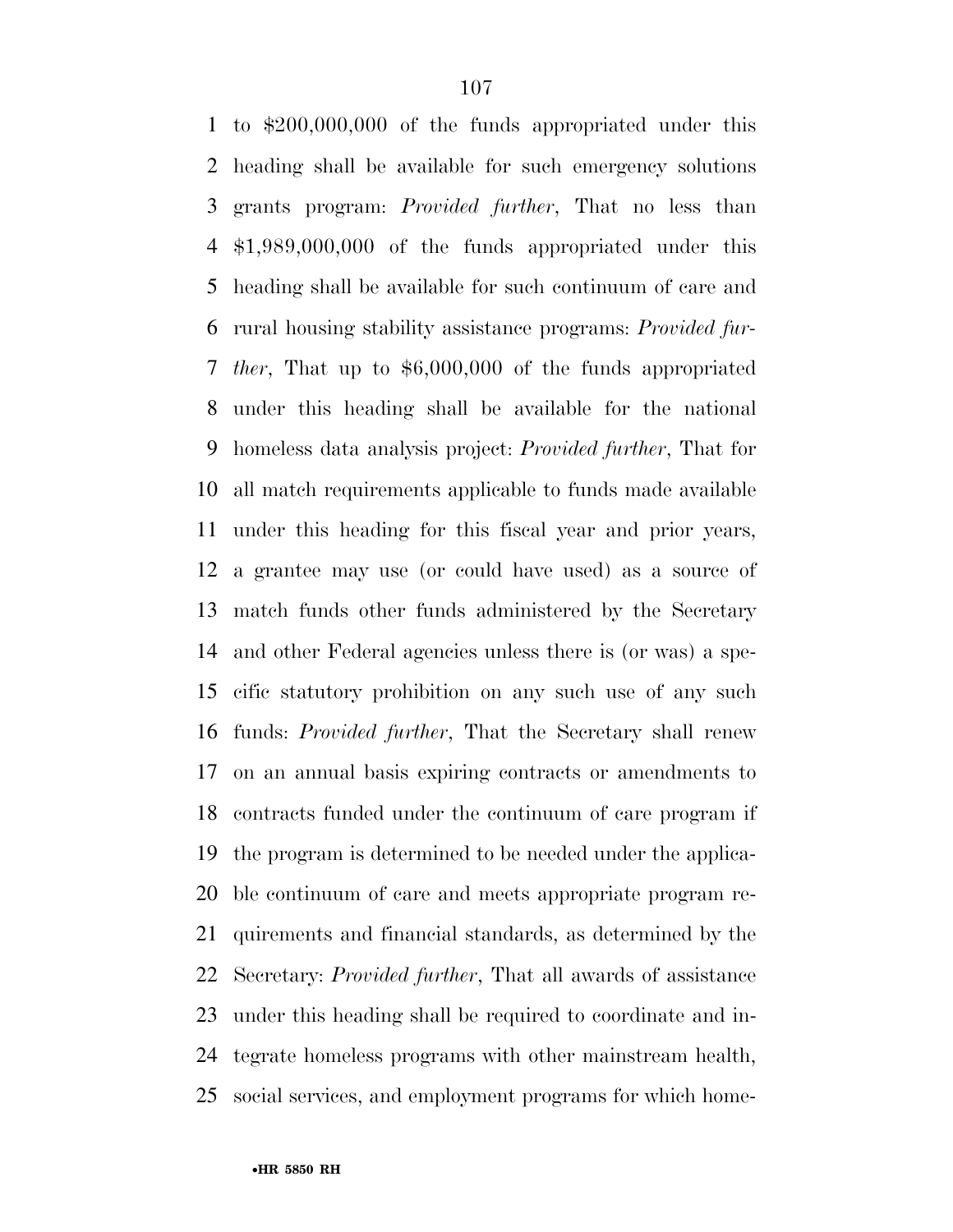to \$200,000,000 of the funds appropriated under this heading shall be available for such emergency solutions grants program: *Provided further*, That no less than \$1,989,000,000 of the funds appropriated under this heading shall be available for such continuum of care and rural housing stability assistance programs: *Provided fur- ther*, That up to \$6,000,000 of the funds appropriated under this heading shall be available for the national homeless data analysis project: *Provided further*, That for all match requirements applicable to funds made available under this heading for this fiscal year and prior years, a grantee may use (or could have used) as a source of match funds other funds administered by the Secretary and other Federal agencies unless there is (or was) a spe- cific statutory prohibition on any such use of any such funds: *Provided further*, That the Secretary shall renew on an annual basis expiring contracts or amendments to contracts funded under the continuum of care program if the program is determined to be needed under the applica- ble continuum of care and meets appropriate program re- quirements and financial standards, as determined by the Secretary: *Provided further*, That all awards of assistance under this heading shall be required to coordinate and in- tegrate homeless programs with other mainstream health, social services, and employment programs for which home-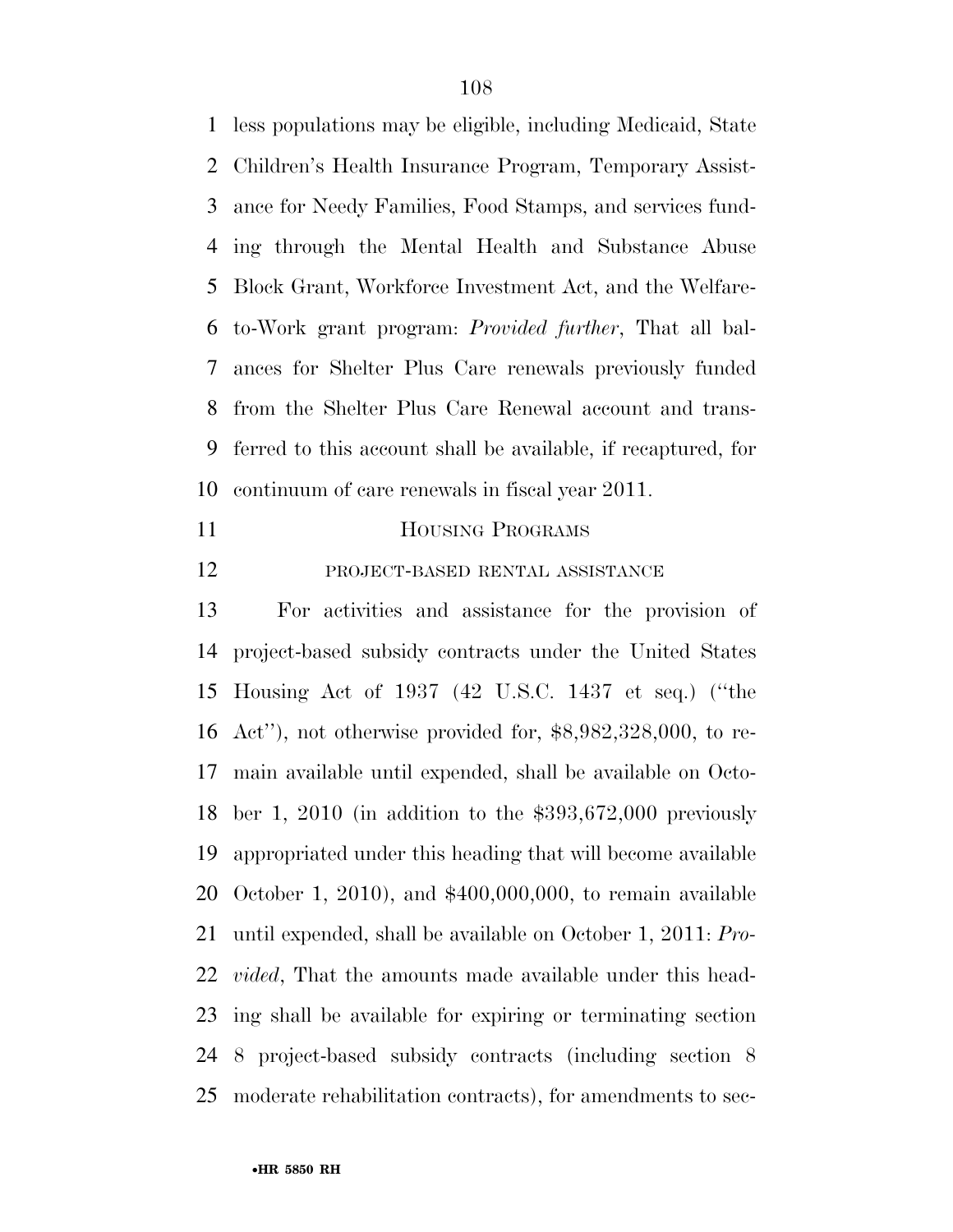less populations may be eligible, including Medicaid, State Children's Health Insurance Program, Temporary Assist- ance for Needy Families, Food Stamps, and services fund- ing through the Mental Health and Substance Abuse Block Grant, Workforce Investment Act, and the Welfare- to-Work grant program: *Provided further*, That all bal- ances for Shelter Plus Care renewals previously funded from the Shelter Plus Care Renewal account and trans- ferred to this account shall be available, if recaptured, for continuum of care renewals in fiscal year 2011.

- 11 HOUSING PROGRAMS
- PROJECT-BASED RENTAL ASSISTANCE

 For activities and assistance for the provision of project-based subsidy contracts under the United States Housing Act of 1937 (42 U.S.C. 1437 et seq.) (''the Act''), not otherwise provided for, \$8,982,328,000, to re- main available until expended, shall be available on Octo- ber 1, 2010 (in addition to the \$393,672,000 previously appropriated under this heading that will become available October 1, 2010), and \$400,000,000, to remain available until expended, shall be available on October 1, 2011: *Pro- vided*, That the amounts made available under this head- ing shall be available for expiring or terminating section 8 project-based subsidy contracts (including section 8 moderate rehabilitation contracts), for amendments to sec-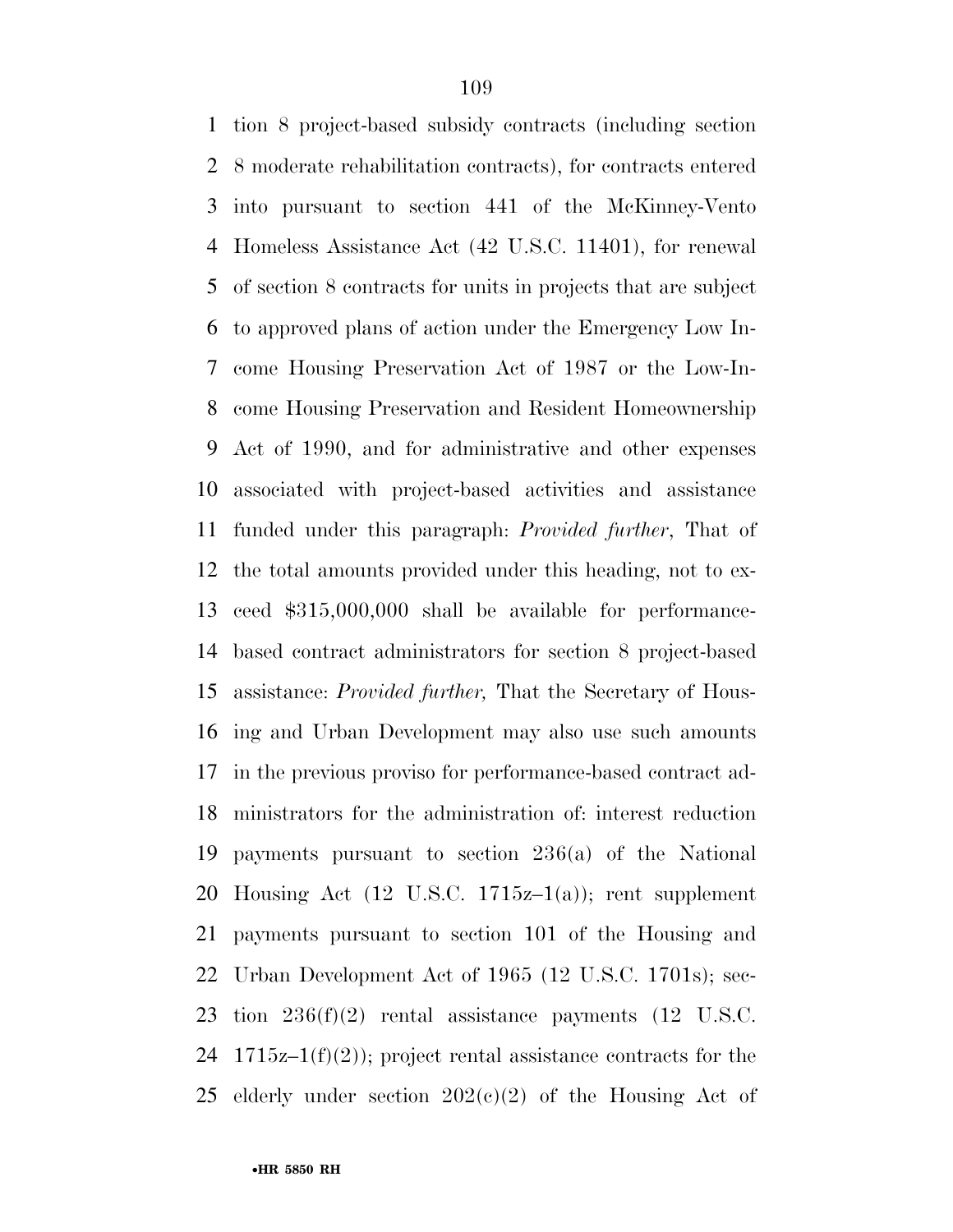tion 8 project-based subsidy contracts (including section 8 moderate rehabilitation contracts), for contracts entered into pursuant to section 441 of the McKinney-Vento Homeless Assistance Act (42 U.S.C. 11401), for renewal of section 8 contracts for units in projects that are subject to approved plans of action under the Emergency Low In- come Housing Preservation Act of 1987 or the Low-In- come Housing Preservation and Resident Homeownership Act of 1990, and for administrative and other expenses associated with project-based activities and assistance funded under this paragraph: *Provided further*, That of the total amounts provided under this heading, not to ex- ceed \$315,000,000 shall be available for performance- based contract administrators for section 8 project-based assistance: *Provided further,* That the Secretary of Hous- ing and Urban Development may also use such amounts in the previous proviso for performance-based contract ad- ministrators for the administration of: interest reduction payments pursuant to section 236(a) of the National Housing Act (12 U.S.C. 1715z–1(a)); rent supplement payments pursuant to section 101 of the Housing and Urban Development Act of 1965 (12 U.S.C. 1701s); sec- tion 236(f)(2) rental assistance payments (12 U.S.C. 24 1715 $z-1(f)(2)$ ; project rental assistance contracts for the 25 elderly under section  $202(e)(2)$  of the Housing Act of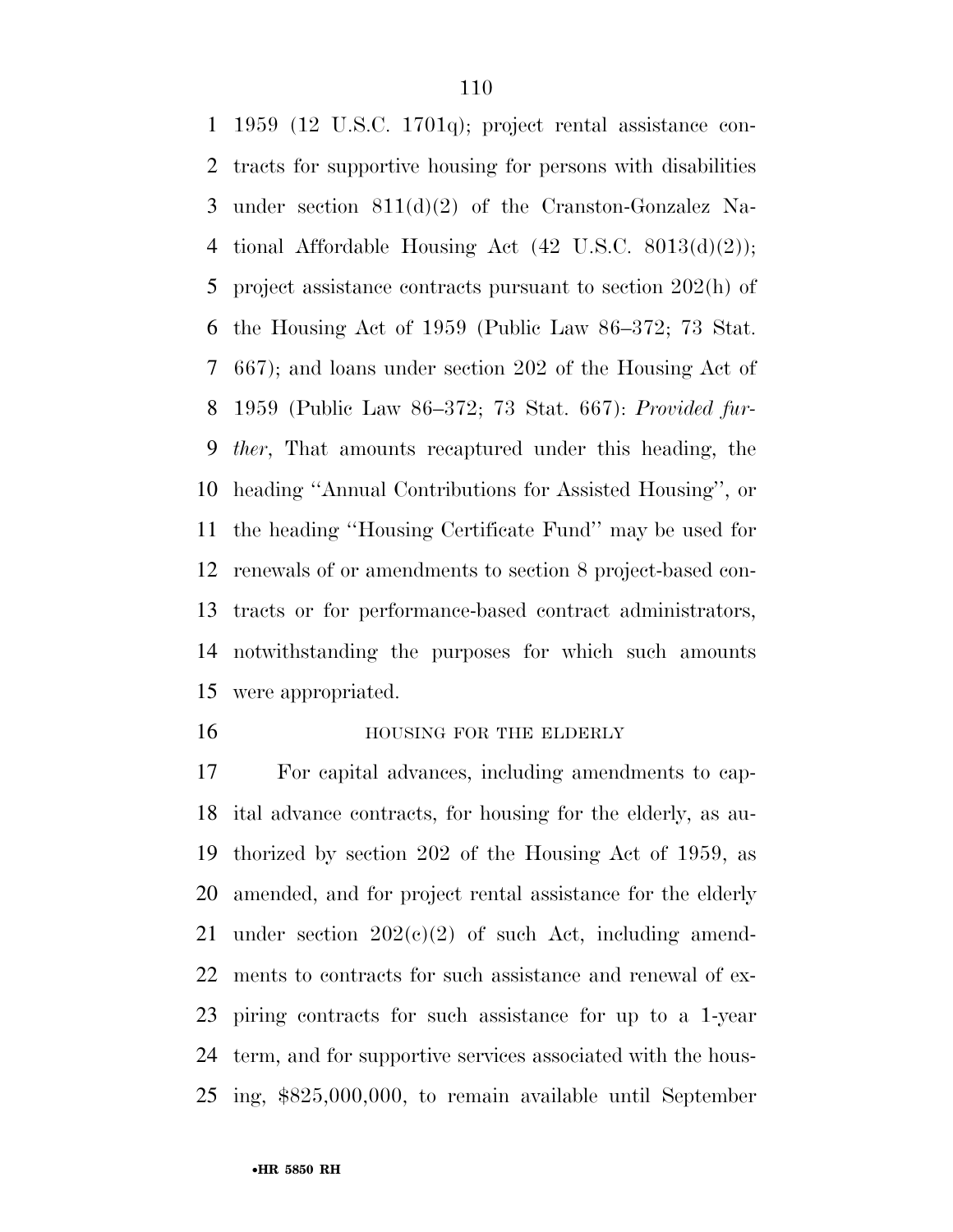1959 (12 U.S.C. 1701q); project rental assistance con- tracts for supportive housing for persons with disabilities under section 811(d)(2) of the Cranston-Gonzalez Na- tional Affordable Housing Act (42 U.S.C. 8013(d)(2)); project assistance contracts pursuant to section 202(h) of the Housing Act of 1959 (Public Law 86–372; 73 Stat. 667); and loans under section 202 of the Housing Act of 1959 (Public Law 86–372; 73 Stat. 667): *Provided fur- ther*, That amounts recaptured under this heading, the heading ''Annual Contributions for Assisted Housing'', or the heading ''Housing Certificate Fund'' may be used for renewals of or amendments to section 8 project-based con- tracts or for performance-based contract administrators, notwithstanding the purposes for which such amounts were appropriated.

### **HOUSING FOR THE ELDERLY**

 For capital advances, including amendments to cap- ital advance contracts, for housing for the elderly, as au- thorized by section 202 of the Housing Act of 1959, as amended, and for project rental assistance for the elderly 21 under section  $202(e)(2)$  of such Act, including amend- ments to contracts for such assistance and renewal of ex- piring contracts for such assistance for up to a 1-year term, and for supportive services associated with the hous-ing, \$825,000,000, to remain available until September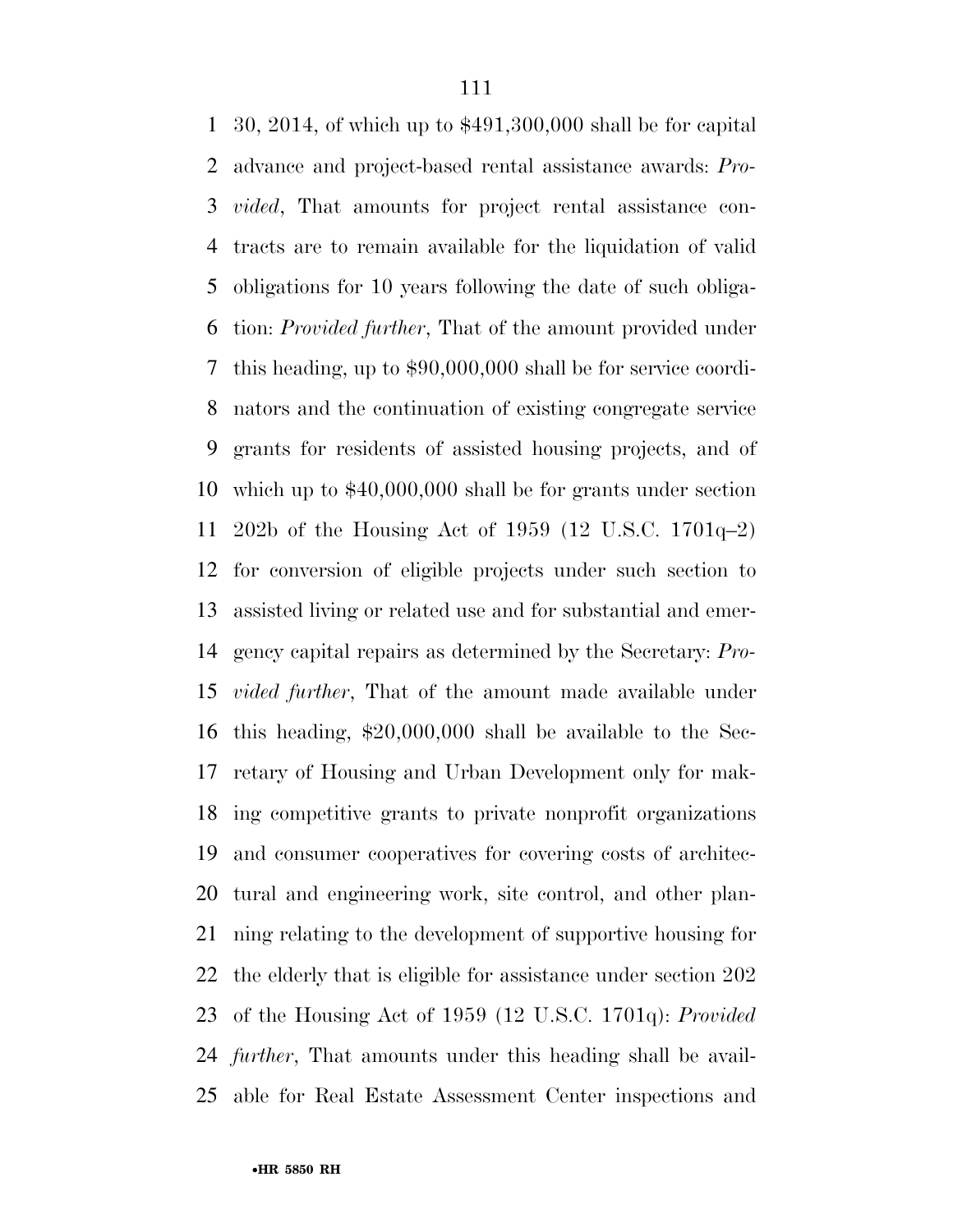30, 2014, of which up to \$491,300,000 shall be for capital advance and project-based rental assistance awards: *Pro- vided*, That amounts for project rental assistance con- tracts are to remain available for the liquidation of valid obligations for 10 years following the date of such obliga- tion: *Provided further*, That of the amount provided under this heading, up to \$90,000,000 shall be for service coordi- nators and the continuation of existing congregate service grants for residents of assisted housing projects, and of which up to \$40,000,000 shall be for grants under section 202b of the Housing Act of 1959 (12 U.S.C. 1701q–2) for conversion of eligible projects under such section to assisted living or related use and for substantial and emer- gency capital repairs as determined by the Secretary: *Pro- vided further*, That of the amount made available under this heading, \$20,000,000 shall be available to the Sec- retary of Housing and Urban Development only for mak- ing competitive grants to private nonprofit organizations and consumer cooperatives for covering costs of architec- tural and engineering work, site control, and other plan- ning relating to the development of supportive housing for the elderly that is eligible for assistance under section 202 of the Housing Act of 1959 (12 U.S.C. 1701q): *Provided further*, That amounts under this heading shall be avail-able for Real Estate Assessment Center inspections and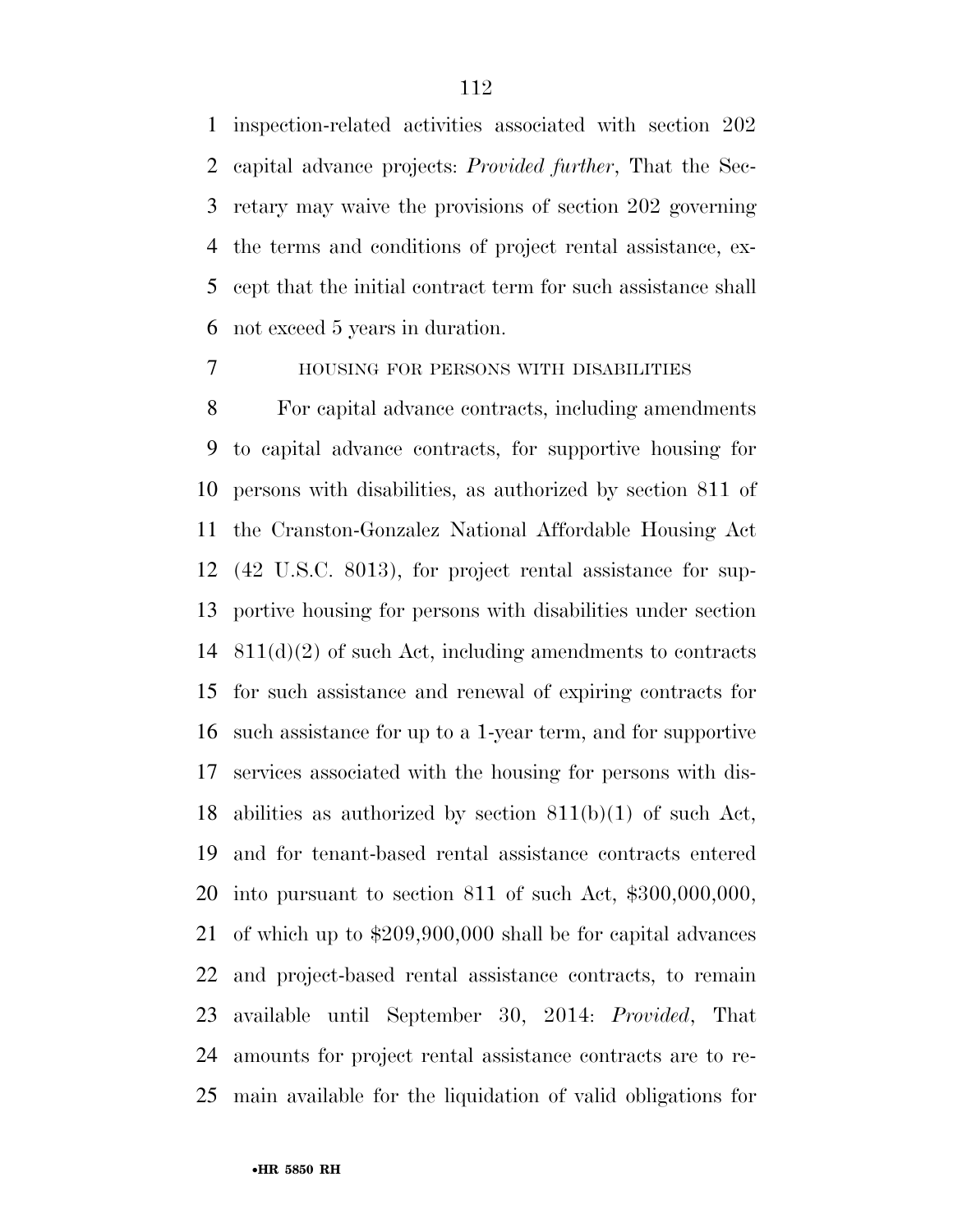inspection-related activities associated with section 202 capital advance projects: *Provided further*, That the Sec- retary may waive the provisions of section 202 governing the terms and conditions of project rental assistance, ex- cept that the initial contract term for such assistance shall not exceed 5 years in duration.

## HOUSING FOR PERSONS WITH DISABILITIES

 For capital advance contracts, including amendments to capital advance contracts, for supportive housing for persons with disabilities, as authorized by section 811 of the Cranston-Gonzalez National Affordable Housing Act (42 U.S.C. 8013), for project rental assistance for sup- portive housing for persons with disabilities under section 811(d)(2) of such Act, including amendments to contracts for such assistance and renewal of expiring contracts for such assistance for up to a 1-year term, and for supportive services associated with the housing for persons with dis- abilities as authorized by section 811(b)(1) of such Act, and for tenant-based rental assistance contracts entered into pursuant to section 811 of such Act, \$300,000,000, of which up to \$209,900,000 shall be for capital advances and project-based rental assistance contracts, to remain available until September 30, 2014: *Provided*, That amounts for project rental assistance contracts are to re-main available for the liquidation of valid obligations for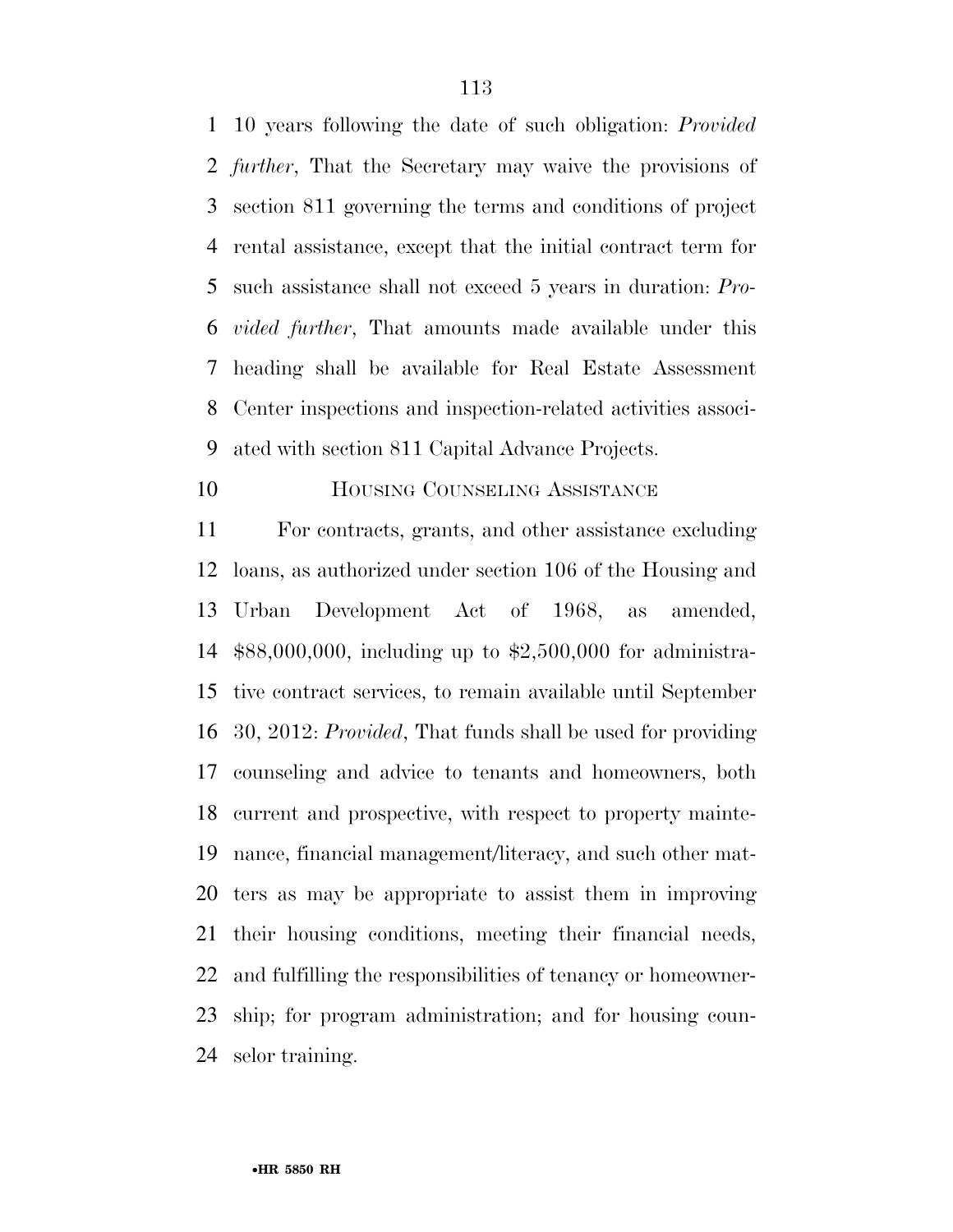10 years following the date of such obligation: *Provided further*, That the Secretary may waive the provisions of section 811 governing the terms and conditions of project rental assistance, except that the initial contract term for such assistance shall not exceed 5 years in duration: *Pro- vided further*, That amounts made available under this heading shall be available for Real Estate Assessment Center inspections and inspection-related activities associ-ated with section 811 Capital Advance Projects.

## **HOUSING COUNSELING ASSISTANCE**

 For contracts, grants, and other assistance excluding loans, as authorized under section 106 of the Housing and Urban Development Act of 1968, as amended, \$88,000,000, including up to \$2,500,000 for administra- tive contract services, to remain available until September 30, 2012: *Provided*, That funds shall be used for providing counseling and advice to tenants and homeowners, both current and prospective, with respect to property mainte- nance, financial management/literacy, and such other mat- ters as may be appropriate to assist them in improving their housing conditions, meeting their financial needs, and fulfilling the responsibilities of tenancy or homeowner- ship; for program administration; and for housing coun-selor training.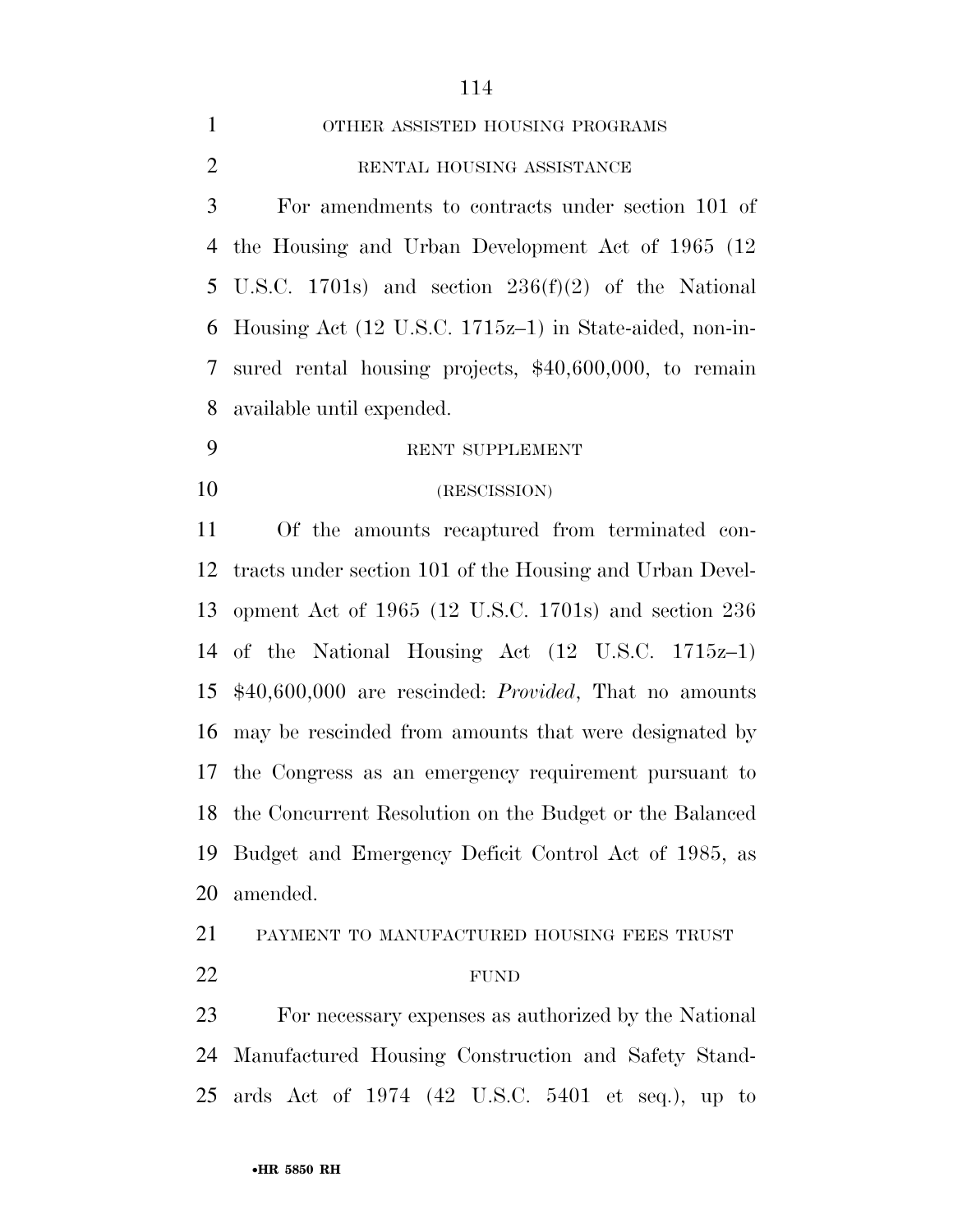| 1              | OTHER ASSISTED HOUSING PROGRAMS                             |
|----------------|-------------------------------------------------------------|
| $\overline{2}$ | RENTAL HOUSING ASSISTANCE                                   |
| 3              | For amendments to contracts under section 101 of            |
|                | 4 the Housing and Urban Development Act of 1965 (12)        |
|                | 5 U.S.C. 1701s) and section $236(f)(2)$ of the National     |
|                | 6 Housing Act (12 U.S.C. 1715z-1) in State-aided, non-in-   |
|                | 7 sured rental housing projects, \$40,600,000, to remain    |
|                | 8 available until expended.                                 |
| 9              | RENT SUPPLEMENT                                             |
| 10             | (RESCISSION)                                                |
| 11             | Of the amounts recaptured from terminated con-              |
|                | 12 tracts under section 101 of the Housing and Urban Devel- |
|                | - 112 - 123 - 123                                           |

 opment Act of 1965 (12 U.S.C. 1701s) and section 236 of the National Housing Act (12 U.S.C. 1715z–1) \$40,600,000 are rescinded: *Provided*, That no amounts may be rescinded from amounts that were designated by the Congress as an emergency requirement pursuant to the Concurrent Resolution on the Budget or the Balanced Budget and Emergency Deficit Control Act of 1985, as amended.

PAYMENT TO MANUFACTURED HOUSING FEES TRUST

## 22 FUND

 For necessary expenses as authorized by the National Manufactured Housing Construction and Safety Stand-ards Act of 1974 (42 U.S.C. 5401 et seq.), up to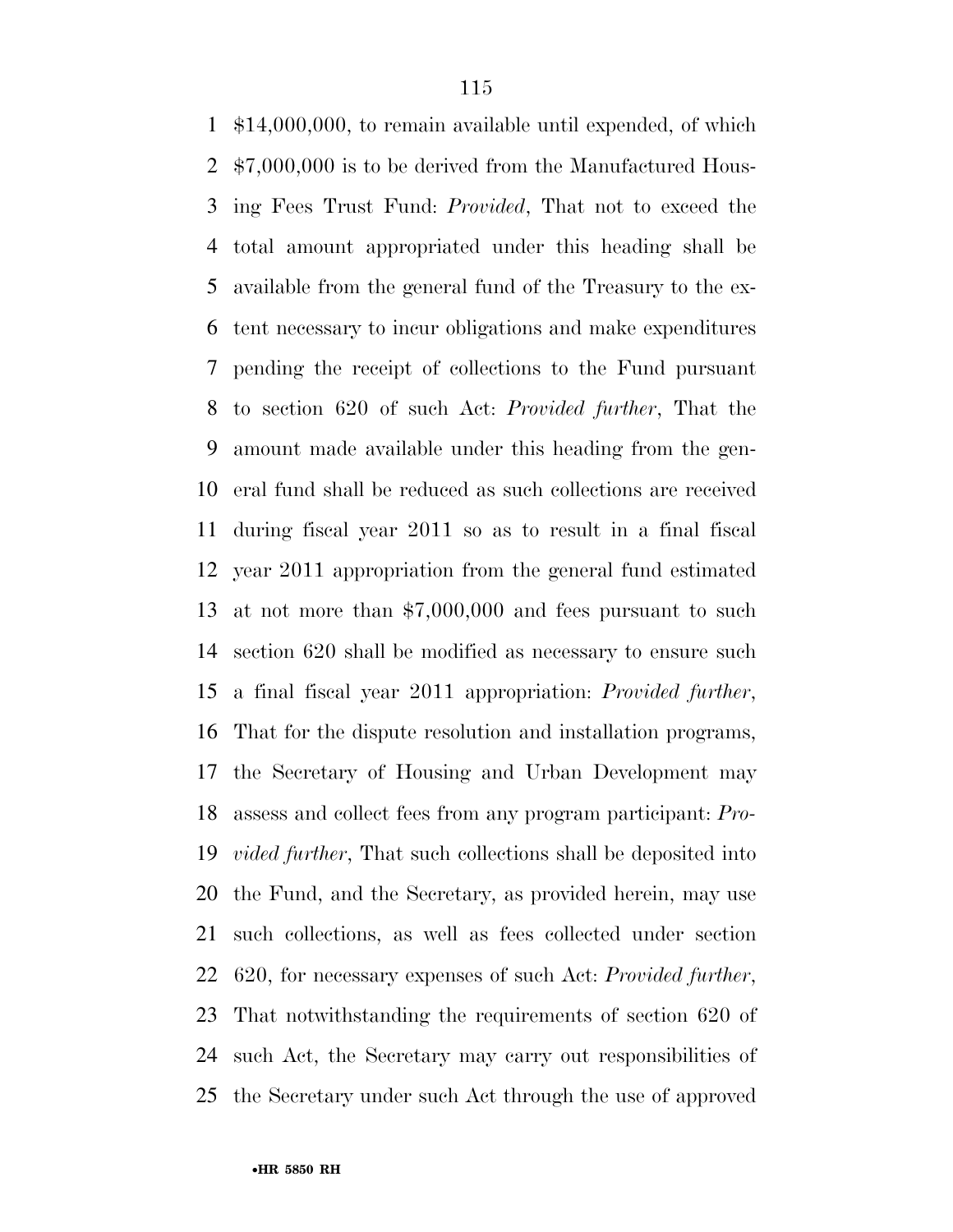\$14,000,000, to remain available until expended, of which \$7,000,000 is to be derived from the Manufactured Hous- ing Fees Trust Fund: *Provided*, That not to exceed the total amount appropriated under this heading shall be available from the general fund of the Treasury to the ex- tent necessary to incur obligations and make expenditures pending the receipt of collections to the Fund pursuant to section 620 of such Act: *Provided further*, That the amount made available under this heading from the gen- eral fund shall be reduced as such collections are received during fiscal year 2011 so as to result in a final fiscal year 2011 appropriation from the general fund estimated at not more than \$7,000,000 and fees pursuant to such section 620 shall be modified as necessary to ensure such a final fiscal year 2011 appropriation: *Provided further*, That for the dispute resolution and installation programs, the Secretary of Housing and Urban Development may assess and collect fees from any program participant: *Pro- vided further*, That such collections shall be deposited into the Fund, and the Secretary, as provided herein, may use such collections, as well as fees collected under section 620, for necessary expenses of such Act: *Provided further*, That notwithstanding the requirements of section 620 of such Act, the Secretary may carry out responsibilities of the Secretary under such Act through the use of approved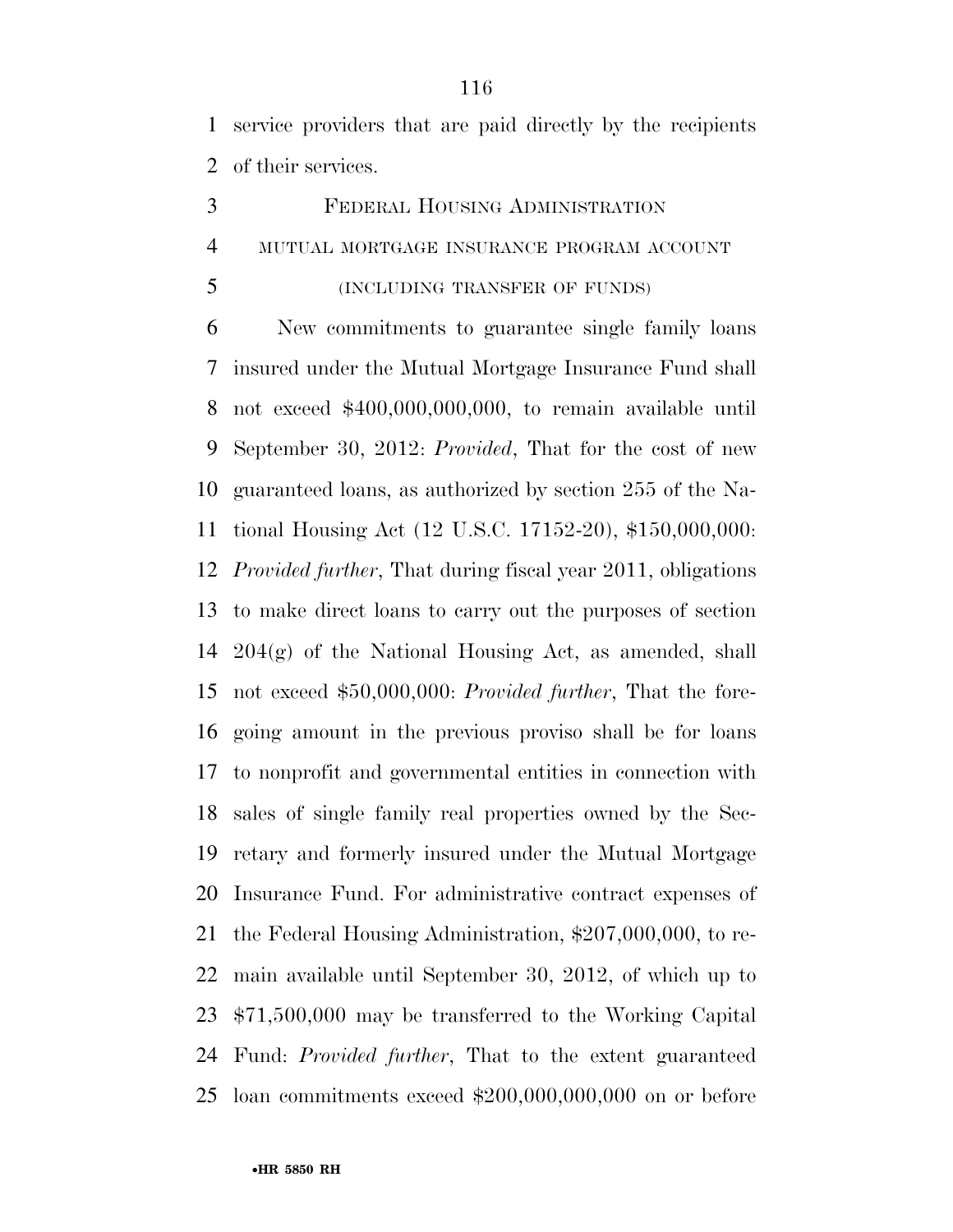service providers that are paid directly by the recipients of their services.

- FEDERAL HOUSING ADMINISTRATION MUTUAL MORTGAGE INSURANCE PROGRAM ACCOUNT
- (INCLUDING TRANSFER OF FUNDS)

 New commitments to guarantee single family loans insured under the Mutual Mortgage Insurance Fund shall not exceed \$400,000,000,000, to remain available until September 30, 2012: *Provided*, That for the cost of new guaranteed loans, as authorized by section 255 of the Na- tional Housing Act (12 U.S.C. 17152-20), \$150,000,000: *Provided further*, That during fiscal year 2011, obligations to make direct loans to carry out the purposes of section 204(g) of the National Housing Act, as amended, shall not exceed \$50,000,000: *Provided further*, That the fore- going amount in the previous proviso shall be for loans to nonprofit and governmental entities in connection with sales of single family real properties owned by the Sec- retary and formerly insured under the Mutual Mortgage Insurance Fund. For administrative contract expenses of the Federal Housing Administration, \$207,000,000, to re- main available until September 30, 2012, of which up to \$71,500,000 may be transferred to the Working Capital Fund: *Provided further*, That to the extent guaranteed loan commitments exceed \$200,000,000,000 on or before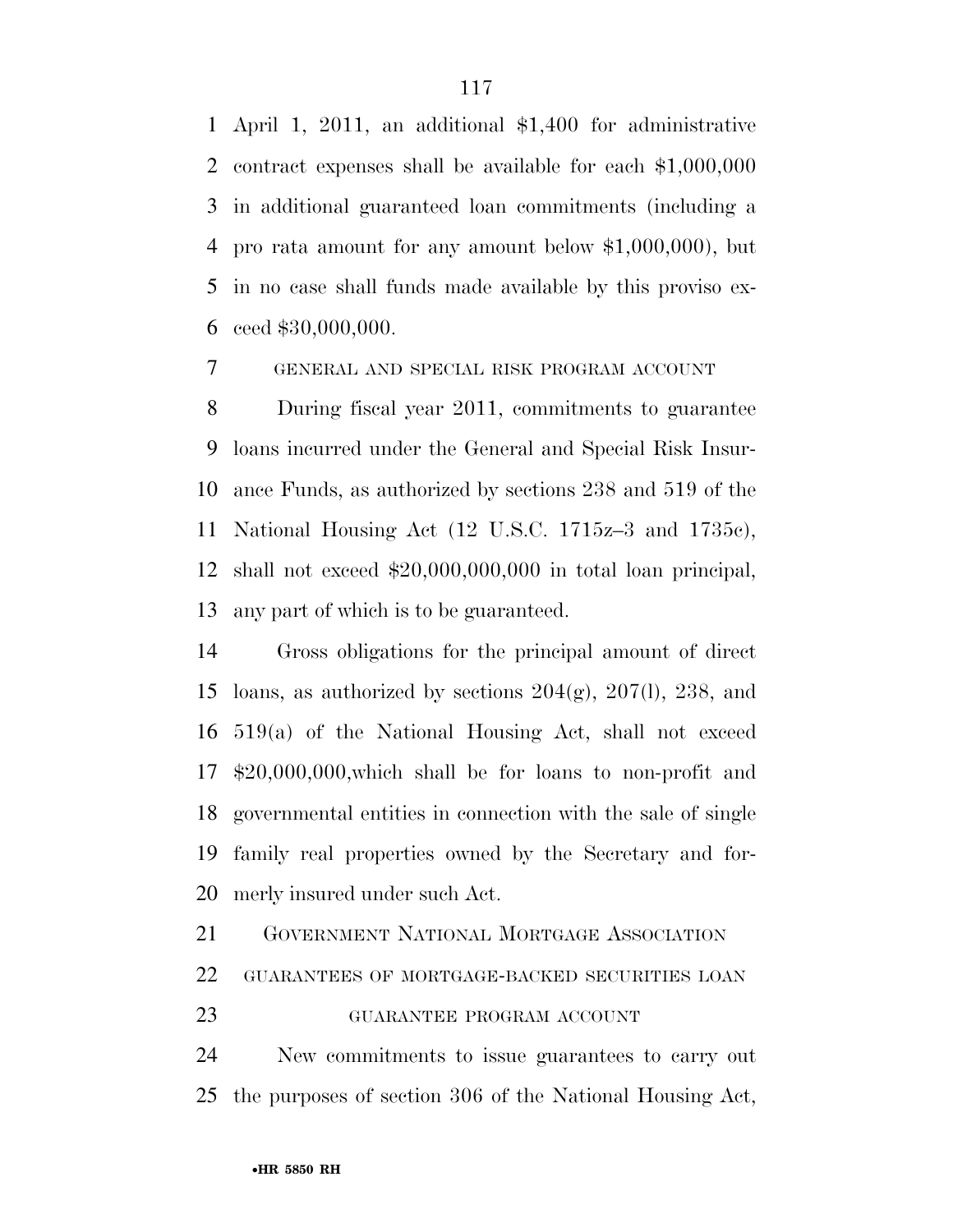April 1, 2011, an additional \$1,400 for administrative contract expenses shall be available for each \$1,000,000 in additional guaranteed loan commitments (including a pro rata amount for any amount below \$1,000,000), but in no case shall funds made available by this proviso ex-ceed \$30,000,000.

GENERAL AND SPECIAL RISK PROGRAM ACCOUNT

 During fiscal year 2011, commitments to guarantee loans incurred under the General and Special Risk Insur- ance Funds, as authorized by sections 238 and 519 of the National Housing Act (12 U.S.C. 1715z–3 and 1735c), shall not exceed \$20,000,000,000 in total loan principal, any part of which is to be guaranteed.

 Gross obligations for the principal amount of direct 15 loans, as authorized by sections  $204(g)$ ,  $207(l)$ ,  $238$ , and 519(a) of the National Housing Act, shall not exceed \$20,000,000,which shall be for loans to non*-*profit and governmental entities in connection with the sale of single family real properties owned by the Secretary and for-merly insured under such Act.

GOVERNMENT NATIONAL MORTGAGE ASSOCIATION

GUARANTEES OF MORTGAGE-BACKED SECURITIES LOAN

GUARANTEE PROGRAM ACCOUNT

 New commitments to issue guarantees to carry out the purposes of section 306 of the National Housing Act,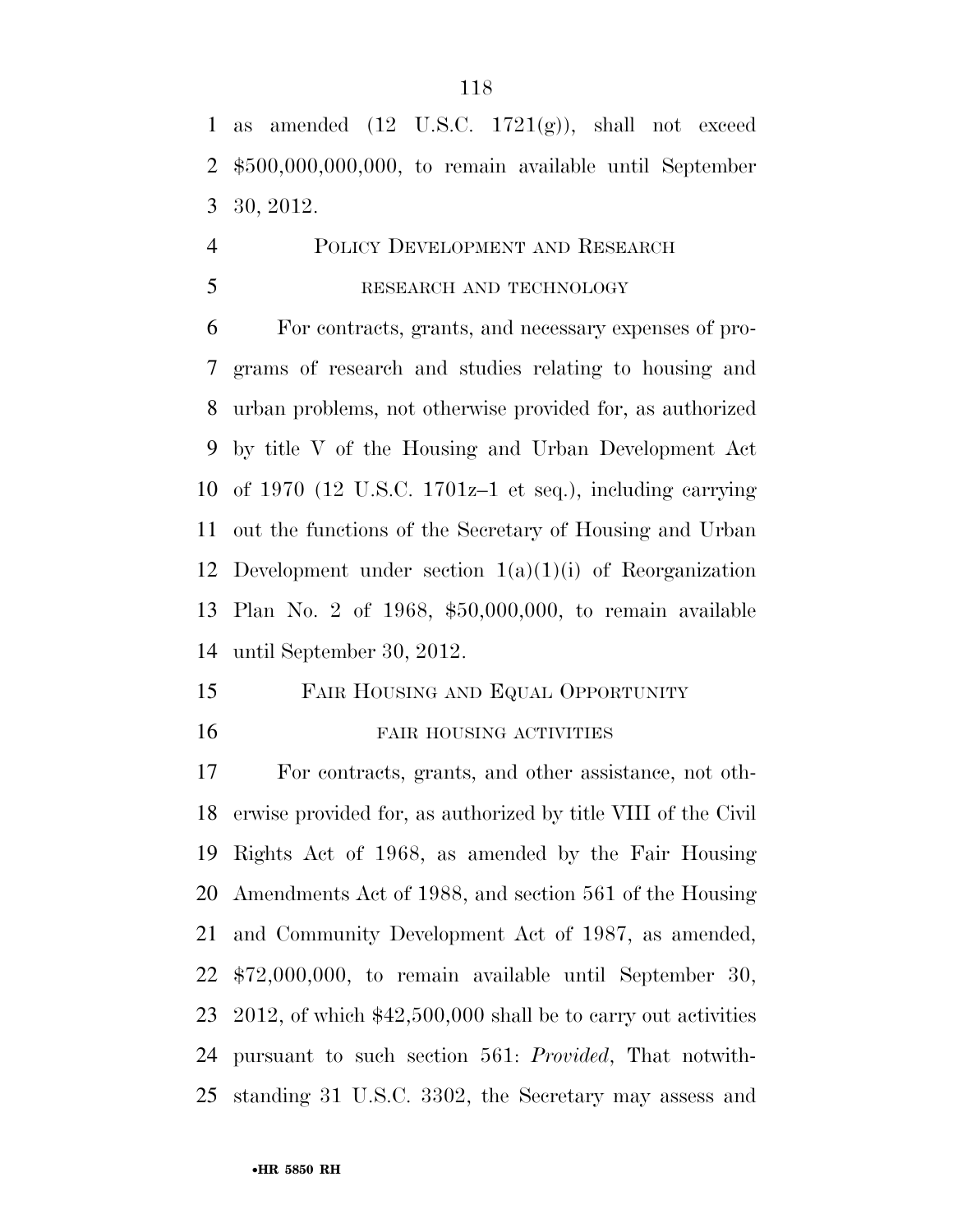1 as amended  $(12 \text{ U.S.C. } 1721(g))$ , shall not exceed \$500,000,000,000, to remain available until September 30, 2012.

# POLICY DEVELOPMENT AND RESEARCH 5 RESEARCH AND TECHNOLOGY

 For contracts, grants, and necessary expenses of pro- grams of research and studies relating to housing and urban problems, not otherwise provided for, as authorized by title V of the Housing and Urban Development Act of 1970 (12 U.S.C. 1701z–1 et seq.), including carrying out the functions of the Secretary of Housing and Urban 12 Development under section  $1(a)(1)(i)$  of Reorganization Plan No. 2 of 1968, \$50,000,000, to remain available until September 30, 2012.

## FAIR HOUSING AND EQUAL OPPORTUNITY FAIR HOUSING ACTIVITIES

 For contracts, grants, and other assistance, not oth- erwise provided for, as authorized by title VIII of the Civil Rights Act of 1968, as amended by the Fair Housing Amendments Act of 1988, and section 561 of the Housing and Community Development Act of 1987, as amended, \$72,000,000, to remain available until September 30, 2012, of which \$42,500,000 shall be to carry out activities pursuant to such section 561: *Provided*, That notwith-standing 31 U.S.C. 3302, the Secretary may assess and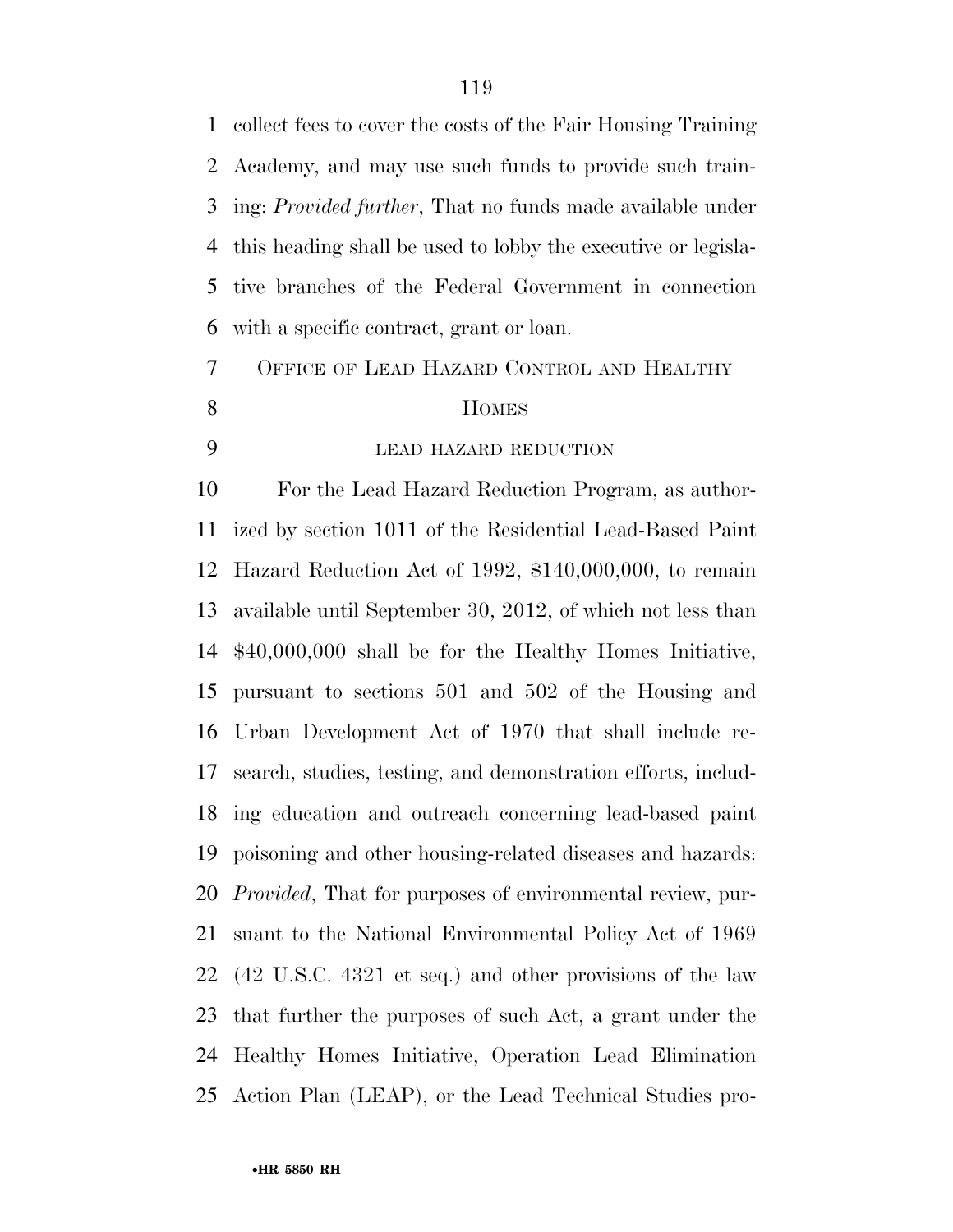collect fees to cover the costs of the Fair Housing Training Academy, and may use such funds to provide such train- ing: *Provided further*, That no funds made available under this heading shall be used to lobby the executive or legisla- tive branches of the Federal Government in connection with a specific contract, grant or loan.

 OFFICE OF LEAD HAZARD CONTROL AND HEALTHY 8 HOMES

LEAD HAZARD REDUCTION

 For the Lead Hazard Reduction Program, as author- ized by section 1011 of the Residential Lead-Based Paint Hazard Reduction Act of 1992, \$140,000,000, to remain available until September 30, 2012, of which not less than \$40,000,000 shall be for the Healthy Homes Initiative, pursuant to sections 501 and 502 of the Housing and Urban Development Act of 1970 that shall include re- search, studies, testing, and demonstration efforts, includ- ing education and outreach concerning lead-based paint poisoning and other housing-related diseases and hazards: *Provided*, That for purposes of environmental review, pur- suant to the National Environmental Policy Act of 1969 (42 U.S.C. 4321 et seq.) and other provisions of the law that further the purposes of such Act, a grant under the Healthy Homes Initiative, Operation Lead Elimination Action Plan (LEAP), or the Lead Technical Studies pro-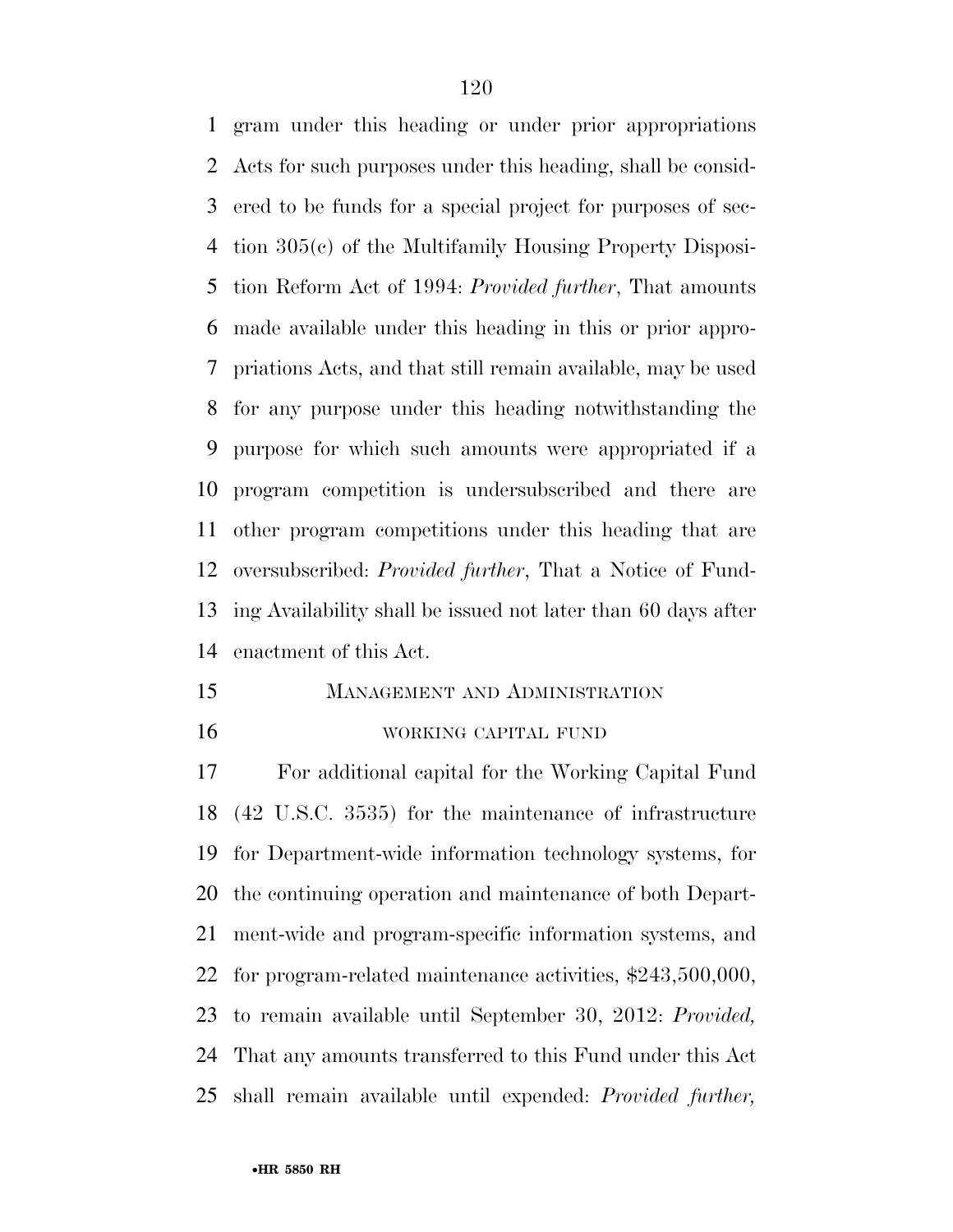gram under this heading or under prior appropriations Acts for such purposes under this heading, shall be consid- ered to be funds for a special project for purposes of sec- tion 305(c) of the Multifamily Housing Property Disposi- tion Reform Act of 1994: *Provided further*, That amounts made available under this heading in this or prior appro- priations Acts, and that still remain available, may be used for any purpose under this heading notwithstanding the purpose for which such amounts were appropriated if a program competition is undersubscribed and there are other program competitions under this heading that are oversubscribed: *Provided further*, That a Notice of Fund- ing Availability shall be issued not later than 60 days after enactment of this Act.

 MANAGEMENT AND ADMINISTRATION WORKING CAPITAL FUND

 For additional capital for the Working Capital Fund (42 U.S.C. 3535) for the maintenance of infrastructure for Department-wide information technology systems, for the continuing operation and maintenance of both Depart- ment-wide and program-specific information systems, and for program-related maintenance activities, \$243,500,000, to remain available until September 30, 2012: *Provided,*  That any amounts transferred to this Fund under this Act shall remain available until expended: *Provided further,*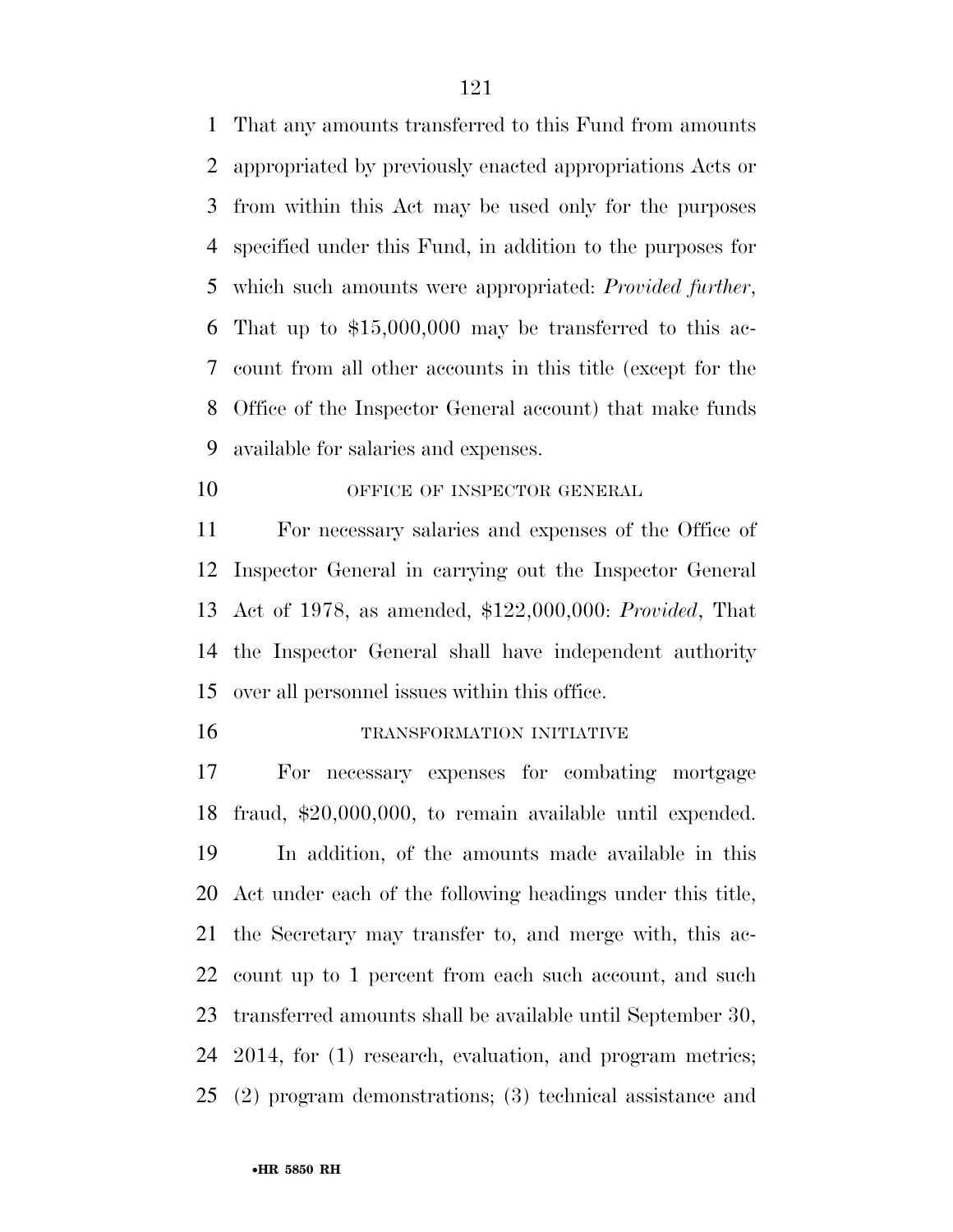That any amounts transferred to this Fund from amounts appropriated by previously enacted appropriations Acts or from within this Act may be used only for the purposes specified under this Fund, in addition to the purposes for which such amounts were appropriated: *Provided further*, That up to \$15,000,000 may be transferred to this ac- count from all other accounts in this title (except for the Office of the Inspector General account) that make funds available for salaries and expenses.

10 OFFICE OF INSPECTOR GENERAL

 For necessary salaries and expenses of the Office of Inspector General in carrying out the Inspector General Act of 1978, as amended, \$122,000,000: *Provided*, That the Inspector General shall have independent authority over all personnel issues within this office.

TRANSFORMATION INITIATIVE

 For necessary expenses for combating mortgage fraud, \$20,000,000, to remain available until expended. In addition, of the amounts made available in this Act under each of the following headings under this title, the Secretary may transfer to, and merge with, this ac- count up to 1 percent from each such account, and such transferred amounts shall be available until September 30, 2014, for (1) research, evaluation, and program metrics; (2) program demonstrations; (3) technical assistance and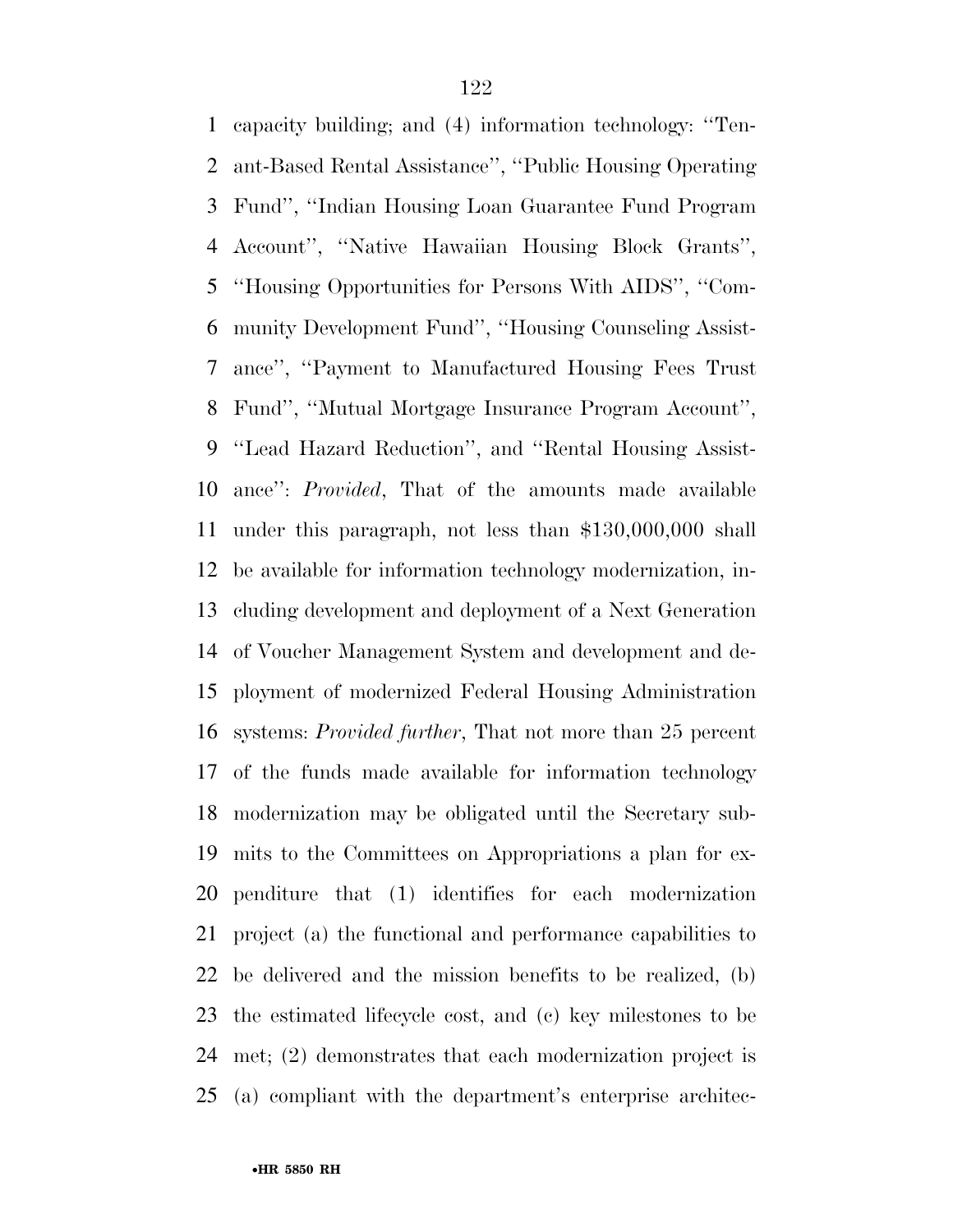capacity building; and (4) information technology: ''Ten- ant-Based Rental Assistance'', ''Public Housing Operating Fund'', ''Indian Housing Loan Guarantee Fund Program Account'', ''Native Hawaiian Housing Block Grants'', ''Housing Opportunities for Persons With AIDS'', ''Com- munity Development Fund'', ''Housing Counseling Assist- ance'', ''Payment to Manufactured Housing Fees Trust Fund'', ''Mutual Mortgage Insurance Program Account'', ''Lead Hazard Reduction'', and ''Rental Housing Assist- ance'': *Provided*, That of the amounts made available under this paragraph, not less than \$130,000,000 shall be available for information technology modernization, in- cluding development and deployment of a Next Generation of Voucher Management System and development and de- ployment of modernized Federal Housing Administration systems: *Provided further*, That not more than 25 percent of the funds made available for information technology modernization may be obligated until the Secretary sub- mits to the Committees on Appropriations a plan for ex- penditure that (1) identifies for each modernization project (a) the functional and performance capabilities to be delivered and the mission benefits to be realized, (b) the estimated lifecycle cost, and (c) key milestones to be met; (2) demonstrates that each modernization project is (a) compliant with the department's enterprise architec-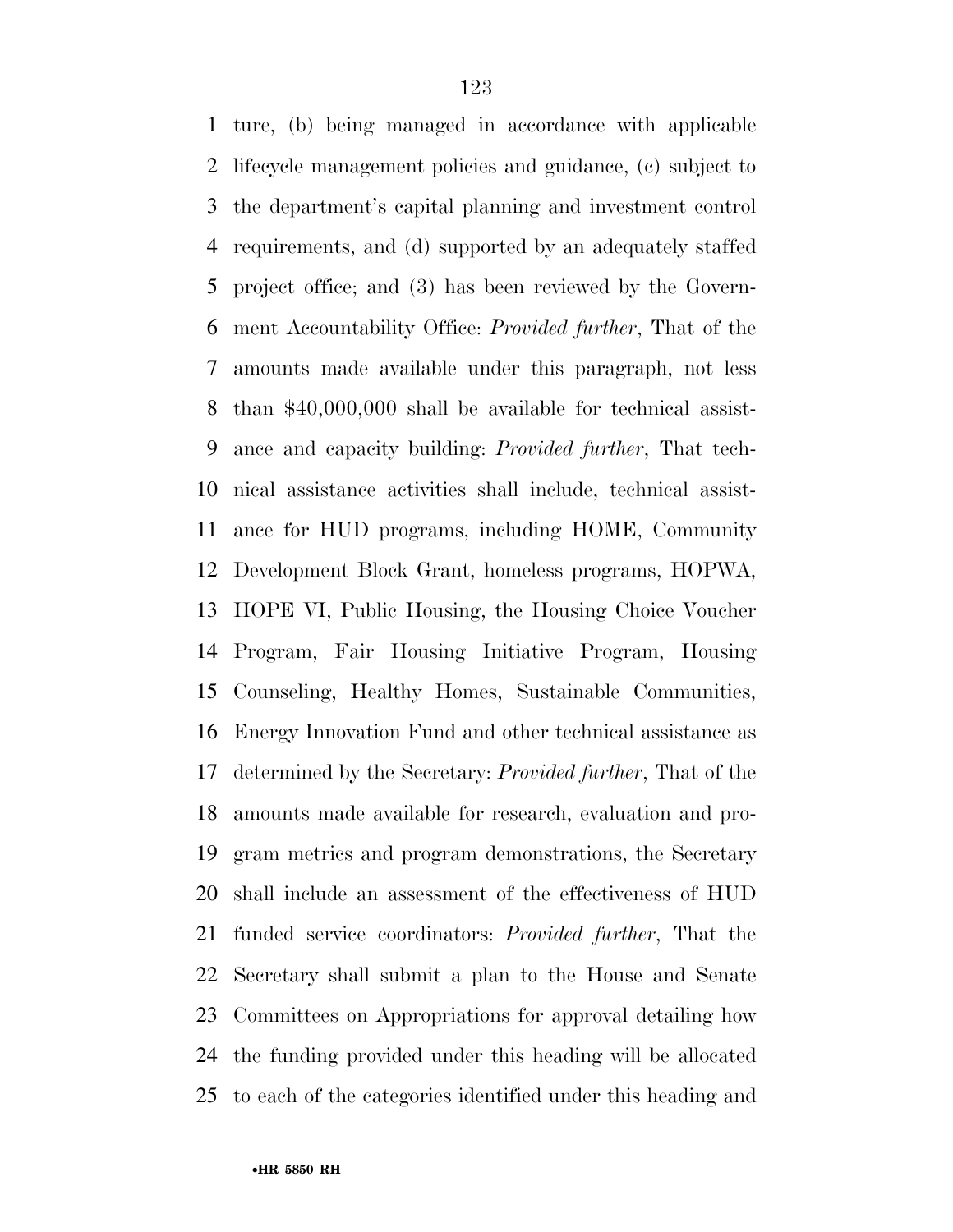ture, (b) being managed in accordance with applicable lifecycle management policies and guidance, (c) subject to the department's capital planning and investment control requirements, and (d) supported by an adequately staffed project office; and (3) has been reviewed by the Govern- ment Accountability Office: *Provided further*, That of the amounts made available under this paragraph, not less than \$40,000,000 shall be available for technical assist- ance and capacity building: *Provided further*, That tech- nical assistance activities shall include, technical assist- ance for HUD programs, including HOME, Community Development Block Grant, homeless programs, HOPWA, HOPE VI, Public Housing, the Housing Choice Voucher Program, Fair Housing Initiative Program, Housing Counseling, Healthy Homes, Sustainable Communities, Energy Innovation Fund and other technical assistance as determined by the Secretary: *Provided further*, That of the amounts made available for research, evaluation and pro- gram metrics and program demonstrations, the Secretary shall include an assessment of the effectiveness of HUD funded service coordinators: *Provided further*, That the Secretary shall submit a plan to the House and Senate Committees on Appropriations for approval detailing how the funding provided under this heading will be allocated to each of the categories identified under this heading and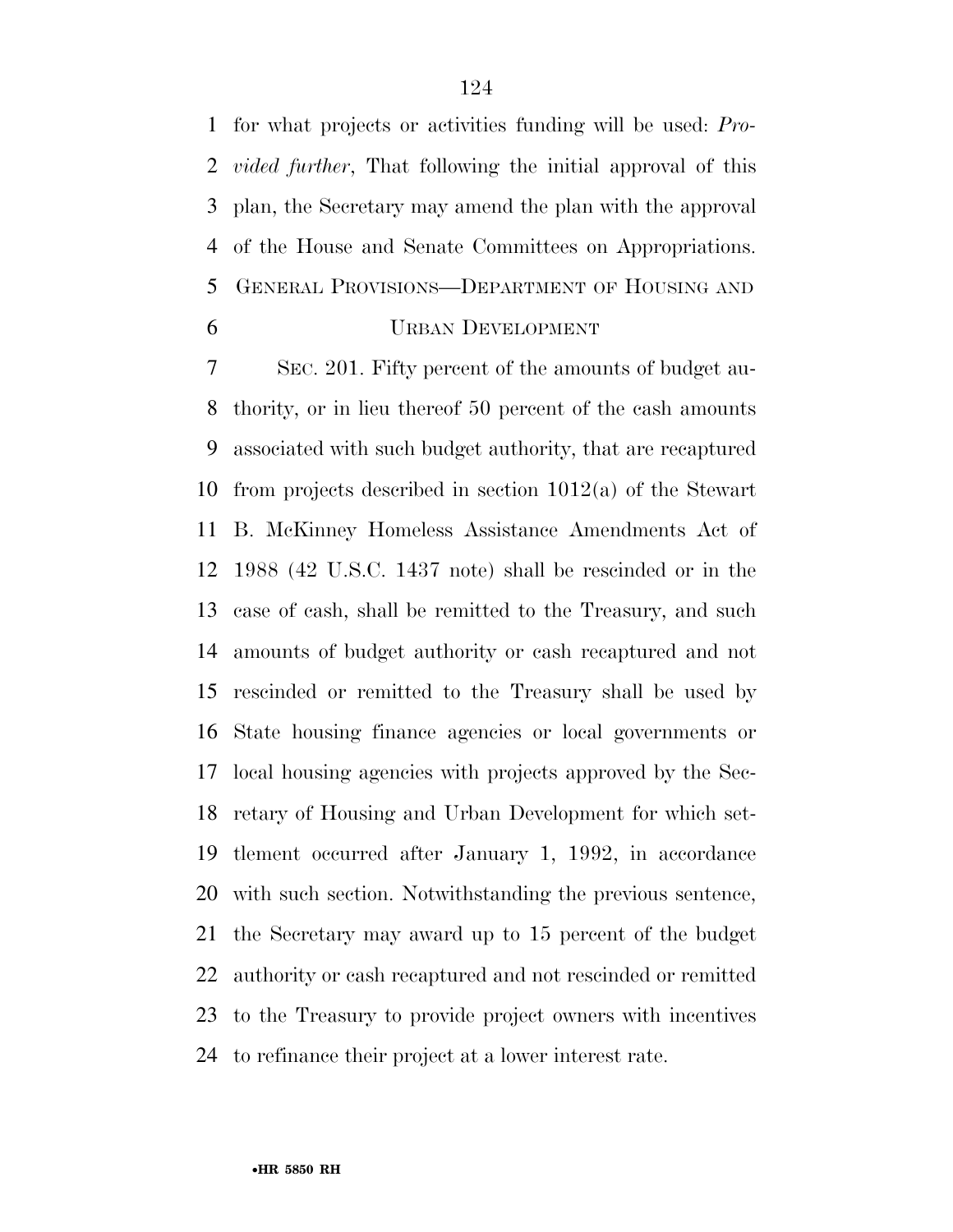for what projects or activities funding will be used: *Pro- vided further*, That following the initial approval of this plan, the Secretary may amend the plan with the approval of the House and Senate Committees on Appropriations. GENERAL PROVISIONS—DEPARTMENT OF HOUSING AND

## URBAN DEVELOPMENT

 SEC. 201. Fifty percent of the amounts of budget au- thority, or in lieu thereof 50 percent of the cash amounts associated with such budget authority, that are recaptured from projects described in section 1012(a) of the Stewart B. McKinney Homeless Assistance Amendments Act of 1988 (42 U.S.C. 1437 note) shall be rescinded or in the case of cash, shall be remitted to the Treasury, and such amounts of budget authority or cash recaptured and not rescinded or remitted to the Treasury shall be used by State housing finance agencies or local governments or local housing agencies with projects approved by the Sec- retary of Housing and Urban Development for which set- tlement occurred after January 1, 1992, in accordance with such section. Notwithstanding the previous sentence, the Secretary may award up to 15 percent of the budget authority or cash recaptured and not rescinded or remitted to the Treasury to provide project owners with incentives to refinance their project at a lower interest rate.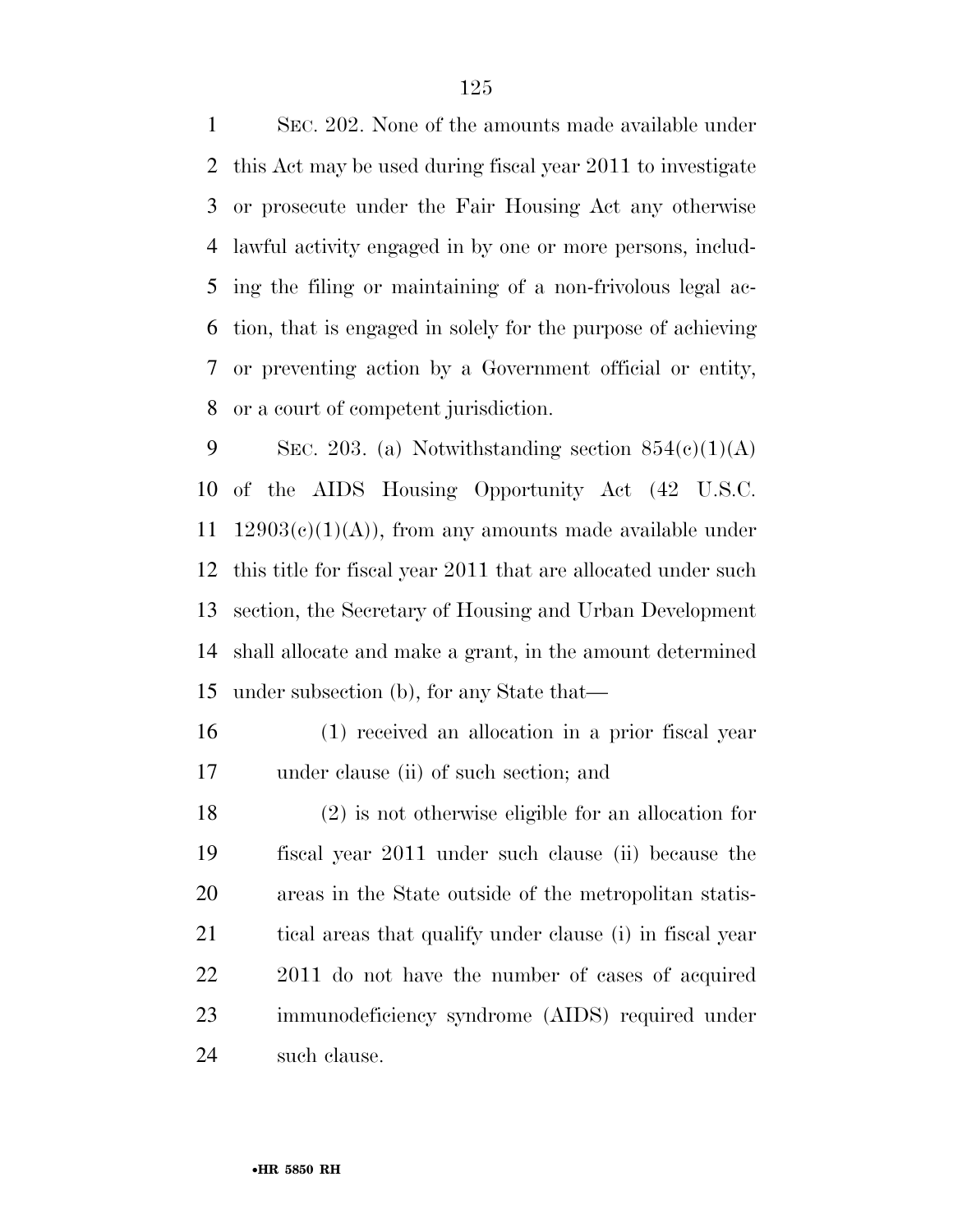SEC. 202. None of the amounts made available under this Act may be used during fiscal year 2011 to investigate or prosecute under the Fair Housing Act any otherwise lawful activity engaged in by one or more persons, includ- ing the filing or maintaining of a non-frivolous legal ac- tion, that is engaged in solely for the purpose of achieving or preventing action by a Government official or entity, or a court of competent jurisdiction.

9 SEC. 203. (a) Notwithstanding section  $854(e)(1)(A)$  of the AIDS Housing Opportunity Act (42 U.S.C. 11 12903(c)(1)(A)), from any amounts made available under this title for fiscal year 2011 that are allocated under such section, the Secretary of Housing and Urban Development shall allocate and make a grant, in the amount determined under subsection (b), for any State that—

 (1) received an allocation in a prior fiscal year under clause (ii) of such section; and

 (2) is not otherwise eligible for an allocation for fiscal year 2011 under such clause (ii) because the areas in the State outside of the metropolitan statis-21 tical areas that qualify under clause (i) in fiscal year 2011 do not have the number of cases of acquired immunodeficiency syndrome (AIDS) required under such clause.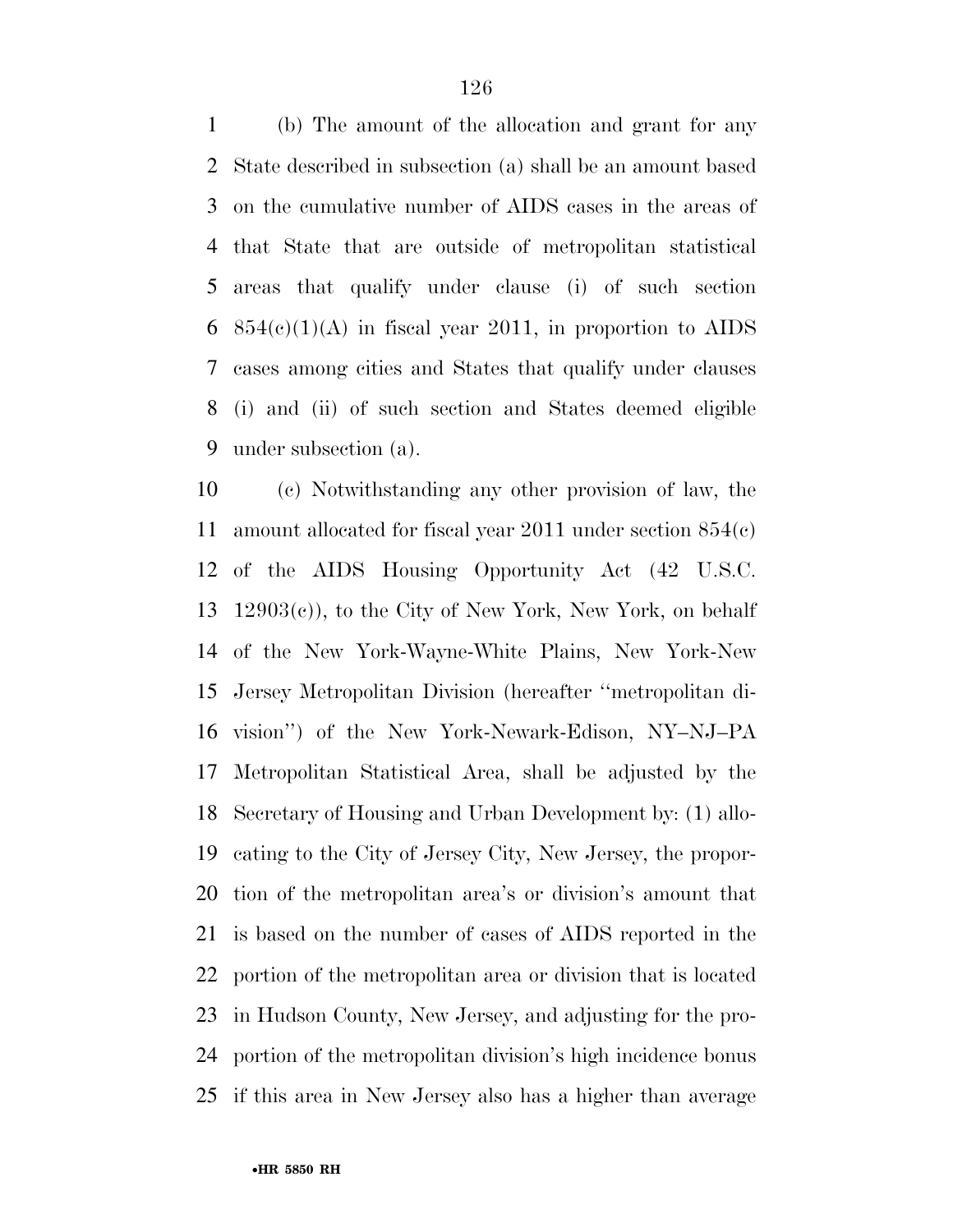(b) The amount of the allocation and grant for any State described in subsection (a) shall be an amount based on the cumulative number of AIDS cases in the areas of that State that are outside of metropolitan statistical areas that qualify under clause (i) of such section 6 854(c)(1)(A) in fiscal year 2011, in proportion to AIDS cases among cities and States that qualify under clauses (i) and (ii) of such section and States deemed eligible under subsection (a).

 (c) Notwithstanding any other provision of law, the amount allocated for fiscal year 2011 under section 854(c) of the AIDS Housing Opportunity Act (42 U.S.C. 12903(c)), to the City of New York, New York, on behalf of the New York-Wayne-White Plains, New York-New Jersey Metropolitan Division (hereafter ''metropolitan di- vision'') of the New York-Newark-Edison, NY–NJ–PA Metropolitan Statistical Area, shall be adjusted by the Secretary of Housing and Urban Development by: (1) allo- cating to the City of Jersey City, New Jersey, the propor- tion of the metropolitan area's or division's amount that is based on the number of cases of AIDS reported in the portion of the metropolitan area or division that is located in Hudson County, New Jersey, and adjusting for the pro- portion of the metropolitan division's high incidence bonus if this area in New Jersey also has a higher than average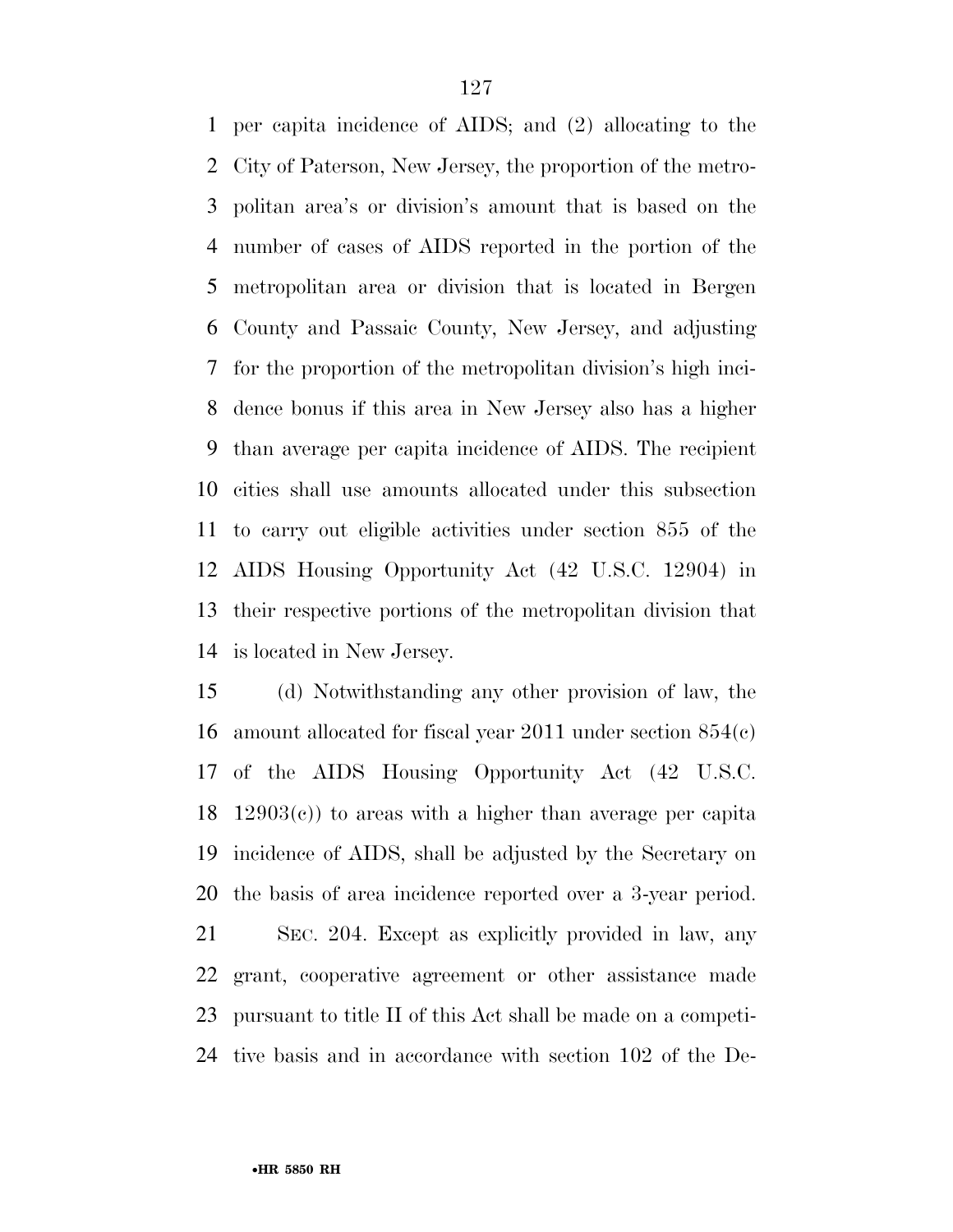per capita incidence of AIDS; and (2) allocating to the City of Paterson, New Jersey, the proportion of the metro- politan area's or division's amount that is based on the number of cases of AIDS reported in the portion of the metropolitan area or division that is located in Bergen County and Passaic County, New Jersey, and adjusting for the proportion of the metropolitan division's high inci- dence bonus if this area in New Jersey also has a higher than average per capita incidence of AIDS. The recipient cities shall use amounts allocated under this subsection to carry out eligible activities under section 855 of the AIDS Housing Opportunity Act (42 U.S.C. 12904) in their respective portions of the metropolitan division that is located in New Jersey.

 (d) Notwithstanding any other provision of law, the amount allocated for fiscal year 2011 under section 854(c) of the AIDS Housing Opportunity Act (42 U.S.C. 12903(c)) to areas with a higher than average per capita incidence of AIDS, shall be adjusted by the Secretary on the basis of area incidence reported over a 3-year period.

 SEC. 204. Except as explicitly provided in law, any grant, cooperative agreement or other assistance made pursuant to title II of this Act shall be made on a competi-tive basis and in accordance with section 102 of the De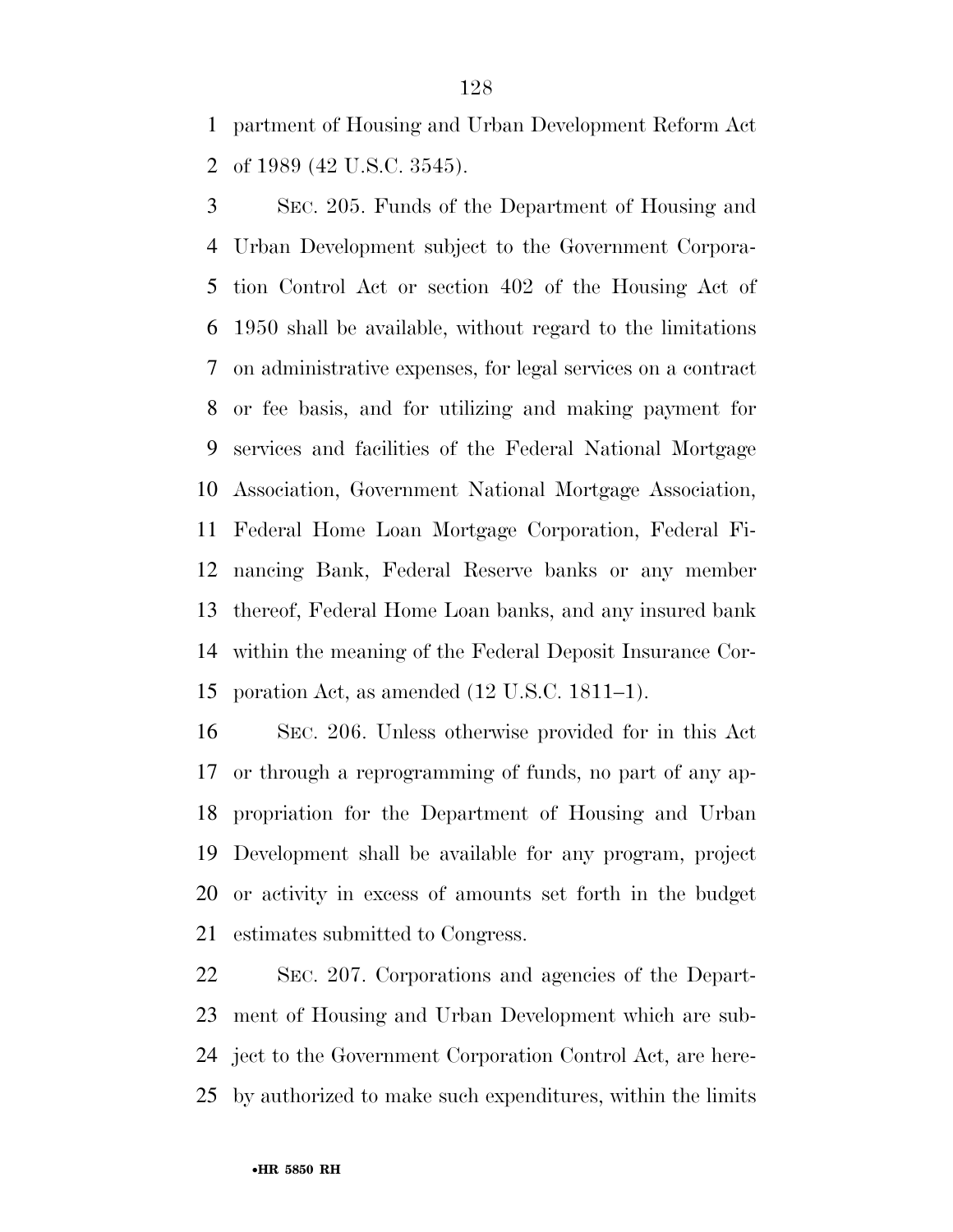partment of Housing and Urban Development Reform Act of 1989 (42 U.S.C. 3545).

 SEC. 205. Funds of the Department of Housing and Urban Development subject to the Government Corpora- tion Control Act or section 402 of the Housing Act of 1950 shall be available, without regard to the limitations on administrative expenses, for legal services on a contract or fee basis, and for utilizing and making payment for services and facilities of the Federal National Mortgage Association, Government National Mortgage Association, Federal Home Loan Mortgage Corporation, Federal Fi- nancing Bank, Federal Reserve banks or any member thereof, Federal Home Loan banks, and any insured bank within the meaning of the Federal Deposit Insurance Cor-poration Act, as amended (12 U.S.C. 1811–1).

 SEC. 206. Unless otherwise provided for in this Act or through a reprogramming of funds, no part of any ap- propriation for the Department of Housing and Urban Development shall be available for any program, project or activity in excess of amounts set forth in the budget estimates submitted to Congress.

 SEC. 207. Corporations and agencies of the Depart- ment of Housing and Urban Development which are sub- ject to the Government Corporation Control Act, are here-by authorized to make such expenditures, within the limits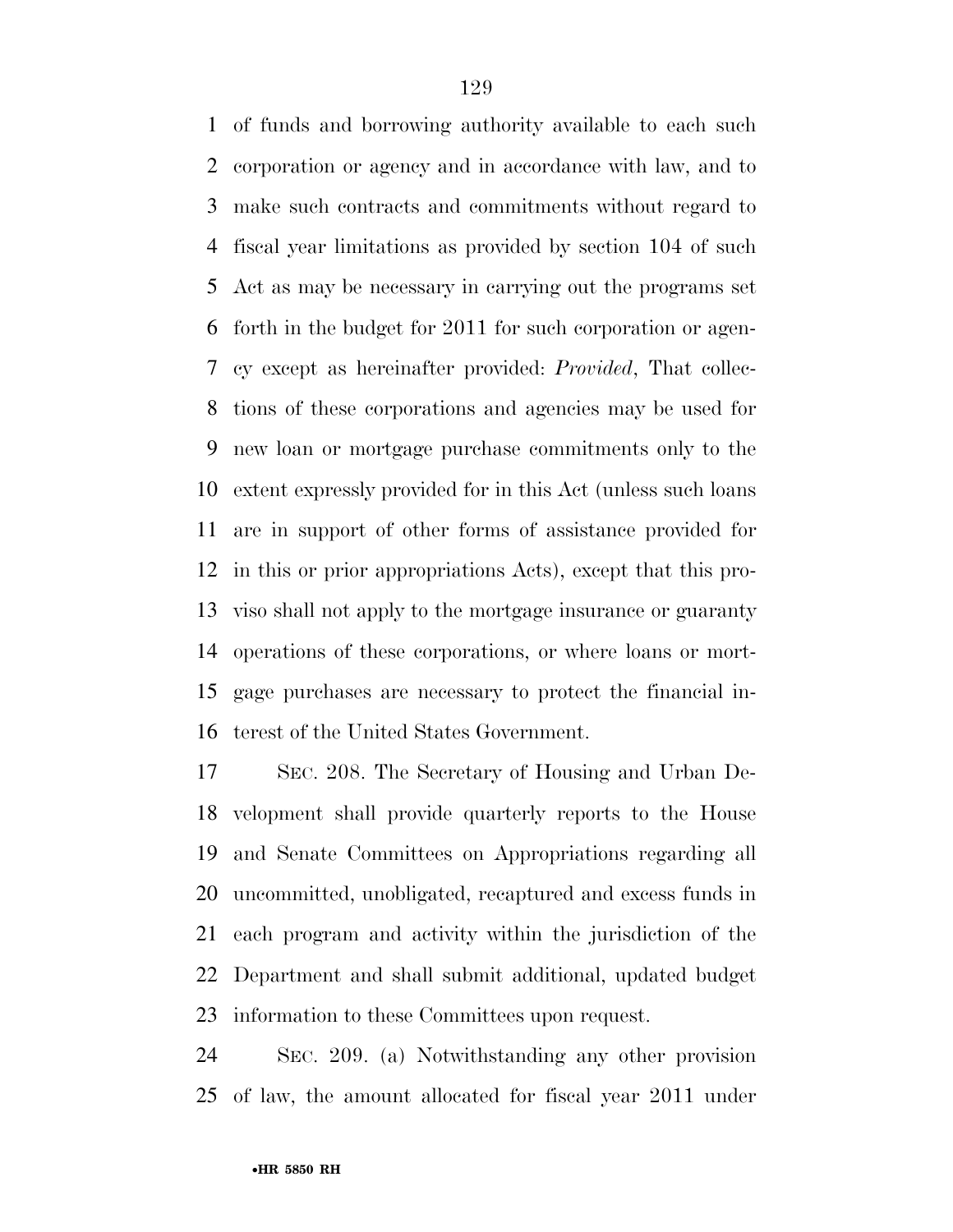of funds and borrowing authority available to each such corporation or agency and in accordance with law, and to make such contracts and commitments without regard to fiscal year limitations as provided by section 104 of such Act as may be necessary in carrying out the programs set forth in the budget for 2011 for such corporation or agen- cy except as hereinafter provided: *Provided*, That collec- tions of these corporations and agencies may be used for new loan or mortgage purchase commitments only to the extent expressly provided for in this Act (unless such loans are in support of other forms of assistance provided for in this or prior appropriations Acts), except that this pro- viso shall not apply to the mortgage insurance or guaranty operations of these corporations, or where loans or mort- gage purchases are necessary to protect the financial in-terest of the United States Government.

 SEC. 208. The Secretary of Housing and Urban De- velopment shall provide quarterly reports to the House and Senate Committees on Appropriations regarding all uncommitted, unobligated, recaptured and excess funds in each program and activity within the jurisdiction of the Department and shall submit additional, updated budget information to these Committees upon request.

 SEC. 209. (a) Notwithstanding any other provision of law, the amount allocated for fiscal year 2011 under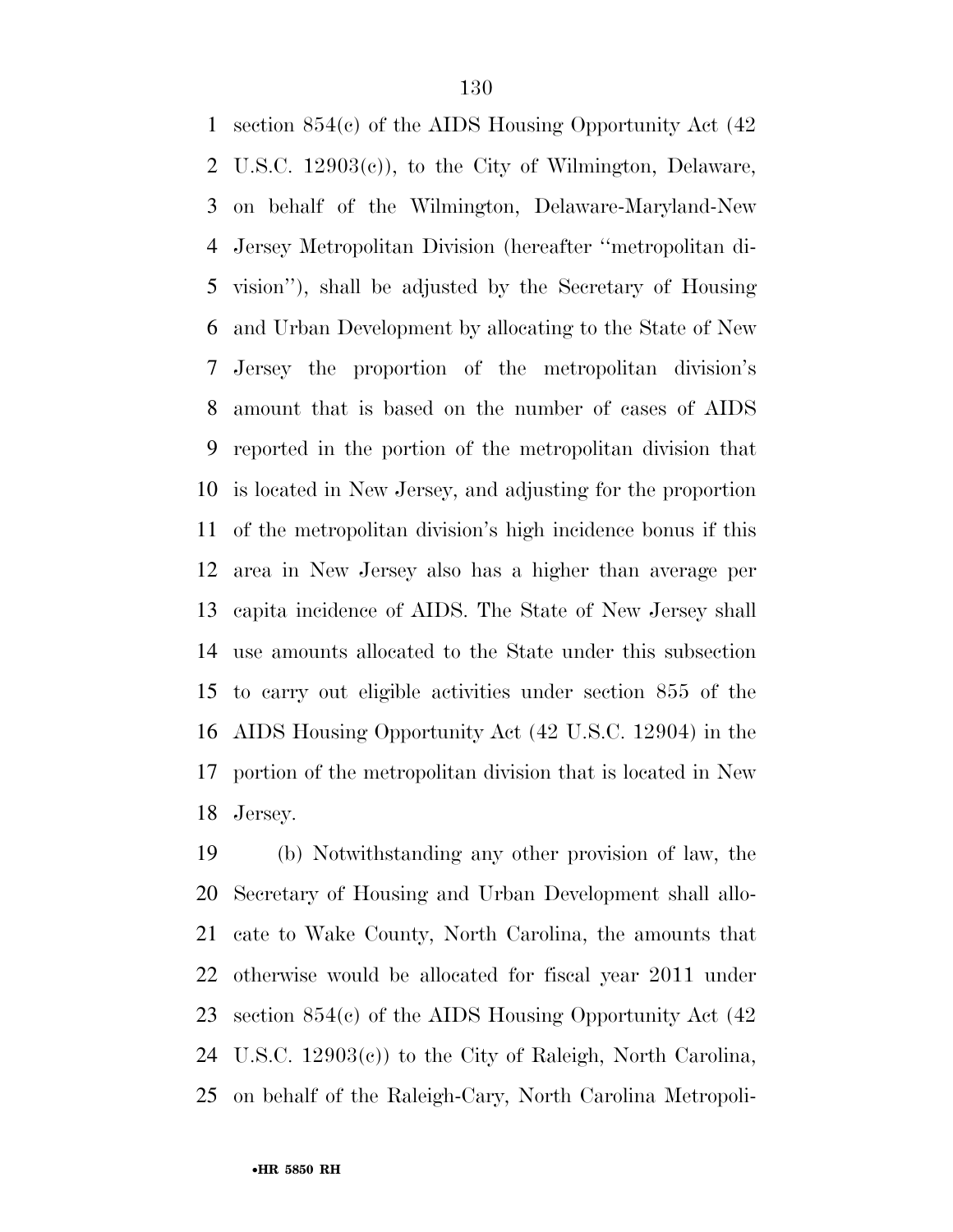section 854(c) of the AIDS Housing Opportunity Act (42 U.S.C. 12903(c)), to the City of Wilmington, Delaware, on behalf of the Wilmington, Delaware-Maryland-New Jersey Metropolitan Division (hereafter ''metropolitan di- vision''), shall be adjusted by the Secretary of Housing and Urban Development by allocating to the State of New Jersey the proportion of the metropolitan division's amount that is based on the number of cases of AIDS reported in the portion of the metropolitan division that is located in New Jersey, and adjusting for the proportion of the metropolitan division's high incidence bonus if this area in New Jersey also has a higher than average per capita incidence of AIDS. The State of New Jersey shall use amounts allocated to the State under this subsection to carry out eligible activities under section 855 of the AIDS Housing Opportunity Act (42 U.S.C. 12904) in the portion of the metropolitan division that is located in New Jersey.

 (b) Notwithstanding any other provision of law, the Secretary of Housing and Urban Development shall allo- cate to Wake County, North Carolina, the amounts that otherwise would be allocated for fiscal year 2011 under section 854(c) of the AIDS Housing Opportunity Act (42 U.S.C. 12903(c)) to the City of Raleigh, North Carolina, on behalf of the Raleigh-Cary, North Carolina Metropoli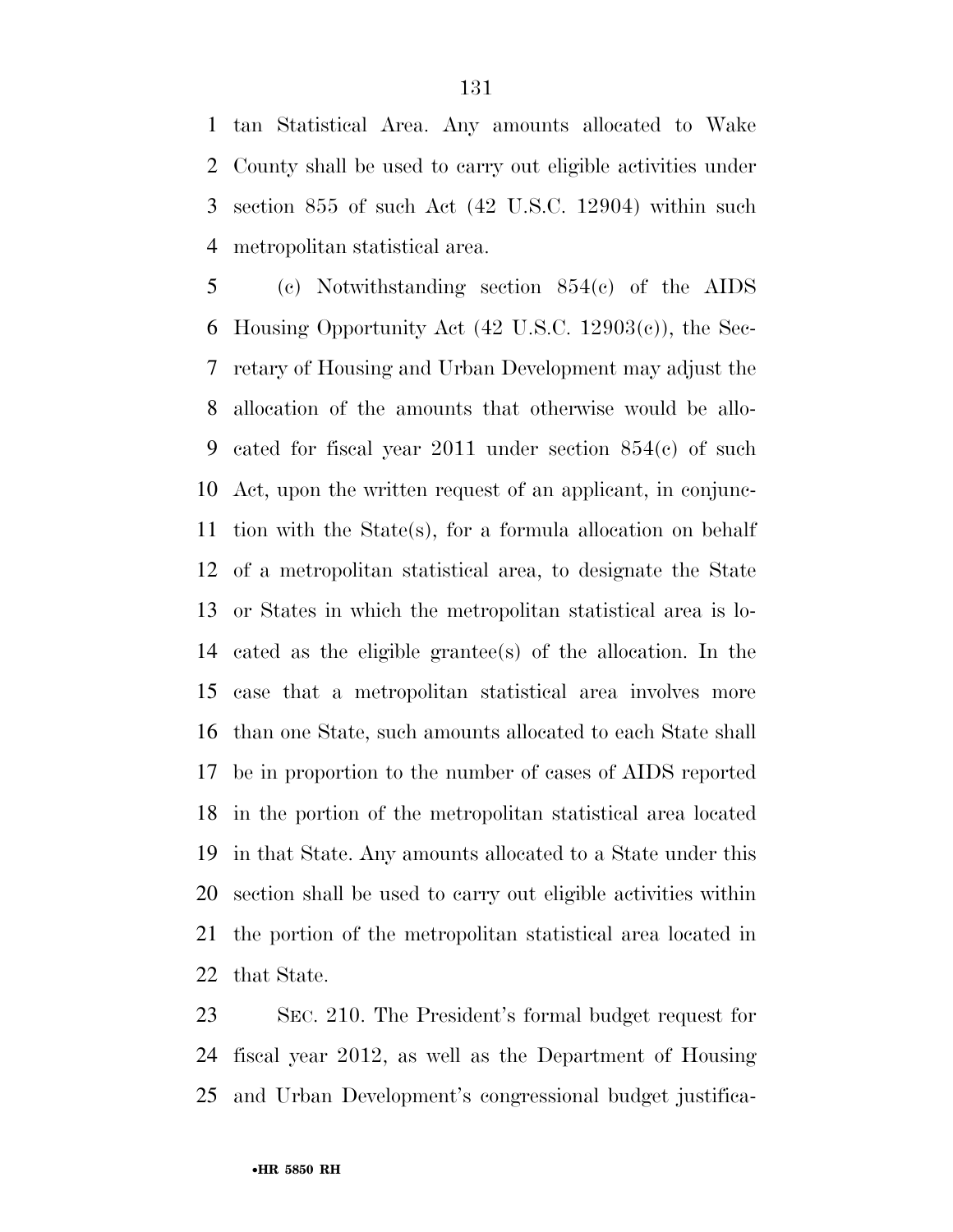tan Statistical Area. Any amounts allocated to Wake County shall be used to carry out eligible activities under section 855 of such Act (42 U.S.C. 12904) within such metropolitan statistical area.

 (c) Notwithstanding section 854(c) of the AIDS Housing Opportunity Act (42 U.S.C. 12903(c)), the Sec- retary of Housing and Urban Development may adjust the allocation of the amounts that otherwise would be allo- cated for fiscal year 2011 under section 854(c) of such Act, upon the written request of an applicant, in conjunc- tion with the State(s), for a formula allocation on behalf of a metropolitan statistical area, to designate the State or States in which the metropolitan statistical area is lo- cated as the eligible grantee(s) of the allocation. In the case that a metropolitan statistical area involves more than one State, such amounts allocated to each State shall be in proportion to the number of cases of AIDS reported in the portion of the metropolitan statistical area located in that State. Any amounts allocated to a State under this section shall be used to carry out eligible activities within the portion of the metropolitan statistical area located in that State.

 SEC. 210. The President's formal budget request for fiscal year 2012, as well as the Department of Housing and Urban Development's congressional budget justifica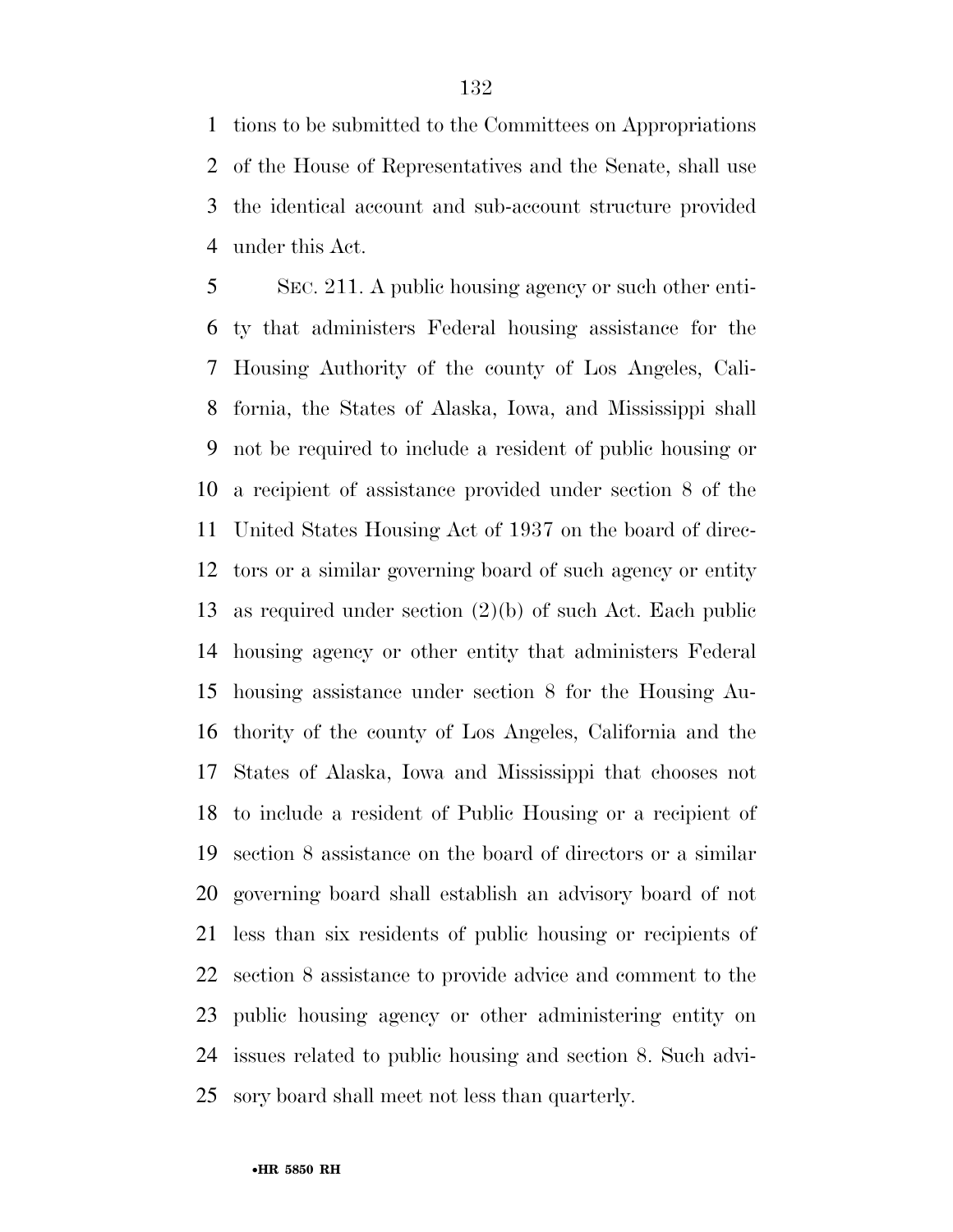tions to be submitted to the Committees on Appropriations of the House of Representatives and the Senate, shall use the identical account and sub-account structure provided under this Act.

 SEC. 211. A public housing agency or such other enti- ty that administers Federal housing assistance for the Housing Authority of the county of Los Angeles, Cali- fornia, the States of Alaska, Iowa, and Mississippi shall not be required to include a resident of public housing or a recipient of assistance provided under section 8 of the United States Housing Act of 1937 on the board of direc- tors or a similar governing board of such agency or entity as required under section (2)(b) of such Act. Each public housing agency or other entity that administers Federal housing assistance under section 8 for the Housing Au- thority of the county of Los Angeles, California and the States of Alaska, Iowa and Mississippi that chooses not to include a resident of Public Housing or a recipient of section 8 assistance on the board of directors or a similar governing board shall establish an advisory board of not less than six residents of public housing or recipients of section 8 assistance to provide advice and comment to the public housing agency or other administering entity on issues related to public housing and section 8. Such advi-sory board shall meet not less than quarterly.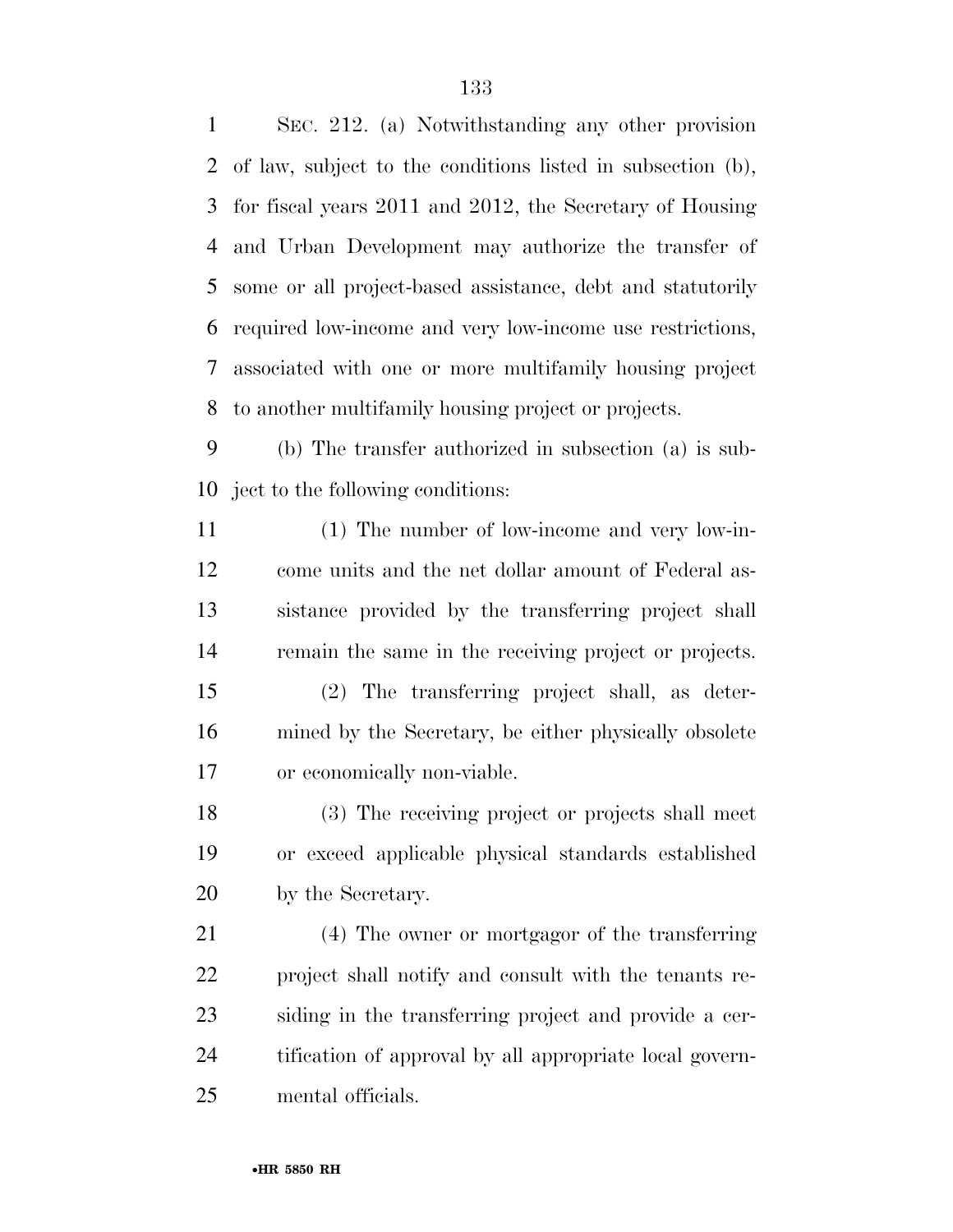SEC. 212. (a) Notwithstanding any other provision of law, subject to the conditions listed in subsection (b), for fiscal years 2011 and 2012, the Secretary of Housing and Urban Development may authorize the transfer of some or all project-based assistance, debt and statutorily required low-income and very low-income use restrictions, associated with one or more multifamily housing project to another multifamily housing project or projects.

 (b) The transfer authorized in subsection (a) is sub-ject to the following conditions:

 (1) The number of low-income and very low-in- come units and the net dollar amount of Federal as- sistance provided by the transferring project shall remain the same in the receiving project or projects.

 (2) The transferring project shall, as deter- mined by the Secretary, be either physically obsolete or economically non-viable.

 (3) The receiving project or projects shall meet or exceed applicable physical standards established by the Secretary.

 (4) The owner or mortgagor of the transferring project shall notify and consult with the tenants re- siding in the transferring project and provide a cer- tification of approval by all appropriate local govern-mental officials.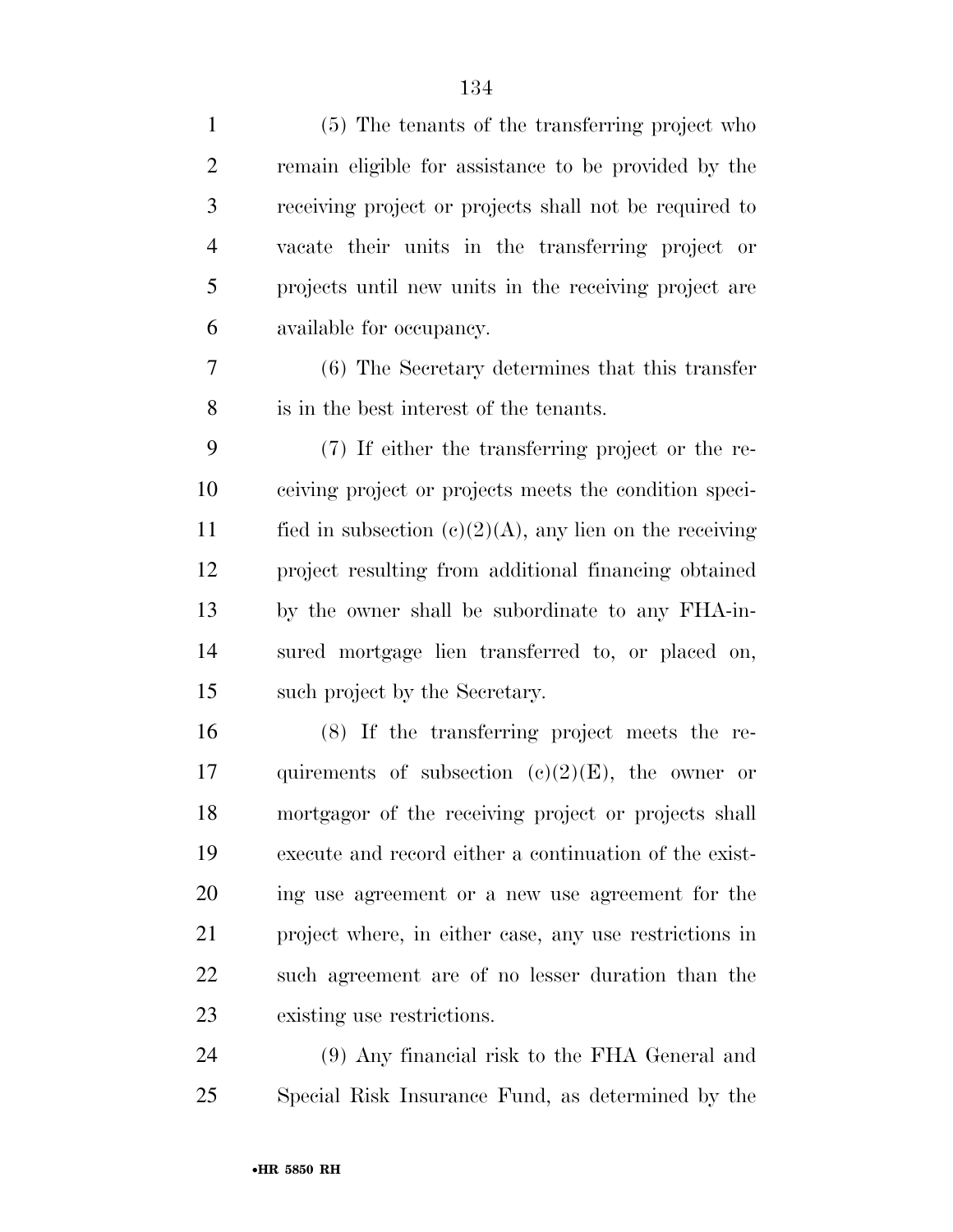| $\mathbf{1}$   | (5) The tenants of the transferring project who            |
|----------------|------------------------------------------------------------|
| $\overline{2}$ | remain eligible for assistance to be provided by the       |
| 3              | receiving project or projects shall not be required to     |
| $\overline{4}$ | vacate their units in the transferring project or          |
| 5              | projects until new units in the receiving project are      |
| 6              | available for occupancy.                                   |
| $\overline{7}$ | (6) The Secretary determines that this transfer            |
| 8              | is in the best interest of the tenants.                    |
| 9              | (7) If either the transferring project or the re-          |
| 10             | ceiving project or projects meets the condition speci-     |
| 11             | fied in subsection $(c)(2)(A)$ , any lien on the receiving |
| 12             | project resulting from additional financing obtained       |
| 13             | by the owner shall be subordinate to any FHA-in-           |
| 14             | sured mortgage lien transferred to, or placed on,          |
| 15             | such project by the Secretary.                             |
| 16             | (8) If the transferring project meets the re-              |
| 17             | quirements of subsection $(e)(2)(E)$ , the owner or        |
| 18             | mortgagor of the receiving project or projects shall       |
| 19             | execute and record either a continuation of the exist-     |
| 20             | ing use agreement or a new use agreement for the           |
| 21             | project where, in either case, any use restrictions in     |
| 22             | such agreement are of no lesser duration than the          |
| 23             | existing use restrictions.                                 |
| 24             | (9) Any financial risk to the FHA General and              |
|                |                                                            |

Special Risk Insurance Fund, as determined by the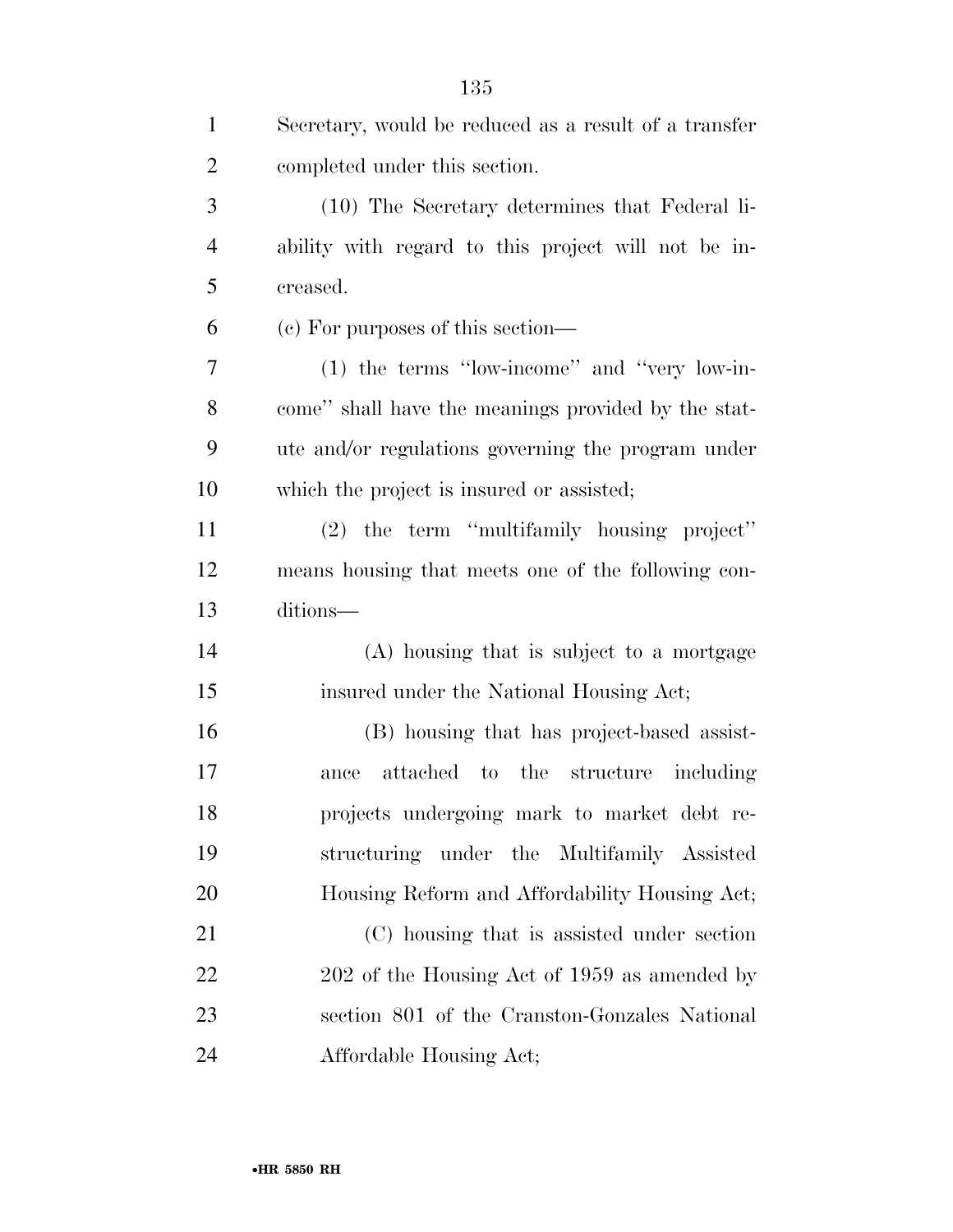| $\mathbf{1}$   | Secretary, would be reduced as a result of a transfer |
|----------------|-------------------------------------------------------|
| $\overline{2}$ | completed under this section.                         |
| 3              | (10) The Secretary determines that Federal li-        |
| $\overline{4}$ | ability with regard to this project will not be in-   |
| 5              | creased.                                              |
| 6              | (c) For purposes of this section—                     |
| 7              | (1) the terms "low-income" and "very low-in-          |
| 8              | come" shall have the meanings provided by the stat-   |
| 9              | ute and/or regulations governing the program under    |
| 10             | which the project is insured or assisted;             |
| 11             | (2) the term "multifamily housing project"            |
| 12             | means housing that meets one of the following con-    |
| 13             | ditions-                                              |
| 14             | (A) housing that is subject to a mortgage             |
| 15             | insured under the National Housing Act;               |
| 16             | (B) housing that has project-based assist-            |
| 17             | attached to the structure including<br>ance           |
| 18             | projects undergoing mark to market debt re-           |
| 19             | structuring under the Multifamily Assisted            |
| <b>20</b>      | Housing Reform and Affordability Housing Act;         |
| 21             | (C) housing that is assisted under section            |
| 22             | 202 of the Housing Act of 1959 as amended by          |
| 23             | section 801 of the Cranston-Gonzales National         |
| 24             | Affordable Housing Act;                               |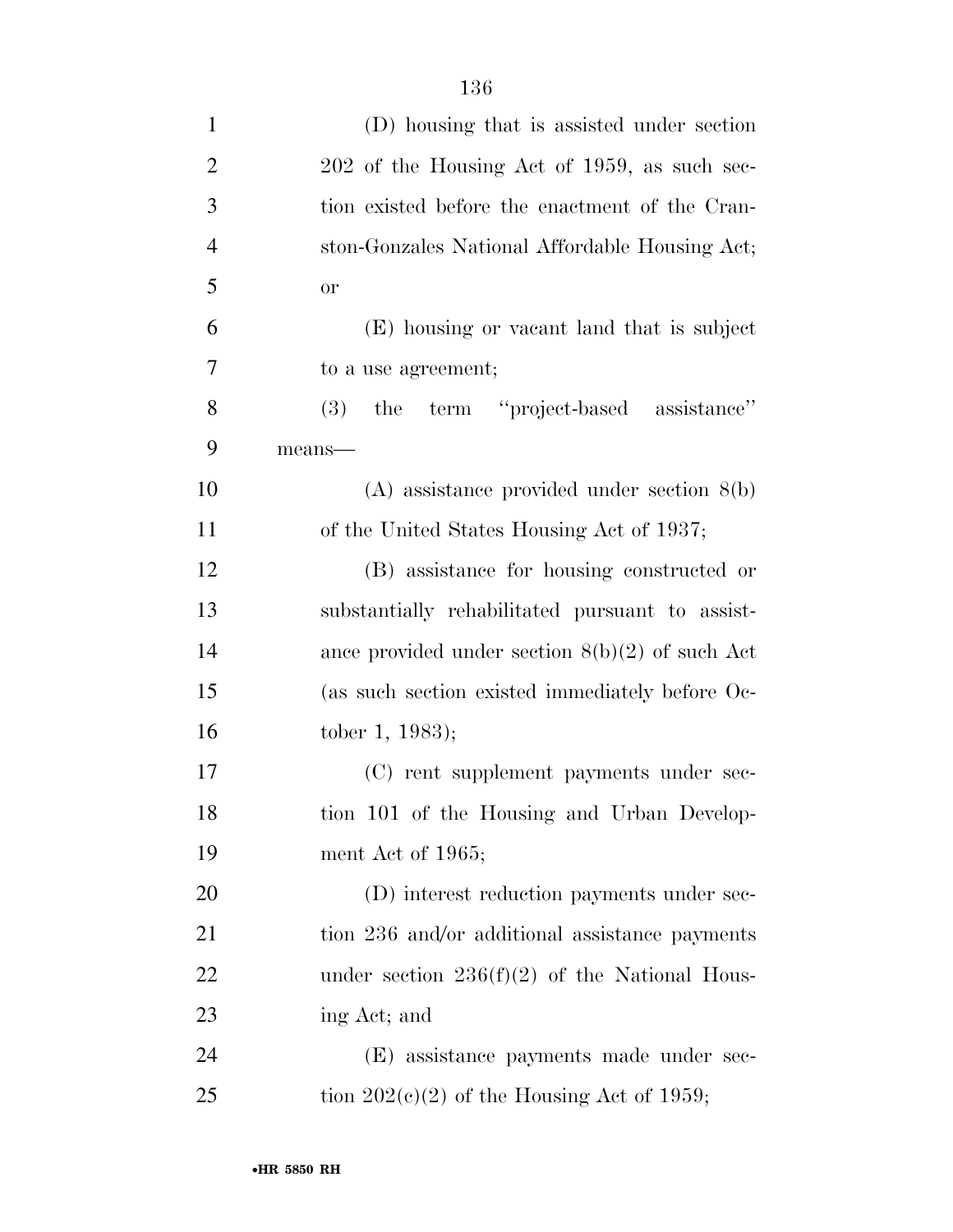| $\mathbf{1}$   | (D) housing that is assisted under section        |
|----------------|---------------------------------------------------|
| $\overline{2}$ | 202 of the Housing Act of 1959, as such sec-      |
| 3              | tion existed before the enactment of the Cran-    |
| $\overline{4}$ | ston-Gonzales National Affordable Housing Act;    |
| 5              | <b>or</b>                                         |
| 6              | (E) housing or vacant land that is subject        |
| 7              | to a use agreement;                               |
| 8              | the term "project-based assistance"<br>(3)        |
| 9              | means-                                            |
| 10             | $(A)$ assistance provided under section $8(b)$    |
| 11             | of the United States Housing Act of 1937;         |
| 12             | (B) assistance for housing constructed or         |
| 13             | substantially rehabilitated pursuant to assist-   |
| 14             | ance provided under section $8(b)(2)$ of such Act |
| 15             | (as such section existed immediately before Oc-   |
| 16             | tober 1, 1983);                                   |
| 17             | (C) rent supplement payments under sec-           |
| 18             | tion 101 of the Housing and Urban Develop-        |
| 19             | ment Act of 1965;                                 |
| 20             | (D) interest reduction payments under sec-        |
| 21             | tion 236 and/or additional assistance payments    |
| 22             | under section $236(f)(2)$ of the National Hous-   |
| 23             | ing Act; and                                      |
| 24             | (E) assistance payments made under sec-           |
| 25             | tion $202(c)(2)$ of the Housing Act of 1959;      |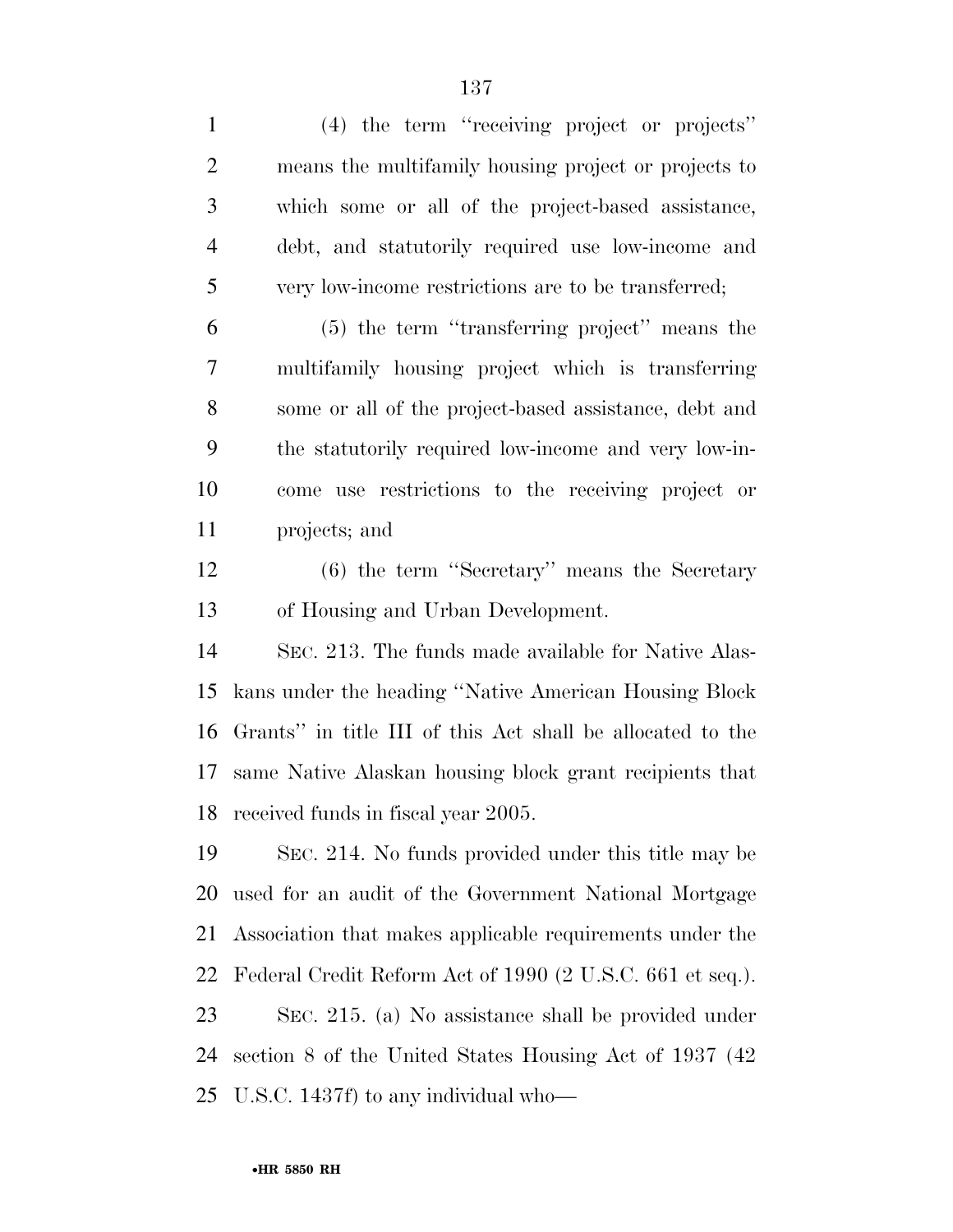(4) the term ''receiving project or projects'' means the multifamily housing project or projects to which some or all of the project-based assistance, debt, and statutorily required use low-income and very low-income restrictions are to be transferred;

 (5) the term ''transferring project'' means the multifamily housing project which is transferring some or all of the project-based assistance, debt and the statutorily required low-income and very low-in- come use restrictions to the receiving project or projects; and

 (6) the term ''Secretary'' means the Secretary of Housing and Urban Development.

 SEC. 213. The funds made available for Native Alas- kans under the heading ''Native American Housing Block Grants'' in title III of this Act shall be allocated to the same Native Alaskan housing block grant recipients that received funds in fiscal year 2005.

 SEC. 214. No funds provided under this title may be used for an audit of the Government National Mortgage Association that makes applicable requirements under the Federal Credit Reform Act of 1990 (2 U.S.C. 661 et seq.).

 SEC. 215. (a) No assistance shall be provided under section 8 of the United States Housing Act of 1937 (42 U.S.C. 1437f) to any individual who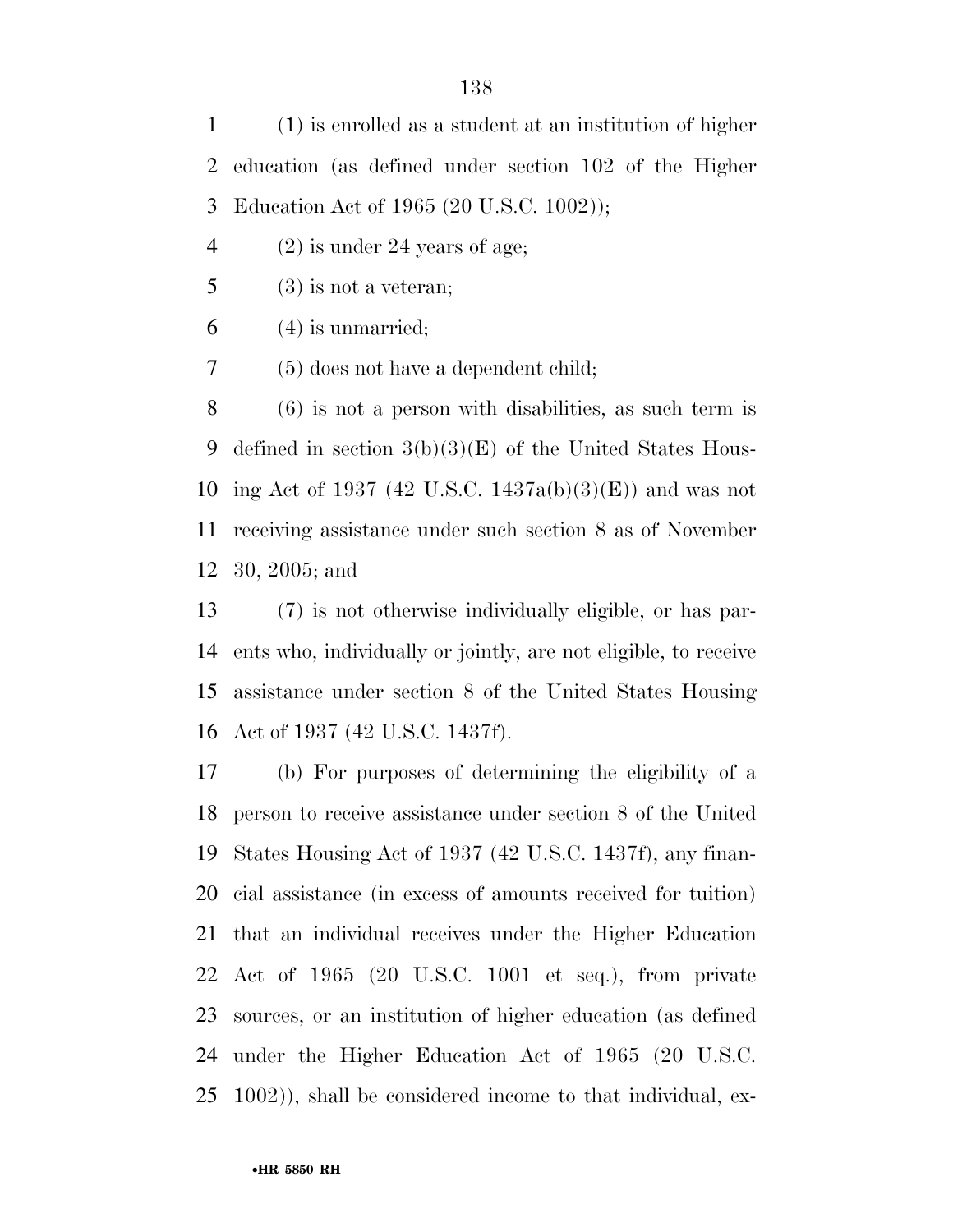(1) is enrolled as a student at an institution of higher education (as defined under section 102 of the Higher Education Act of 1965 (20 U.S.C. 1002));

(2) is under 24 years of age;

 $5 \t(3)$  is not a veteran;

(4) is unmarried;

(5) does not have a dependent child;

 (6) is not a person with disabilities, as such term is defined in section 3(b)(3)(E) of the United States Hous- ing Act of 1937 (42 U.S.C. 1437a(b)(3)(E)) and was not receiving assistance under such section 8 as of November 30, 2005; and

 (7) is not otherwise individually eligible, or has par- ents who, individually or jointly, are not eligible, to receive assistance under section 8 of the United States Housing Act of 1937 (42 U.S.C. 1437f).

 (b) For purposes of determining the eligibility of a person to receive assistance under section 8 of the United States Housing Act of 1937 (42 U.S.C. 1437f), any finan- cial assistance (in excess of amounts received for tuition) that an individual receives under the Higher Education Act of 1965 (20 U.S.C. 1001 et seq.), from private sources, or an institution of higher education (as defined under the Higher Education Act of 1965 (20 U.S.C. 1002)), shall be considered income to that individual, ex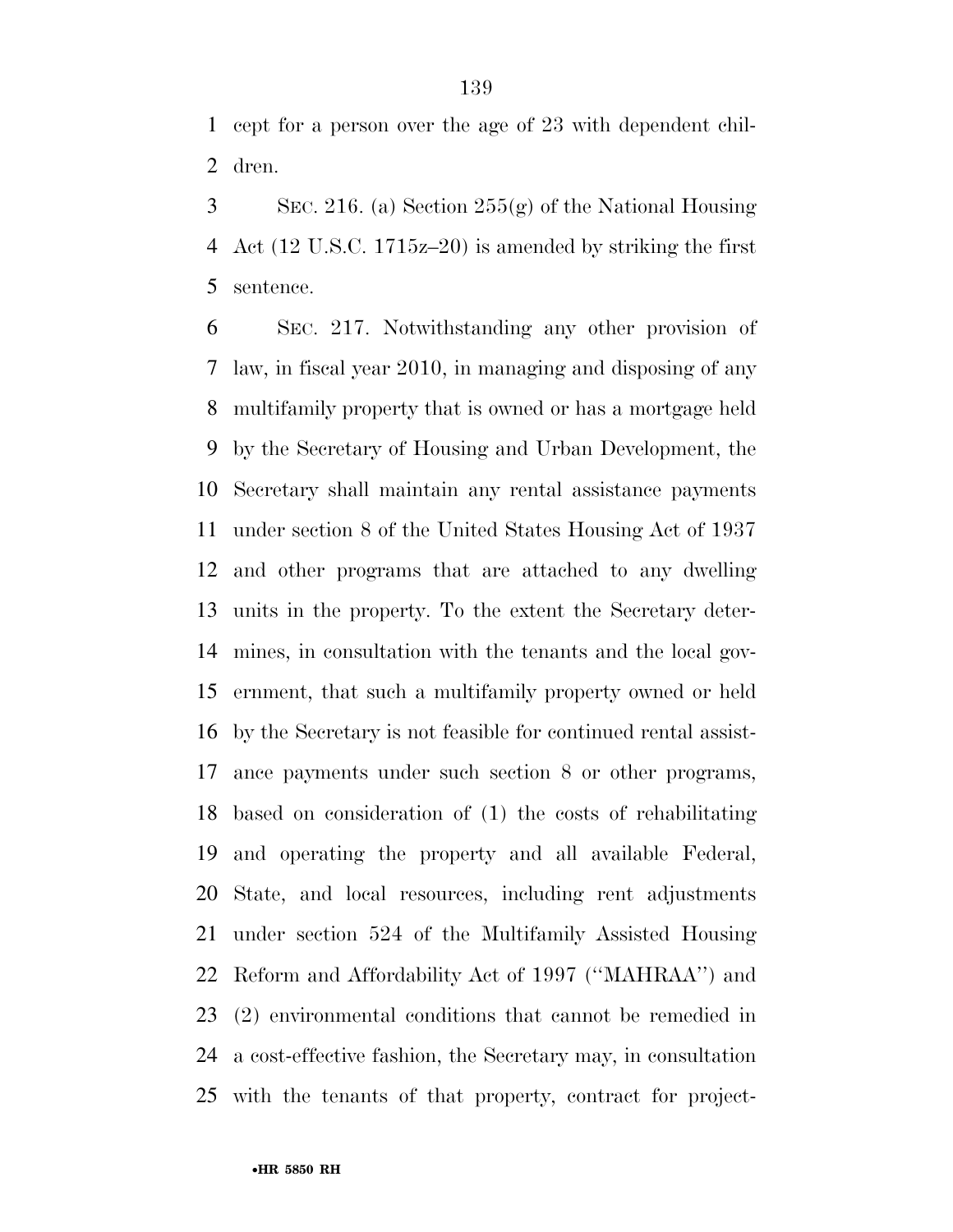cept for a person over the age of 23 with dependent chil-dren.

 SEC. 216. (a) Section 255(g) of the National Housing Act (12 U.S.C. 1715z–20) is amended by striking the first sentence.

 SEC. 217. Notwithstanding any other provision of law, in fiscal year 2010, in managing and disposing of any multifamily property that is owned or has a mortgage held by the Secretary of Housing and Urban Development, the Secretary shall maintain any rental assistance payments under section 8 of the United States Housing Act of 1937 and other programs that are attached to any dwelling units in the property. To the extent the Secretary deter- mines, in consultation with the tenants and the local gov- ernment, that such a multifamily property owned or held by the Secretary is not feasible for continued rental assist- ance payments under such section 8 or other programs, based on consideration of (1) the costs of rehabilitating and operating the property and all available Federal, State, and local resources, including rent adjustments under section 524 of the Multifamily Assisted Housing Reform and Affordability Act of 1997 (''MAHRAA'') and (2) environmental conditions that cannot be remedied in a cost-effective fashion, the Secretary may, in consultation with the tenants of that property, contract for project-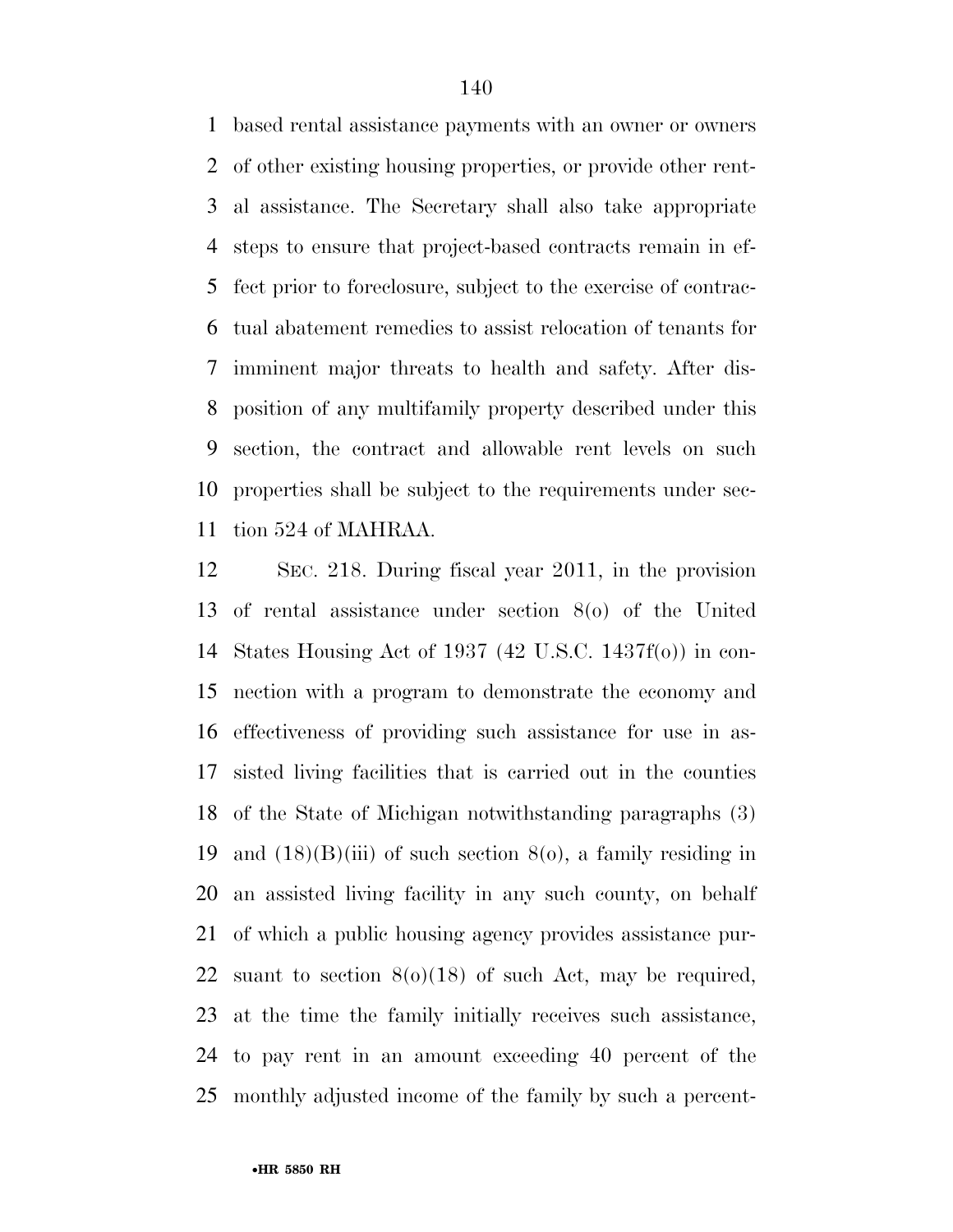based rental assistance payments with an owner or owners of other existing housing properties, or provide other rent- al assistance. The Secretary shall also take appropriate steps to ensure that project-based contracts remain in ef- fect prior to foreclosure, subject to the exercise of contrac- tual abatement remedies to assist relocation of tenants for imminent major threats to health and safety. After dis- position of any multifamily property described under this section, the contract and allowable rent levels on such properties shall be subject to the requirements under sec-tion 524 of MAHRAA.

 SEC. 218. During fiscal year 2011, in the provision of rental assistance under section 8(o) of the United States Housing Act of 1937 (42 U.S.C. 1437f(o)) in con- nection with a program to demonstrate the economy and effectiveness of providing such assistance for use in as- sisted living facilities that is carried out in the counties of the State of Michigan notwithstanding paragraphs (3) 19 and  $(18)(B)(iii)$  of such section  $8(0)$ , a family residing in an assisted living facility in any such county, on behalf of which a public housing agency provides assistance pur-22 suant to section  $8(0)(18)$  of such Act, may be required, at the time the family initially receives such assistance, to pay rent in an amount exceeding 40 percent of the monthly adjusted income of the family by such a percent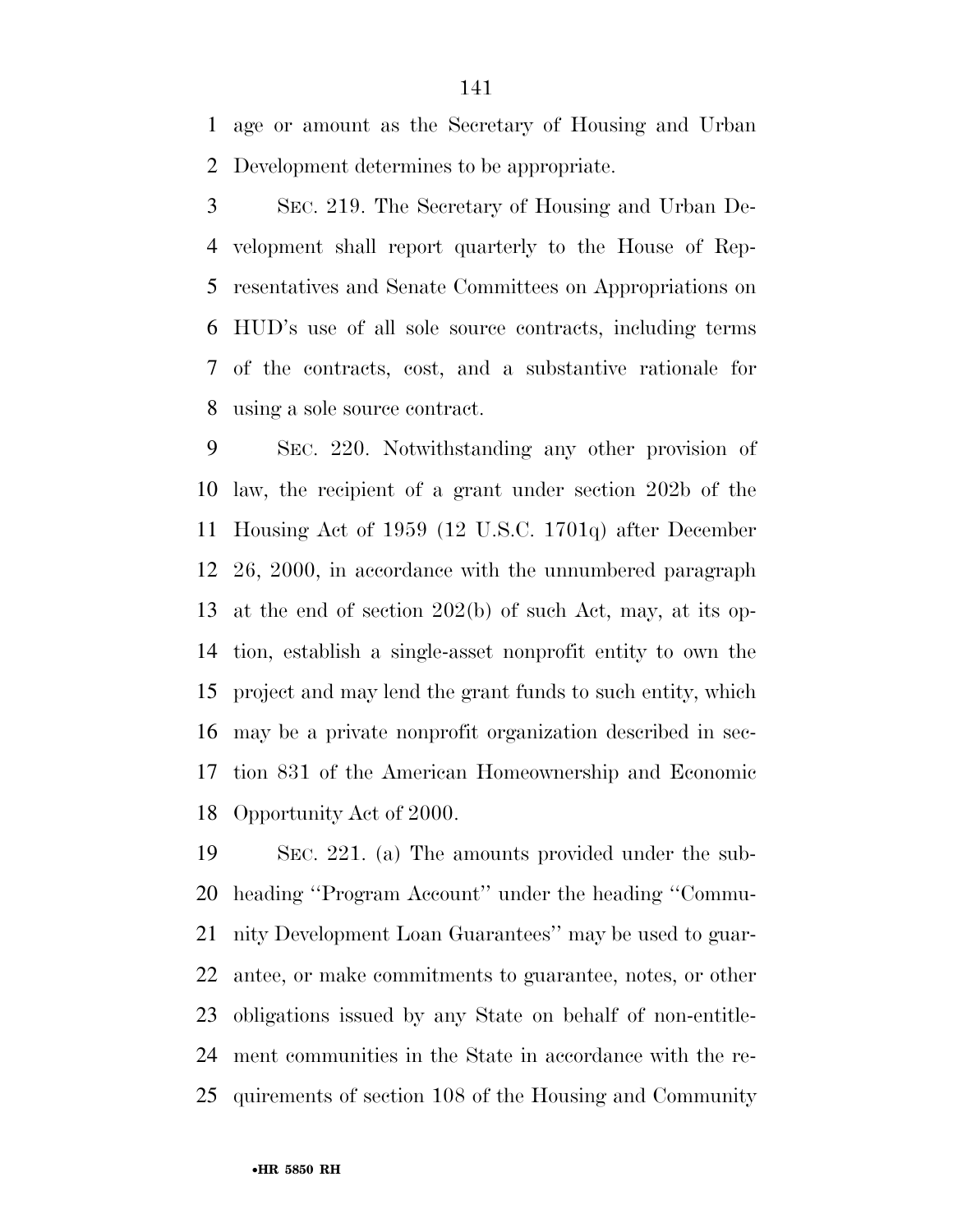age or amount as the Secretary of Housing and Urban Development determines to be appropriate.

 SEC. 219. The Secretary of Housing and Urban De- velopment shall report quarterly to the House of Rep- resentatives and Senate Committees on Appropriations on HUD's use of all sole source contracts, including terms of the contracts, cost, and a substantive rationale for using a sole source contract.

 SEC. 220. Notwithstanding any other provision of law, the recipient of a grant under section 202b of the Housing Act of 1959 (12 U.S.C. 1701q) after December 26, 2000, in accordance with the unnumbered paragraph at the end of section 202(b) of such Act, may, at its op- tion, establish a single-asset nonprofit entity to own the project and may lend the grant funds to such entity, which may be a private nonprofit organization described in sec- tion 831 of the American Homeownership and Economic Opportunity Act of 2000.

 SEC. 221. (a) The amounts provided under the sub- heading ''Program Account'' under the heading ''Commu- nity Development Loan Guarantees'' may be used to guar- antee, or make commitments to guarantee, notes, or other obligations issued by any State on behalf of non-entitle- ment communities in the State in accordance with the re-quirements of section 108 of the Housing and Community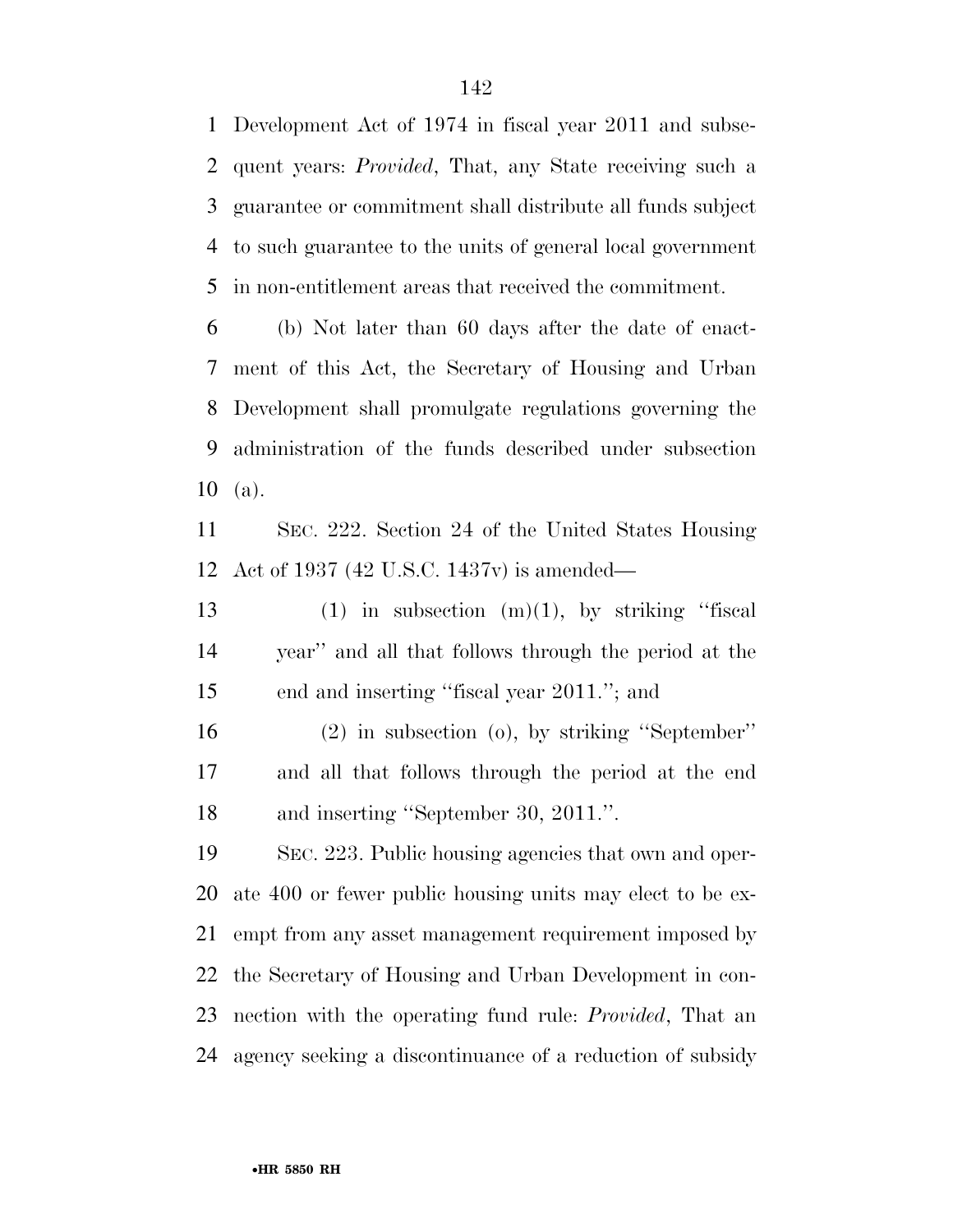Development Act of 1974 in fiscal year 2011 and subse- quent years: *Provided*, That, any State receiving such a guarantee or commitment shall distribute all funds subject to such guarantee to the units of general local government in non-entitlement areas that received the commitment.

 (b) Not later than 60 days after the date of enact- ment of this Act, the Secretary of Housing and Urban Development shall promulgate regulations governing the administration of the funds described under subsection (a).

 SEC. 222. Section 24 of the United States Housing Act of 1937 (42 U.S.C. 1437v) is amended—

13 (1) in subsection  $(m)(1)$ , by striking "fiscal year'' and all that follows through the period at the end and inserting ''fiscal year 2011.''; and

 (2) in subsection (o), by striking ''September'' and all that follows through the period at the end and inserting ''September 30, 2011.''.

 SEC. 223. Public housing agencies that own and oper- ate 400 or fewer public housing units may elect to be ex- empt from any asset management requirement imposed by the Secretary of Housing and Urban Development in con- nection with the operating fund rule: *Provided*, That an agency seeking a discontinuance of a reduction of subsidy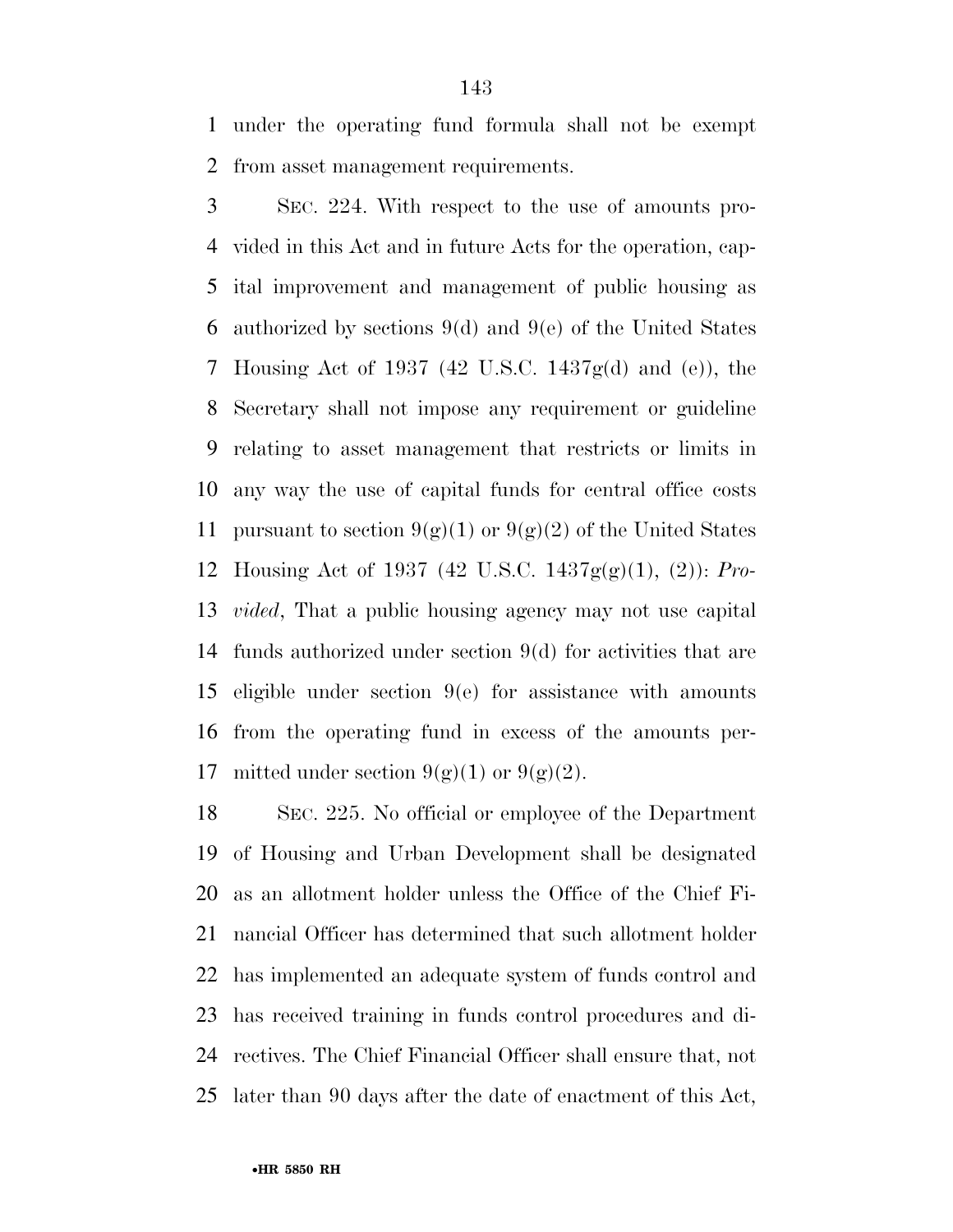under the operating fund formula shall not be exempt from asset management requirements.

 SEC. 224. With respect to the use of amounts pro- vided in this Act and in future Acts for the operation, cap- ital improvement and management of public housing as authorized by sections 9(d) and 9(e) of the United States Housing Act of 1937 (42 U.S.C. 1437g(d) and (e)), the Secretary shall not impose any requirement or guideline relating to asset management that restricts or limits in any way the use of capital funds for central office costs 11 pursuant to section  $9(g)(1)$  or  $9(g)(2)$  of the United States Housing Act of 1937 (42 U.S.C. 1437g(g)(1), (2)): *Pro- vided*, That a public housing agency may not use capital funds authorized under section 9(d) for activities that are eligible under section 9(e) for assistance with amounts from the operating fund in excess of the amounts per-17 mitted under section  $9(g)(1)$  or  $9(g)(2)$ .

 SEC. 225. No official or employee of the Department of Housing and Urban Development shall be designated as an allotment holder unless the Office of the Chief Fi- nancial Officer has determined that such allotment holder has implemented an adequate system of funds control and has received training in funds control procedures and di- rectives. The Chief Financial Officer shall ensure that, not later than 90 days after the date of enactment of this Act,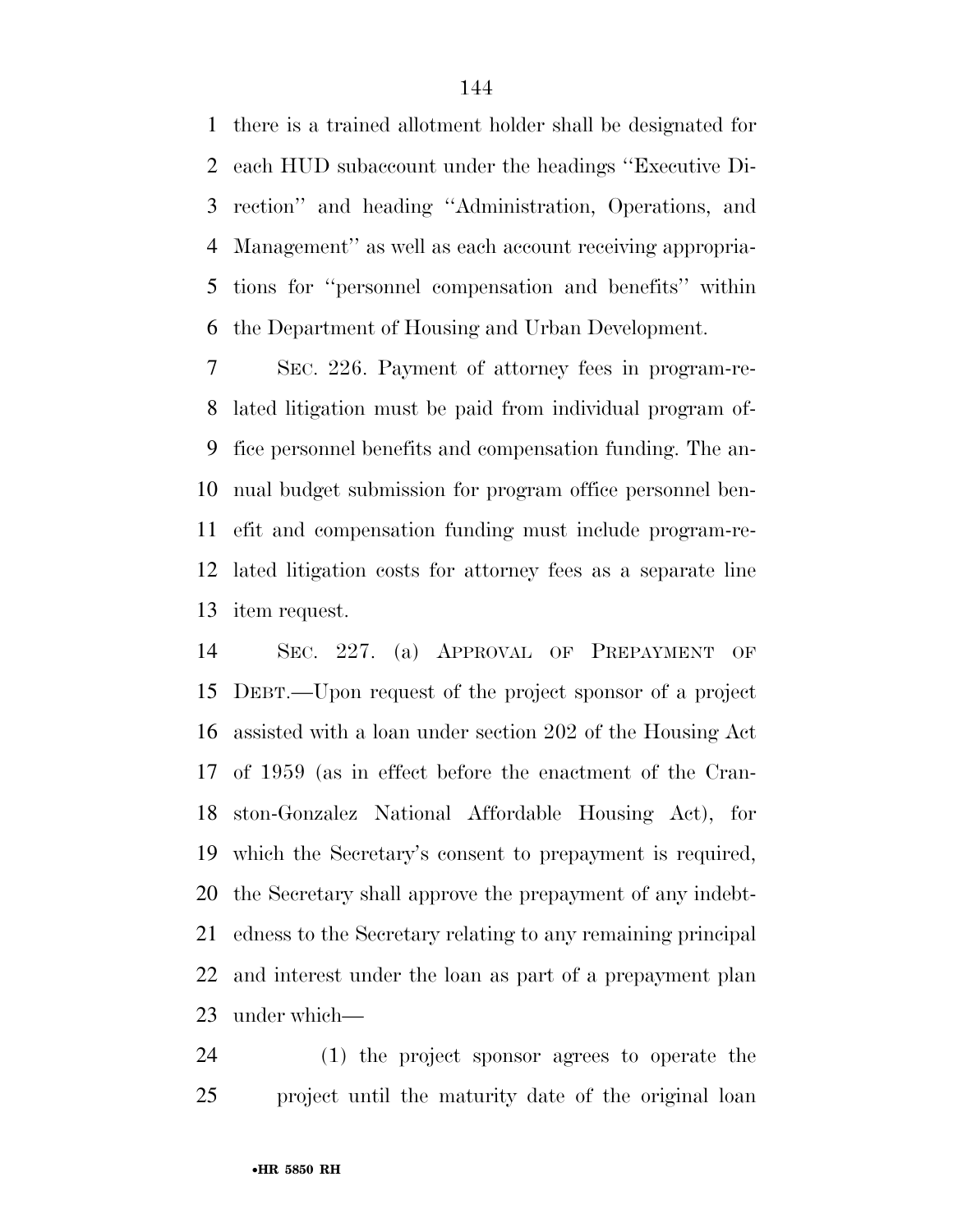there is a trained allotment holder shall be designated for each HUD subaccount under the headings ''Executive Di- rection'' and heading ''Administration, Operations, and Management'' as well as each account receiving appropria- tions for ''personnel compensation and benefits'' within the Department of Housing and Urban Development.

 SEC. 226. Payment of attorney fees in program-re- lated litigation must be paid from individual program of- fice personnel benefits and compensation funding. The an- nual budget submission for program office personnel ben- efit and compensation funding must include program-re- lated litigation costs for attorney fees as a separate line item request.

 SEC. 227. (a) APPROVAL OF PREPAYMENT OF DEBT.—Upon request of the project sponsor of a project assisted with a loan under section 202 of the Housing Act of 1959 (as in effect before the enactment of the Cran- ston-Gonzalez National Affordable Housing Act), for which the Secretary's consent to prepayment is required, the Secretary shall approve the prepayment of any indebt- edness to the Secretary relating to any remaining principal and interest under the loan as part of a prepayment plan under which—

 (1) the project sponsor agrees to operate the project until the maturity date of the original loan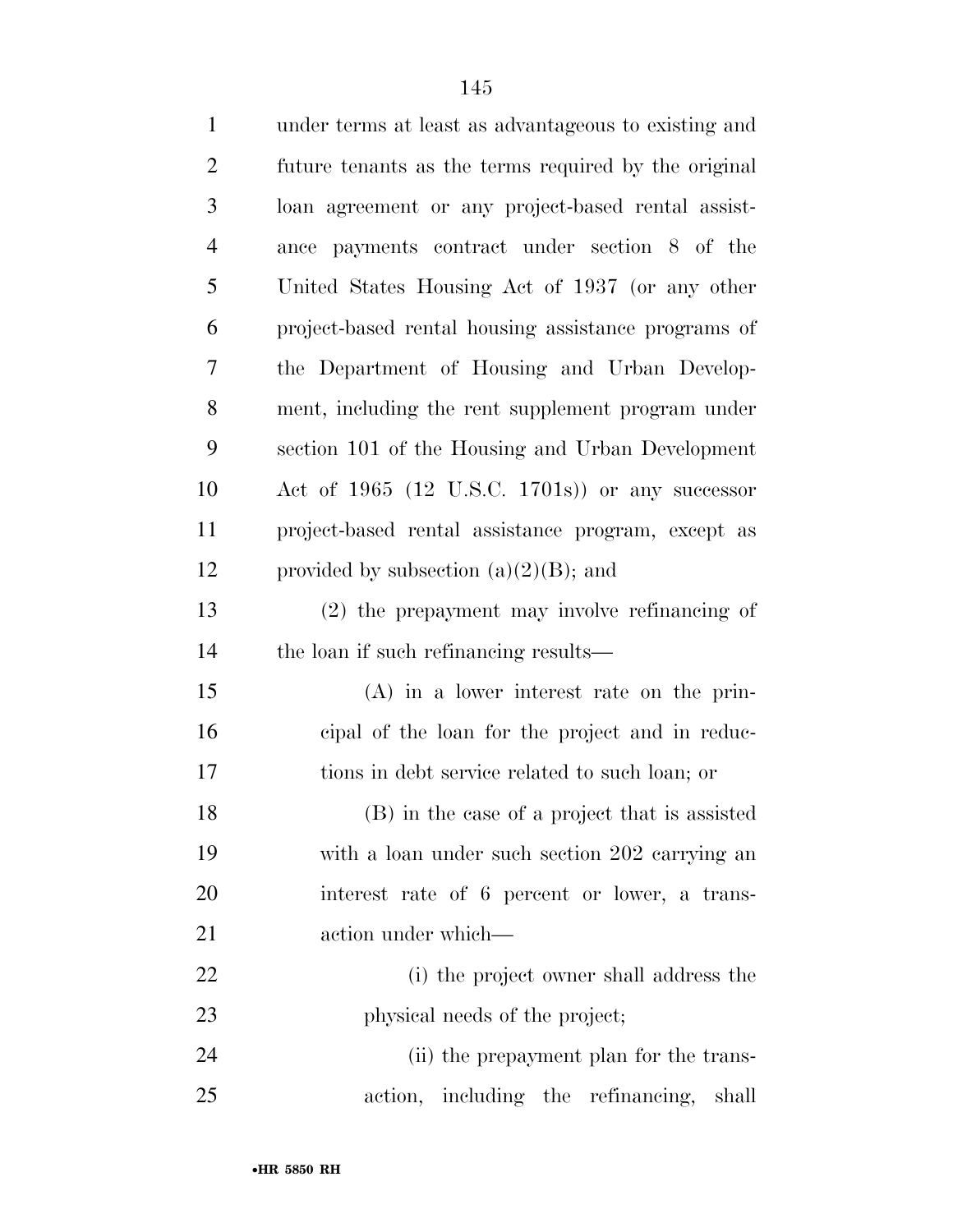| $\mathbf{1}$   | under terms at least as advantageous to existing and |
|----------------|------------------------------------------------------|
| $\overline{2}$ | future tenants as the terms required by the original |
| 3              | loan agreement or any project-based rental assist-   |
| $\overline{4}$ | ance payments contract under section 8 of the        |
| 5              | United States Housing Act of 1937 (or any other      |
| 6              | project-based rental housing assistance programs of  |
| 7              | the Department of Housing and Urban Develop-         |
| 8              | ment, including the rent supplement program under    |
| 9              | section 101 of the Housing and Urban Development     |
| 10             | Act of $1965$ (12 U.S.C. 1701s)) or any successor    |
| 11             | project-based rental assistance program, except as   |
| 12             | provided by subsection $(a)(2)(B)$ ; and             |
| 13             | $(2)$ the prepayment may involve refinancing of      |
| 14             | the loan if such refinancing results—                |
| 15             | $(A)$ in a lower interest rate on the prin-          |
| 16             | eipal of the loan for the project and in reduc-      |
| 17             | tions in debt service related to such loan; or       |
| 18             | (B) in the case of a project that is assisted        |
| 19             | with a loan under such section 202 carrying an       |
| 20             | interest rate of 6 percent or lower, a trans-        |
| 21             | action under which—                                  |
| 22             | (i) the project owner shall address the              |
| 23             | physical needs of the project;                       |
| 24             | (ii) the prepayment plan for the trans-              |
| 25             | action, including the refinancing,<br>shall          |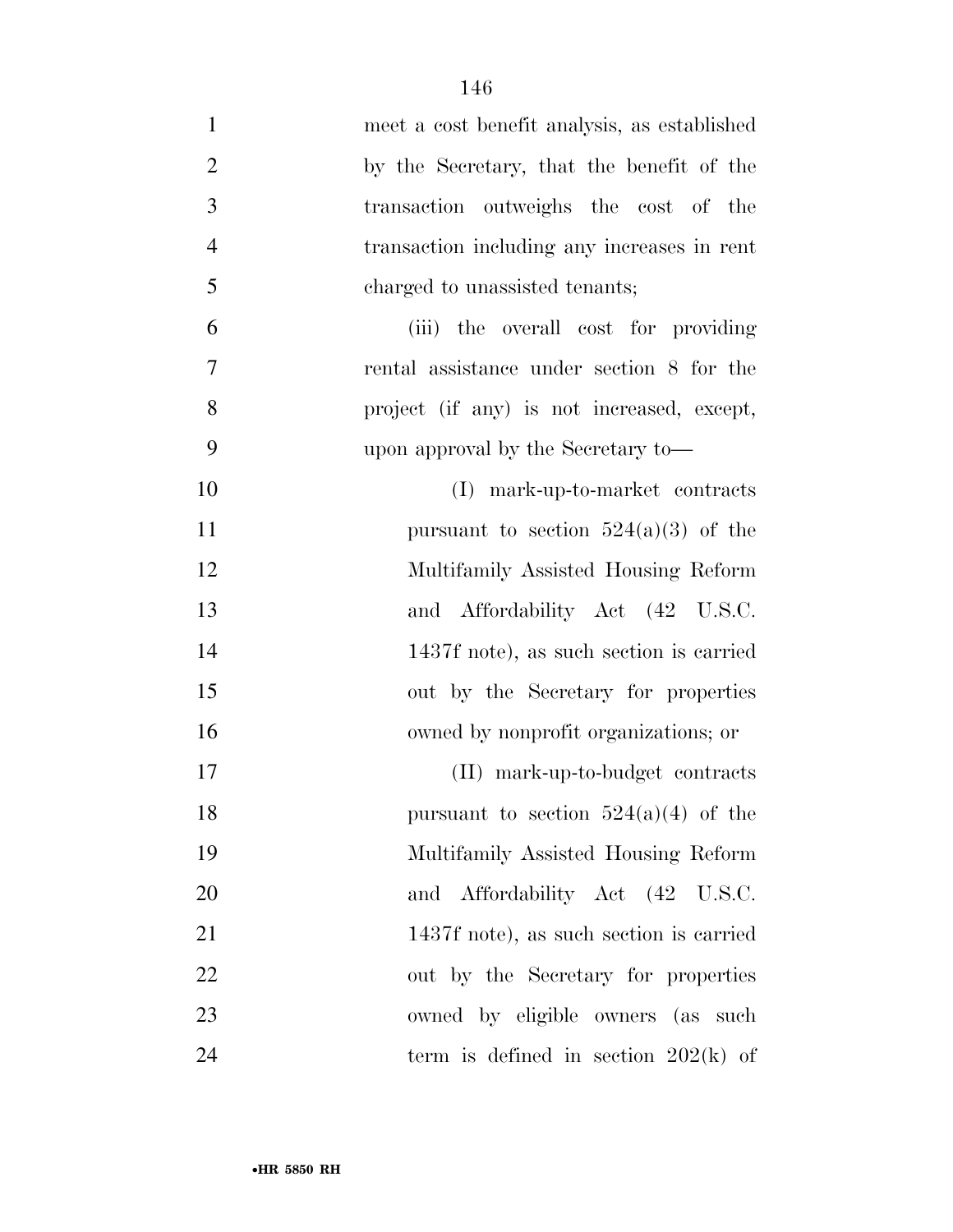| $\mathbf{1}$   | meet a cost benefit analysis, as established |
|----------------|----------------------------------------------|
| $\overline{2}$ | by the Secretary, that the benefit of the    |
| 3              | transaction outweighs the cost of the        |
| $\overline{4}$ | transaction including any increases in rent  |
| 5              | charged to unassisted tenants;               |
| 6              | (iii) the overall cost for providing         |
| $\tau$         | rental assistance under section 8 for the    |
| 8              | project (if any) is not increased, except,   |
| 9              | upon approval by the Secretary to-           |
| 10             | (I) mark-up-to-market contracts              |
| 11             | pursuant to section $524(a)(3)$ of the       |
| 12             | Multifamily Assisted Housing Reform          |
| 13             | and Affordability Act (42 U.S.C.             |
| 14             | 1437f note), as such section is carried      |
| 15             | out by the Secretary for properties          |
| 16             | owned by nonprofit organizations; or         |
| 17             | (II) mark-up-to-budget contracts             |
| 18             | pursuant to section $524(a)(4)$ of the       |
| 19             | Multifamily Assisted Housing Reform          |
| 20             | and Affordability Act (42 U.S.C.             |
| 21             | 1437f note), as such section is carried      |
| 22             | out by the Secretary for properties          |
| 23             | owned by eligible owners (as such            |
| 24             | term is defined in section $202(k)$ of       |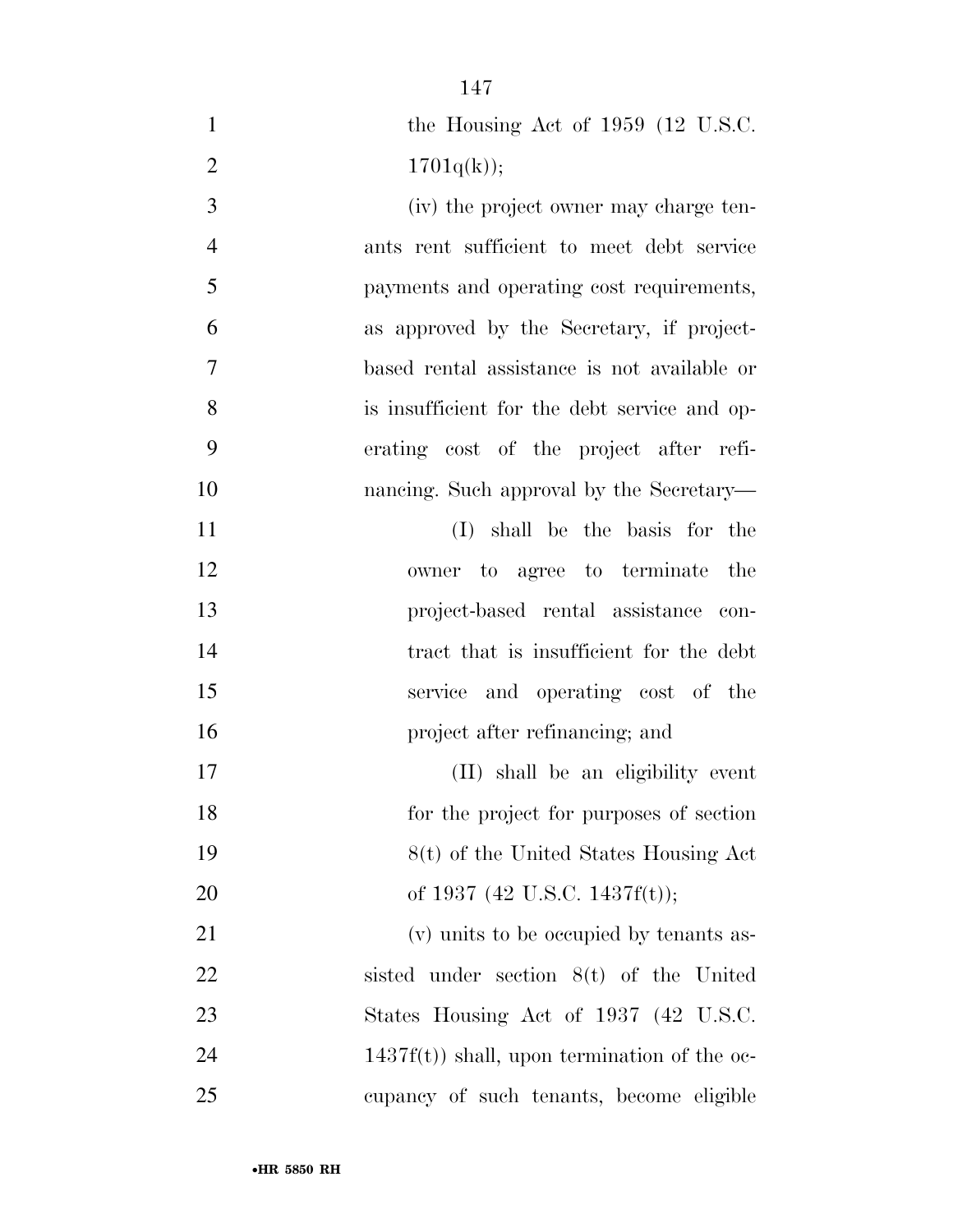1 the Housing Act of 1959 (12 U.S.C.  $1701q(k)$ ; (iv) the project owner may charge ten- ants rent sufficient to meet debt service payments and operating cost requirements, as approved by the Secretary, if project- based rental assistance is not available or is insufficient for the debt service and op- erating cost of the project after refi-10 nancing. Such approval by the Secretary— (I) shall be the basis for the owner to agree to terminate the project-based rental assistance con-14 tract that is insufficient for the debt service and operating cost of the project after refinancing; and (II) shall be an eligibility event for the project for purposes of section 8(t) of the United States Housing Act 20 of 1937 (42 U.S.C. 1437f(t)); (v) units to be occupied by tenants as- sisted under section 8(t) of the United 23 States Housing Act of 1937 (42 U.S.C. 24 1437f(t)) shall, upon termination of the oc-

cupancy of such tenants, become eligible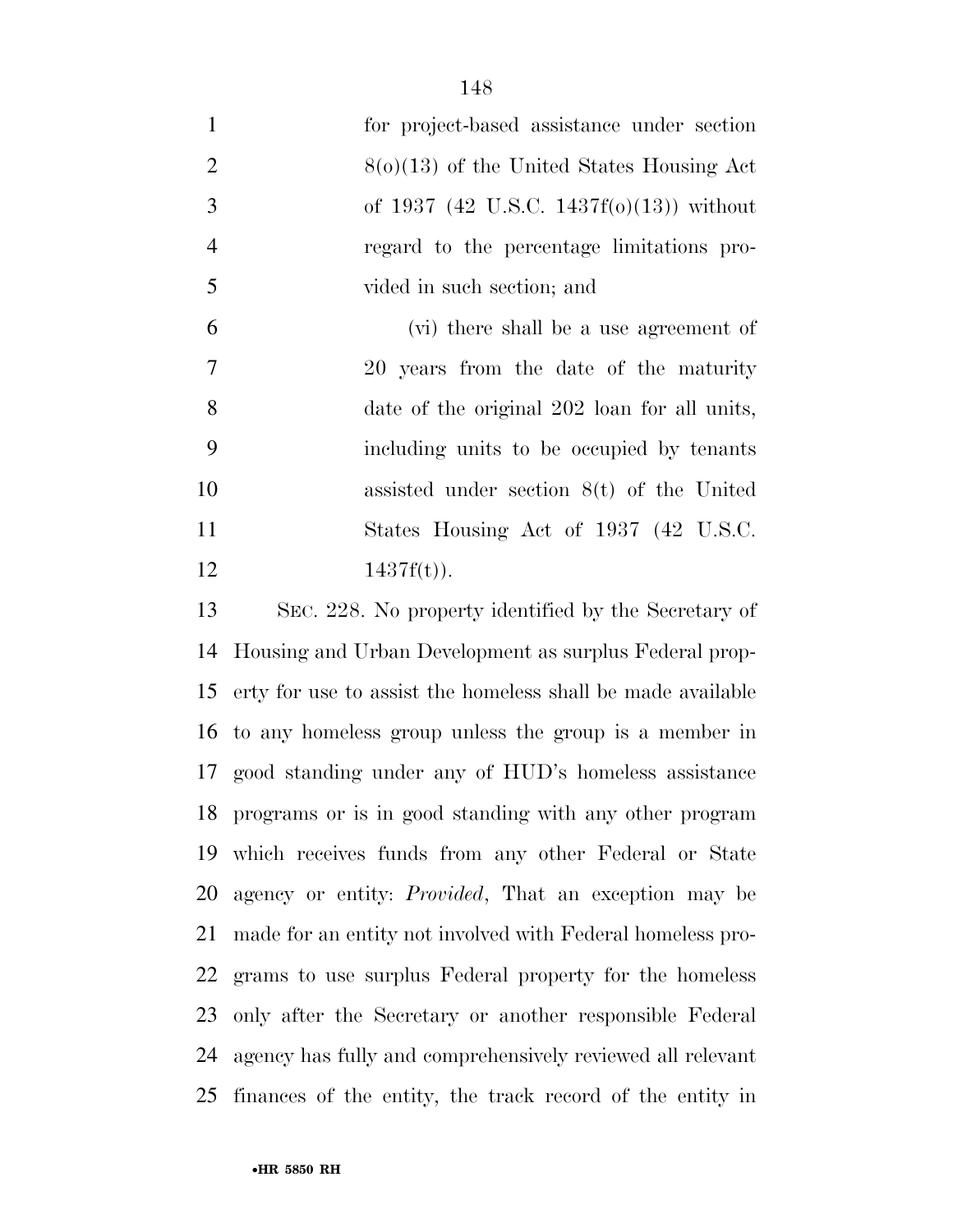for project-based assistance under section  $8(0)(13)$  of the United States Housing Act of 1937 (42 U.S.C. 1437f(o)(13)) without regard to the percentage limitations pro- vided in such section; and (vi) there shall be a use agreement of 20 years from the date of the maturity date of the original 202 loan for all units, including units to be occupied by tenants assisted under section 8(t) of the United 11 States Housing Act of 1937 (42 U.S.C.

12  $1437f(t)$ .

 SEC. 228. No property identified by the Secretary of Housing and Urban Development as surplus Federal prop- erty for use to assist the homeless shall be made available to any homeless group unless the group is a member in good standing under any of HUD's homeless assistance programs or is in good standing with any other program which receives funds from any other Federal or State agency or entity: *Provided*, That an exception may be made for an entity not involved with Federal homeless pro- grams to use surplus Federal property for the homeless only after the Secretary or another responsible Federal agency has fully and comprehensively reviewed all relevant finances of the entity, the track record of the entity in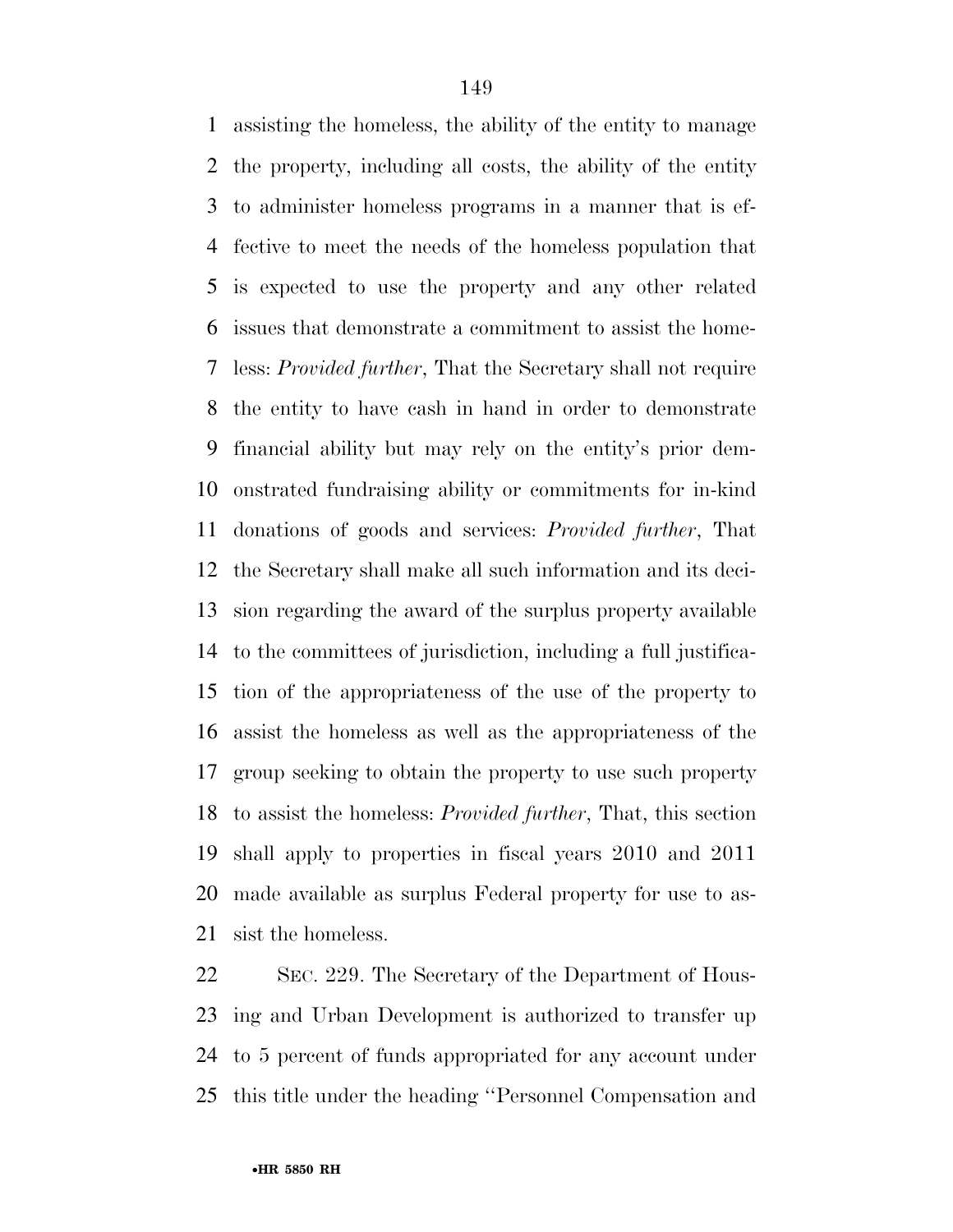assisting the homeless, the ability of the entity to manage the property, including all costs, the ability of the entity to administer homeless programs in a manner that is ef- fective to meet the needs of the homeless population that is expected to use the property and any other related issues that demonstrate a commitment to assist the home- less: *Provided further*, That the Secretary shall not require the entity to have cash in hand in order to demonstrate financial ability but may rely on the entity's prior dem- onstrated fundraising ability or commitments for in-kind donations of goods and services: *Provided further*, That the Secretary shall make all such information and its deci- sion regarding the award of the surplus property available to the committees of jurisdiction, including a full justifica- tion of the appropriateness of the use of the property to assist the homeless as well as the appropriateness of the group seeking to obtain the property to use such property to assist the homeless: *Provided further*, That, this section shall apply to properties in fiscal years 2010 and 2011 made available as surplus Federal property for use to as-sist the homeless.

 SEC. 229. The Secretary of the Department of Hous- ing and Urban Development is authorized to transfer up to 5 percent of funds appropriated for any account under this title under the heading ''Personnel Compensation and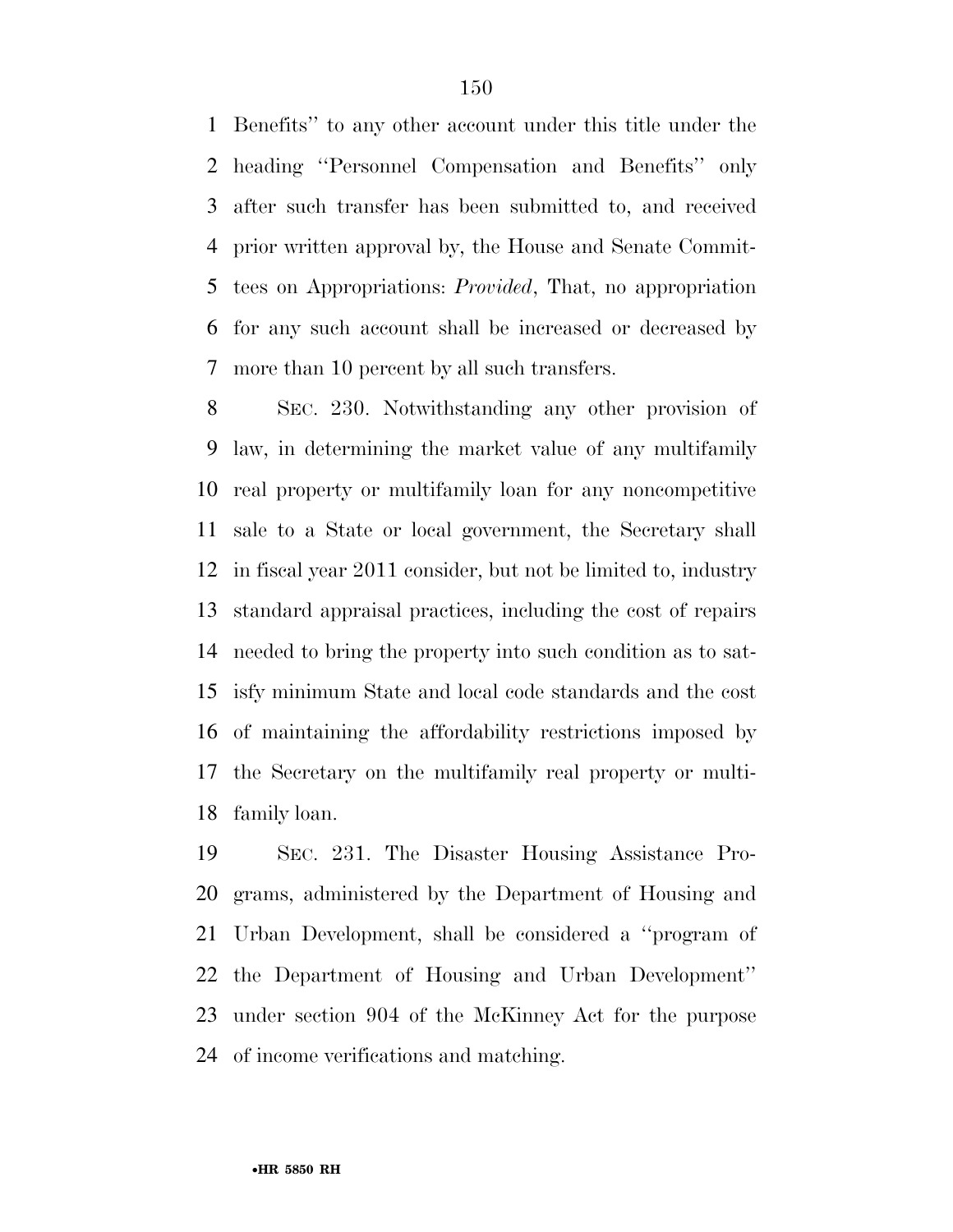Benefits'' to any other account under this title under the heading ''Personnel Compensation and Benefits'' only after such transfer has been submitted to, and received prior written approval by, the House and Senate Commit- tees on Appropriations: *Provided*, That, no appropriation for any such account shall be increased or decreased by more than 10 percent by all such transfers.

 SEC. 230. Notwithstanding any other provision of law, in determining the market value of any multifamily real property or multifamily loan for any noncompetitive sale to a State or local government, the Secretary shall in fiscal year 2011 consider, but not be limited to, industry standard appraisal practices, including the cost of repairs needed to bring the property into such condition as to sat- isfy minimum State and local code standards and the cost of maintaining the affordability restrictions imposed by the Secretary on the multifamily real property or multi-family loan.

 SEC. 231. The Disaster Housing Assistance Pro- grams, administered by the Department of Housing and Urban Development, shall be considered a ''program of the Department of Housing and Urban Development'' under section 904 of the McKinney Act for the purpose of income verifications and matching.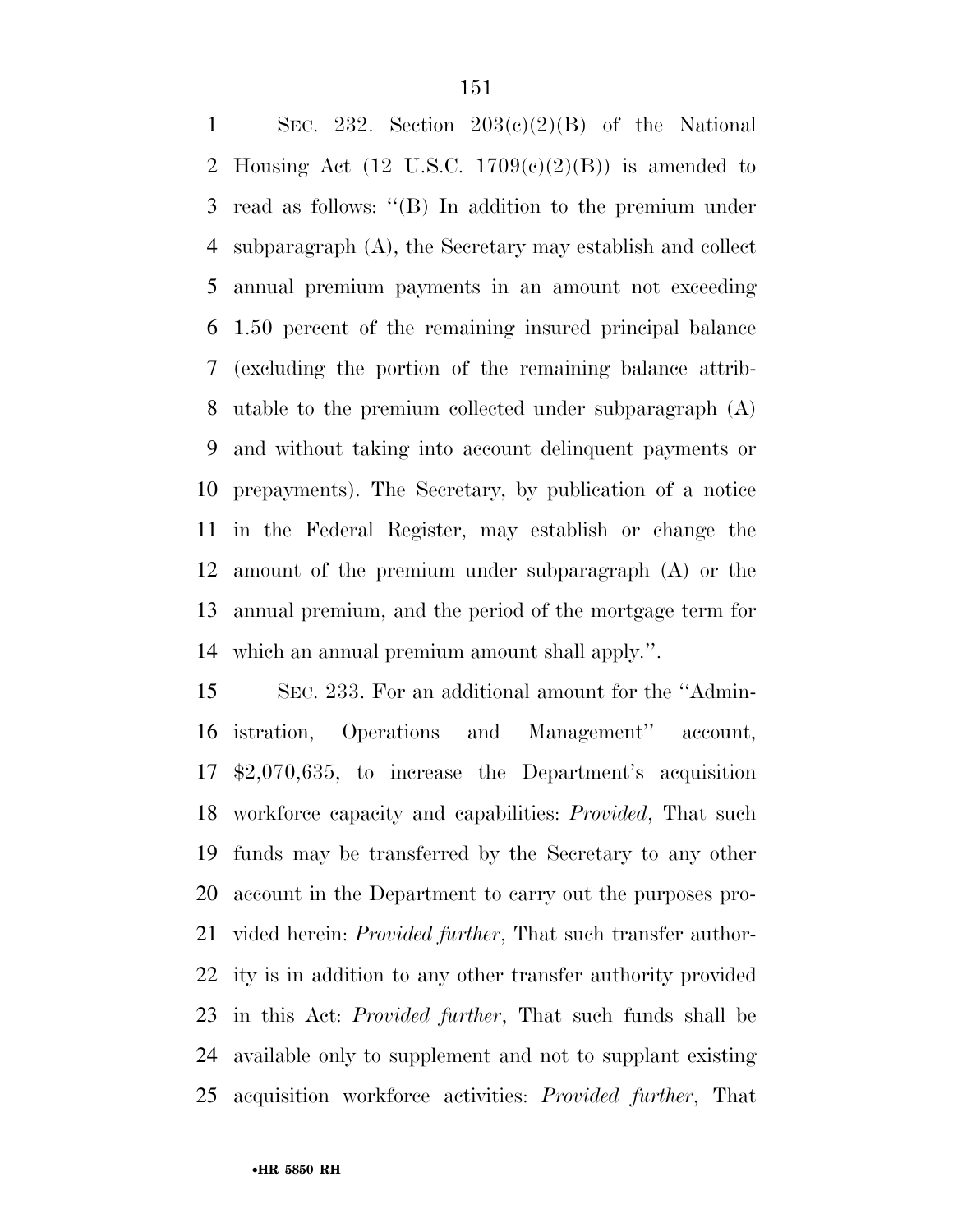1 SEC. 232. Section  $203(c)(2)(B)$  of the National 2 Housing Act  $(12 \text{ U.S.C. } 1709(c)(2)(B))$  is amended to read as follows: ''(B) In addition to the premium under subparagraph (A), the Secretary may establish and collect annual premium payments in an amount not exceeding 1.50 percent of the remaining insured principal balance (excluding the portion of the remaining balance attrib- utable to the premium collected under subparagraph (A) and without taking into account delinquent payments or prepayments). The Secretary, by publication of a notice in the Federal Register, may establish or change the amount of the premium under subparagraph (A) or the annual premium, and the period of the mortgage term for which an annual premium amount shall apply.''.

 SEC. 233. For an additional amount for the ''Admin- istration, Operations and Management'' account, \$2,070,635, to increase the Department's acquisition workforce capacity and capabilities: *Provided*, That such funds may be transferred by the Secretary to any other account in the Department to carry out the purposes pro- vided herein: *Provided further*, That such transfer author- ity is in addition to any other transfer authority provided in this Act: *Provided further*, That such funds shall be available only to supplement and not to supplant existing acquisition workforce activities: *Provided further*, That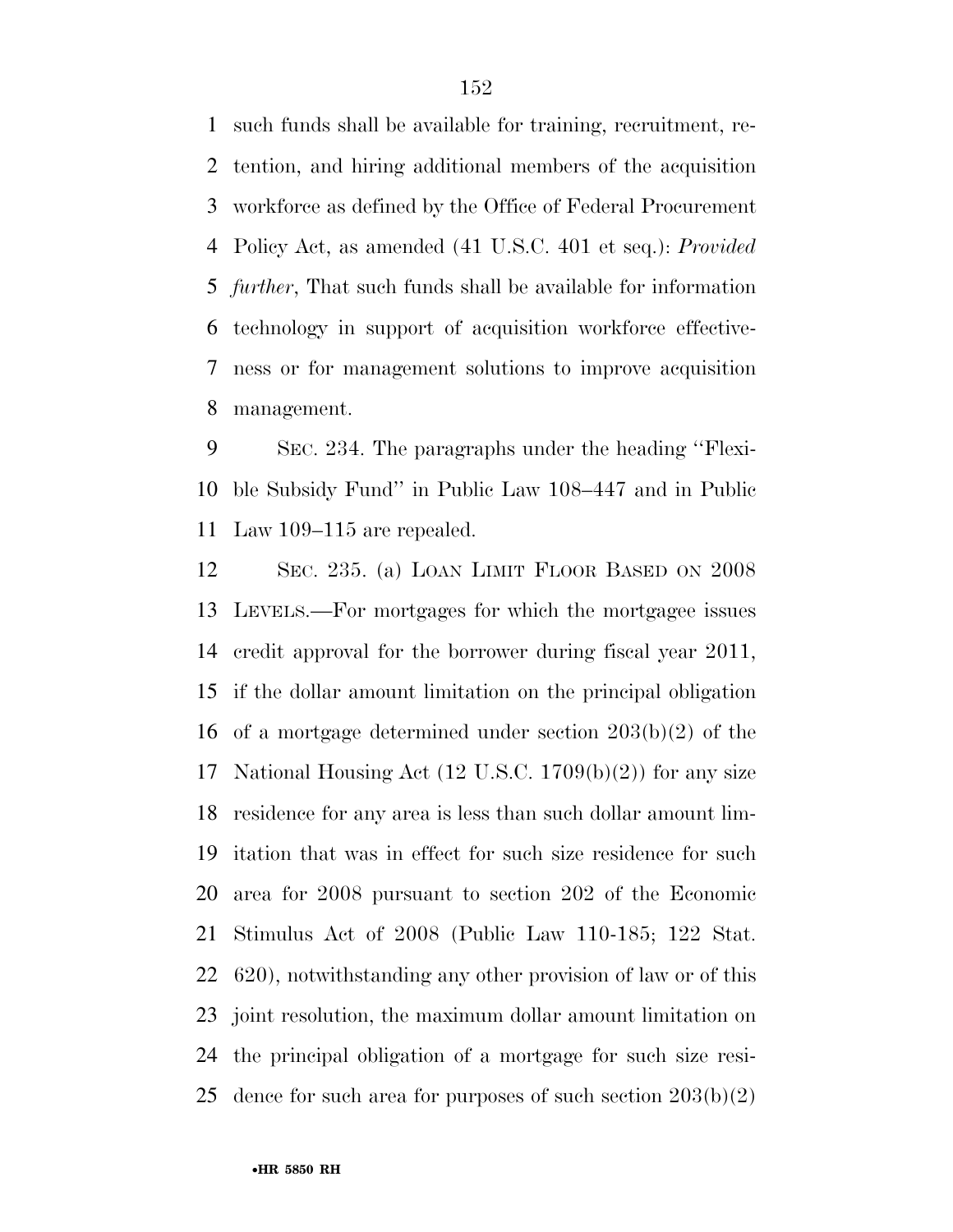such funds shall be available for training, recruitment, re- tention, and hiring additional members of the acquisition workforce as defined by the Office of Federal Procurement Policy Act, as amended (41 U.S.C. 401 et seq.): *Provided further*, That such funds shall be available for information technology in support of acquisition workforce effective- ness or for management solutions to improve acquisition management.

 SEC. 234. The paragraphs under the heading ''Flexi- ble Subsidy Fund'' in Public Law 108–447 and in Public Law 109–115 are repealed.

 SEC. 235. (a) LOAN LIMIT FLOOR BASED ON 2008 LEVELS.—For mortgages for which the mortgagee issues credit approval for the borrower during fiscal year 2011, if the dollar amount limitation on the principal obligation of a mortgage determined under section 203(b)(2) of the National Housing Act (12 U.S.C. 1709(b)(2)) for any size residence for any area is less than such dollar amount lim- itation that was in effect for such size residence for such area for 2008 pursuant to section 202 of the Economic Stimulus Act of 2008 (Public Law 110-185; 122 Stat. 620), notwithstanding any other provision of law or of this joint resolution, the maximum dollar amount limitation on the principal obligation of a mortgage for such size resi-25 dence for such area for purposes of such section  $203(b)(2)$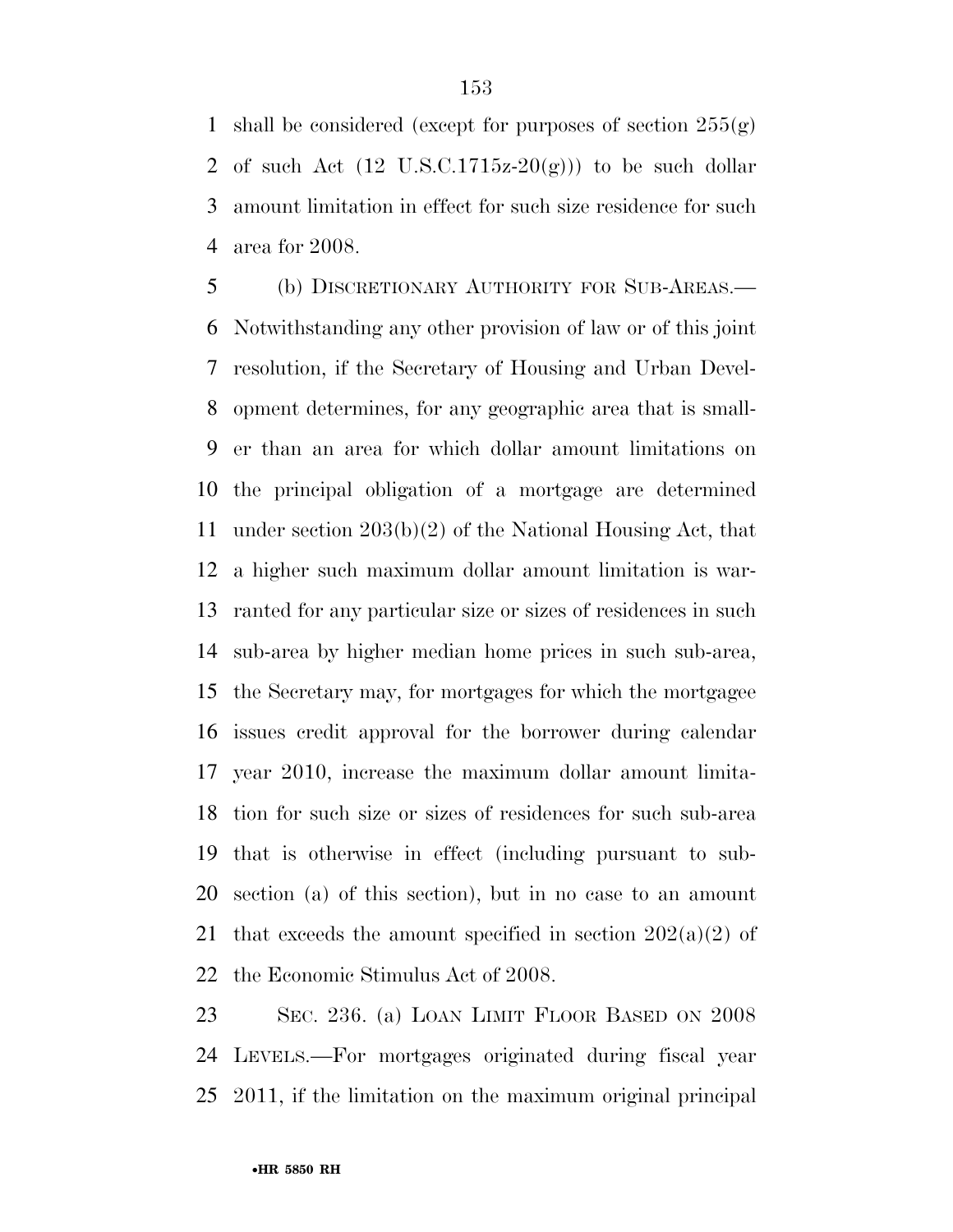1 shall be considered (except for purposes of section  $255(g)$ ) 2 of such Act  $(12 \text{ U.S.C.1715z-20(g)}))$  to be such dollar amount limitation in effect for such size residence for such area for 2008.

 (b) DISCRETIONARY AUTHORITY FOR SUB-AREAS.— Notwithstanding any other provision of law or of this joint resolution, if the Secretary of Housing and Urban Devel- opment determines, for any geographic area that is small- er than an area for which dollar amount limitations on the principal obligation of a mortgage are determined under section 203(b)(2) of the National Housing Act, that a higher such maximum dollar amount limitation is war- ranted for any particular size or sizes of residences in such sub-area by higher median home prices in such sub-area, the Secretary may, for mortgages for which the mortgagee issues credit approval for the borrower during calendar year 2010, increase the maximum dollar amount limita- tion for such size or sizes of residences for such sub-area that is otherwise in effect (including pursuant to sub- section (a) of this section), but in no case to an amount 21 that exceeds the amount specified in section  $202(a)(2)$  of the Economic Stimulus Act of 2008.

 SEC. 236. (a) LOAN LIMIT FLOOR BASED ON 2008 LEVELS.—For mortgages originated during fiscal year 2011, if the limitation on the maximum original principal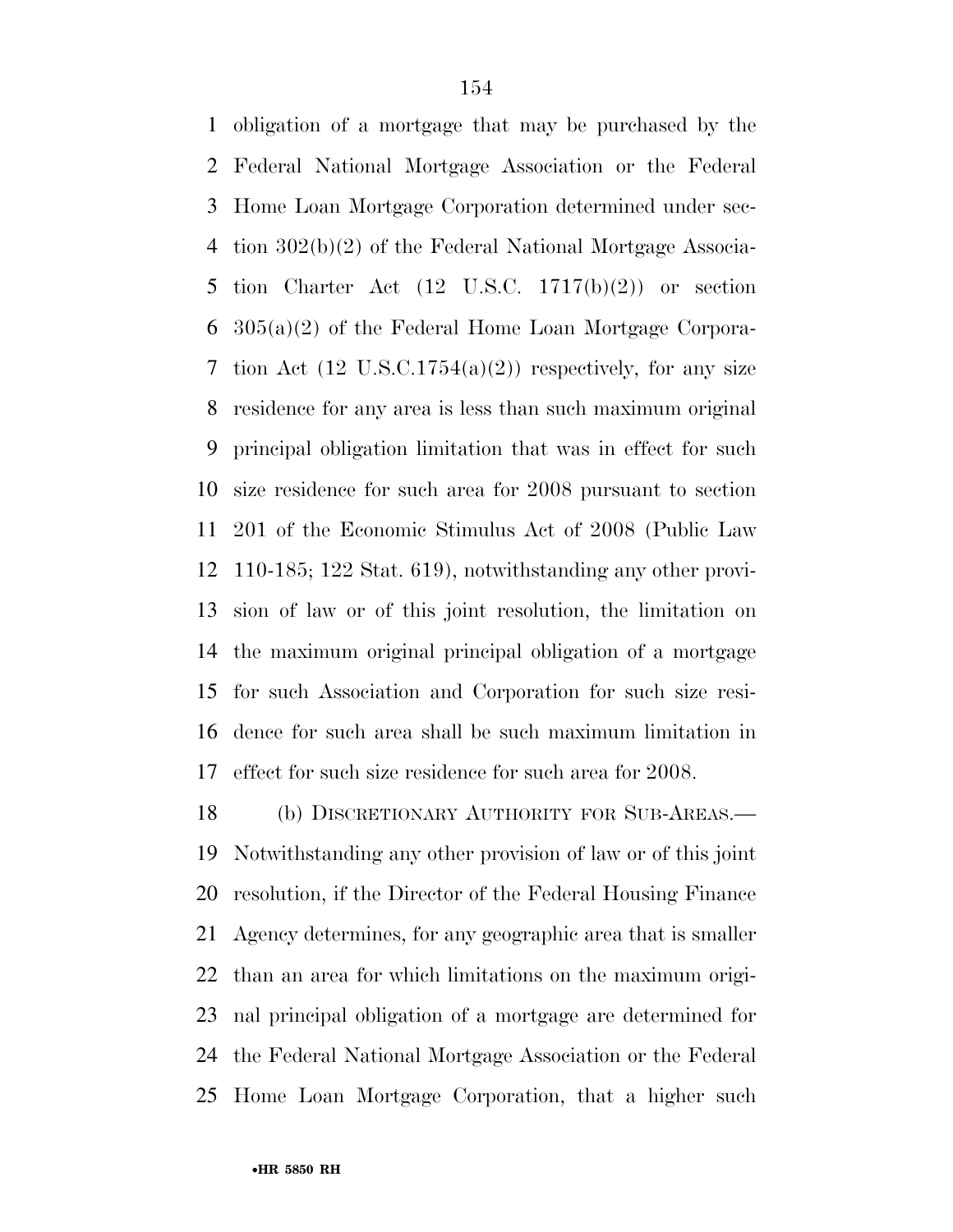obligation of a mortgage that may be purchased by the Federal National Mortgage Association or the Federal Home Loan Mortgage Corporation determined under sec- tion 302(b)(2) of the Federal National Mortgage Associa-5 tion Charter Act  $(12 \text{ U.S.C. } 1717(b)(2))$  or section 305(a)(2) of the Federal Home Loan Mortgage Corpora-7 tion Act  $(12 \text{ U.S.C.1754(a)(2)})$  respectively, for any size residence for any area is less than such maximum original principal obligation limitation that was in effect for such size residence for such area for 2008 pursuant to section 201 of the Economic Stimulus Act of 2008 (Public Law 110-185; 122 Stat. 619), notwithstanding any other provi- sion of law or of this joint resolution, the limitation on the maximum original principal obligation of a mortgage for such Association and Corporation for such size resi- dence for such area shall be such maximum limitation in effect for such size residence for such area for 2008.

 (b) DISCRETIONARY AUTHORITY FOR SUB-AREAS.— Notwithstanding any other provision of law or of this joint resolution, if the Director of the Federal Housing Finance Agency determines, for any geographic area that is smaller than an area for which limitations on the maximum origi- nal principal obligation of a mortgage are determined for the Federal National Mortgage Association or the Federal Home Loan Mortgage Corporation, that a higher such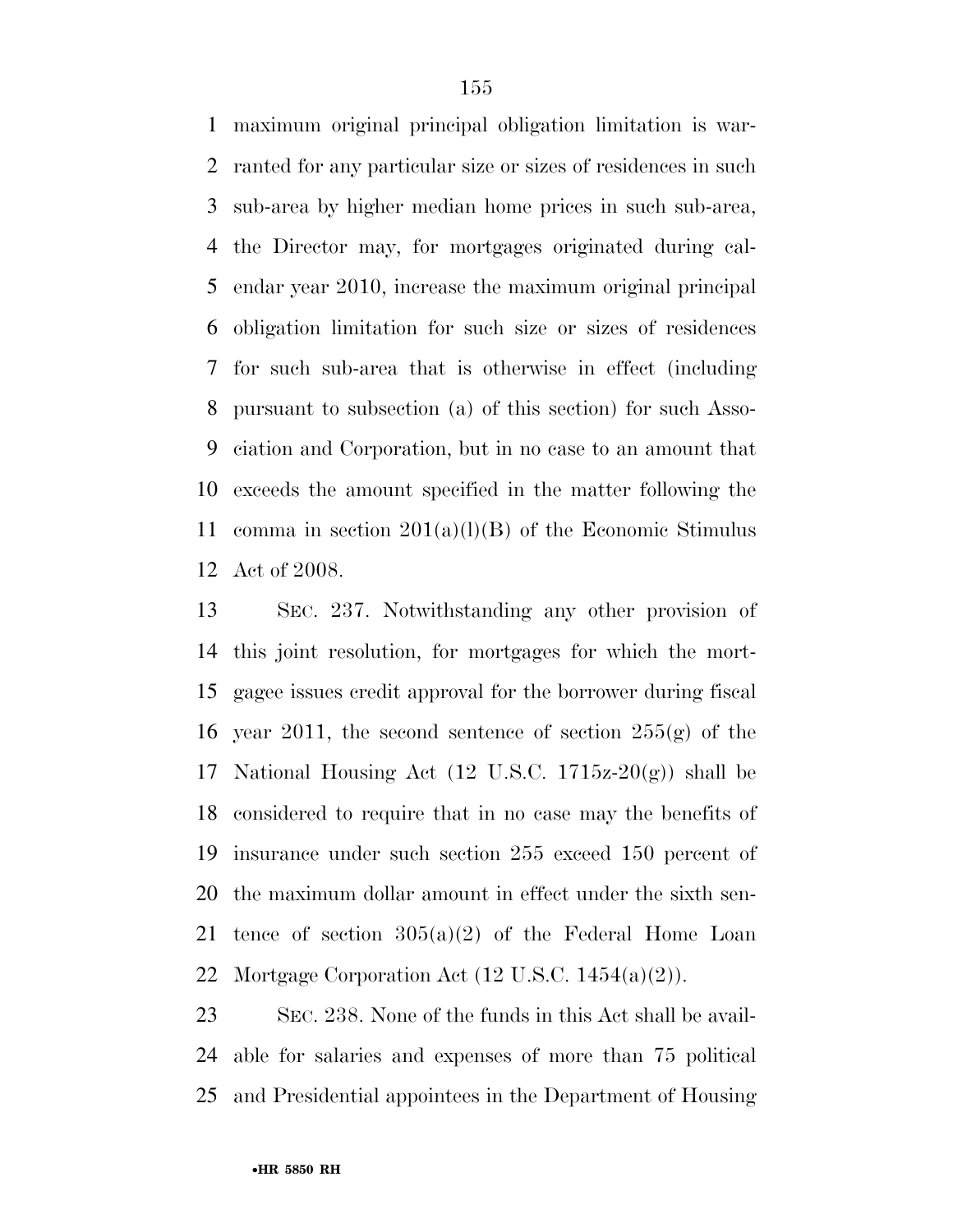maximum original principal obligation limitation is war- ranted for any particular size or sizes of residences in such sub-area by higher median home prices in such sub-area, the Director may, for mortgages originated during cal- endar year 2010, increase the maximum original principal obligation limitation for such size or sizes of residences for such sub-area that is otherwise in effect (including pursuant to subsection (a) of this section) for such Asso- ciation and Corporation, but in no case to an amount that exceeds the amount specified in the matter following the 11 comma in section  $201(a)(l)(B)$  of the Economic Stimulus Act of 2008.

 SEC. 237. Notwithstanding any other provision of this joint resolution, for mortgages for which the mort- gagee issues credit approval for the borrower during fiscal 16 year 2011, the second sentence of section  $255(g)$  of the 17 National Housing Act  $(12 \text{ U.S.C. } 1715z-20(g))$  shall be considered to require that in no case may the benefits of insurance under such section 255 exceed 150 percent of the maximum dollar amount in effect under the sixth sen-21 tence of section  $305(a)(2)$  of the Federal Home Loan Mortgage Corporation Act (12 U.S.C. 1454(a)(2)).

 SEC. 238. None of the funds in this Act shall be avail- able for salaries and expenses of more than 75 political and Presidential appointees in the Department of Housing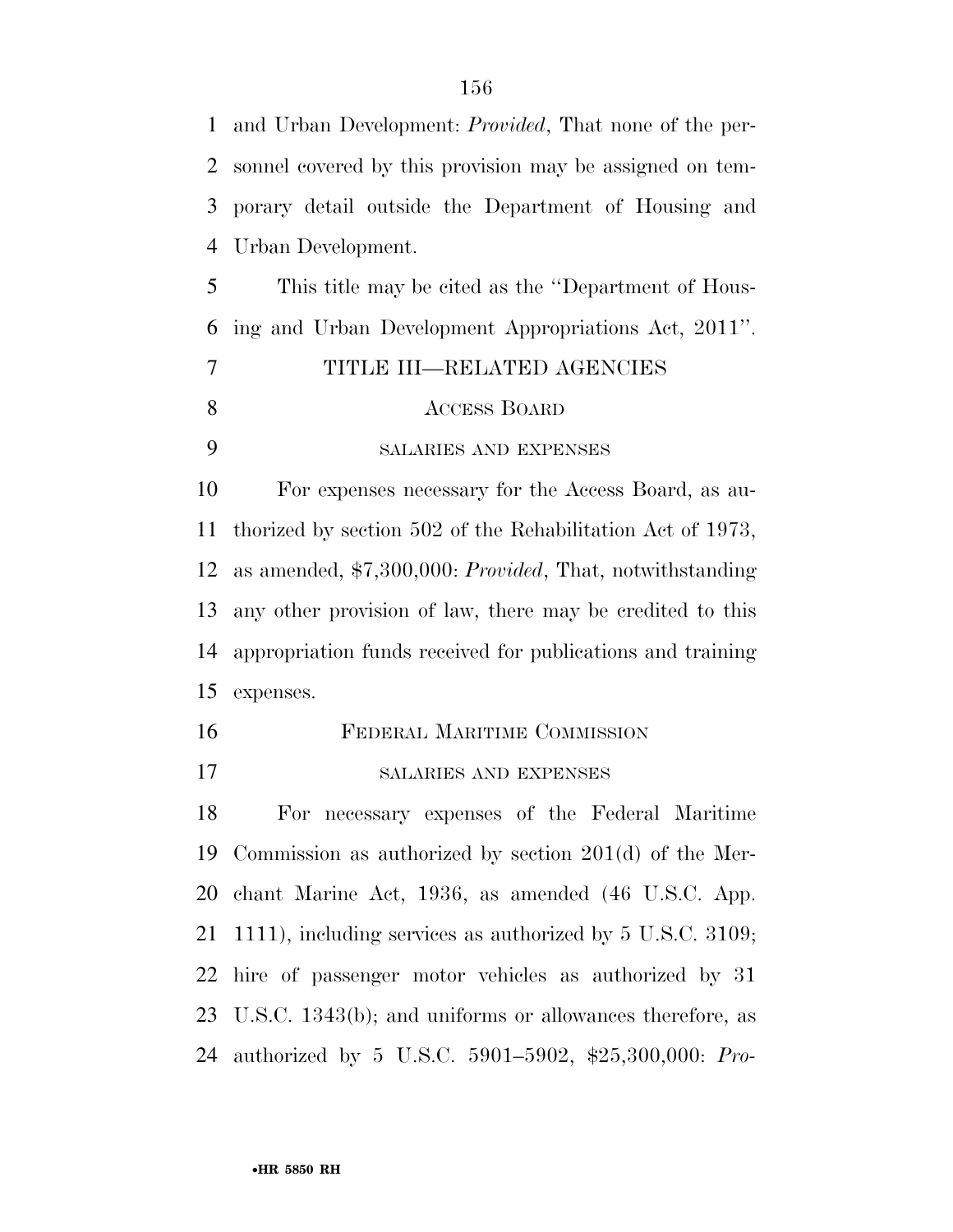and Urban Development: *Provided*, That none of the per- sonnel covered by this provision may be assigned on tem- porary detail outside the Department of Housing and Urban Development. This title may be cited as the ''Department of Hous- ing and Urban Development Appropriations Act, 2011''. TITLE III—RELATED AGENCIES ACCESS BOARD SALARIES AND EXPENSES For expenses necessary for the Access Board, as au- thorized by section 502 of the Rehabilitation Act of 1973, as amended, \$7,300,000: *Provided*, That, notwithstanding any other provision of law, there may be credited to this appropriation funds received for publications and training expenses. FEDERAL MARITIME COMMISSION SALARIES AND EXPENSES For necessary expenses of the Federal Maritime Commission as authorized by section 201(d) of the Mer- chant Marine Act, 1936, as amended (46 U.S.C. App. 1111), including services as authorized by 5 U.S.C. 3109;

 U.S.C. 1343(b); and uniforms or allowances therefore, as authorized by 5 U.S.C. 5901–5902, \$25,300,000: *Pro-*

hire of passenger motor vehicles as authorized by 31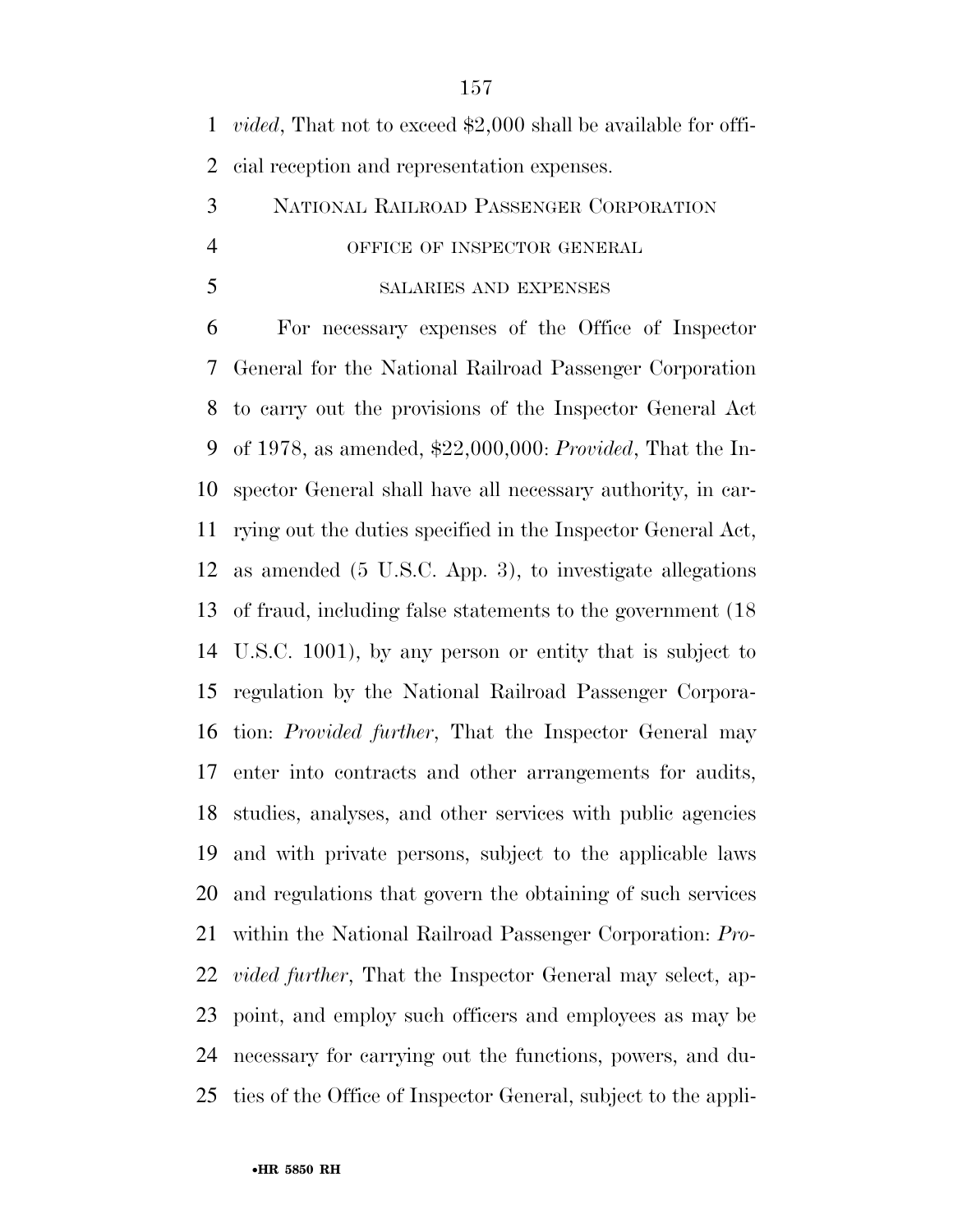*vided*, That not to exceed \$2,000 shall be available for offi-cial reception and representation expenses.

## NATIONAL RAILROAD PASSENGER CORPORATION OFFICE OF INSPECTOR GENERAL

#### SALARIES AND EXPENSES

 For necessary expenses of the Office of Inspector General for the National Railroad Passenger Corporation to carry out the provisions of the Inspector General Act of 1978, as amended, \$22,000,000: *Provided*, That the In- spector General shall have all necessary authority, in car- rying out the duties specified in the Inspector General Act, as amended (5 U.S.C. App. 3), to investigate allegations of fraud, including false statements to the government (18 U.S.C. 1001), by any person or entity that is subject to regulation by the National Railroad Passenger Corpora- tion: *Provided further*, That the Inspector General may enter into contracts and other arrangements for audits, studies, analyses, and other services with public agencies and with private persons, subject to the applicable laws and regulations that govern the obtaining of such services within the National Railroad Passenger Corporation: *Pro- vided further*, That the Inspector General may select, ap- point, and employ such officers and employees as may be necessary for carrying out the functions, powers, and du-ties of the Office of Inspector General, subject to the appli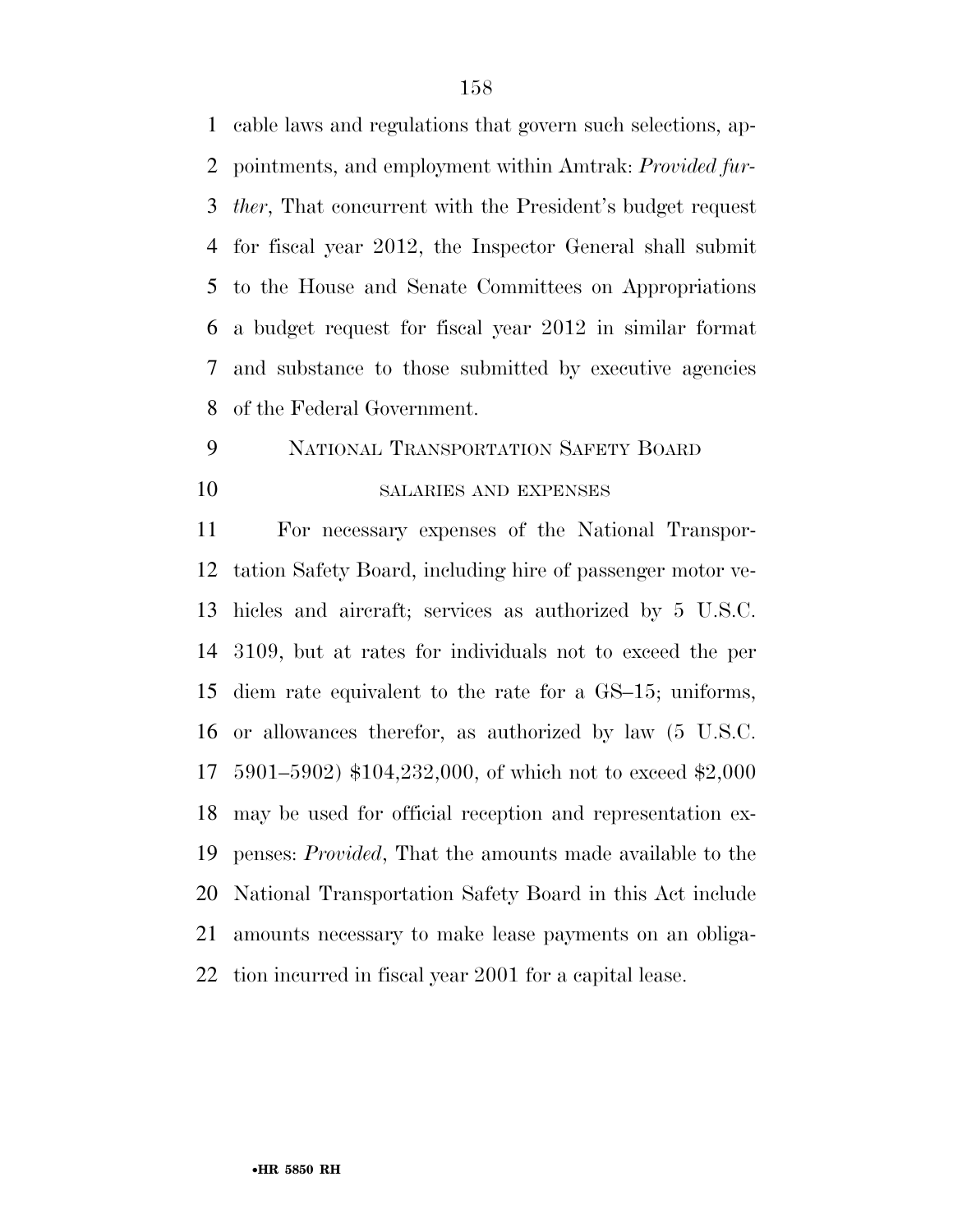cable laws and regulations that govern such selections, ap- pointments, and employment within Amtrak: *Provided fur- ther*, That concurrent with the President's budget request for fiscal year 2012, the Inspector General shall submit to the House and Senate Committees on Appropriations a budget request for fiscal year 2012 in similar format and substance to those submitted by executive agencies of the Federal Government.

## NATIONAL TRANSPORTATION SAFETY BOARD 10 SALARIES AND EXPENSES

 For necessary expenses of the National Transpor- tation Safety Board, including hire of passenger motor ve- hicles and aircraft; services as authorized by 5 U.S.C. 3109, but at rates for individuals not to exceed the per diem rate equivalent to the rate for a GS–15; uniforms, or allowances therefor, as authorized by law (5 U.S.C. 5901–5902) \$104,232,000, of which not to exceed \$2,000 may be used for official reception and representation ex- penses: *Provided*, That the amounts made available to the National Transportation Safety Board in this Act include amounts necessary to make lease payments on an obliga-tion incurred in fiscal year 2001 for a capital lease.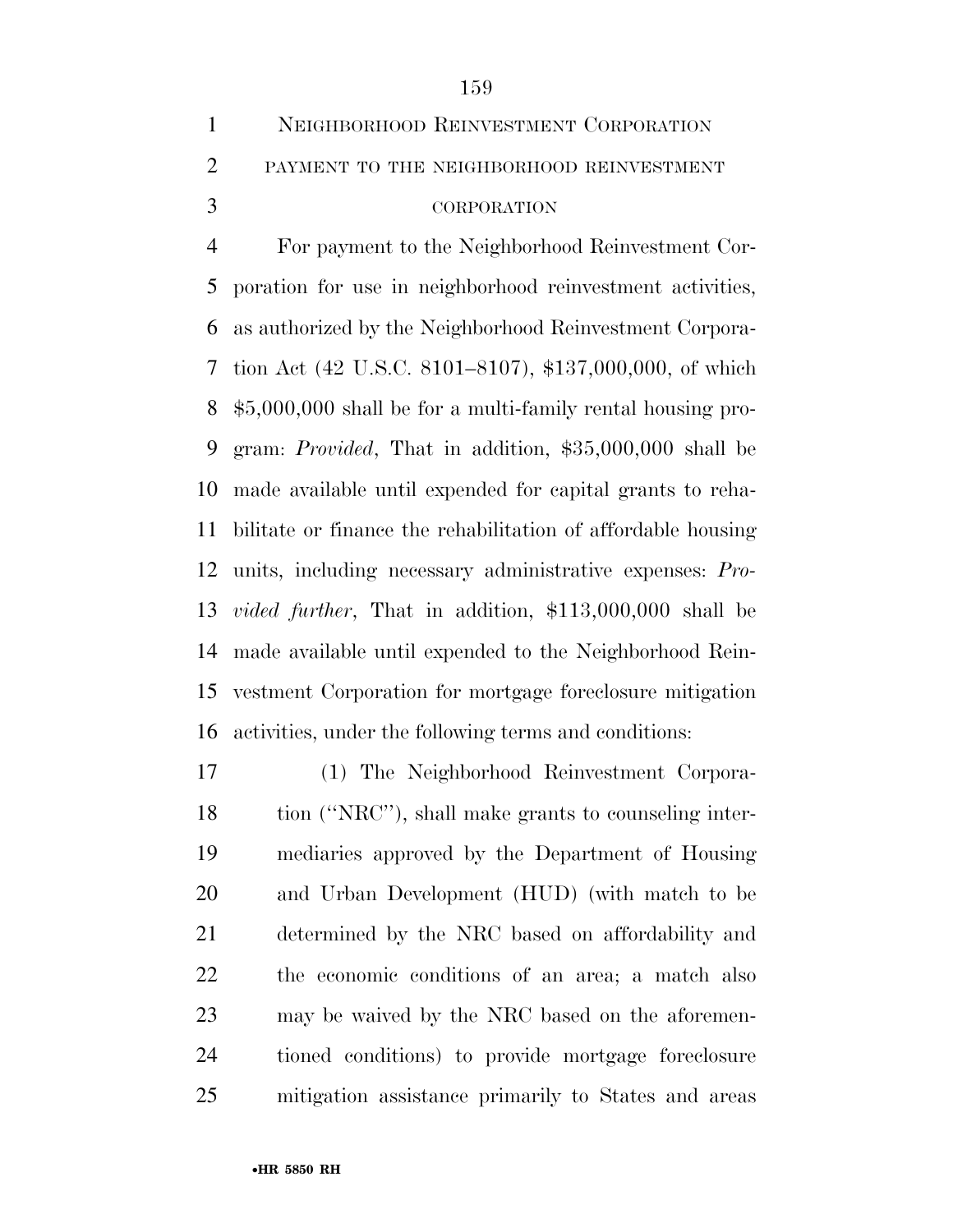| $\mathbf{1}$  | NEIGHBORHOOD REINVESTMENT CORPORATION    |
|---------------|------------------------------------------|
| $2^{\circ}$   | PAYMENT TO THE NEIGHBORHOOD REINVESTMENT |
| $\mathcal{R}$ | <b>CORPORATION</b>                       |

 For payment to the Neighborhood Reinvestment Cor- poration for use in neighborhood reinvestment activities, as authorized by the Neighborhood Reinvestment Corpora- tion Act (42 U.S.C. 8101–8107), \$137,000,000, of which \$5,000,000 shall be for a multi-family rental housing pro- gram: *Provided*, That in addition, \$35,000,000 shall be made available until expended for capital grants to reha- bilitate or finance the rehabilitation of affordable housing units, including necessary administrative expenses: *Pro- vided further*, That in addition, \$113,000,000 shall be made available until expended to the Neighborhood Rein- vestment Corporation for mortgage foreclosure mitigation activities, under the following terms and conditions:

 (1) The Neighborhood Reinvestment Corpora- tion (''NRC''), shall make grants to counseling inter- mediaries approved by the Department of Housing and Urban Development (HUD) (with match to be determined by the NRC based on affordability and the economic conditions of an area; a match also may be waived by the NRC based on the aforemen- tioned conditions) to provide mortgage foreclosure mitigation assistance primarily to States and areas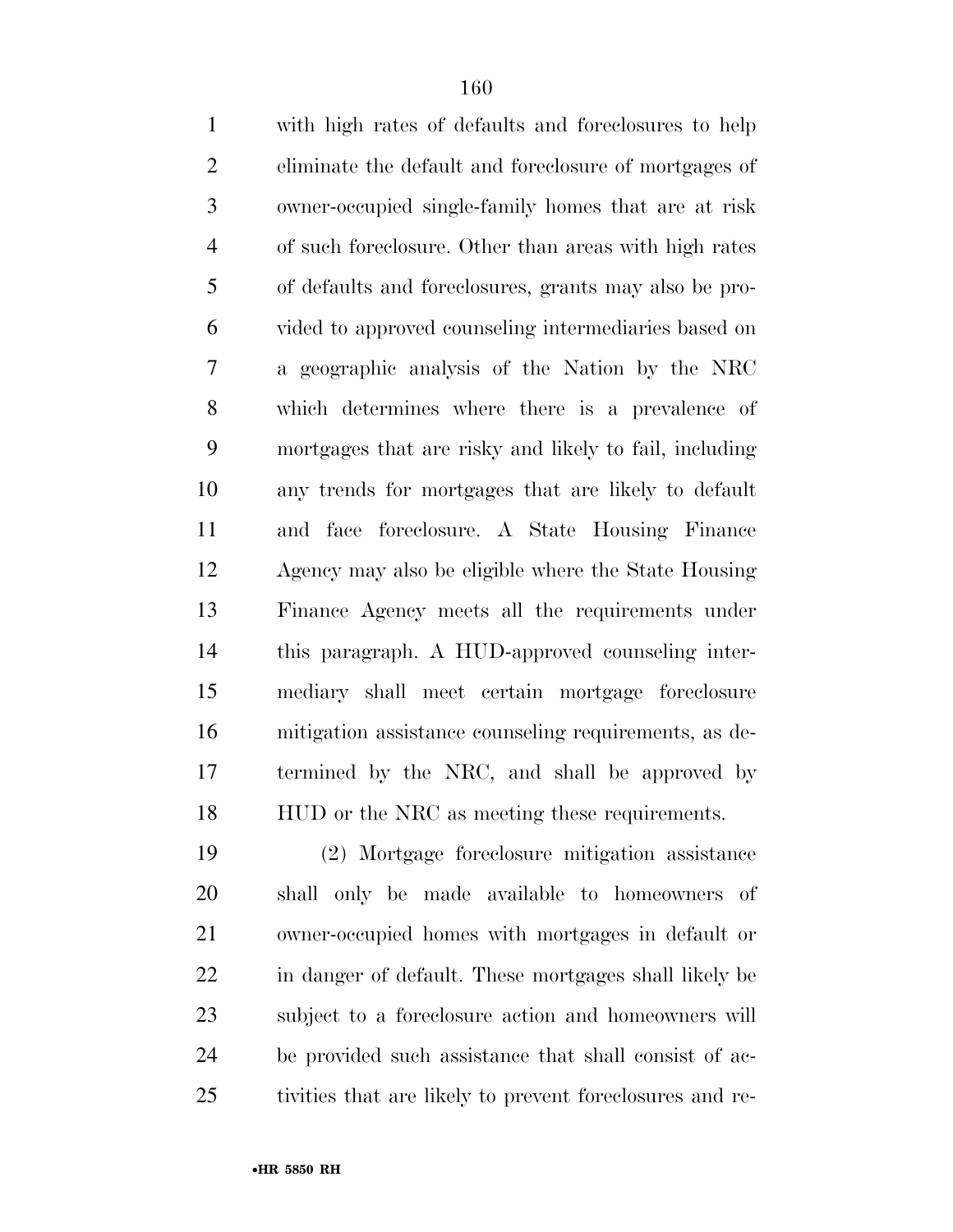| $\mathbf{1}$   | with high rates of defaults and foreclosures to help   |
|----------------|--------------------------------------------------------|
| $\overline{2}$ | eliminate the default and foreclosure of mortgages of  |
| 3              | owner-occupied single-family homes that are at risk    |
| $\overline{4}$ | of such foreclosure. Other than areas with high rates  |
| 5              | of defaults and foreclosures, grants may also be pro-  |
| 6              | vided to approved counseling intermediaries based on   |
| 7              | a geographic analysis of the Nation by the NRC         |
| 8              | which determines where there is a prevalence of        |
| 9              | mortgages that are risky and likely to fail, including |
| 10             | any trends for mortgages that are likely to default    |
| 11             | and face foreclosure. A State Housing Finance          |
| 12             | Agency may also be eligible where the State Housing    |
| 13             | Finance Agency meets all the requirements under        |
| 14             | this paragraph. A HUD-approved counseling inter-       |
| 15             | mediary shall meet certain mortgage foreclosure        |
| 16             | mitigation assistance counseling requirements, as de-  |
| 17             | termined by the NRC, and shall be approved by          |
| 18             | HUD or the NRC as meeting these requirements.          |
| 19             | (2) Mortgage foreclosure mitigation assistance         |

 shall only be made available to homeowners of owner-occupied homes with mortgages in default or in danger of default. These mortgages shall likely be subject to a foreclosure action and homeowners will be provided such assistance that shall consist of ac-tivities that are likely to prevent foreclosures and re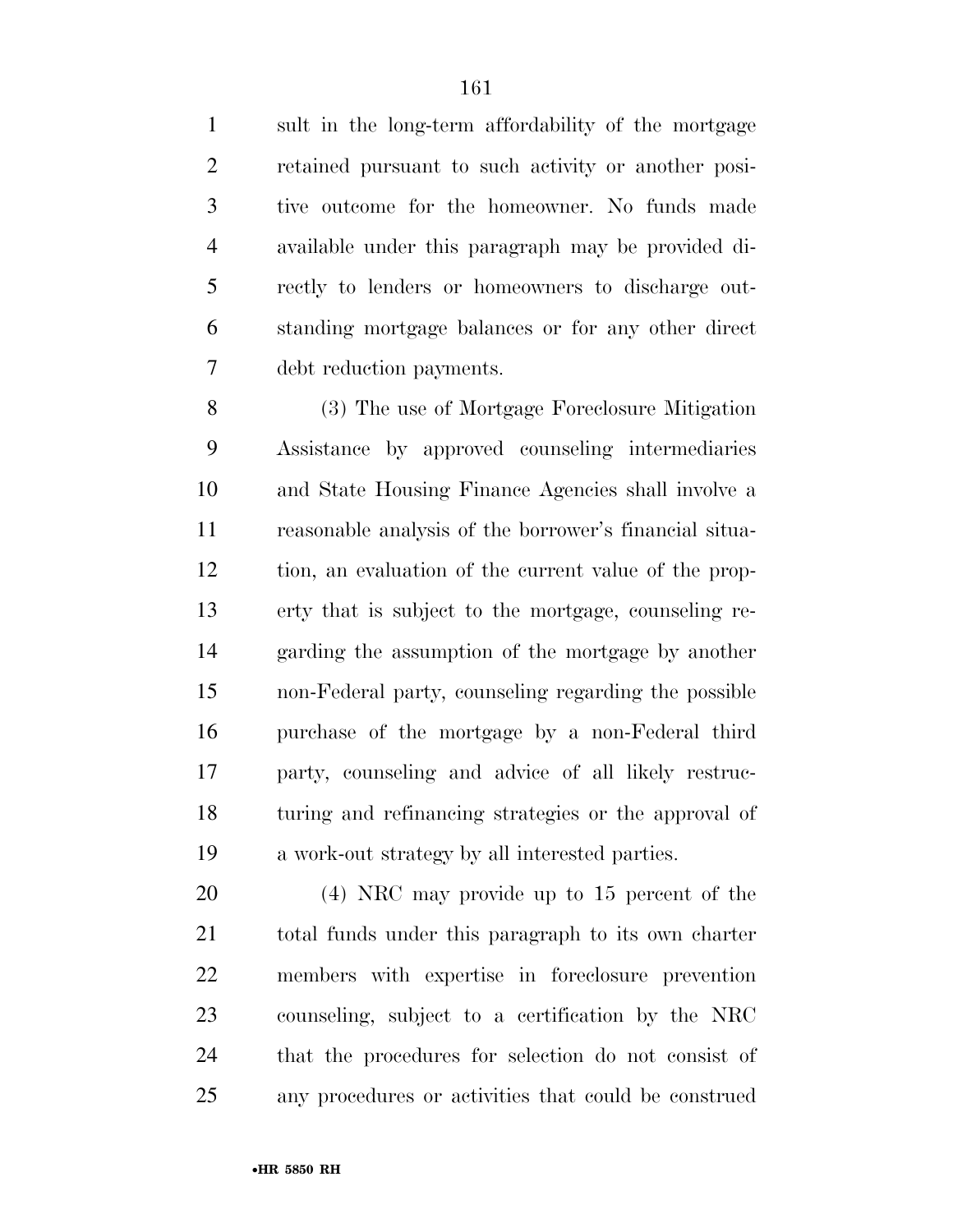sult in the long-term affordability of the mortgage retained pursuant to such activity or another posi- tive outcome for the homeowner. No funds made available under this paragraph may be provided di- rectly to lenders or homeowners to discharge out- standing mortgage balances or for any other direct debt reduction payments.

 (3) The use of Mortgage Foreclosure Mitigation Assistance by approved counseling intermediaries and State Housing Finance Agencies shall involve a reasonable analysis of the borrower's financial situa- tion, an evaluation of the current value of the prop- erty that is subject to the mortgage, counseling re- garding the assumption of the mortgage by another non-Federal party, counseling regarding the possible purchase of the mortgage by a non-Federal third party, counseling and advice of all likely restruc- turing and refinancing strategies or the approval of a work-out strategy by all interested parties.

 (4) NRC may provide up to 15 percent of the total funds under this paragraph to its own charter members with expertise in foreclosure prevention counseling, subject to a certification by the NRC that the procedures for selection do not consist of any procedures or activities that could be construed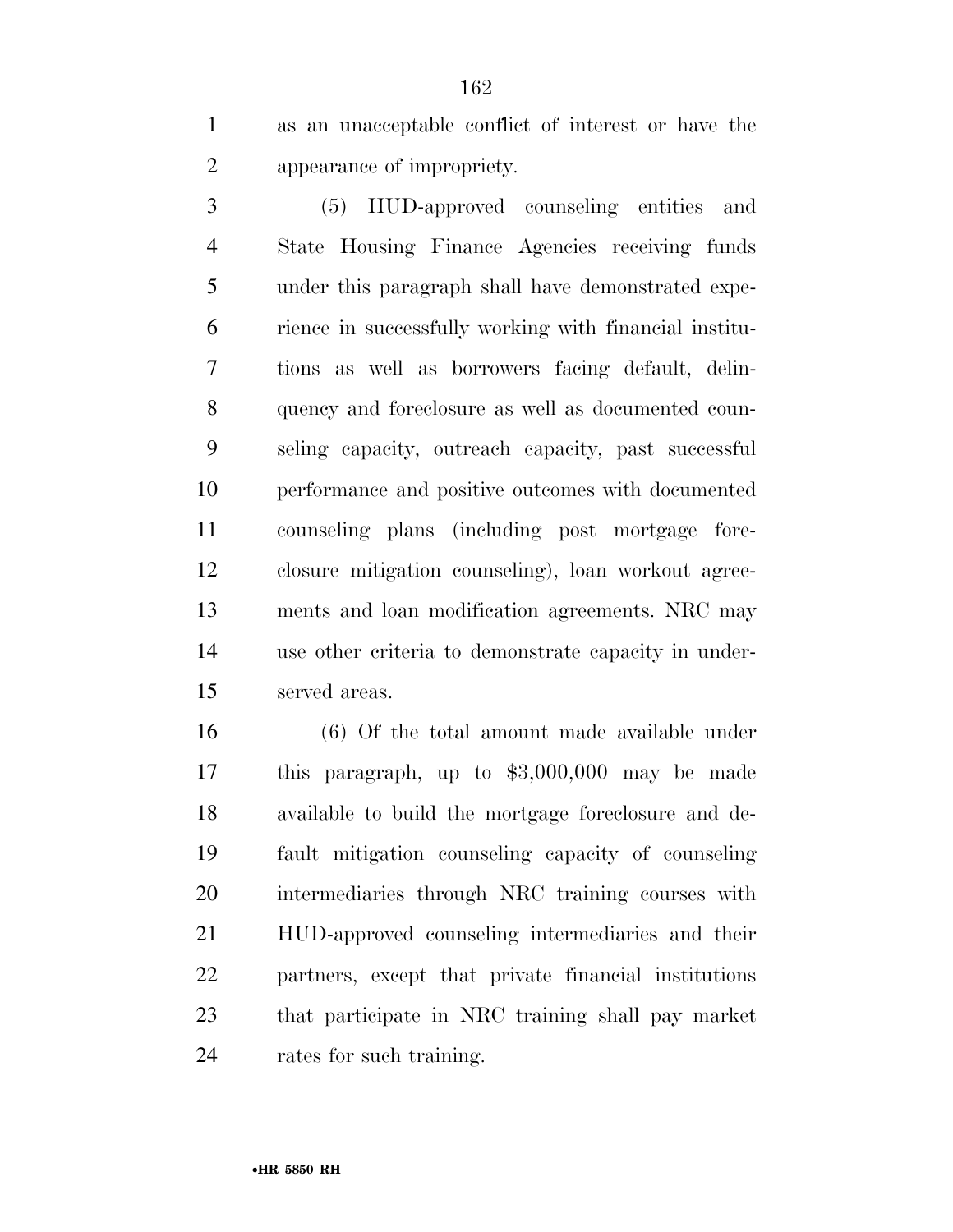as an unacceptable conflict of interest or have the appearance of impropriety.

 (5) HUD-approved counseling entities and State Housing Finance Agencies receiving funds under this paragraph shall have demonstrated expe- rience in successfully working with financial institu- tions as well as borrowers facing default, delin- quency and foreclosure as well as documented coun- seling capacity, outreach capacity, past successful performance and positive outcomes with documented counseling plans (including post mortgage fore- closure mitigation counseling), loan workout agree- ments and loan modification agreements. NRC may use other criteria to demonstrate capacity in under-served areas.

 (6) Of the total amount made available under this paragraph, up to \$3,000,000 may be made available to build the mortgage foreclosure and de- fault mitigation counseling capacity of counseling intermediaries through NRC training courses with HUD-approved counseling intermediaries and their partners, except that private financial institutions that participate in NRC training shall pay market rates for such training.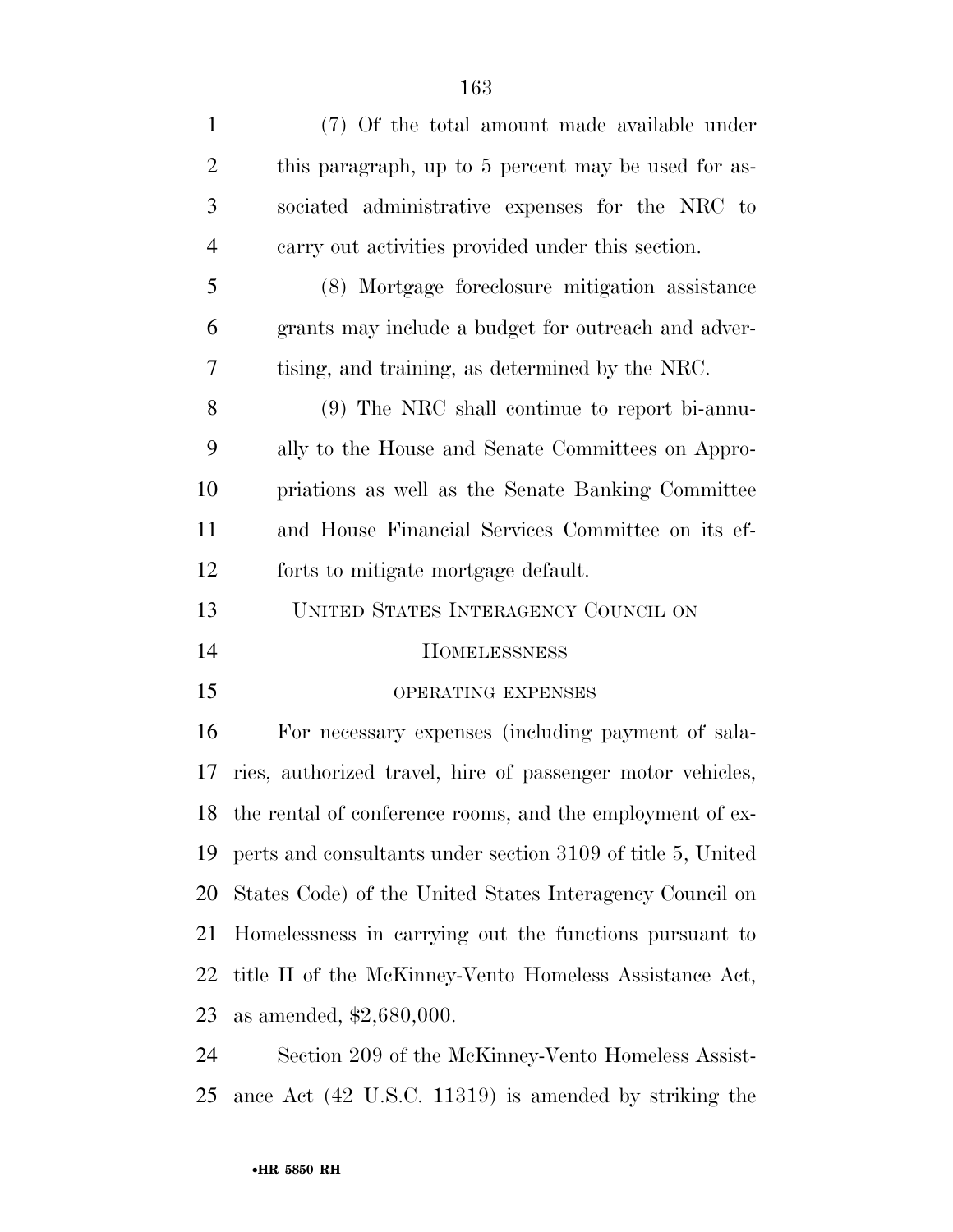| $\mathbf{1}$   | (7) Of the total amount made available under                 |
|----------------|--------------------------------------------------------------|
| $\overline{2}$ | this paragraph, up to 5 percent may be used for as-          |
| 3              | sociated administrative expenses for the NRC to              |
| $\overline{4}$ | carry out activities provided under this section.            |
| 5              | (8) Mortgage foreclosure mitigation assistance               |
| 6              | grants may include a budget for outreach and adver-          |
| $\tau$         | tising, and training, as determined by the NRC.              |
| 8              | (9) The NRC shall continue to report bi-annu-                |
| 9              | ally to the House and Senate Committees on Appro-            |
| 10             | priations as well as the Senate Banking Committee            |
| 11             | and House Financial Services Committee on its ef-            |
| 12             | forts to mitigate mortgage default.                          |
| 13             | UNITED STATES INTERAGENCY COUNCIL ON                         |
| 14             | <b>HOMELESSNESS</b>                                          |
| 15             | OPERATING EXPENSES                                           |
| 16             | For necessary expenses (including payment of sala-           |
| 17             | ries, authorized travel, hire of passenger motor vehicles,   |
|                | 18 the rental of conference rooms, and the employment of ex- |
| 19             | perts and consultants under section 3109 of title 5, United  |
| 20             | States Code) of the United States Interagency Council on     |
| 21             | Homelessness in carrying out the functions pursuant to       |
| 22             | title II of the McKinney-Vento Homeless Assistance Act,      |
| 23             | as amended, $$2,680,000$ .                                   |
| 24             | Section 209 of the McKinney-Vento Homeless Assist-           |
| 25             | ance Act (42 U.S.C. 11319) is amended by striking the        |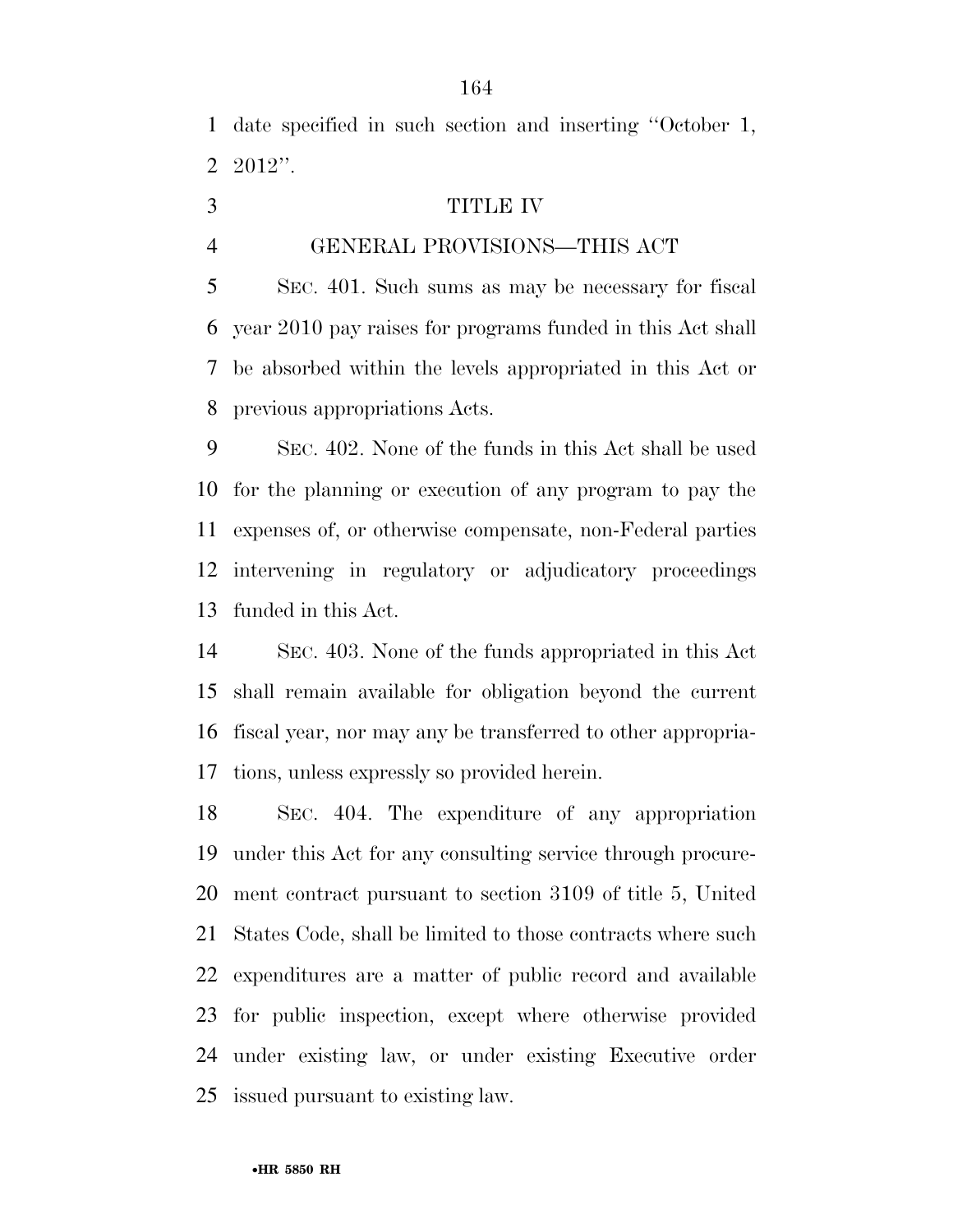date specified in such section and inserting ''October 1, 2012''.

- TITLE IV
- 

### GENERAL PROVISIONS—THIS ACT

 SEC. 401. Such sums as may be necessary for fiscal year 2010 pay raises for programs funded in this Act shall be absorbed within the levels appropriated in this Act or previous appropriations Acts.

 SEC. 402. None of the funds in this Act shall be used for the planning or execution of any program to pay the expenses of, or otherwise compensate, non-Federal parties intervening in regulatory or adjudicatory proceedings funded in this Act.

 SEC. 403. None of the funds appropriated in this Act shall remain available for obligation beyond the current fiscal year, nor may any be transferred to other appropria-tions, unless expressly so provided herein.

 SEC. 404. The expenditure of any appropriation under this Act for any consulting service through procure- ment contract pursuant to section 3109 of title 5, United States Code, shall be limited to those contracts where such expenditures are a matter of public record and available for public inspection, except where otherwise provided under existing law, or under existing Executive order issued pursuant to existing law.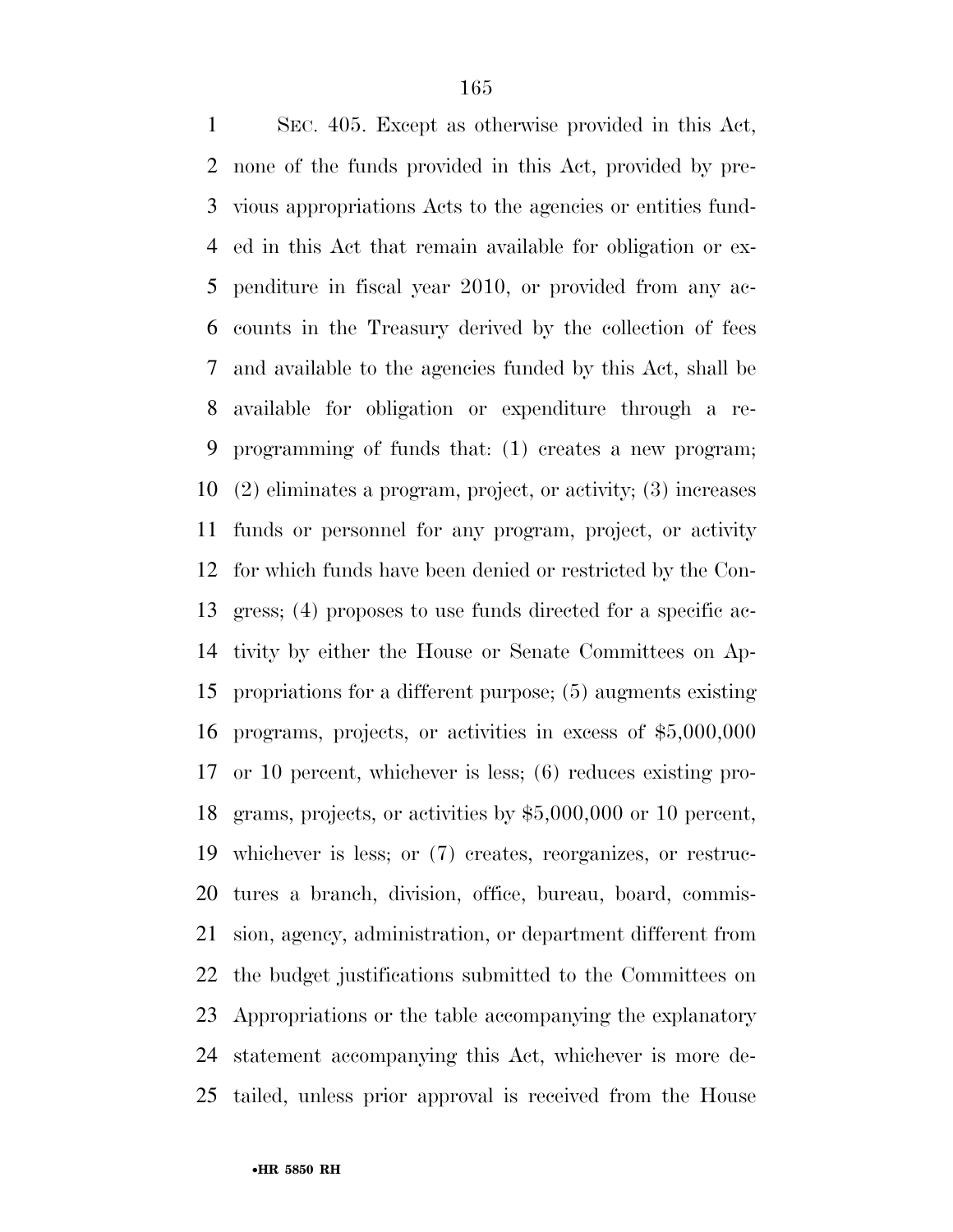SEC. 405. Except as otherwise provided in this Act, none of the funds provided in this Act, provided by pre- vious appropriations Acts to the agencies or entities fund- ed in this Act that remain available for obligation or ex- penditure in fiscal year 2010, or provided from any ac- counts in the Treasury derived by the collection of fees and available to the agencies funded by this Act, shall be available for obligation or expenditure through a re- programming of funds that: (1) creates a new program; (2) eliminates a program, project, or activity; (3) increases funds or personnel for any program, project, or activity for which funds have been denied or restricted by the Con- gress; (4) proposes to use funds directed for a specific ac- tivity by either the House or Senate Committees on Ap- propriations for a different purpose; (5) augments existing programs, projects, or activities in excess of \$5,000,000 or 10 percent, whichever is less; (6) reduces existing pro- grams, projects, or activities by \$5,000,000 or 10 percent, whichever is less; or (7) creates, reorganizes, or restruc- tures a branch, division, office, bureau, board, commis- sion, agency, administration, or department different from the budget justifications submitted to the Committees on Appropriations or the table accompanying the explanatory statement accompanying this Act, whichever is more de-tailed, unless prior approval is received from the House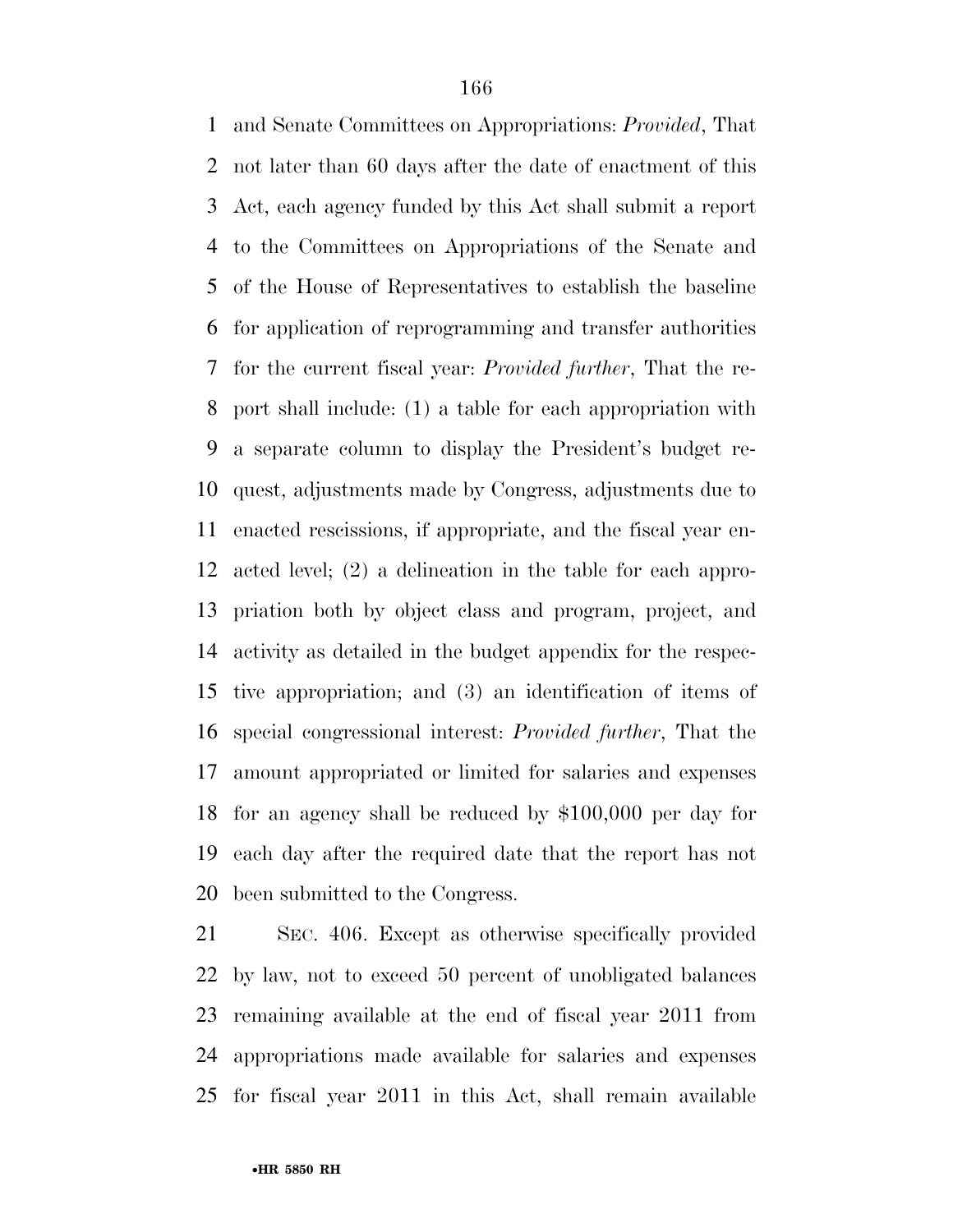and Senate Committees on Appropriations: *Provided*, That not later than 60 days after the date of enactment of this Act, each agency funded by this Act shall submit a report to the Committees on Appropriations of the Senate and of the House of Representatives to establish the baseline for application of reprogramming and transfer authorities for the current fiscal year: *Provided further*, That the re- port shall include: (1) a table for each appropriation with a separate column to display the President's budget re- quest, adjustments made by Congress, adjustments due to enacted rescissions, if appropriate, and the fiscal year en- acted level; (2) a delineation in the table for each appro- priation both by object class and program, project, and activity as detailed in the budget appendix for the respec- tive appropriation; and (3) an identification of items of special congressional interest: *Provided further*, That the amount appropriated or limited for salaries and expenses for an agency shall be reduced by \$100,000 per day for each day after the required date that the report has not been submitted to the Congress.

 SEC. 406. Except as otherwise specifically provided by law, not to exceed 50 percent of unobligated balances remaining available at the end of fiscal year 2011 from appropriations made available for salaries and expenses for fiscal year 2011 in this Act, shall remain available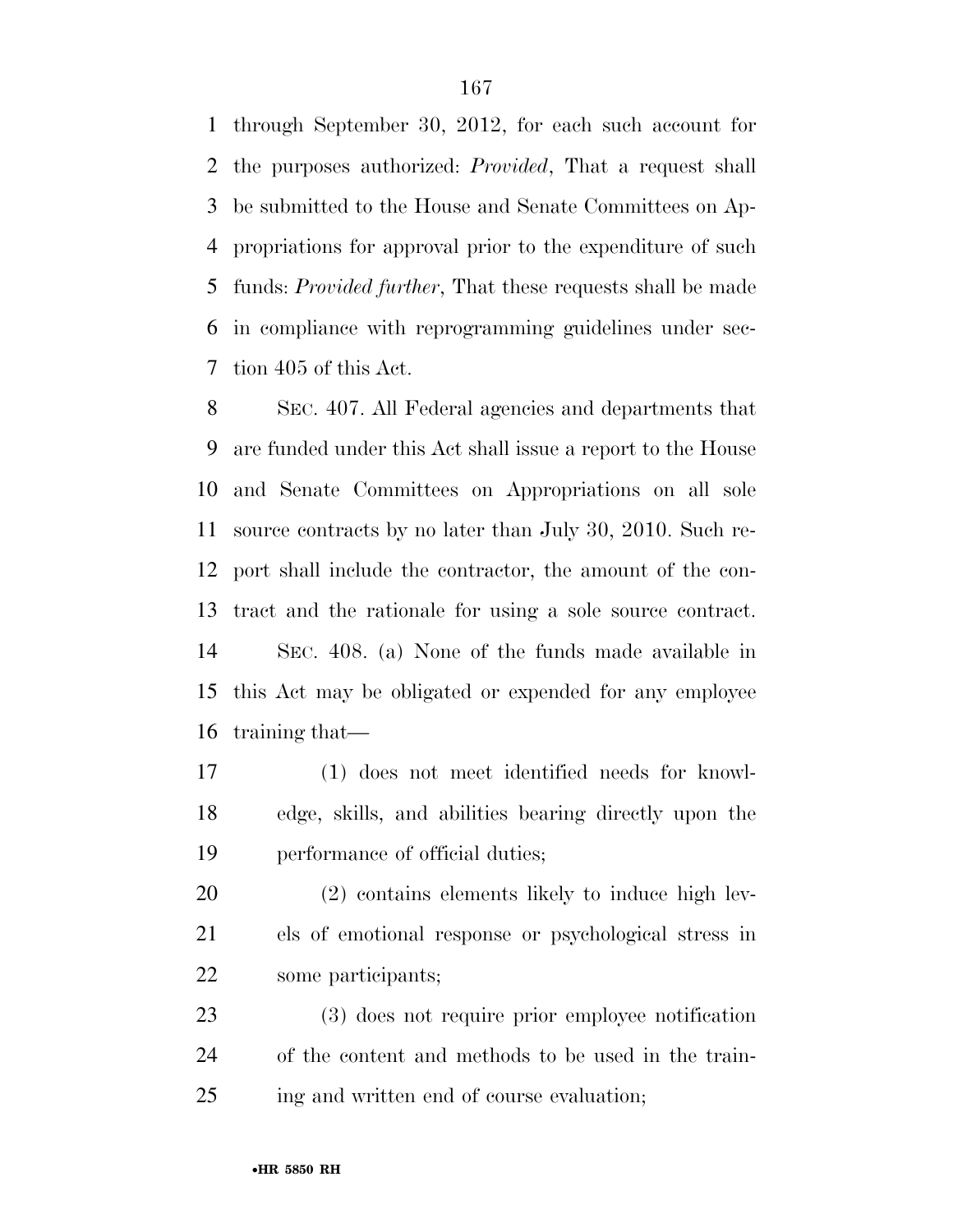through September 30, 2012, for each such account for the purposes authorized: *Provided*, That a request shall be submitted to the House and Senate Committees on Ap- propriations for approval prior to the expenditure of such funds: *Provided further*, That these requests shall be made in compliance with reprogramming guidelines under sec-tion 405 of this Act.

 SEC. 407. All Federal agencies and departments that are funded under this Act shall issue a report to the House and Senate Committees on Appropriations on all sole source contracts by no later than July 30, 2010. Such re- port shall include the contractor, the amount of the con- tract and the rationale for using a sole source contract. SEC. 408. (a) None of the funds made available in this Act may be obligated or expended for any employee training that—

 (1) does not meet identified needs for knowl- edge, skills, and abilities bearing directly upon the performance of official duties;

 (2) contains elements likely to induce high lev- els of emotional response or psychological stress in some participants;

 (3) does not require prior employee notification of the content and methods to be used in the train-ing and written end of course evaluation;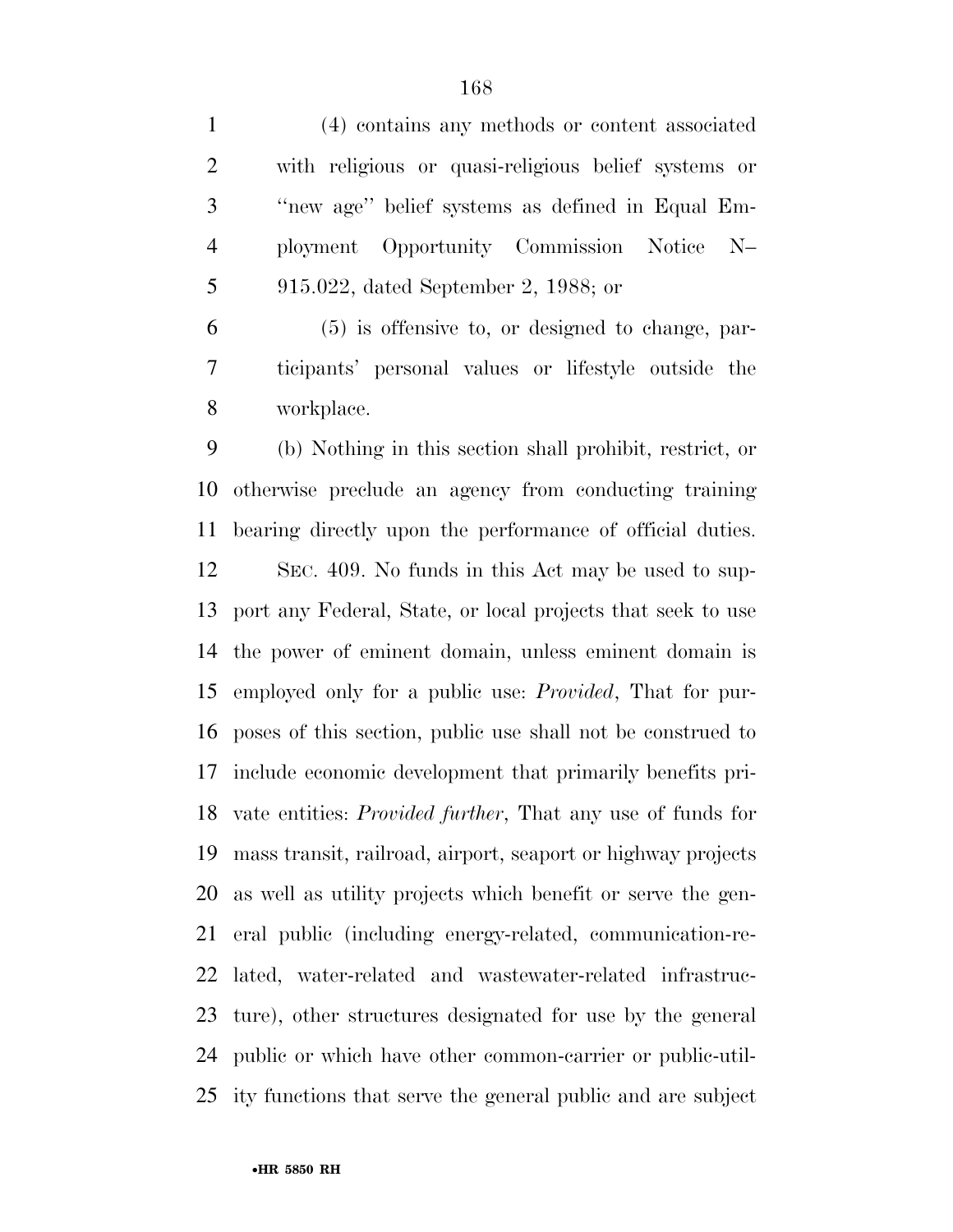(4) contains any methods or content associated with religious or quasi-religious belief systems or ''new age'' belief systems as defined in Equal Em- ployment Opportunity Commission Notice N– 915.022, dated September 2, 1988; or (5) is offensive to, or designed to change, par- ticipants' personal values or lifestyle outside the workplace. (b) Nothing in this section shall prohibit, restrict, or otherwise preclude an agency from conducting training bearing directly upon the performance of official duties.

 SEC. 409. No funds in this Act may be used to sup- port any Federal, State, or local projects that seek to use the power of eminent domain, unless eminent domain is employed only for a public use: *Provided*, That for pur- poses of this section, public use shall not be construed to include economic development that primarily benefits pri- vate entities: *Provided further*, That any use of funds for mass transit, railroad, airport, seaport or highway projects as well as utility projects which benefit or serve the gen- eral public (including energy-related, communication-re- lated, water-related and wastewater-related infrastruc- ture), other structures designated for use by the general public or which have other common-carrier or public-util-ity functions that serve the general public and are subject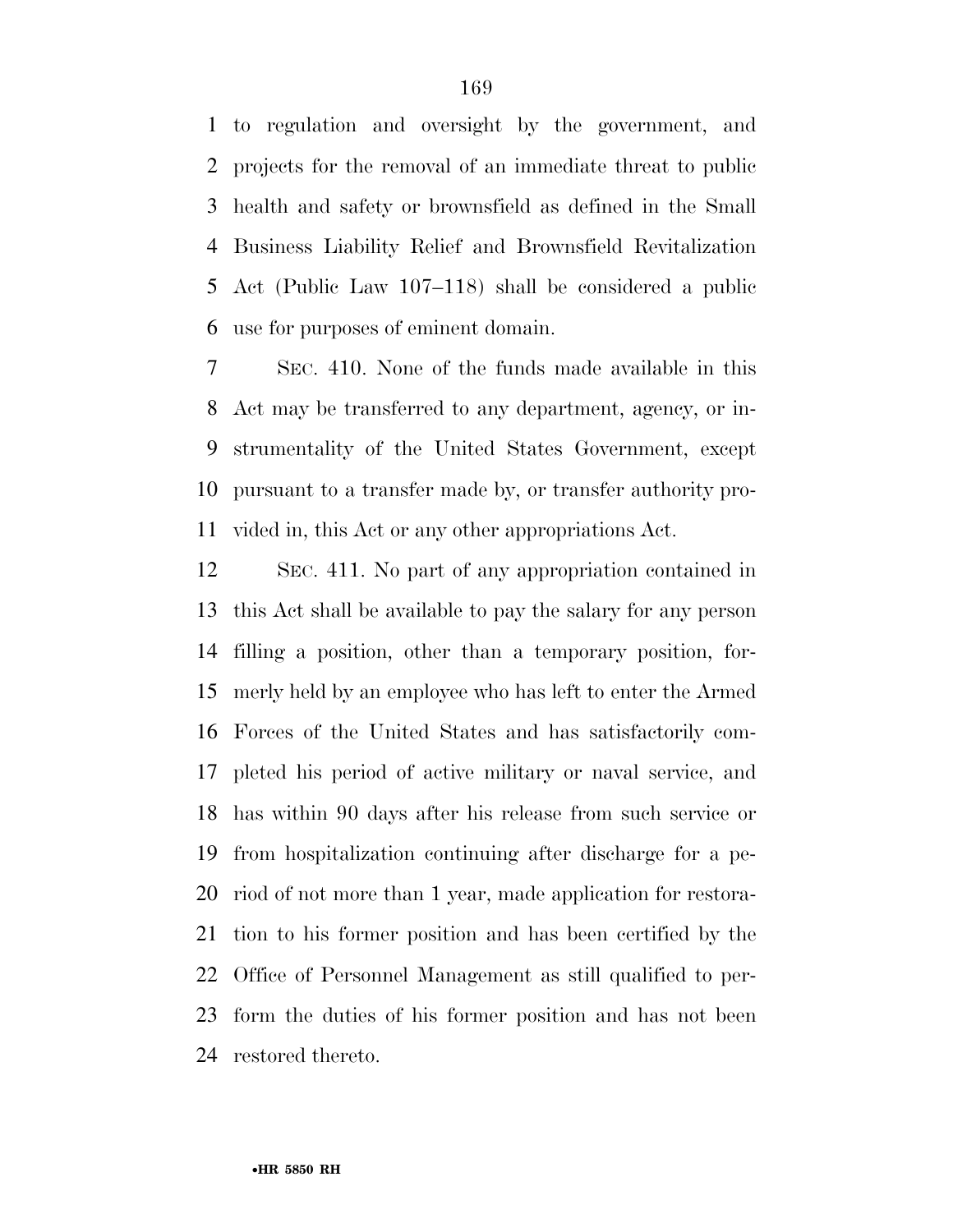to regulation and oversight by the government, and projects for the removal of an immediate threat to public health and safety or brownsfield as defined in the Small Business Liability Relief and Brownsfield Revitalization Act (Public Law 107–118) shall be considered a public use for purposes of eminent domain.

 SEC. 410. None of the funds made available in this Act may be transferred to any department, agency, or in- strumentality of the United States Government, except pursuant to a transfer made by, or transfer authority pro-vided in, this Act or any other appropriations Act.

 SEC. 411. No part of any appropriation contained in this Act shall be available to pay the salary for any person filling a position, other than a temporary position, for- merly held by an employee who has left to enter the Armed Forces of the United States and has satisfactorily com- pleted his period of active military or naval service, and has within 90 days after his release from such service or from hospitalization continuing after discharge for a pe- riod of not more than 1 year, made application for restora- tion to his former position and has been certified by the Office of Personnel Management as still qualified to per- form the duties of his former position and has not been restored thereto.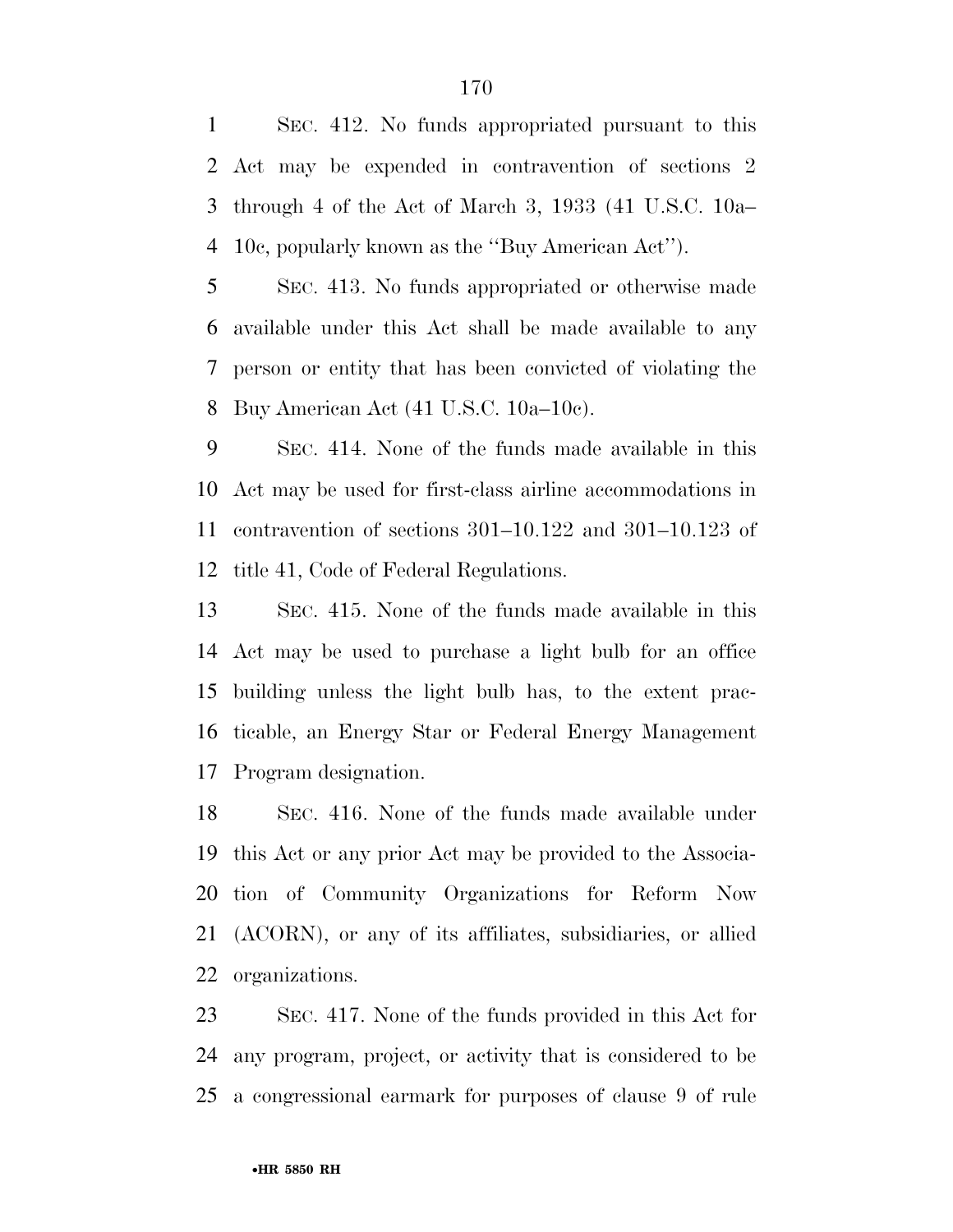SEC. 412. No funds appropriated pursuant to this Act may be expended in contravention of sections 2 through 4 of the Act of March 3, 1933 (41 U.S.C. 10a– 10c, popularly known as the ''Buy American Act'').

 SEC. 413. No funds appropriated or otherwise made available under this Act shall be made available to any person or entity that has been convicted of violating the Buy American Act (41 U.S.C. 10a–10c).

 SEC. 414. None of the funds made available in this Act may be used for first-class airline accommodations in contravention of sections 301–10.122 and 301–10.123 of title 41, Code of Federal Regulations.

 SEC. 415. None of the funds made available in this Act may be used to purchase a light bulb for an office building unless the light bulb has, to the extent prac- ticable, an Energy Star or Federal Energy Management Program designation.

 SEC. 416. None of the funds made available under this Act or any prior Act may be provided to the Associa- tion of Community Organizations for Reform Now (ACORN), or any of its affiliates, subsidiaries, or allied organizations.

 SEC. 417. None of the funds provided in this Act for any program, project, or activity that is considered to be a congressional earmark for purposes of clause 9 of rule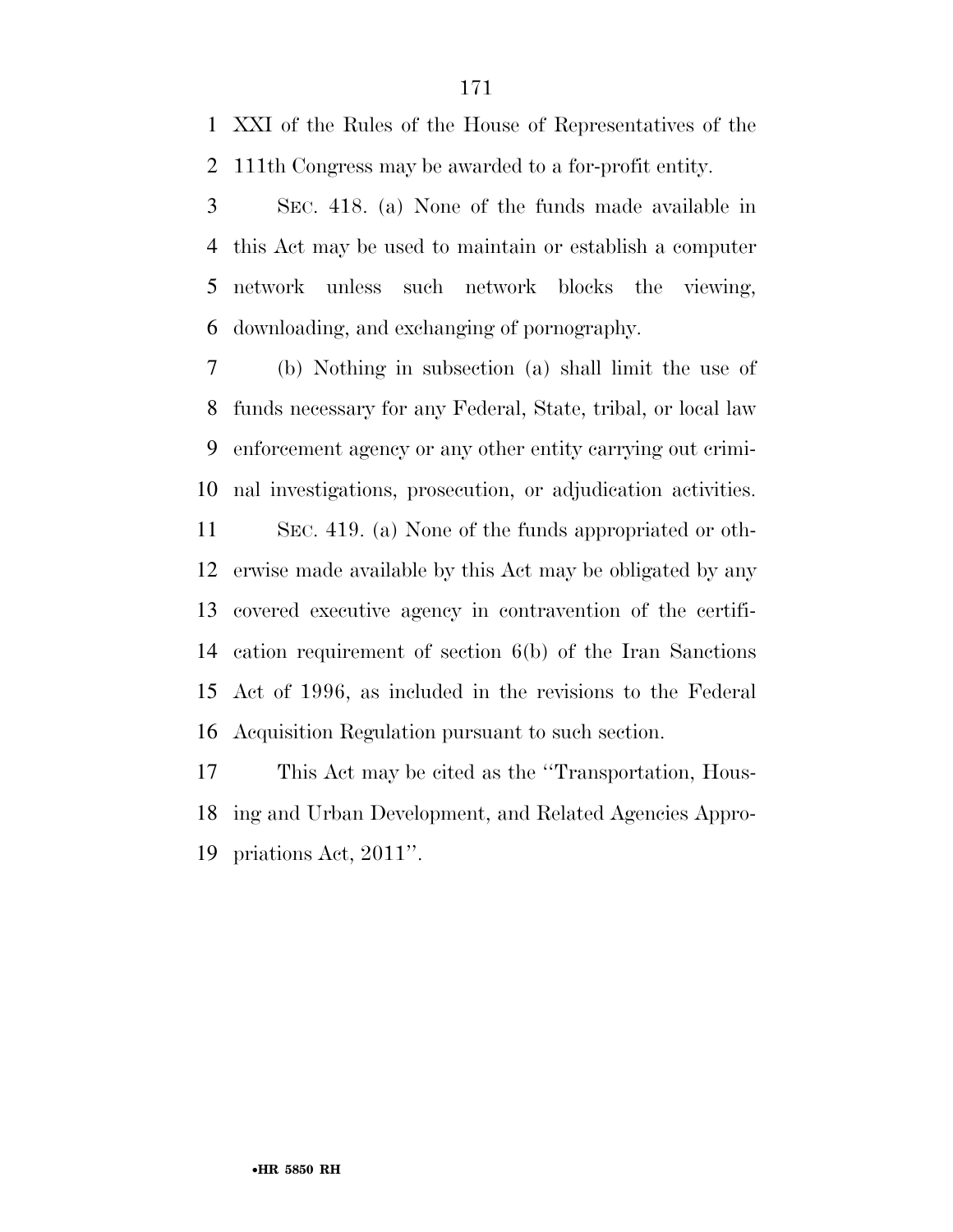XXI of the Rules of the House of Representatives of the 111th Congress may be awarded to a for-profit entity.

 SEC. 418. (a) None of the funds made available in this Act may be used to maintain or establish a computer network unless such network blocks the viewing, downloading, and exchanging of pornography.

 (b) Nothing in subsection (a) shall limit the use of funds necessary for any Federal, State, tribal, or local law enforcement agency or any other entity carrying out crimi-nal investigations, prosecution, or adjudication activities.

 SEC. 419. (a) None of the funds appropriated or oth- erwise made available by this Act may be obligated by any covered executive agency in contravention of the certifi- cation requirement of section 6(b) of the Iran Sanctions Act of 1996, as included in the revisions to the Federal Acquisition Regulation pursuant to such section.

 This Act may be cited as the ''Transportation, Hous- ing and Urban Development, and Related Agencies Appro-priations Act, 2011''.